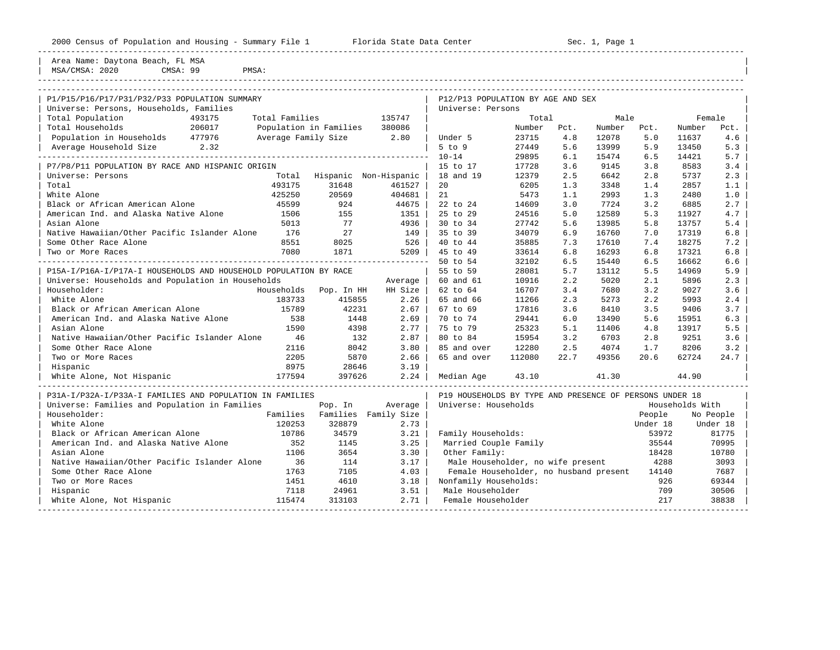----------------------------------------------------------------------------------------------------------------------------------------------------

----------------------------------------------------------------------------------------------------------------------------------------------------

Area Name: Daytona Beach, FL MSA | MSA/CMSA: 2020 CMSA: 99 PMSA:

| P1/P15/P16/P17/P31/P32/P33 POPULATION SUMMARY                    |                     |                        |                               | P12/P13 POPULATION BY AGE AND SEX                       |        |      |        |          |                 |           |
|------------------------------------------------------------------|---------------------|------------------------|-------------------------------|---------------------------------------------------------|--------|------|--------|----------|-----------------|-----------|
| Universe: Persons, Households, Families                          |                     |                        |                               | Universe: Persons                                       |        |      |        |          |                 |           |
| Total Population<br>493175                                       | Total Families      |                        | 135747                        |                                                         | Total  |      | Male   |          |                 | Female    |
| 206017<br>Total Households                                       |                     | Population in Families | 380086                        |                                                         | Number | Pct. | Number | Pct.     | Number          | Pct.      |
| Population in Households 477976                                  | Average Family Size |                        | 2.80                          | Under 5                                                 | 23715  | 4.8  | 12078  | 5.0      | 11637           | 4.6       |
| Average Household Size 2.32                                      |                     |                        |                               | 5 to 9                                                  | 27449  | 5.6  | 13999  | 5.9      | 13450           | 5.3       |
|                                                                  |                     |                        |                               | $10 - 14$                                               | 29895  | 6.1  | 15474  | 6.5      | 14421           | 5.7       |
| P7/P8/P11 POPULATION BY RACE AND HISPANIC ORIGIN                 |                     |                        |                               | 15 to 17                                                | 17728  | 3.6  | 9145   | 3.8      | 8583            | 3.4       |
| Universe: Persons                                                | Total               |                        | Hispanic Non-Hispanic         | 18 and 19                                               | 12379  | 2.5  | 6642   | 2.8      | 5737            | 2.3       |
| Total                                                            | 493175              | 31648                  | 461527                        | 20                                                      | 6205   | 1.3  | 3348   | 1.4      | 2857            | 1.1       |
| White Alone                                                      | 425250              | 20569                  | 404681                        | 21                                                      | 5473   | 1.1  | 2993   | 1.3      | 2480            | 1.0       |
| Black or African American Alone                                  | 45599               | 924                    | 44675                         | 22 to 24                                                | 14609  | 3.0  | 7724   | 3.2      | 6885            | 2.7       |
| American Ind. and Alaska Native Alone                            | 1506                | 155                    | $1351$                        | 25 to 29                                                | 24516  | 5.0  | 12589  | 5.3      | 11927           | 4.7       |
| Asian Alone                                                      | 5013                | 77                     | 4936                          | 30 to 34                                                | 27742  | 5.6  | 13985  | 5.8      | 13757           | 5.4       |
| Native Hawaiian/Other Pacific Islander Alone                     | 176                 | 27                     | 149                           | 35 to 39                                                | 34079  | 6.9  | 16760  | 7.0      | 17319           | 6.8       |
| Some Other Race Alone                                            | 8551                | 8025                   | 526                           | 40 to 44                                                | 35885  | 7.3  | 17610  | 7.4      | 18275           | 7.2       |
| Two or More Races                                                | 7080                | 1871                   | $5209$                        | 45 to 49                                                | 33614  | 6.8  | 16293  | 6.8      | 17321           | 6.8       |
|                                                                  |                     |                        | _______________________       | 50 to 54                                                | 32102  | 6.5  | 15440  | 6.5      | 16662           | 6.6       |
| P15A-I/P16A-I/P17A-I HOUSEHOLDS AND HOUSEHOLD POPULATION BY RACE |                     |                        |                               | 55 to 59                                                | 28081  | 5.7  | 13112  | 5.5      | 14969           | 5.9       |
| Universe: Households and Population in Households                |                     |                        | Average                       | 60 and 61                                               | 10916  | 2.2  | 5020   | 2.1      | 5896            | 2.3       |
| Householder:                                                     |                     | Households Pop. In HH  | HH Size                       | 62 to 64                                                | 16707  | 3.4  | 7680   | 3.2      | 9027            | 3.6       |
| White Alone                                                      | 183733              | 415855                 | 2.26                          | 65 and 66                                               | 11266  | 2.3  | 5273   | 2.2      | 5993            | 2.4       |
| Black or African American Alone                                  | 15789               | 42231                  | 2.67                          | 67 to 69                                                | 17816  | 3.6  | 8410   | 3.5      | 9406            | 3.7       |
| American Ind. and Alaska Native Alone                            | 538                 | 1448                   | 2.69                          | 70 to 74                                                | 29441  | 6.0  | 13490  | 5.6      | 15951           | 6.3       |
| Asian Alone                                                      | 1590                | 4398                   | $2.77$                        | 75 to 79                                                | 25323  | 5.1  | 11406  | 4.8      | 13917           | 5.5       |
| Native Hawaiian/Other Pacific Islander Alone                     | 46                  | 132                    | 2.87                          | 80 to 84                                                | 15954  | 3.2  | 6703   | 2.8      | 9251            | 3.6       |
| Some Other Race Alone                                            | 2116                | 8042                   | 3.80                          | 85 and over                                             | 12280  | 2.5  | 4074   | 1.7      | 8206            | 3.2       |
| Two or More Races                                                | 2205                | 5870                   | 2.66                          | 65 and over                                             | 112080 | 22.7 | 49356  | 20.6     | 62724           | 24.7      |
| Hispanic                                                         | 8975                | 28646                  | 3.19                          |                                                         |        |      |        |          |                 |           |
| White Alone, Not Hispanic                                        | 177594              | 397626                 | 2.24                          | Median Age                                              | 43.10  |      | 41.30  |          | 44.90           |           |
| P31A-I/P32A-I/P33A-I FAMILIES AND POPULATION IN FAMILIES         |                     |                        |                               | P19 HOUSEHOLDS BY TYPE AND PRESENCE OF PERSONS UNDER 18 |        |      |        |          |                 |           |
| Universe: Families and Population in Families                    |                     | Pop. In                | Average                       | Universe: Households                                    |        |      |        |          | Households With |           |
| Householder:                                                     |                     |                        | Families Families Family Size |                                                         |        |      |        | People   |                 | No People |
| White Alone                                                      | 120253              | 328879                 | 2.73                          |                                                         |        |      |        | Under 18 |                 | Under 18  |
| Black or African American Alone                                  | 10786               | 34579                  | 3.21                          | Family Households:                                      |        |      |        | 53972    |                 | 81775     |
| American Ind. and Alaska Native Alone                            | 352                 | 1145                   | 3.25                          | Married Couple Family                                   |        |      |        | 35544    |                 | 70995     |
| Asian Alone                                                      | 1106                | 3654                   | 3.30                          | Other Family:                                           |        |      |        | 18428    |                 | 10780     |
| Native Hawaiian/Other Pacific Islander Alone                     | 36                  | 114                    | 3.17                          | Male Householder, no wife present                       |        |      |        | 4288     |                 | 3093      |
| Some Other Race Alone                                            | 1763                | 7105                   | 4.03                          | Female Householder, no husband present                  |        |      |        | 14140    |                 | 7687      |
| Two or More Races                                                | 1451                | 4610                   | 3.18                          | Nonfamily Households:                                   |        |      |        | 926      |                 | 69344     |
| Hispanic                                                         | 7118                | 24961                  | 3.51                          | Male Householder                                        |        |      |        | 709      |                 | 30506     |
| 115474<br>White Alone, Not Hispanic                              |                     | 313103                 | 2.71                          | Female Householder                                      |        |      |        | 217      |                 | 38838     |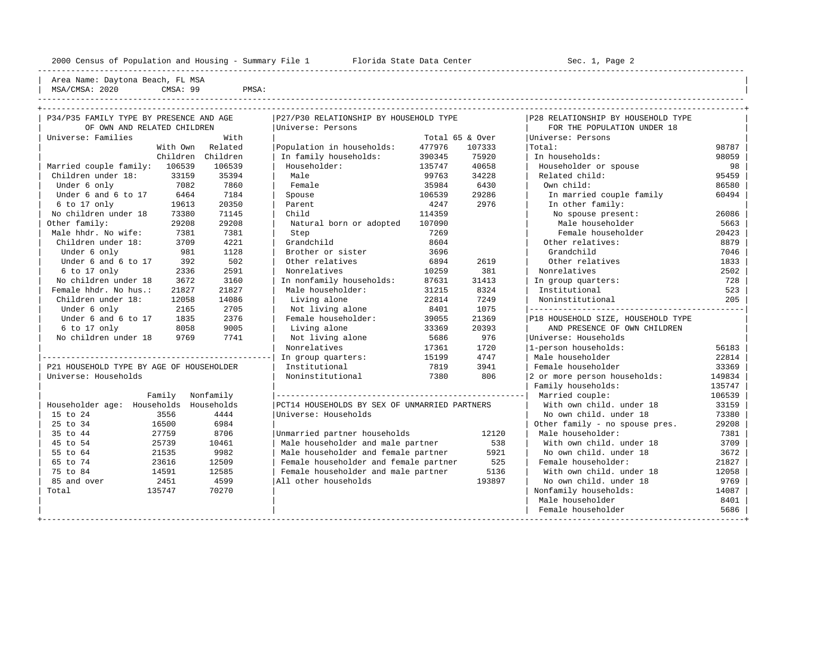----------------------------------------------------------------------------------------------------------------------------------------------------

| Area Name: Daytona Beach, FL MSA

| MSA,<br>$'CMSA$ .<br>the contract of the contract of the contract of the contract of the contract of the contract of the contract of | 2020 | QQ<br>CMSA: | DMC:<br>РМЭА. |
|--------------------------------------------------------------------------------------------------------------------------------------|------|-------------|---------------|
|                                                                                                                                      |      |             | -----         |

| P34/P35 FAMILY TYPE BY PRESENCE AND AGE  |          |                   | P27/P30 RELATIONSHIP BY HOUSEHOLD TYPE        |        |                 | P28 RELATIONSHIP BY HOUSEHOLD TYPE |        |
|------------------------------------------|----------|-------------------|-----------------------------------------------|--------|-----------------|------------------------------------|--------|
| OF OWN AND RELATED CHILDREN              |          |                   | Universe: Persons                             |        |                 | FOR THE POPULATION UNDER 18        |        |
| Universe: Families                       |          | With              |                                               |        | Total 65 & Over | Universe: Persons                  |        |
|                                          | With Own | Related           | Population in households:                     | 477976 | 107333          | Total:                             | 98787  |
|                                          |          | Children Children | In family households:                         | 390345 | 75920           | In households:                     | 98059  |
| Married couple family: 106539            |          | 106539            | Householder:                                  | 135747 | 40658           | Householder or spouse              | 98     |
| Children under 18:                       | 33159    | 35394             | Male                                          | 99763  | 34228           | Related child:                     | 95459  |
| Under 6 only                             | 7082     | 7860              | Female                                        | 35984  | 6430            | Own child:                         | 86580  |
| Under 6 and 6 to 17                      | 6464     | 7184              | Spouse                                        | 106539 | 29286           | In married couple family           | 60494  |
| 6 to 17 only                             | 19613    | 20350             | Parent                                        | 4247   | 2976            | In other family:                   |        |
| No children under 18                     | 73380    | 71145             | Child                                         | 114359 |                 | No spouse present:                 | 26086  |
| Other family:                            | 29208    | 29208             | Natural born or adopted                       | 107090 |                 | Male householder                   | 5663   |
| Male hhdr. No wife:                      | 7381     | 7381              | Step                                          | 7269   |                 | Female householder                 | 20423  |
| Children under 18:                       | 3709     | 4221              | Grandchild                                    | 8604   |                 | Other relatives:                   | 8879   |
| Under 6 only                             | 981      | 1128              | Brother or sister                             | 3696   |                 | Grandchild                         | 7046   |
| Under 6 and 6 to 17                      | 392      | 502               | Other relatives                               | 6894   | 2619            | Other relatives                    | 1833   |
| 6 to 17 only                             | 2336     | 2591              | Nonrelatives                                  | 10259  | 381             | Nonrelatives                       | 2502   |
| No children under 18                     | 3672     | 3160              | In nonfamily households:                      | 87631  | 31413           | In group quarters:                 | 728    |
| Female hhdr. No hus.:                    | 21827    | 21827             | Male householder:                             | 31215  | 8324            | Institutional                      | 523    |
| Children under 18:                       | 12058    | 14086             | Living alone                                  | 22814  | 7249            | Noninstitutional                   | 205    |
| Under 6 only                             | 2165     | 2705              | Not living alone                              | 8401   | 1075            |                                    |        |
| Under 6 and 6 to 17                      | 1835     | 2376              | Female householder:                           | 39055  | 21369           | P18 HOUSEHOLD SIZE, HOUSEHOLD TYPE |        |
| 6 to 17 only                             | 8058     | 9005              | Living alone                                  | 33369  | 20393           | AND PRESENCE OF OWN CHILDREN       |        |
| No children under 18                     | 9769     | 7741              | Not living alone                              | 5686   | 976             | Universe: Households               |        |
|                                          |          |                   | Nonrelatives                                  | 17361  | 1720            | 1-person households:               | 56183  |
|                                          |          |                   | In group quarters:                            | 15199  | 4747            | Male householder                   | 22814  |
| P21 HOUSEHOLD TYPE BY AGE OF HOUSEHOLDER |          |                   | Institutional                                 | 7819   | 3941            | Female householder                 | 33369  |
| Universe: Households                     |          |                   | Noninstitutional                              | 7380   | 806             | 2 or more person households:       | 149834 |
|                                          |          |                   |                                               |        |                 | Family households:                 | 135747 |
|                                          | Family   | Nonfamily         |                                               |        |                 | Married couple:                    | 106539 |
| Householder age: Households              |          | Households        | PCT14 HOUSEHOLDS BY SEX OF UNMARRIED PARTNERS |        |                 | With own child, under 18           | 33159  |
| 15 to 24                                 | 3556     | 4444              | Universe: Households                          |        |                 | No own child, under 18             | 73380  |
| 25 to 34                                 | 16500    | 6984              |                                               |        |                 | Other family - no spouse pres.     | 29208  |
| 35 to 44                                 | 27759    | 8706              | Unmarried partner households                  |        | 12120           | Male householder:                  | 7381   |
| 45 to 54                                 | 25739    | 10461             | Male householder and male partner             |        | 538             | With own child, under 18           | 3709   |
| 55 to 64                                 | 21535    | 9982              | Male householder and female partner           |        | 5921            | No own child. under 18             | 3672   |
| 65 to 74                                 | 23616    | 12509             | Female householder and female partner         |        | 525             | Female householder:                | 21827  |
| 75 to 84                                 | 14591    | 12585             | Female householder and male partner           |        | 5136            | With own child, under 18           | 12058  |
| 85 and over                              | 2451     | 4599              | All other households                          |        | 193897          | No own child. under 18             | 9769   |
| Total                                    | 135747   | 70270             |                                               |        |                 | Nonfamily households:              | 14087  |
|                                          |          |                   |                                               |        |                 | Male householder                   | 8401   |
|                                          |          |                   |                                               |        |                 | Female householder                 | 5686   |
|                                          |          |                   |                                               |        |                 |                                    |        |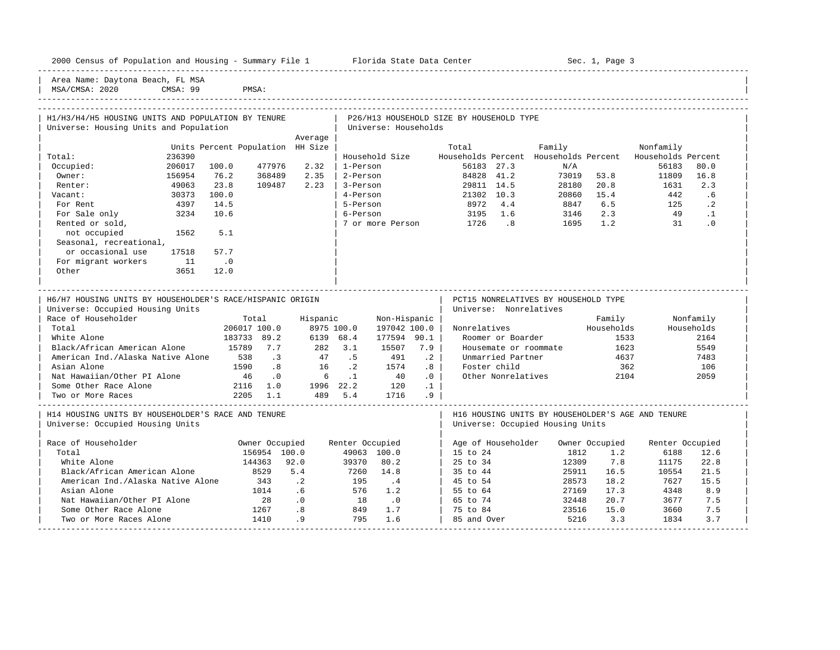| 2000<br>$- -$<br>Population and Housing<br>Census<br>ot. | Summar | Center<br>Florida<br>Dat.a<br>SL-dil. | ™aαe<br>، م7 |
|----------------------------------------------------------|--------|---------------------------------------|--------------|
| _____                                                    |        |                                       |              |

Plorida State Data Center - Sec. 1, Page 3

Area Name: Daytona Beach, FL MSA<br>MSA/CMSA: 2020 CMSA: 99

| 2020<br>MSA,<br>$\sim$<br>AGN - | a q<br>CMSA: | $\sim$ |  |           |
|---------------------------------|--------------|--------|--|-----------|
|                                 |              |        |  | --------- |

| H1/H3/H4/H5 HOUSING UNITS AND POPULATION BY TENURE        |           |                                  |                |                    |                 |                             |                 | P26/H13 HOUSEHOLD SIZE BY HOUSEHOLD TYPE |                                                   |                |                    |                 |
|-----------------------------------------------------------|-----------|----------------------------------|----------------|--------------------|-----------------|-----------------------------|-----------------|------------------------------------------|---------------------------------------------------|----------------|--------------------|-----------------|
| Universe: Housing Units and Population                    |           |                                  |                |                    |                 | Universe: Households        |                 |                                          |                                                   |                |                    |                 |
|                                                           |           |                                  |                | Average            |                 |                             |                 |                                          |                                                   |                |                    |                 |
|                                                           |           | Units Percent Population HH Size |                |                    |                 |                             |                 | Total                                    |                                                   | Family         | Nonfamily          |                 |
| Total:                                                    | 236390    |                                  |                |                    |                 | Household Size              |                 | Households Percent Households Percent    |                                                   |                | Households Percent |                 |
| Occupied:                                                 | 206017    | 100.0                            | 477976         | 2.32               | 1-Person        |                             |                 | 56183 27.3                               | N/A                                               |                | 56183              | 80.0            |
| Owner:                                                    | 156954    | 76.2                             | 368489         | 2.35               | 2-Person        |                             |                 | 84828 41.2                               |                                                   | 73019 53.8     | 11809              | 16.8            |
| Renter:                                                   | 49063     | 23.8                             | 109487         | 2.23               | 3-Person        |                             |                 | 29811 14.5                               |                                                   | 28180 20.8     | 1631               | 2.3             |
| Vacant:                                                   | 30373     | 100.0                            |                |                    | 4-Person        |                             |                 | 21302 10.3                               |                                                   | 20860 15.4     | 442                | .6              |
| For Rent                                                  | 4397      | 14.5                             |                |                    | 5-Person        |                             |                 | 8972 4.4                                 | 8847 6.5                                          |                | 125                | $\cdot$ . 2     |
| For Sale only                                             | 3234      | 10.6                             |                |                    | 6-Person        |                             |                 | 3195 1.6                                 | 3146 2.3                                          |                | 49                 | $\cdot$ 1       |
| Rented or sold,                                           |           |                                  |                |                    |                 |                             |                 | 7 or more Person 1726 .8                 |                                                   | 1695 1.2       | 31                 | $\cdot$ 0       |
| not occupied                                              | 1562      | 5.1                              |                |                    |                 |                             |                 |                                          |                                                   |                |                    |                 |
| Seasonal, recreational,                                   |           |                                  |                |                    |                 |                             |                 |                                          |                                                   |                |                    |                 |
| or occasional use                                         | 17518     | 57.7                             |                |                    |                 |                             |                 |                                          |                                                   |                |                    |                 |
| For migrant workers                                       | $\sim$ 11 | $\overline{\phantom{0}}$ .0      |                |                    |                 |                             |                 |                                          |                                                   |                |                    |                 |
| Other                                                     | 3651      | 12.0                             |                |                    |                 |                             |                 |                                          |                                                   |                |                    |                 |
|                                                           |           |                                  |                |                    |                 |                             |                 |                                          |                                                   |                |                    |                 |
| H6/H7 HOUSING UNITS BY HOUSEHOLDER'S RACE/HISPANIC ORIGIN |           |                                  |                |                    |                 |                             |                 |                                          | PCT15 NONRELATIVES BY HOUSEHOLD TYPE              |                |                    |                 |
| Universe: Occupied Housing Units                          |           |                                  |                |                    |                 |                             |                 | Universe: Nonrelatives                   |                                                   |                |                    |                 |
| Race of Householder                                       |           | Total                            |                |                    | Hispanic        | Non-Hispanic                |                 |                                          |                                                   | Family         |                    | Nonfamily       |
| Total                                                     |           | 206017 100.0                     |                |                    | 8975 100.0      | 197042 100.0                |                 | Nonrelatives                             |                                                   | Households     |                    | Households      |
| White Alone                                               |           | 183733 89.2                      |                | 6139 68.4          |                 | 177594 90.1                 |                 | Roomer or Boarder                        |                                                   | 1533           |                    | 2164            |
| Black/African American Alone                              |           | 15789 7.7                        |                |                    |                 | 15507 7.9                   |                 |                                          | Housemate or roommate                             | 1623           |                    | 5549            |
| American Ind./Alaska Native Alone 538 .3                  |           |                                  |                | $282$ 3.1<br>47 .5 |                 | 491                         | $\cdot$ 2       | Unmarried Partner                        |                                                   | 4637           |                    | 7483            |
| Asian Alone                                               |           |                                  | 1590 .8        | 16 .2              |                 | 1574                        | .8 <sup>1</sup> | Foster child                             |                                                   | 362            |                    | 106             |
| Nat Hawaiian/Other PI Alone                               |           |                                  | 46 .0          |                    | $6 \qquad 1$    | 40                          | $\cdot$ 0       |                                          | Other Nonrelatives                                | 2104           |                    | 2059            |
| Some Other Race Alone                                     |           | $2116$ 1.0                       |                |                    |                 | 1996 22.2 120               | $\cdot$ 1       |                                          |                                                   |                |                    |                 |
| Two or More Races                                         |           | 2205 1.1                         |                |                    | 489 5.4         | 1716                        | .9 <sub>2</sub> |                                          |                                                   |                |                    |                 |
|                                                           |           |                                  |                |                    |                 |                             |                 |                                          |                                                   |                |                    |                 |
| H14 HOUSING UNITS BY HOUSEHOLDER'S RACE AND TENURE        |           |                                  |                |                    |                 |                             |                 |                                          | H16 HOUSING UNITS BY HOUSEHOLDER'S AGE AND TENURE |                |                    |                 |
| Universe: Occupied Housing Units                          |           |                                  |                |                    |                 |                             |                 |                                          | Universe: Occupied Housing Units                  |                |                    |                 |
| Race of Householder                                       |           |                                  | Owner Occupied |                    | Renter Occupied |                             |                 | Age of Householder                       |                                                   | Owner Occupied |                    | Renter Occupied |
| Total                                                     |           |                                  | 156954 100.0   |                    |                 | 49063 100.0                 |                 | 15 to 24                                 | 1812                                              | 1.2            | 6188               | 12.6            |
| White Alone                                               |           |                                  | 144363         | 92.0               | 39370           | 80.2                        |                 | 25 to 34                                 | 12309                                             | 7.8            | 11175              | 22.8            |
| Black/African American Alone                              |           |                                  | 8529           | 5.4                | 7260            | 14.8                        |                 | 35 to 44                                 |                                                   | 16.5<br>25911  | 10554              | 21.5            |
| American Ind./Alaska Native Alone                         |           |                                  | 343            | $\cdot$ 2          | 195             | $\cdot$ 4                   |                 | 45 to 54                                 |                                                   | 28573<br>18.2  | 7627               | 15.5            |
| Asian Alone                                               |           |                                  | 1014           | .6                 | 576             | 1.2                         |                 | $\vert$ 55 to 64                         |                                                   | 17.3<br>27169  | 4348               | 8.9             |
| Nat Hawaiian/Other PI Alone                               |           |                                  | 28             | $\cdot$ 0          | 18              | $\overline{\phantom{0}}$ .0 |                 | 65 to 74                                 |                                                   | 20.7<br>32448  | 3677               | 7.5             |
| Some Other Race Alone                                     |           |                                  | 1267           | .8                 | 849             | 1.7                         |                 | 75 to 84                                 |                                                   | 23516<br>15.0  | 3660               | 7.5             |
| Two or More Races Alone                                   |           |                                  | 1410           | .9                 | 795             | 1.6                         |                 | 85 and Over                              |                                                   | 5216<br>3.3    | 1834               | 3.7             |
|                                                           |           |                                  |                |                    |                 |                             |                 |                                          |                                                   |                |                    |                 |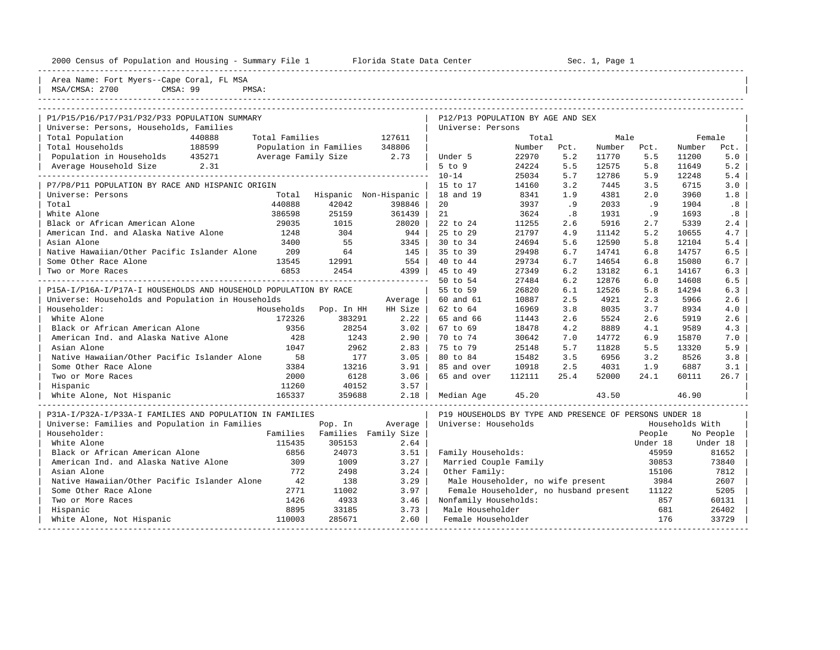| 2000<br>Population and Housing<br>File<br>Census<br>Summary<br>n. | . Florida State<br>Data Center | 900<br>Раае |
|-------------------------------------------------------------------|--------------------------------|-------------|
|                                                                   |                                |             |

2000 2000 2000 Florida State Data Center - Sec. 1, Page 1

| Area Name: Fort Myers--Cape Coral, FL MSA<br>CMSA: 99<br>MSA/CMSA: 2700<br>PMSA: |                |                          |                       |                                                         |        |      |        |          |                 |          |
|----------------------------------------------------------------------------------|----------------|--------------------------|-----------------------|---------------------------------------------------------|--------|------|--------|----------|-----------------|----------|
|                                                                                  |                |                          |                       |                                                         |        |      |        |          |                 |          |
| P1/P15/P16/P17/P31/P32/P33 POPULATION SUMMARY                                    |                |                          |                       | P12/P13 POPULATION BY AGE AND SEX                       |        |      |        |          |                 |          |
| Universe: Persons, Households, Families                                          |                |                          |                       | Universe: Persons                                       |        |      |        |          |                 |          |
| Total Population<br>440888                                                       | Total Families |                          | 127611                |                                                         | Total  |      | Male   |          | Female          |          |
| Total Households<br>188599                                                       |                | Population in Families   | 348806                |                                                         | Number | Pct. | Number | Pct.     | Number          | Pct.     |
| Population in Households 435271                                                  |                | Average Family Size 2.73 |                       | Under 5                                                 | 22970  | 5.2  | 11770  | 5.5      | 11200           | 5.0      |
| Average Household Size<br>2.31                                                   |                |                          |                       | $5$ to $9$                                              | 24224  | 5.5  | 12575  | 5.8      | 11649           | 5.2      |
|                                                                                  |                |                          |                       | $10 - 14$                                               | 25034  | 5.7  | 12786  | 5.9      | 12248           | 5.4      |
| P7/P8/P11 POPULATION BY RACE AND HISPANIC ORIGIN                                 |                |                          |                       | 15 to 17                                                | 14160  | 3.2  | 7445   | 3.5      | 6715            | 3.0      |
| Universe: Persons                                                                | Total          |                          | Hispanic Non-Hispanic | 18 and 19                                               | 8341   | 1.9  | 4381   | 2.0      | 3960            | 1.8      |
| Total                                                                            | 440888         | 42042                    | 398846                | 20                                                      | 3937   | .9   | 2033   | .9       | 1904            | .8       |
| White Alone                                                                      | 386598         | 25159                    | 361439                | 21                                                      | 3624   | .8   | 1931   | . 9      | 1693            | .8       |
| Black or African American Alone                                                  | 29035          | 1015                     | 28020                 | 22 to 24                                                | 11255  | 2.6  | 5916   | 2.7      | 5339            | 2.4      |
| American Ind. and Alaska Native Alone                                            | 1248           | 304                      | 944                   | 25 to 29                                                | 21797  | 4.9  | 11142  | 5.2      | 10655           | 4.7      |
| Asian Alone                                                                      | 3400           | 55                       | 3345                  | 30 to 34                                                | 24694  | 5.6  | 12590  | 5.8      | 12104           | 5.4      |
| Native Hawaiian/Other Pacific Islander Alone                                     | 209            | 64                       | 145                   | 35 to 39                                                | 29498  | 6.7  | 14741  | 6.8      | 14757           | 6.5      |
| Some Other Race Alone                                                            | 13545          | 12991                    | 554                   | 40 to 44                                                | 29734  | 6.7  | 14654  | 6.8      | 15080           | 6.7      |
| Two or More Races                                                                | 6853           | 2454                     | 4399                  | 45 to 49                                                | 27349  | 6.2  | 13182  | 6.1      | 14167           | 6.3      |
|                                                                                  |                |                          |                       | 50 to 54                                                | 27484  | 6.2  | 12876  | 6.0      | 14608           | 6.5      |
| P15A-I/P16A-I/P17A-I HOUSEHOLDS AND HOUSEHOLD POPULATION BY RACE                 |                |                          |                       | 55 to 59                                                | 26820  | 6.1  | 12526  | 5.8      | 14294           | 6.3      |
| Universe: Households and Population in Households                                |                |                          | Average               | 60 and 61                                               | 10887  | 2.5  | 4921   | 2.3      | 5966            | 2.6      |
| Householder:                                                                     | Households     | Pop. In HH               | HH Size               | 62 to 64                                                | 16969  | 3.8  | 8035   | 3.7      | 8934            | 4.0      |
| White Alone                                                                      | 172326         | 383291                   | 2.22                  | 65 and 66                                               | 11443  | 2.6  | 5524   | 2.6      | 5919            | 2.6      |
| Black or African American Alone                                                  | 9356           | 28254                    | 3.02                  | 67 to 69                                                | 18478  | 4.2  | 8889   | 4.1      | 9589            | 4.3      |
| American Ind. and Alaska Native Alone                                            | 428            | 1243                     | 2.90                  | 70 to 74                                                | 30642  | 7.0  | 14772  | 6.9      | 15870           | 7.0      |
| Asian Alone                                                                      | 1047           | 2962                     | 2.83                  | 75 to 79                                                | 25148  | 5.7  | 11828  | 5.5      | 13320           | 5.9      |
| Native Hawaiian/Other Pacific Islander Alone                                     | 58             | 177                      | 3.05                  | 80 to 84                                                | 15482  | 3.5  | 6956   | 3.2      | 8526            | 3.8      |
| Some Other Race Alone                                                            | 3384           | 13216                    | 3.91                  | 85 and over                                             | 10918  | 2.5  | 4031   | 1.9      | 6887            | 3.1      |
| Two or More Races                                                                | 2000           | 6128                     | 3.06                  | 65 and over                                             | 112111 | 25.4 | 52000  | 24.1     | 60111           | 26.7     |
| Hispanic                                                                         | 11260          | 40152                    | 3.57                  |                                                         |        |      |        |          |                 |          |
| White Alone, Not Hispanic                                                        | 165337         | 359688                   | 2.18                  | Median Age                                              | 45.20  |      | 43.50  |          | 46.90           |          |
| P31A-I/P32A-I/P33A-I FAMILIES AND POPULATION IN FAMILIES                         |                |                          |                       | P19 HOUSEHOLDS BY TYPE AND PRESENCE OF PERSONS UNDER 18 |        |      |        |          |                 |          |
| Universe: Families and Population in Families                                    |                | Pop. In                  | Average               | Universe: Households                                    |        |      |        |          | Households With |          |
| Householder:                                                                     | Families       |                          | Families Family Size  |                                                         |        |      |        | People   | No People       |          |
| White Alone                                                                      | 115435         | 305153                   | 2.64                  |                                                         |        |      |        | Under 18 |                 | Under 18 |
| Black or African American Alone                                                  | 6856           | 24073                    | 3.51                  | Family Households:                                      |        |      |        | 45959    |                 | 81652    |
| American Ind. and Alaska Native Alone                                            | 309            | 1009                     | 3.27                  | Married Couple Family                                   |        |      |        | 30853    |                 | 73840    |
| Asian Alone                                                                      | 772            | 2498                     | 3.24                  | Other Family:                                           |        |      |        | 15106    |                 | 7812     |
| Native Hawaiian/Other Pacific Islander Alone                                     | 42             | 138                      | 3.29                  | Male Householder, no wife present                       |        |      |        | 3984     |                 | 2607     |
| Some Other Race Alone                                                            | 2771           | 11002                    | 3.97                  | Female Householder, no husband present                  |        |      |        | 11122    |                 | 5205     |
| Two or More Races                                                                | 1426           | 4933                     | 3.46                  | Nonfamily Households:                                   |        |      |        | 857      |                 | 60131    |
| Hispanic                                                                         | 8895           | 33185                    | 3.73                  | Male Householder                                        |        |      |        | 681      |                 | 26402    |
| White Alone, Not Hispanic                                                        | 110003         | 285671                   | 2.60                  | Female Householder                                      |        |      |        | 176      |                 | 33729    |

-----------------------------------------------------------------------------------------------------------------------------------------------------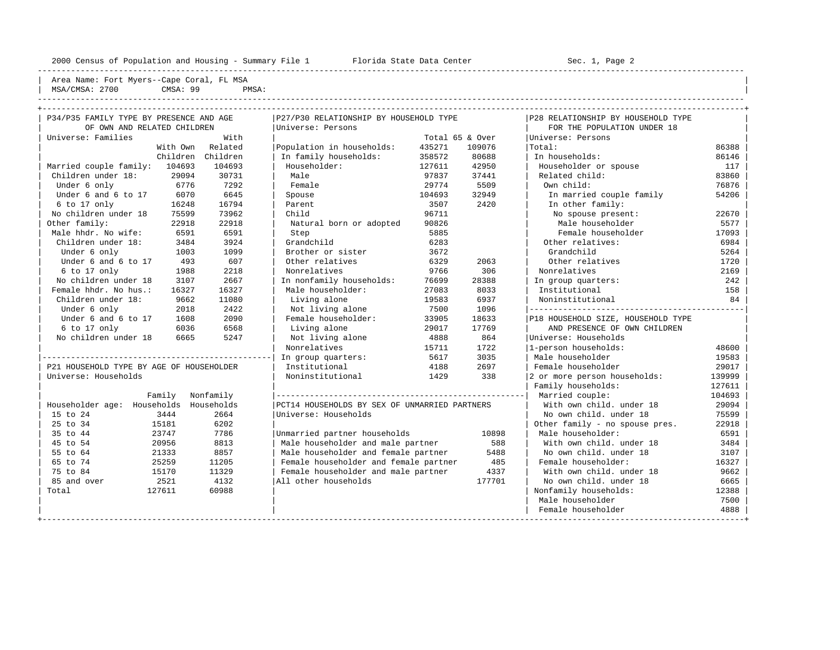----------------------------------------------------------------------------------------------------------------------------------------------------

| Area Name<br>Fort<br>the contract of the contract of the contract of the contract of the contract of the contract of the contract of                  | Coral<br>Cape<br>Mysore | FL MSA |  |
|-------------------------------------------------------------------------------------------------------------------------------------------------------|-------------------------|--------|--|
| 2700<br>1010<br>MSA,<br>$\sim$ 191<br>the contract of the contract of the contract of the contract of the contract of the contract of the contract of | CMSA: 99                | PMSA   |  |
|                                                                                                                                                       |                         |        |  |

| P34/P35 FAMILY TYPE BY PRESENCE AND AGE  |          |                   | P27/P30 RELATIONSHIP BY HOUSEHOLD TYPE        |        |                 | P28 RELATIONSHIP BY HOUSEHOLD TYPE  |        |
|------------------------------------------|----------|-------------------|-----------------------------------------------|--------|-----------------|-------------------------------------|--------|
| OF OWN AND RELATED CHILDREN              |          |                   | Universe: Persons                             |        |                 | FOR THE POPULATION UNDER 18         |        |
| Universe: Families                       |          | With              |                                               |        | Total 65 & Over | Universe: Persons                   |        |
|                                          | With Own | Related           | Population in households:                     | 435271 | 109076          | Total:                              | 86388  |
|                                          |          | Children Children | In family households:                         | 358572 | 80688           | In households:                      | 86146  |
| Married couple family: 104693            |          | 104693            | Householder:                                  | 127611 | 42950           | Householder or spouse               | 117    |
| Children under 18:                       | 29094    | 30731             | Male                                          | 97837  | 37441           | Related child:                      | 83860  |
| Under 6 only                             | 6776     | 7292              | Female                                        | 29774  | 5509            | Own child:                          | 76876  |
| Under 6 and 6 to 17                      | 6070     | 6645              | Spouse                                        | 104693 | 32949           | In married couple family            | 54206  |
| $6$ to $17$ only                         | 16248    | 16794             | Parent                                        | 3507   | 2420            | In other family:                    |        |
| No children under 18                     | 75599    | 73962             | Child                                         | 96711  |                 | No spouse present:                  | 22670  |
| Other family:                            | 22918    | 22918             | Natural born or adopted                       | 90826  |                 | Male householder                    | 5577   |
| Male hhdr. No wife:                      | 6591     | 6591              | Step                                          | 5885   |                 | Female householder                  | 17093  |
| Children under 18:                       | 3484     | 3924              | Grandchild                                    | 6283   |                 | Other relatives:                    | 6984   |
| Under 6 only                             | 1003     | 1099              | Brother or sister                             | 3672   |                 | Grandchild                          | 5264   |
| Under 6 and 6 to 17                      | 493      | 607               | Other relatives                               | 6329   | 2063            | Other relatives                     | 1720   |
| 6 to 17 only                             | 1988     | 2218              | Nonrelatives                                  | 9766   | 306             | Nonrelatives                        | 2169   |
| No children under 18                     | 3107     | 2667              | In nonfamily households:                      | 76699  | 28388           | In group quarters:                  | 242    |
| Female hhdr. No hus.:                    | 16327    | 16327             | Male householder:                             | 27083  | 8033            | Institutional                       | 158    |
| Children under 18:                       | 9662     | 11080             | Living alone                                  | 19583  | 6937            | Noninstitutional                    | 84     |
| Under 6 only                             | 2018     | 2422              | Not living alone                              | 7500   | 1096            | ___________________________________ |        |
| Under 6 and 6 to 17                      | 1608     | 2090              | Female householder:                           | 33905  | 18633           | P18 HOUSEHOLD SIZE, HOUSEHOLD TYPE  |        |
| $6$ to $17$ only                         | 6036     | 6568              | Living alone                                  | 29017  | 17769           | AND PRESENCE OF OWN CHILDREN        |        |
| No children under 18                     | 6665     | 5247              | Not living alone                              | 4888   | 864             | Universe: Households                |        |
|                                          |          |                   | Nonrelatives                                  | 15711  | 1722            | 1-person households:                | 48600  |
|                                          |          |                   | In group quarters:                            | 5617   | 3035            | Male householder                    | 19583  |
| P21 HOUSEHOLD TYPE BY AGE OF HOUSEHOLDER |          |                   | Institutional                                 | 4188   | 2697            | Female householder                  | 29017  |
| Universe: Households                     |          |                   | Noninstitutional                              | 1429   | 338             | 2 or more person households:        | 139999 |
|                                          |          |                   |                                               |        |                 | Family households:                  | 127611 |
|                                          | Family   | Nonfamily         |                                               |        |                 | Married couple:                     | 104693 |
| Householder age: Households Households   |          |                   | PCT14 HOUSEHOLDS BY SEX OF UNMARRIED PARTNERS |        |                 | With own child, under 18            | 29094  |
| 15 to 24                                 | 3444     | 2664              | Universe: Households                          |        |                 | No own child, under 18              | 75599  |
| 25 to 34                                 | 15181    | 6202              |                                               |        |                 | Other family - no spouse pres.      | 22918  |
| 35 to 44                                 | 23747    | 7786              | Unmarried partner households                  |        | 10898           | Male householder:                   | 6591   |
| 45 to 54                                 | 20956    | 8813              | Male householder and male partner             |        | 588             | With own child, under 18            | 3484   |
| 55 to 64                                 | 21333    | 8857              | Male householder and female partner           |        | 5488            | No own child, under 18              | 3107   |
| 65 to 74                                 | 25259    | 11205             | Female householder and female partner         |        | 485             | Female householder:                 | 16327  |
| 75 to 84                                 | 15170    | 11329             | Female householder and male partner           |        | 4337            | With own child, under 18            | 9662   |
| 85 and over                              | 2521     | 4132              | All other households                          |        | 177701          | No own child, under 18              | 6665   |
| Total                                    | 127611   | 60988             |                                               |        |                 | Nonfamily households:               | 12388  |
|                                          |          |                   |                                               |        |                 | Male householder                    | 7500   |
|                                          |          |                   |                                               |        |                 | Female householder                  | 4888   |
|                                          |          |                   |                                               |        |                 |                                     |        |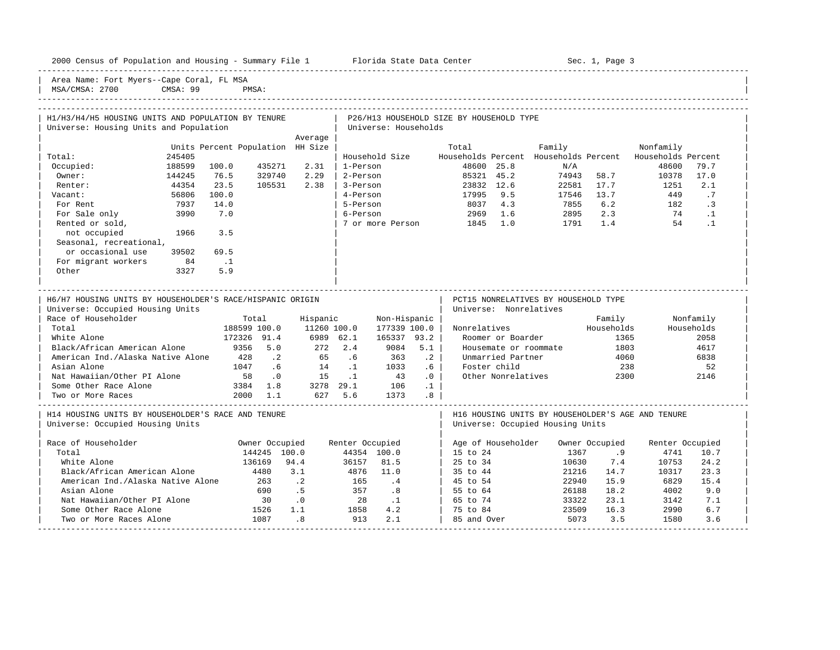----------------------------------------------------------------------------------------------------------------------------------------------------- Area Name: Fort Myers--Cape Coral, FL MSA MSA/CMSA: 2700 CMSA: 99 PMSA: ----------------------------------------------------------------------------------------------------------------------------------------------------- | H1/H3/H4/H5 HOUSING UNITS AND POPULATION BY TENURE | P26/H13 HOUSEHOLD SIZE BY HOUSEHOLD TYPE | Universe: Housing Units and Population | Universe: Households | Average | Average | Average | Average | Average | Average | Average | Average | Average | Average | Average | Average | Average | Average | Average | Average | Average | Average | Average | Average | Average | Average | Units Percent Population HH Size | Total Family Nonfamily Nonfamily | Total: 245405 | Household Size Households Percent Households Percent Households Percent | | Occupied: 188599 100.0 435271 2.31 | 1-Person 48600 25.8 N/A 48600 79.7 | | Owner: 144245 76.5 329740 2.29 | 2-Person 85321 45.2 74943 58.7 10378 17.0 | | Renter: 44354 23.5 105531 2.38 | 3-Person 23832 12.6 22581 17.7 1251 2.1 | | Vacant: 56806 100.0 | 4-Person 17995 9.5 17546 13.7 449 .7 | | For Rent 7937 14.0 | 5-Person 8037 4.3 7855 6.2 182 .3 | | For Sale only 3990 7.0 | 6-Person 2969 1.6 2895 2.3 | Rented or sold, | 7 or more Person 1845 1.0 1791 1.4 54 .1 | not occupied 1966 3.5 Seasonal, recreational, or occasional use 39502 69.5 For migrant workers 84 .1 | Other 3327 5.9 | | | | | ----------------------------------------------------------------------------------------------------------------------------------------------------- | H6/H7 HOUSING UNITS BY HOUSEHOLDER'S RACE/HISPANIC ORIGIN | PCT15 NONRELATIVES BY HOUSEHOLD TYPE | Universe: Occupied Housing Units | Universe: Nonrelatives | Universe: Nonrelatives Provided a model of Householder and Total Hispanic Mon-Hispanic | Family Nonfamily Nonfamily Nonfamily<br>Total 188599 100.0 11260 100.0 177339 100.0 | Nonrelatives Households Households | Total 188599 100.0 11260 100.0 177339 100.0 | Nonrelatives Households Households | | White Alone 172326 91.4 6989 62.1 165337 93.2 | Roomer or Boarder 1365 2058 | | Black/African American Alone | 1999, 1999, 1999, 1999, 1999, 1998, 1998, 1998, 1999, 1999, 1999, 1999, 1999, 1<br>| Black/African American Alone | 9356 5.0 272 2.4 9084 5.1 | Housemate or roommate | 1803 | 1803 | American Ind./Alaska Native Alone 428 .2 65 .6 363 .2 | Unmarried Partner 4060 6838 | | Asian Alone 1047 .6 14 .1 1033 .6 | Foster child 238 52 | | Nat Hawaiian/Other PI Alone 58 .0 15 .1 43 .0 | Other Nonrelatives 2300 2146 | | Some Other Race Alone 3384 1.8 3278 29.1 106 .1 | | | Two or More Races 2000 1.1 627 5.6 1373 .8 | | ----------------------------------------------------------------------------------------------------------------------------------------------------- H14 HOUSING UNITS BY HOUSEHOLDER'S RACE AND TENURE | Universe: Occupied Housing Units | Universe: Occupied Housing Units | | | | Race of Householder **Southern Commediate Commediate Renter Occupied** Renter Occupied Renter Occupied Renter Occupied 105 1914 100.0 125 100.0 144354 100.0 | 15 to 24 1367 .9 1367 .9 4741<br>116530 136169 94.4 136157 81.5 | 25 to 34 10630 7.4 10753 24.2 | White Alone 136169 94.4 36157 81.5 | 25 to 34 10630 7.4 10753 24.2 | | Black/African American Alone 4480 3.1 4876 11.0 | 35 to 44 21216 14.7 10317 23.3 | | American Ind./Alaska Native Alone 263 .2 165 .4 | 45 to 54 22940 15.9 6829 15.4 | | Asian Alone 690 .5 357 .8 | 55 to 64 26188 18.2 4002 9.0 | 12 1314 Nat Hawaiian/Other PI Alone 30 .0 28 .1 | 65 to 74 33322 23.1 3142 7.1<br>
1236 1.1 1858 1.2 | 75 to 84 23509 16.3 2990 6.7<br>
1236 1580 16.3 2990 5.7 1580 16.7 .8 913 2.1 | 85 and Over 5073 3.5 1580 3.6 | Some Other Race Alone 1526 1.1 1858 4.2 | 75 to 84 23509 16.3 2990 6.7 |

| Two or More Races Alone 1087 .8 913 2.1 | 85 and Over 5073 3.5 1580 3.6 | -----------------------------------------------------------------------------------------------------------------------------------------------------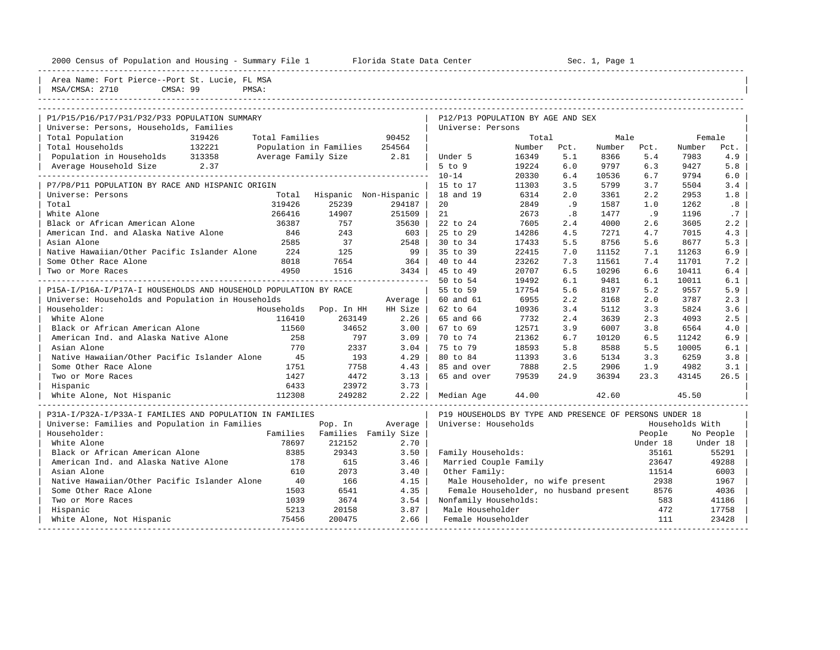|  |  |  | 2000 Census of Population and Housing - Summary File |  |  |  |  |  |
|--|--|--|------------------------------------------------------|--|--|--|--|--|
|--|--|--|------------------------------------------------------|--|--|--|--|--|

e 1 1000 Florida State Data Center - Sec. 1, Page 1

| --------------------------------------<br>Area Name: Fort Pierce--Port St. Lucie, FL MSA |                        |            |                        |                                                         |        |      |        |          |                 |           |
|------------------------------------------------------------------------------------------|------------------------|------------|------------------------|---------------------------------------------------------|--------|------|--------|----------|-----------------|-----------|
| MSA/CMSA: 2710<br>CMSA: 99                                                               | PMSA:                  |            |                        |                                                         |        |      |        |          |                 |           |
|                                                                                          |                        |            |                        |                                                         |        |      |        |          |                 |           |
| P1/P15/P16/P17/P31/P32/P33 POPULATION SUMMARY                                            |                        |            |                        | P12/P13 POPULATION BY AGE AND SEX                       |        |      |        |          |                 |           |
| Universe: Persons, Households, Families                                                  |                        |            |                        | Universe: Persons                                       |        |      |        |          |                 |           |
| Total Population<br>319426                                                               | Total Families         |            | 90452                  |                                                         | Total  |      | Male   |          | Female          |           |
| Total Households<br>132221                                                               | Population in Families |            | 254564                 |                                                         | Number | Pct. | Number | Pct.     | Number          | Pct.      |
| Population in Households 313358                                                          | Average Family Size    |            | 2.81                   | Under 5                                                 | 16349  | 5.1  | 8366   | 5.4      | 7983            | 4.9       |
| 2.37<br>Average Household Size                                                           |                        |            |                        | $5$ to $9$                                              | 19224  | 6.0  | 9797   | 6.3      | 9427            | 5.8       |
|                                                                                          |                        |            |                        | $10 - 14$                                               | 20330  | 6.4  | 10536  | 6.7      | 9794            | 6.0       |
| P7/P8/P11 POPULATION BY RACE AND HISPANIC ORIGIN                                         |                        |            |                        | 15 to 17                                                | 11303  | 3.5  | 5799   | 3.7      | 5504            | 3.4       |
| Universe: Persons                                                                        | Total                  |            | Hispanic Non-Hispanic  | 18 and 19                                               | 6314   | 2.0  | 3361   | 2.2      | 2953            | 1.8       |
| Total                                                                                    | 319426                 | 25239      | 294187                 | 20                                                      | 2849   | .9   | 1587   | 1.0      | 1262            | .8        |
| White Alone                                                                              | 266416                 | 14907      | 251509                 | 21                                                      | 2673   | .8   | 1477   | .9       | 1196            | .7        |
| Black or African American Alone                                                          | 36387                  | 757        | 35630                  | 22 to 24                                                | 7605   | 2.4  | 4000   | 2.6      | 3605            | 2.2       |
| American Ind. and Alaska Native Alone                                                    | 846                    | 243        | 603                    | $25$ to $29$                                            | 14286  | 4.5  | 7271   | 4.7      | 7015            | 4.3       |
| Asian Alone                                                                              | 2585                   | 37         | 2548                   | 30 to 34                                                | 17433  | 5.5  | 8756   | 5.6      | 8677            | 5.3       |
| Native Hawaiian/Other Pacific Islander Alone                                             | 224                    | 125        | 99                     | 35 to 39                                                | 22415  | 7.0  | 11152  | 7.1      | 11263           | 6.9       |
| Some Other Race Alone                                                                    | 8018                   | 7654       | 364                    | 40 to 44                                                | 23262  | 7.3  | 11561  | 7.4      | 11701           | 7.2       |
| Two or More Races                                                                        | 4950                   | 1516       | $3434$                 | 45 to 49                                                | 20707  | 6.5  | 10296  | 6.6      | 10411           | 6.4       |
|                                                                                          |                        |            | ---------------------- | 50 to 54                                                | 19492  | 6.1  | 9481   | 6.1      | 10011           | 6.1       |
| P15A-I/P16A-I/P17A-I HOUSEHOLDS AND HOUSEHOLD POPULATION BY RACE                         |                        |            |                        | 55 to 59                                                | 17754  | 5.6  | 8197   | 5.2      | 9557            | 5.9       |
| Universe: Households and Population in Households                                        |                        |            | Average                | 60 and 61                                               | 6955   | 2.2  | 3168   | 2.0      | 3787            | 2.3       |
| Householder:                                                                             | Households             | Pop. In HH | HH Size                | 62 to 64                                                | 10936  | 3.4  | 5112   | 3.3      | 5824            | 3.6       |
| White Alone                                                                              | 116410                 | 263149     | 2.26                   | 65 and 66                                               | 7732   | 2.4  | 3639   | 2.3      | 4093            | 2.5       |
| Black or African American Alone                                                          | 11560                  | 34652      | $3.00$                 | 67 to 69                                                | 12571  | 3.9  | 6007   | 3.8      | 6564            | 4.0       |
| American Ind. and Alaska Native Alone                                                    | 258                    | 797        | 3.09                   | 70 to 74                                                | 21362  | 6.7  | 10120  | 6.5      | 11242           | 6.9       |
| Asian Alone                                                                              | 770                    | 2337       | 3.04                   | 75 to 79                                                | 18593  | 5.8  | 8588   | 5.5      | 10005           | 6.1       |
| Native Hawaiian/Other Pacific Islander Alone                                             | 45                     | 193        | 4.29                   | 80 to 84                                                | 11393  | 3.6  | 5134   | 3.3      | 6259            | 3.8       |
| Some Other Race Alone                                                                    | 1751                   | 7758       | 4.43                   | 85 and over                                             | 7888   | 2.5  | 2906   | 1.9      | 4982            | 3.1       |
| Two or More Races                                                                        | 1427                   | 4472       | 3.13                   | 65 and over                                             | 79539  | 24.9 | 36394  | 23.3     | 43145           | 26.5      |
| Hispanic                                                                                 | 6433                   | 23972      | 3.73                   |                                                         |        |      |        |          |                 |           |
| White Alone, Not Hispanic                                                                | 112308                 | 249282     | 2.22                   | Median Age                                              | 44.00  |      | 42.60  |          | 45.50           |           |
| P31A-I/P32A-I/P33A-I FAMILIES AND POPULATION IN FAMILIES                                 |                        |            |                        | P19 HOUSEHOLDS BY TYPE AND PRESENCE OF PERSONS UNDER 18 |        |      |        |          |                 |           |
| Universe: Families and Population in Families                                            |                        | Pop. In    | Average                | Universe: Households                                    |        |      |        |          | Households With |           |
| Householder:                                                                             | Families               |            | Families Family Size   |                                                         |        |      |        | People   |                 | No People |
| White Alone                                                                              | 78697                  | 212152     | 2.70                   |                                                         |        |      |        | Under 18 |                 | Under 18  |
| Black or African American Alone                                                          | 8385                   | 29343      | 3.50                   | Family Households:                                      |        |      |        | 35161    |                 | 55291     |
| American Ind. and Alaska Native Alone                                                    | 178                    | 615        | 3.46                   | Married Couple Family                                   |        |      |        | 23647    |                 | 49288     |
| Asian Alone                                                                              | 610                    | 2073       | 3.40                   | Other Family:                                           |        |      |        | 11514    |                 | 6003      |
| Native Hawaiian/Other Pacific Islander Alone                                             | 40                     | 166        | 4.15                   | Male Householder, no wife present                       |        |      |        | 2938     |                 | 1967      |
| Some Other Race Alone                                                                    | 1503                   | 6541       | 4.35                   | Female Householder, no husband present                  |        |      |        | 8576     |                 | 4036      |
| Two or More Races                                                                        | 1039                   | 3674       | 3.54                   | Nonfamily Households:                                   |        |      |        | 583      |                 | 41186     |
| Hispanic                                                                                 | 5213                   | 20158      | 3.87                   | Male Householder                                        |        |      |        | 472      |                 | 17758     |
| White Alone, Not Hispanic                                                                | 75456                  | 200475     | 2.66                   | Female Householder                                      |        |      |        | 111      |                 | 23428     |

-----------------------------------------------------------------------------------------------------------------------------------------------------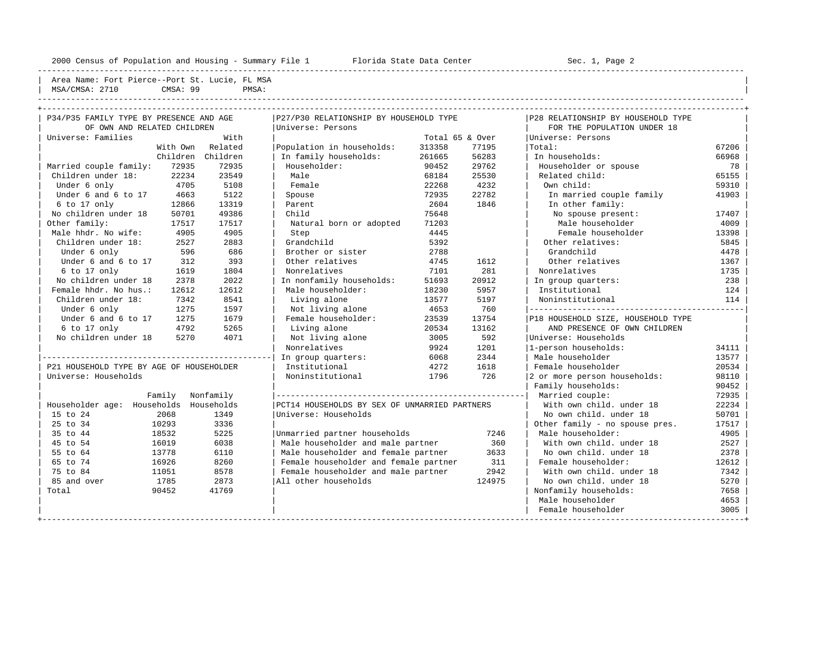---------------------------------------------------------------------------------------------------------------------------------------------------- Area Name: Fort Pierce--Port St. Lucie, FL MSA | MSA/CMSA: 2710 CMSA: 99 PMSA:

----------------------------------------------------------------------------------------------------------------------------------------------------

| P34/P35 FAMILY TYPE BY PRESENCE AND AGE  |           | P27/P30 RELATIONSHIP BY HOUSEHOLD TYPE        |                 |        | P28 RELATIONSHIP BY HOUSEHOLD TYPE |       |
|------------------------------------------|-----------|-----------------------------------------------|-----------------|--------|------------------------------------|-------|
| OF OWN AND RELATED CHILDREN              |           | Universe: Persons                             |                 |        | FOR THE POPULATION UNDER 18        |       |
| Universe: Families                       | With      |                                               | Total 65 & Over |        | Universe: Persons                  |       |
| With Own                                 | Related   | Population in households:                     | 313358          | 77195  | Total:                             | 67206 |
| Children                                 | Children  | In family households:                         | 261665          | 56283  | In households:                     | 66968 |
| Married couple family:<br>72935          | 72935     | Householder:                                  | 90452           | 29762  | Householder or spouse              | 78    |
| 22234<br>Children under 18:              | 23549     | Male                                          | 68184           | 25530  | Related child:                     | 65155 |
| 4705<br>Under 6 only                     | 5108      | Female                                        | 22268           | 4232   | Own child:                         | 59310 |
| Under 6 and 6 to 17<br>4663              | 5122      | Spouse                                        | 72935           | 22782  | In married couple family           | 41903 |
| 6 to 17 only<br>12866                    | 13319     | Parent                                        | 2604            | 1846   | In other family:                   |       |
| No children under 18<br>50701            | 49386     | Child                                         | 75648           |        | No spouse present:                 | 17407 |
| Other family:<br>17517                   | 17517     | Natural born or adopted                       | 71203           |        | Male householder                   | 4009  |
| Male hhdr. No wife:<br>4905              | 4905      | Step                                          | 4445            |        | Female householder                 | 13398 |
| Children under 18:<br>2527               | 2883      | Grandchild                                    | 5392            |        | Other relatives:                   | 5845  |
| 596<br>Under 6 only                      | 686       | Brother or sister                             | 2788            |        | Grandchild                         | 4478  |
| Under 6 and 6 to 17<br>312               | 393       | Other relatives                               | 4745            | 1612   | Other relatives                    | 1367  |
| 6 to 17 only<br>1619                     | 1804      | Nonrelatives                                  | 7101            | 281    | Nonrelatives                       | 1735  |
| No children under 18<br>2378             | 2022      | In nonfamily households:                      | 51693           | 20912  | In group quarters:                 | 238   |
| Female hhdr. No hus.:<br>12612           | 12612     | Male householder:                             | 18230           | 5957   | Institutional                      | 124   |
| Children under 18:<br>7342               | 8541      | Living alone                                  | 13577           | 5197   | Noninstitutional                   | 114   |
| Under 6 only<br>1275                     | 1597      | Not living alone                              | 4653            | 760    |                                    |       |
| Under 6 and 6 to 17<br>1275              | 1679      | Female householder:                           | 23539           | 13754  | P18 HOUSEHOLD SIZE, HOUSEHOLD TYPE |       |
| 6 to 17 only<br>4792                     | 5265      | Living alone                                  | 20534           | 13162  | AND PRESENCE OF OWN CHILDREN       |       |
| No children under 18<br>5270             | 4071      | Not living alone                              | 3005            | 592    | Universe: Households               |       |
|                                          |           | Nonrelatives                                  | 9924            | 1201   | 1-person households:               | 34111 |
|                                          |           | In group quarters:                            | 6068            | 2344   | Male householder                   | 13577 |
| P21 HOUSEHOLD TYPE BY AGE OF HOUSEHOLDER |           | Institutional                                 | 4272            | 1618   | Female householder                 | 20534 |
| Universe: Households                     |           | Noninstitutional                              | 1796            | 726    | 2 or more person households:       | 98110 |
|                                          |           |                                               |                 |        | Family households:                 | 90452 |
| Family                                   | Nonfamily |                                               |                 |        | Married couple:                    | 72935 |
| Householder age: Households Households   |           | PCT14 HOUSEHOLDS BY SEX OF UNMARRIED PARTNERS |                 |        | With own child, under 18           | 22234 |
| 15 to 24<br>2068                         | 1349      | Universe: Households                          |                 |        | No own child, under 18             | 50701 |
| 25 to 34<br>10293                        | 3336      |                                               |                 |        | Other family - no spouse pres.     | 17517 |
| 35 to 44<br>18532                        | 5225      | Unmarried partner households                  |                 | 7246   | Male householder:                  | 4905  |
| 45 to 54<br>16019                        | 6038      | Male householder and male partner             |                 | 360    | With own child, under 18           | 2527  |
| 13778<br>55 to 64                        | 6110      | Male householder and female partner           |                 | 3633   | No own child. under 18             | 2378  |
| 16926<br>65 to 74                        | 8260      | Female householder and female partner         |                 | 311    | Female householder:                | 12612 |
| 75 to 84<br>11051                        | 8578      | Female householder and male partner           |                 | 2942   | With own child, under 18           | 7342  |
| 85 and over<br>1785                      | 2873      | All other households                          |                 | 124975 | No own child, under 18             | 5270  |
| 90452<br>Total                           | 41769     |                                               |                 |        | Nonfamily households:              | 7658  |
|                                          |           |                                               |                 |        | Male householder                   | 4653  |
|                                          |           |                                               |                 |        | Female householder                 | 3005  |
|                                          |           |                                               |                 |        |                                    |       |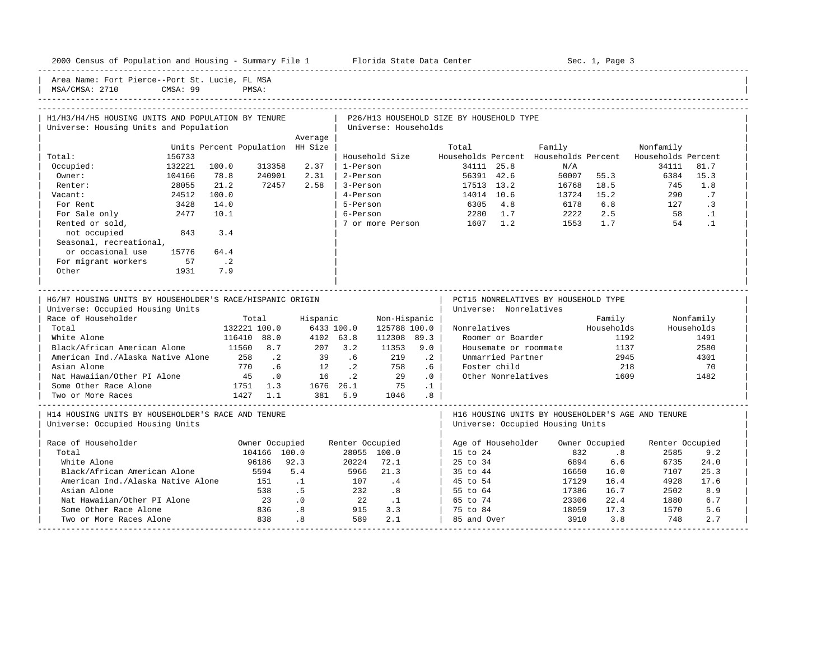| 2000 Census of Population and Housing - Summary File 1 Florida State Data Center              |          |                                  |                |          |                                                                                     |                             |                   |                                          |                        |                                                   | Sec. 1, Page 3 |                    |            |
|-----------------------------------------------------------------------------------------------|----------|----------------------------------|----------------|----------|-------------------------------------------------------------------------------------|-----------------------------|-------------------|------------------------------------------|------------------------|---------------------------------------------------|----------------|--------------------|------------|
| Area Name: Fort Pierce--Port St. Lucie, FL MSA<br>MSA/CMSA: 2710                              | CMSA: 99 |                                  | PMSA:          |          |                                                                                     |                             |                   |                                          |                        |                                                   |                |                    |            |
|                                                                                               |          |                                  |                |          |                                                                                     |                             |                   |                                          |                        |                                                   |                |                    |            |
| H1/H3/H4/H5 HOUSING UNITS AND POPULATION BY TENURE<br>Universe: Housing Units and Population  |          |                                  |                |          |                                                                                     | Universe: Households        |                   | P26/H13 HOUSEHOLD SIZE BY HOUSEHOLD TYPE |                        |                                                   |                |                    |            |
|                                                                                               |          | Units Percent Population HH Size |                | Average  |                                                                                     |                             |                   | Total                                    |                        | Family                                            |                | Nonfamily          |            |
| Total:                                                                                        | 156733   |                                  |                |          |                                                                                     | Household Size              |                   |                                          |                        | Households Percent Households Percent             |                | Households Percent |            |
| Occupied:                                                                                     | 132221   | 100.0                            | 313358         | 2.37     | 1-Person                                                                            |                             |                   |                                          | 34111 25.8             | N/A                                               |                | 34111              | 81.7       |
| Owner:                                                                                        | 104166   | 78.8                             | 240901         | 2.31     |                                                                                     | 2-Person                    |                   |                                          | 56391 42.6             |                                                   | 50007 55.3     | 6384               | 15.3       |
| Renter:                                                                                       | 28055    | 21.2                             | 72457          | 2.58     | 3-Person                                                                            |                             |                   | 17513 13.2                               |                        |                                                   | 16768 18.5     | 745                | 1.8        |
| Vacant:                                                                                       | 24512    | 100.0                            |                |          | 4-Person                                                                            |                             |                   | 14014 10.6                               |                        |                                                   | 13724 15.2     | 290                | $\cdot$ 7  |
| For Rent                                                                                      | 3428     | 14.0                             |                |          | 5-Person                                                                            |                             |                   | 6305 4.8                                 |                        | 6178                                              | 6.8            | 127                | $\cdot$ 3  |
| For Sale only                                                                                 | 2477     | 10.1                             |                |          | 6-Person                                                                            |                             |                   |                                          | 2280 1.7               | 2222                                              | 2.5            | 58                 | $\cdot$ 1  |
| Rented or sold,                                                                               |          |                                  |                |          |                                                                                     |                             |                   | 7 or more Person 1607 1.2                |                        |                                                   | 1553 1.7       | 54                 | $\cdot$ 1  |
| not occupied                                                                                  | 843      | 3.4                              |                |          |                                                                                     |                             |                   |                                          |                        |                                                   |                |                    |            |
| Seasonal, recreational,                                                                       |          |                                  |                |          |                                                                                     |                             |                   |                                          |                        |                                                   |                |                    |            |
| or occasional use                                                                             | 15776    | 64.4                             |                |          |                                                                                     |                             |                   |                                          |                        |                                                   |                |                    |            |
| For migrant workers                                                                           | 57       | $\overline{\phantom{a}}$ . 2     |                |          |                                                                                     |                             |                   |                                          |                        |                                                   |                |                    |            |
| Other                                                                                         | 1931     | 7.9                              |                |          |                                                                                     |                             |                   |                                          |                        |                                                   |                |                    |            |
| H6/H7 HOUSING UNITS BY HOUSEHOLDER'S RACE/HISPANIC ORIGIN<br>Universe: Occupied Housing Units |          |                                  |                |          |                                                                                     |                             |                   |                                          | Universe: Nonrelatives | PCT15 NONRELATIVES BY HOUSEHOLD TYPE              |                |                    |            |
| Race of Householder                                                                           |          |                                  | Total          | Hispanic |                                                                                     | Non-Hispanic                |                   |                                          |                        |                                                   | Family         |                    | Nonfamily  |
| Total                                                                                         |          |                                  | 132221 100.0   |          | 6433 100.0                                                                          | 125788 100.0                |                   |                                          |                        | Nonrelatives                                      | Households     |                    | Households |
| White Alone                                                                                   |          |                                  | 116410 88.0    |          | 4102 63.8                                                                           | $112308$ 89.3               |                   |                                          | Roomer or Boarder      |                                                   | 1192           |                    | 1491       |
| Black/African American Alone                                                                  |          | 11560 8.7                        |                | 207 3.2  |                                                                                     | 11353                       | 9.0               |                                          |                        | Housemate or roommate                             | 1137           |                    | 2580       |
| American Ind./Alaska Native Alone 258                                                         |          |                                  | $\cdot$ 2      | 39       | .6                                                                                  | 219                         | $\cdot$ 2         |                                          | Unmarried Partner      |                                                   | 2945           |                    | 4301       |
| Asian Alone                                                                                   |          | 770                              | .6             |          |                                                                                     |                             | .6 <sub>1</sub>   |                                          | Foster child           |                                                   | 218            |                    | 70         |
| Nat Hawaiian/Other PI Alone 45                                                                |          |                                  | $\cdot$ 0      |          | $\begin{array}{cccc} 12 & .2 & .758 \\ 16 & .2 & .2 \end{array}$                    |                             | $\cdot$ 0 $\cdot$ |                                          |                        | Other Nonrelatives                                | 1609           |                    | 1482       |
| Some Other Race Alone                                                                         |          | $1751 \quad 1.3$                 |                |          | $\begin{array}{cccc} 1676 & 26.1 & & 75 & .1 \ 381 & 5.9 & & 1046 & .8 \end{array}$ |                             |                   |                                          |                        |                                                   |                |                    |            |
| Two or More Races                                                                             |          |                                  | 1427 1.1       |          |                                                                                     |                             |                   |                                          |                        |                                                   |                |                    |            |
| H14 HOUSING UNITS BY HOUSEHOLDER'S RACE AND TENURE                                            |          |                                  |                |          |                                                                                     |                             |                   |                                          |                        | H16 HOUSING UNITS BY HOUSEHOLDER'S AGE AND TENURE |                |                    |            |
| Universe: Occupied Housing Units                                                              |          |                                  |                |          |                                                                                     |                             |                   |                                          |                        | Universe: Occupied Housing Units                  |                |                    |            |
| Race of Householder                                                                           |          |                                  | Owner Occupied |          | Renter Occupied                                                                     |                             |                   |                                          | Age of Householder     |                                                   | Owner Occupied | Renter Occupied    |            |
| Total                                                                                         |          |                                  | 104166 100.0   |          |                                                                                     | 28055 100.0                 |                   | 15 to 24                                 |                        | 832                                               | .8             | 2585               | 9.2        |
| White Alone                                                                                   |          |                                  | 96186          | 92.3     | 20224                                                                               | 72.1                        |                   | 25 to 34                                 |                        | 6894                                              | 6.6            | 6735               | 24.0       |
| Black/African American Alone                                                                  |          |                                  | 5594           | 5.4      | 5966                                                                                | 21.3                        |                   | 35 to 44                                 |                        | 16650                                             | 16.0           | 7107               | 25.3       |
| American Ind./Alaska Native Alone                                                             |          |                                  | 151            | $\ldots$ | 107                                                                                 | $\cdot$ 4                   |                   | $\vert$ 45 to 54                         |                        | 17129                                             | 16.4           | 4928               | 17.6       |
| Asian Alone                                                                                   |          |                                  | 538            | .5       | 232                                                                                 | $\overline{\phantom{0}}$ .8 |                   | 55 to 64                                 |                        | 17386                                             | 16.7           | 2502               | 8.9        |
| Nat Hawaiian/Other PI Alone                                                                   |          |                                  | 23             | .0       | 22                                                                                  | $\ldots$                    |                   | 65 to 74                                 |                        | 23306                                             | 22.4           | 1880               | 6.7        |
| Some Other Race Alone                                                                         |          |                                  | 836            | .8       | 915                                                                                 | 3.3                         |                   | 75 to 84                                 |                        | 18059                                             | 17.3           | 1570               | 5.6        |

| Two or More Races Alone 838 .8 589 2.1 | 85 and Over 3910 3.8 748 2.7 | -----------------------------------------------------------------------------------------------------------------------------------------------------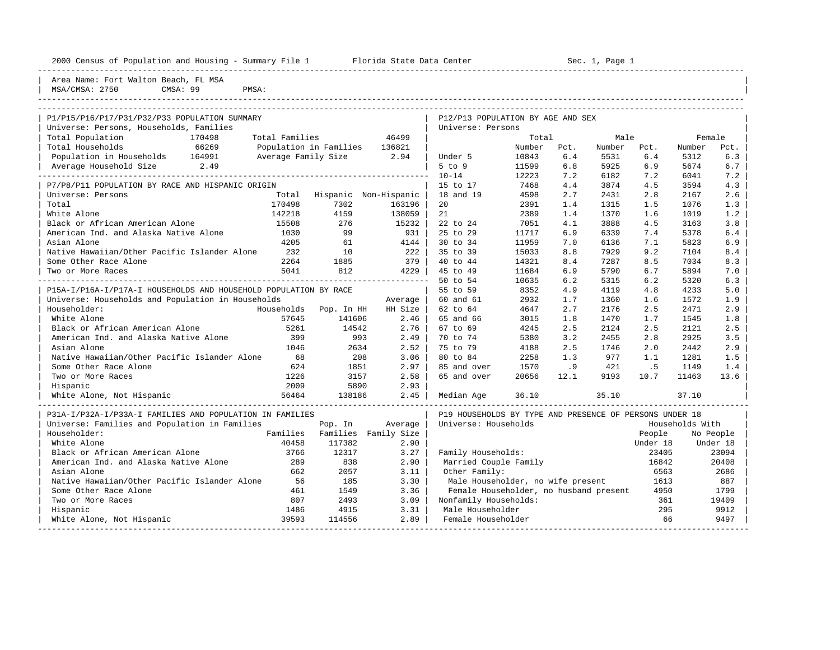| 2000 Census of Population and Housing - Summary File 1 Florida State Data Center         |                          |                        |                       |                                                        |        |      | Sec. 1, Page 1 |      |        |      |
|------------------------------------------------------------------------------------------|--------------------------|------------------------|-----------------------|--------------------------------------------------------|--------|------|----------------|------|--------|------|
| Area Name: Fort Walton Beach, FL MSA<br>CMSA: 99<br>MSA/CMSA: 2750                       | PMSA:                    |                        |                       |                                                        |        |      |                |      |        |      |
| P1/P15/P16/P17/P31/P32/P33 POPULATION SUMMARY<br>Universe: Persons, Households, Families |                          |                        |                       | P12/P13 POPULATION BY AGE AND SEX<br>Universe: Persons |        |      |                |      |        |      |
| Total Population                                                                         | Total Families<br>170498 |                        | 46499                 |                                                        | Total  |      | Male           |      | Female |      |
| Total Households<br>66269                                                                |                          | Population in Families | 136821                |                                                        | Number | Pct. | Number         | Pct. | Number | Pct. |
| Population in Households 164991                                                          | Average Family Size 2.94 |                        |                       | Under 5                                                | 10843  | 6.4  | 5531           | 6.4  | 5312   | 6.3  |
| Average Household Size 2.49                                                              |                          |                        |                       | $5$ to $9$                                             | 11599  | 6.8  | 5925           | 6.9  | 5674   | 6.7  |
|                                                                                          |                          |                        |                       | $10 - 14$                                              | 12223  | 7.2  | 6182           | 7.2  | 6041   | 7.2  |
| P7/P8/P11 POPULATION BY RACE AND HISPANIC ORIGIN                                         |                          |                        |                       | 15 to 17                                               | 7468   | 4.4  | 3874           | 4.5  | 3594   | 4.3  |
| Universe: Persons                                                                        | Total                    |                        | Hispanic Non-Hispanic | 18 and 19                                              | 4598   | 2.7  | 2431           | 2.8  | 2167   | 2.6  |
| Total                                                                                    | 170498                   | 7302                   | 163196                | 20                                                     | 2391   | 1.4  | 1315           | 1.5  | 1076   | 1.3  |
| White Alone                                                                              | 142218                   | 4159                   | 138059                | 21                                                     | 2389   | 1.4  | 1370           | 1.6  | 1019   | 1.2  |
| Black or African American Alone                                                          | 15508                    | 276                    | 15232                 | 22 to 24                                               | 7051   | 4.1  | 3888           | 4.5  | 3163   | 3.8  |
| American Ind. and Alaska Native Alone                                                    | 1030                     | 99                     | 931                   | 25 to 29                                               | 11717  | 6.9  | 6339           | 7.4  | 5378   | 6.4  |
| Asian Alone                                                                              | 4205                     | 61                     | 4144                  | 30 to 34                                               | 11959  | 7.0  | 6136           | 7.1  | 5823   | 6.9  |
| Native Hawaiian/Other Pacific Islander Alone                                             | 232                      | 10                     | 222                   | 35 to 39                                               | 15033  | 8.8  | 7929           | 9.2  | 7104   | 8.4  |
| Some Other Race Alone                                                                    | 2264                     | 1885                   | 379                   | 40 to 44                                               | 14321  | 8.4  | 7287           | 8.5  | 7034   | 8.3  |
| Two or More Races                                                                        | 5041                     | 812                    | 4229                  | 45 to 49                                               | 11684  | 6.9  | 5790           | 6.7  | 5894   | 7.0  |
|                                                                                          |                          |                        |                       | 50 to 54                                               | 10635  | 6.2  | 5315           | 6.2  | 5320   | 6.3  |
| P15A-I/P16A-I/P17A-I HOUSEHOLDS AND HOUSEHOLD POPULATION BY RACE                         |                          |                        |                       | 55 to 59                                               | 8352   | 4.9  | 4119           | 4.8  | 4233   | 5.0  |
| Universe: Households and Population in Households                                        |                          |                        | Average               | 60 and 61                                              | 2932   | 1.7  | 1360           | 1.6  | 1572   | 1.9  |
| Householder:                                                                             |                          | Households Pop. In HH  | HH Size               | 62 to 64                                               | 4647   | 2.7  | 2176           | 2.5  | 2471   | 2.9  |
| White Alone                                                                              | 57645                    | 141606                 | 2.46                  | 65 and 66                                              | 3015   | 1.8  | 1470           | 1.7  | 1545   | 1.8  |

| White Alone 57645 141606 2.46 | 65 and 66 3015 1.8 1470 1.7 1545 1.8 |

| P31A-I/P32A-I/P33A-I FAMILIES AND POPULATION IN FAMILIES |          |          |             | P19 HOUSEHOLDS BY TYPE AND PRESENCE OF PERSONS UNDER 18 |          |                 |
|----------------------------------------------------------|----------|----------|-------------|---------------------------------------------------------|----------|-----------------|
| Universe: Families and Population in Families            |          | Pop. In  | Average     | Universe: Households                                    |          | Households With |
| Householder:                                             | Families | Families | Family Size |                                                         | People   | No People       |
| White Alone                                              | 40458    | 117382   | 2.90        |                                                         | Under 18 | Under 18        |
| Black or African American Alone                          | 3766     | 12317    | 3.27        | Family Households:                                      | 23405    | 23094           |
| American Ind. and Alaska Native Alone                    | 289      | 838      | 2.90        | Married Couple Family                                   | 16842    | 20408           |
| Asian Alone                                              | 662      | 2057     | 3.11        | Other Family:                                           | 6563     | 2686            |
| Native Hawaiian/Other Pacific Islander Alone             | 56       | 185      | 3.30        | Male Householder, no wife present                       | 1613     | 887             |
| Some Other Race Alone                                    | 461      | 1549     | 3.36        | Female Householder, no husband present                  | 4950     | 1799            |
| Two or More Races                                        | 807      | 2493     | 3.09        | Nonfamily Households:                                   | 361      | 19409           |
| Hispanic                                                 | 1486     | 4915     | 3.31        | Male Householder                                        | 295      | 9912            |
| White Alone, Not Hispanic                                | 39593    | 114556   | 2.89        | Female Householder                                      | 66       | 9497            |
|                                                          |          |          |             |                                                         |          |                 |

| Black or African American Alone 5261 14542 2.76 | 67 to 69 4245 2.5 2124 2.5 2121 2.5 | | American Ind. and Alaska Native Alone 399 993 2.49 | 70 to 74 5380 3.2 2455 2.8 2925 3.5 | | Asian Alone 1046 2634 2.52 | 75 to 79 4188 2.5 1746 2.0 2442 2.9 | | Native Hawaiian/Other Pacific Islander Alone 68 208 3.06 | 80 to 84 2258 1.3 977 1.1 1281 1.5 | | Some Other Race Alone 624 1851 2.97 | 85 and over 1570 .9 421 .5 1149 1.4 | | Two or More Races 1226 3157 2.58 | 65 and over 20656 12.1 9193 10.7 11463 13.6 | | Hispanic 2009 5890 2.93 | | | White Alone, Not Hispanic 56464 138186 2.45 | Median Age 36.10 35.10 37.10 | -----------------------------------------------------------------------------------------------------------------------------------------------------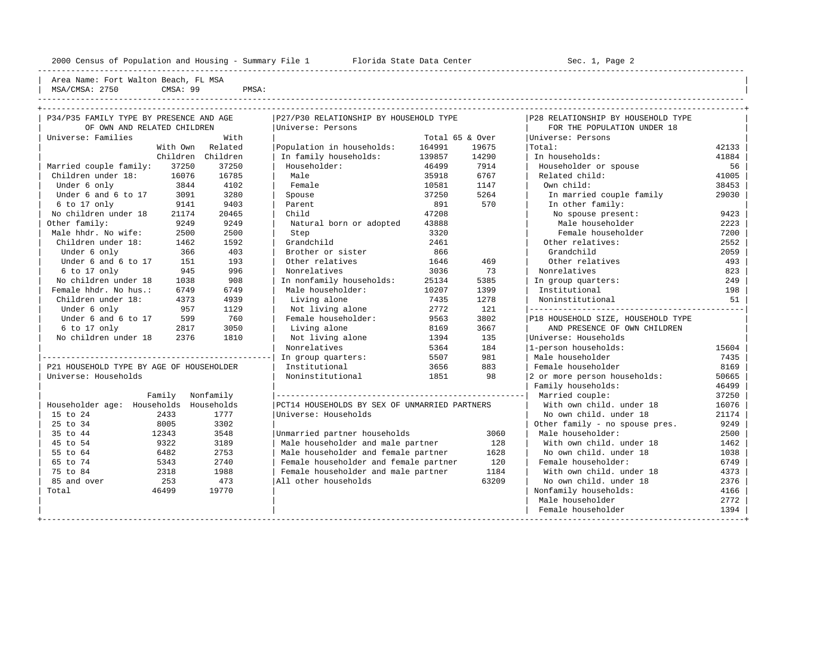Area Name: Fort Walton Beach, FL MSA | MSA/CMSA: 2750 CMSA: 99 PMSA:

----------------------------------------------------------------------------------------------------------------------------------------------------

----------------------------------------------------------------------------------------------------------------------------------------------------

| P34/P35 FAMILY TYPE BY PRESENCE AND AGE  |       | P27/P30 RELATIONSHIP BY HOUSEHOLD TYPE        |                 |       | P28 RELATIONSHIP BY HOUSEHOLD TYPE |       |
|------------------------------------------|-------|-----------------------------------------------|-----------------|-------|------------------------------------|-------|
| OF OWN AND RELATED CHILDREN              |       | Universe: Persons                             |                 |       | FOR THE POPULATION UNDER 18        |       |
| Universe: Families                       | With  |                                               | Total 65 & Over |       | Universe: Persons                  |       |
| With Own Related                         |       | Population in households:                     | 164991          | 19675 | Total:                             | 42133 |
| Children Children                        |       | In family households:                         | 139857          | 14290 | In households:                     | 41884 |
| Married couple family:<br>37250          | 37250 | Householder:                                  | 46499           | 7914  | Householder or spouse              | 56    |
| Children under 18:<br>16076              | 16785 | Male                                          | 35918           | 6767  | Related child:                     | 41005 |
| Under 6 only<br>3844                     | 4102  | Female                                        | 10581           | 1147  | Own child:                         | 38453 |
| Under 6 and 6 to 17<br>3091              | 3280  | Spouse                                        | 37250           | 5264  | In married couple family           | 29030 |
| 6 to 17 only<br>9141                     | 9403  | Parent                                        | 891             | 570   | In other family:                   |       |
| No children under 18<br>21174            | 20465 | Child                                         | 47208           |       | No spouse present:                 | 9423  |
| Other family:<br>9249                    | 9249  | Natural born or adopted                       | 43888           |       | Male householder                   | 2223  |
| Male hhdr. No wife:<br>2500              | 2500  | Step                                          | 3320            |       | Female householder                 | 7200  |
| Children under 18:<br>1462               | 1592  | Grandchild                                    | 2461            |       | Other relatives:                   | 2552  |
| Under 6 only<br>366                      | 403   | Brother or sister                             | 866             |       | Grandchild                         | 2059  |
| Under 6 and 6 to 17<br>151               | 193   | Other relatives                               | 1646            | 469   | Other relatives                    | 493   |
| 945<br>6 to 17 only                      | 996   | Nonrelatives                                  | 3036            | 73    | Nonrelatives                       | 823   |
| No children under 18<br>1038             | 908   | In nonfamily households:                      | 25134           | 5385  | In group quarters:                 | 249   |
| Female hhdr. No hus.:<br>6749            | 6749  | Male householder:                             | 10207           | 1399  | Institutional                      | 198   |
| Children under 18:<br>4373               | 4939  | Living alone                                  | 7435            | 1278  | Noninstitutional                   | 51    |
| Under 6 only<br>957                      | 1129  | Not living alone                              | 2772            | 121   |                                    |       |
| Under 6 and 6 to 17<br>599               | 760   | Female householder:                           | 9563            | 3802  | P18 HOUSEHOLD SIZE, HOUSEHOLD TYPE |       |
| $6$ to 17 only<br>2817                   | 3050  | Living alone                                  | 8169            | 3667  | AND PRESENCE OF OWN CHILDREN       |       |
| No children under 18<br>2376             | 1810  | Not living alone                              | 1394            | 135   | Universe: Households               |       |
|                                          |       | Nonrelatives                                  | 5364            | 184   | 1-person households:               | 15604 |
|                                          |       | In group quarters:                            | 5507            | 981   | Male householder                   | 7435  |
| P21 HOUSEHOLD TYPE BY AGE OF HOUSEHOLDER |       | Institutional                                 | 3656            | 883   | Female householder                 | 8169  |
| Universe: Households                     |       | Noninstitutional                              | 1851            | 98    | 2 or more person households:       | 50665 |
|                                          |       |                                               |                 |       | Family households:                 | 46499 |
| Family Nonfamily                         |       |                                               |                 |       | Married couple:                    | 37250 |
| Householder age: Households Households   |       | PCT14 HOUSEHOLDS BY SEX OF UNMARRIED PARTNERS |                 |       | With own child, under 18           | 16076 |
| 15 to 24<br>2433                         | 1777  | Universe: Households                          |                 |       | No own child, under 18             | 21174 |
| 25 to 34<br>8005                         | 3302  |                                               |                 |       | Other family - no spouse pres.     | 9249  |
| 35 to 44<br>12343                        | 3548  | Unmarried partner households                  |                 | 3060  | Male householder:                  | 2500  |
| 9322<br>45 to 54                         | 3189  | Male householder and male partner             |                 | 128   | With own child, under 18           | 1462  |
| 55 to 64<br>6482                         | 2753  | Male householder and female partner           |                 | 1628  | No own child. under 18             | 1038  |
| 65 to 74<br>5343                         | 2740  | Female householder and female partner         |                 | 120   | Female householder:                | 6749  |
| 75 to 84<br>2318                         | 1988  | Female householder and male partner           |                 | 1184  | With own child, under 18           | 4373  |
| 85 and over<br>253                       | 473   | All other households                          |                 | 63209 | No own child, under 18             | 2376  |
| Total<br>46499                           | 19770 |                                               |                 |       | Nonfamily households:              | 4166  |
|                                          |       |                                               |                 |       | Male householder                   | 2772  |
|                                          |       |                                               |                 |       | Female householder                 | 1394  |
|                                          |       |                                               |                 |       |                                    |       |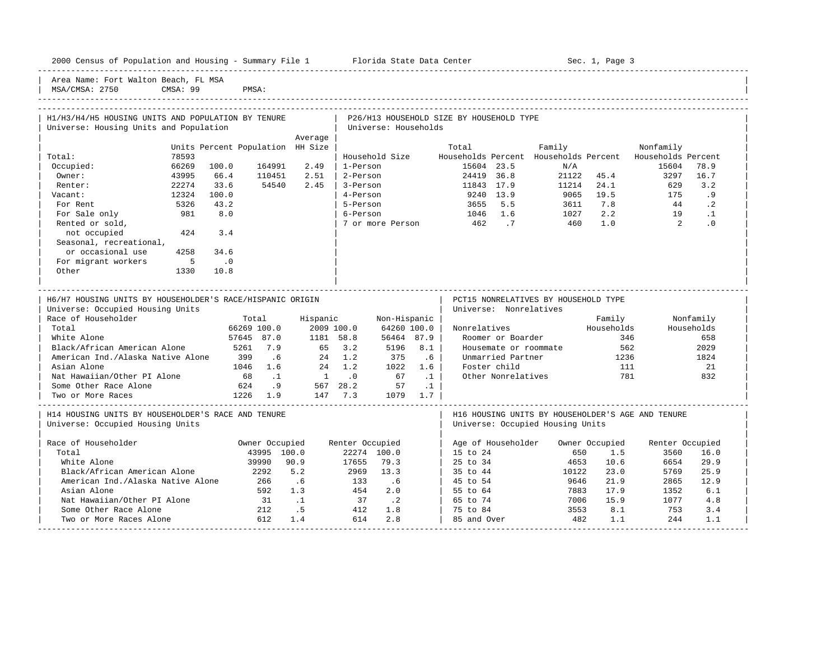| Area Name: Fort Walton Beach, FL MSA                      |                                  |                          |                                  |                      |                                          |                        |                                      |                       |                                                          |                  |  |
|-----------------------------------------------------------|----------------------------------|--------------------------|----------------------------------|----------------------|------------------------------------------|------------------------|--------------------------------------|-----------------------|----------------------------------------------------------|------------------|--|
| CMSA: 99<br>MSA/CMSA: 2750                                | PMSA:                            |                          |                                  |                      |                                          |                        |                                      |                       |                                                          |                  |  |
|                                                           |                                  |                          |                                  |                      |                                          |                        |                                      |                       |                                                          |                  |  |
|                                                           |                                  |                          |                                  |                      |                                          |                        |                                      |                       |                                                          |                  |  |
| H1/H3/H4/H5 HOUSING UNITS AND POPULATION BY TENURE        |                                  |                          |                                  |                      | P26/H13 HOUSEHOLD SIZE BY HOUSEHOLD TYPE |                        |                                      |                       |                                                          |                  |  |
| Universe: Housing Units and Population                    |                                  |                          |                                  | Universe: Households |                                          |                        |                                      |                       |                                                          |                  |  |
|                                                           |                                  | Average                  |                                  |                      |                                          |                        |                                      |                       |                                                          |                  |  |
|                                                           | Units Percent Population HH Size |                          |                                  |                      | Total                                    |                        | Family                               |                       | Nonfamily                                                |                  |  |
| Total:<br>78593                                           |                                  |                          |                                  | Household Size       |                                          |                        |                                      |                       | Households Percent Households Percent Households Percent |                  |  |
| 66269<br>100.0<br>Occupied:                               | 164991                           | 2.49                     | 1-Person                         |                      | 15604 23.5                               |                        | N/A                                  |                       | 15604                                                    | 78.9             |  |
| 43995<br>66.4<br>Owner:                                   | 110451                           | 2.51                     | 2-Person                         |                      | 24419 36.8                               |                        |                                      | 21122 45.4            | 3297                                                     | 16.7             |  |
| 22274<br>33.6<br>Renter:                                  | 54540                            | 2.45                     | 3-Person                         |                      | 11843 17.9                               |                        | 11214 24.1                           |                       | 629                                                      | 3.2              |  |
| 12324<br>100.0<br>Vacant:                                 |                                  |                          | 4-Person                         |                      | 9240 13.9                                |                        |                                      | 9065 19.5             | 175                                                      | .9               |  |
| 5326<br>For Rent                                          | 43.2                             |                          | 5-Person                         |                      | 3655 5.5                                 |                        | 3611 7.8                             |                       |                                                          | 44 .2            |  |
| 981<br>For Sale only                                      | 8.0                              |                          | 6-Person                         |                      | 1046 1.6                                 |                        | 1027                                 | $2.2$<br>$1.0$        |                                                          | 19 .1            |  |
| Rented or sold,                                           | 3.4                              |                          |                                  | 7 or more Person     | 462.7                                    |                        | 460 1.0                              |                       | $\overline{2}$                                           | $\overline{0}$ . |  |
| 424<br>not occupied<br>Seasonal, recreational,            |                                  |                          |                                  |                      |                                          |                        |                                      |                       |                                                          |                  |  |
| or occasional use<br>4258                                 | 34.6                             |                          |                                  |                      |                                          |                        |                                      |                       |                                                          |                  |  |
| $\overline{5}$<br>For migrant workers<br>$\overline{0}$   |                                  |                          |                                  |                      |                                          |                        |                                      |                       |                                                          |                  |  |
| Other<br>1330                                             | 10.8                             |                          |                                  |                      |                                          |                        |                                      |                       |                                                          |                  |  |
|                                                           |                                  |                          |                                  |                      |                                          |                        |                                      |                       |                                                          |                  |  |
|                                                           |                                  |                          |                                  |                      |                                          |                        |                                      |                       |                                                          |                  |  |
|                                                           |                                  |                          |                                  |                      |                                          |                        |                                      |                       |                                                          |                  |  |
| H6/H7 HOUSING UNITS BY HOUSEHOLDER'S RACE/HISPANIC ORIGIN |                                  |                          |                                  |                      |                                          |                        | PCT15 NONRELATIVES BY HOUSEHOLD TYPE |                       |                                                          |                  |  |
| Universe: Occupied Housing Units                          |                                  |                          |                                  |                      |                                          | Universe: Nonrelatives |                                      |                       |                                                          |                  |  |
| Race of Householder                                       | Total                            |                          | Hispanic                         | Non-Hispanic         |                                          |                        |                                      | Family                |                                                          | Nonfamily        |  |
| Total                                                     | 66269 100.0                      |                          | 2009 100.0                       | 64260100.0           | Nonrelatives                             |                        |                                      | Households            |                                                          | Households       |  |
| White Alone                                               | 57645 87.0                       | 1181 58.8                |                                  | 56464 87.9           |                                          | Roomer or Boarder      |                                      | 346                   |                                                          | 658              |  |
| Black/African American Alone                              | 5261 7.9                         |                          |                                  | 5196 8.1             |                                          |                        | Housemate or roommate                | 562                   |                                                          | 2029             |  |
| American Ind./Alaska Native Alone 399 .6                  |                                  | $65$ $3.2$<br>$24$ $1.2$ |                                  | 375                  | .6                                       | Unmarried Partner      |                                      | 1236                  |                                                          | 1824             |  |
| Asian Alone                                               | 1046 1.6 24 1.2                  |                          |                                  | 1022 1.6             | Foster child                             |                        |                                      | 111                   |                                                          | 21               |  |
| Nat Hawaiian/Other PI Alone                               | 68 .1                            |                          | $1 \qquad .0$                    | 67 .1                |                                          | Other Nonrelatives     |                                      | 781                   |                                                          | 832              |  |
| Some Other Race Alone                                     | 624 .9 567 28.2                  |                          |                                  | 57                   | $\ldots$ 1                               |                        |                                      |                       |                                                          |                  |  |
| Two or More Races                                         | 1226 1.9                         | 147 7.3                  |                                  | 1079 1.7             |                                          |                        |                                      |                       |                                                          |                  |  |
|                                                           |                                  |                          |                                  |                      |                                          |                        |                                      |                       |                                                          |                  |  |
| H14 HOUSING UNITS BY HOUSEHOLDER'S RACE AND TENURE        |                                  |                          |                                  |                      |                                          |                        |                                      |                       | H16 HOUSING UNITS BY HOUSEHOLDER'S AGE AND TENURE        |                  |  |
| Universe: Occupied Housing Units                          |                                  |                          |                                  |                      |                                          |                        | Universe: Occupied Housing Units     |                       |                                                          |                  |  |
|                                                           |                                  |                          |                                  |                      |                                          |                        |                                      |                       |                                                          |                  |  |
| Race of Householder<br>Total                              | Owner Occupied<br>43995 100.0    |                          | Renter Occupied                  | 22274 100.0          | 15 to 24                                 | Age of Householder     |                                      | Owner Occupied<br>1.5 | Renter Occupied<br>3560                                  | 16.0             |  |
| White Alone                                               | 39990 90.9                       |                          | 17655                            | 79.3                 | 25 to 34                                 |                        | 650<br>4653                          | 10.6                  | 6654                                                     | 29.9             |  |
| Black/African American Alone                              | 2292                             | 5.2                      |                                  |                      | 35 to 44                                 |                        | 10122                                | 23.0                  | 5769                                                     | 25.9             |  |
| American Ind./Alaska Native Alone                         | 266 .6                           |                          | د.ر، دوہµ<br>2969 13.3<br>133 .6 |                      | 45 to 54                                 |                        | 9646                                 | 21.9                  | 2865                                                     | 12.9             |  |
| Asian Alone                                               | 592 1.3                          |                          | 454 2.0                          |                      | 55 to 64                                 |                        | 7883                                 | 17.9                  | 1352                                                     | 6.1              |  |
| Nat Hawaiian/Other PI Alone                               | 31                               | $\ldots$                 | 37                               | $\cdot$ 2            | 65 to 74                                 |                        | 7006                                 | 15.9                  | 1077                                                     | 4.8              |  |

| Two or More Races Alone 612 1.4 614 2.8 | 85 and Over 482 1.1 244 1.1 | -----------------------------------------------------------------------------------------------------------------------------------------------------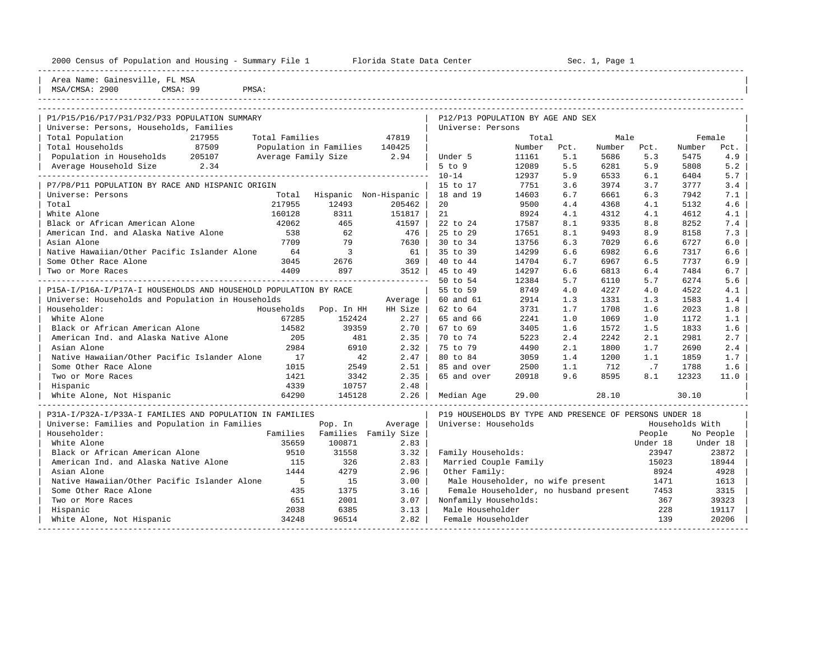| 2000 Census of Population and Housing - Summary File 1 Florida State Data Center |                     |                          |                       |                                                         |                |            | Sec. 1, Page 1 |            |                 |            |
|----------------------------------------------------------------------------------|---------------------|--------------------------|-----------------------|---------------------------------------------------------|----------------|------------|----------------|------------|-----------------|------------|
| Area Name: Gainesville, FL MSA<br>MSA/CMSA: 2900<br>CMSA: 99<br>PMSA:            |                     |                          |                       |                                                         |                |            |                |            |                 |            |
|                                                                                  |                     |                          |                       |                                                         |                |            |                |            |                 |            |
| P1/P15/P16/P17/P31/P32/P33 POPULATION SUMMARY                                    |                     |                          |                       | P12/P13 POPULATION BY AGE AND SEX                       |                |            |                |            |                 |            |
| Universe: Persons, Households, Families                                          |                     |                          |                       | Universe: Persons                                       |                |            |                |            |                 |            |
| Total Population<br>217955                                                       | Total Families      |                          | 47819                 |                                                         | Total          |            | Male           |            |                 | Female     |
| 87509<br>Total Households                                                        |                     | Population in Families   | 140425                |                                                         | Number         | Pct.       | Number         | Pct.       | Number          | Pct.       |
| Population in Households 205107                                                  | Average Family Size |                          | 2.94                  | Under 5<br>$5$ to $9$                                   | 11161<br>12089 | 5.1<br>5.5 | 5686<br>6281   | 5.3<br>5.9 | 5475<br>5808    | 4.9<br>5.2 |
| Average Household Size 2.34                                                      |                     |                          |                       | $10 - 14$                                               | 12937          | 5.9        | 6533           | 6.1        | 6404            | 5.7        |
| P7/P8/P11 POPULATION BY RACE AND HISPANIC ORIGIN                                 |                     |                          |                       | 15 to 17                                                | 7751           | 3.6        | 3974           | 3.7        | 3777            | 3.4        |
| Universe: Persons                                                                | Total               |                          | Hispanic Non-Hispanic | 18 and 19                                               | 14603          | 6.7        | 6661           | 6.3        | 7942            | 7.1        |
| Total                                                                            | 217955              | 12493                    | 205462                | 20                                                      | 9500           | 4.4        | 4368           | 4.1        | 5132            | 4.6        |
| White Alone                                                                      | 160128              | 8311                     | 151817                | 21                                                      | 8924           | 4.1        | 4312           | 4.1        | 4612            | 4.1        |
| Black or African American Alone                                                  | 42062               | 465                      | 41597                 | 22 to 24                                                | 17587          | 8.1        | 9335           | 8.8        | 8252            | 7.4        |
| American Ind. and Alaska Native Alone                                            | 538                 | 62                       | 476                   | 25 to 29                                                | 17651          | 8.1        | 9493           | 8.9        | 8158            | 7.3        |
| Asian Alone                                                                      | 7709                | 79                       | 7630                  | 30 to 34                                                | 13756          | 6.3        | 7029           | 6.6        | 6727            | 6.0        |
| Native Hawaiian/Other Pacific Islander Alone                                     | 64                  | $\overline{\phantom{a}}$ | 61                    | 35 to 39                                                | 14299          | 6.6        | 6982           | 6.6        | 7317            | 6.6        |
| Some Other Race Alone                                                            | 3045                | 2676                     | 369                   | 40 to 44                                                | 14704          | 6.7        | 6967           | 6.5        | 7737            | 6.9        |
| Two or More Races                                                                | 4409                | 897                      | 3512                  | 45 to 49                                                | 14297          | 6.6        | 6813           | 6.4        | 7484            | 6.7        |
|                                                                                  |                     |                          |                       | 50 to 54                                                | 12384          | 5.7        | 6110           | 5.7        | 6274            | 5.6        |
| P15A-I/P16A-I/P17A-I HOUSEHOLDS AND HOUSEHOLD POPULATION BY RACE                 |                     |                          |                       | 55 to 59                                                | 8749           | 4.0        | 4227           | 4.0        | 4522            | 4.1        |
| Universe: Households and Population in Households                                |                     |                          | Average               | 60 and 61                                               | 2914           | 1.3        | 1331           | 1.3        | 1583            | 1.4        |
| Householder:                                                                     | Households          | Pop. In HH               | HH Size               | 62 to 64                                                | 3731           | 1.7        | 1708           | 1.6        | 2023            | 1.8        |
| White Alone                                                                      | 67285               | 152424                   | 2.27                  | 65 and 66                                               | 2241           | 1.0        | 1069           | 1.0        | 1172            | 1.1        |
| Black or African American Alone                                                  | 14582               | 39359                    | 2.70                  | 67 to 69                                                | 3405           | 1.6        | 1572           | 1.5        | 1833            | 1.6        |
| American Ind. and Alaska Native Alone                                            | 205                 | 481                      | 2.35                  | 70 to 74                                                | 5223           | 2.4        | 2242           | 2.1        | 2981            | 2.7        |
| Asian Alone                                                                      | 2984                | 6910                     | 2.32                  | 75 to 79                                                | 4490           | 2.1        | 1800           | 1.7        | 2690            | 2.4        |
| Native Hawaiian/Other Pacific Islander Alone                                     | 17                  | 42                       | 2.47                  | 80 to 84                                                | 3059           | 1.4        | 1200           | 1.1        | 1859            | 1.7        |
| Some Other Race Alone                                                            | 1015                | 2549                     | 2.51                  | 85 and over                                             | 2500           | 1.1        | 712            | .7         | 1788            | 1.6        |
| Two or More Races                                                                | 1421                | 3342                     | 2.35                  | 65 and over                                             | 20918          | 9.6        | 8595           | 8.1        | 12323           | 11.0       |
| Hispanic                                                                         | 4339                | 10757                    | 2.48                  |                                                         |                |            |                |            |                 |            |
| White Alone, Not Hispanic                                                        | 64290               | 145128                   | 2.26                  | Median Age                                              | 29.00          |            | 28.10          |            | 30.10           |            |
| P31A-I/P32A-I/P33A-I FAMILIES AND POPULATION IN FAMILIES                         |                     |                          |                       | P19 HOUSEHOLDS BY TYPE AND PRESENCE OF PERSONS UNDER 18 |                |            |                |            |                 |            |
| Universe: Families and Population in Families                                    |                     | Pop. In                  | Average               | Universe: Households                                    |                |            |                |            | Households With |            |
| Householder:                                                                     | Families            |                          | Families Family Size  |                                                         |                |            |                | People     |                 | No People  |
| White Alone                                                                      | 35659               | 100871                   | 2.83                  |                                                         |                |            |                | Under 18   |                 | Under 18   |
| Black or African American Alone                                                  | 9510                | 31558                    | 3.32                  | Family Households:                                      |                |            |                | 23947      |                 | 23872      |
| American Ind. and Alaska Native Alone                                            | 115                 | 326                      | 2.83                  | Married Couple Family                                   |                |            |                | 15023      |                 | 18944      |
| Asian Alone                                                                      | 1444                | 4279                     | 2.96                  | Other Family:                                           |                |            |                | 8924       |                 | 4928       |
| Native Hawaiian/Other Pacific Islander Alone                                     | $-5$                | 15                       | 3.00                  | Male Householder, no wife present                       |                |            |                | 1471       |                 | 1613       |
| Some Other Race Alone                                                            | 435                 | 1375                     | 3.16                  | Female Householder, no husband present                  |                |            |                | 7453       |                 | 3315       |
| Two or More Races                                                                | 651                 | 2001                     | 3.07                  | Nonfamily Households:                                   |                |            |                | 367        |                 | 39323      |
| Hispanic                                                                         | 2038                | 6385                     | 3.13                  | Male Householder                                        |                |            |                | 228        |                 | 19117      |

| White Alone, Not Hispanic 34248 96514 2.82 | Female Householder 139 20206 | -----------------------------------------------------------------------------------------------------------------------------------------------------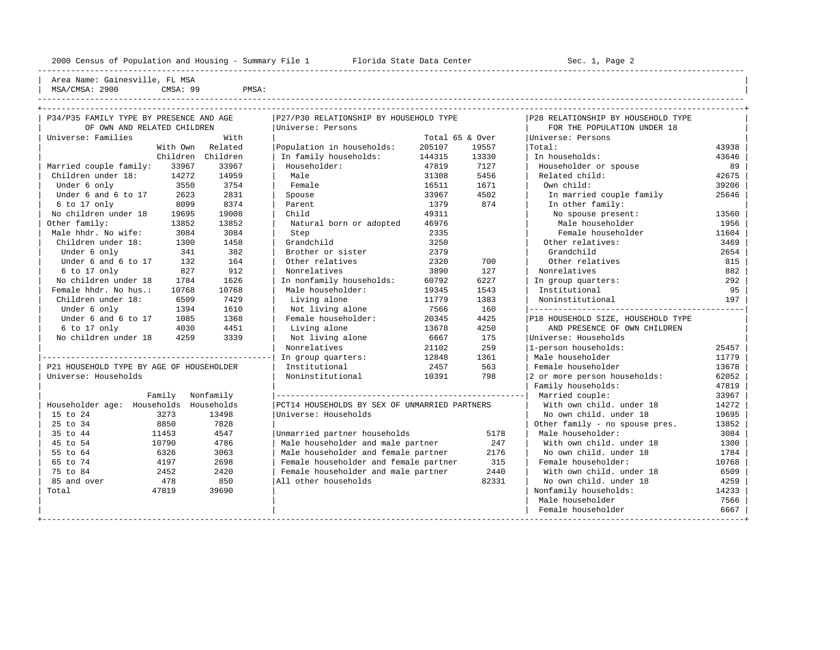| Area Name: Gainesville, FL MSA |          |       |  |
|--------------------------------|----------|-------|--|
| MSA/CMSA: 2900                 | CMSA: 99 | PMSA: |  |
|                                |          |       |  |
|                                |          |       |  |

----------------------------------------------------------------------------------------------------------------------------------------------------

| P34/P35 FAMILY TYPE BY PRESENCE AND AGE  |           | P27/P30 RELATIONSHIP BY HOUSEHOLD TYPE        |        |                 | P28 RELATIONSHIP BY HOUSEHOLD TYPE |       |
|------------------------------------------|-----------|-----------------------------------------------|--------|-----------------|------------------------------------|-------|
| OF OWN AND RELATED CHILDREN              |           | Universe: Persons                             |        |                 | FOR THE POPULATION UNDER 18        |       |
| Universe: Families                       | With      |                                               |        | Total 65 & Over | Universe: Persons                  |       |
| With Own                                 | Related   | Population in households:                     | 205107 | 19557           | Total:                             | 43938 |
| Children                                 | Children  | In family households:                         | 144315 | 13330           | In households:                     | 43646 |
| Married couple family:<br>33967          | 33967     | Householder:                                  | 47819  | 7127            | Householder or spouse              | 89    |
| Children under 18:<br>14272              | 14959     | Male                                          | 31308  | 5456            | Related child:                     | 42675 |
| Under 6 only<br>3550                     | 3754      | Female                                        | 16511  | 1671            | Own child:                         | 39206 |
| Under 6 and 6 to 17<br>2623              | 2831      | Spouse                                        | 33967  | 4502            | In married couple family           | 25646 |
| 6 to 17 only<br>8099                     | 8374      | Parent                                        | 1379   | 874             | In other family:                   |       |
| No children under 18<br>19695            | 19008     | Child                                         | 49311  |                 | No spouse present:                 | 13560 |
| Other family:<br>13852                   | 13852     | Natural born or adopted                       | 46976  |                 | Male householder                   | 1956  |
| Male hhdr. No wife:<br>3084              | 3084      | Step                                          | 2335   |                 | Female householder                 | 11604 |
| Children under 18:<br>1300               | 1458      | Grandchild                                    | 3250   |                 | Other relatives:                   | 3469  |
| Under 6 only<br>341                      | 382       | Brother or sister                             | 2379   |                 | Grandchild                         | 2654  |
| Under 6 and 6 to 17<br>132               | 164       | Other relatives                               | 2320   | 700             | Other relatives                    | 815   |
| $6$ to 17 only<br>827                    | 912       | Nonrelatives                                  | 3890   | 127             | Nonrelatives                       | 882   |
| No children under 18<br>1784             | 1626      | In nonfamily households:                      | 60792  | 6227            | In group quarters:                 | 292   |
| Female hhdr. No hus.:<br>10768           | 10768     | Male householder:                             | 19345  | 1543            | Institutional                      | 95    |
| Children under 18:<br>6509               | 7429      | Living alone                                  | 11779  | 1383            | Noninstitutional                   | 197   |
| Under 6 only<br>1394                     | 1610      | Not living alone                              | 7566   | 160             |                                    |       |
| Under 6 and 6 to 17<br>1085              | 1368      | Female householder:                           | 20345  | 4425            | P18 HOUSEHOLD SIZE, HOUSEHOLD TYPE |       |
| 6 to 17 only<br>4030                     | 4451      | Living alone                                  | 13678  | 4250            | AND PRESENCE OF OWN CHILDREN       |       |
| No children under 18<br>4259             | 3339      | Not living alone                              | 6667   | 175             | Universe: Households               |       |
|                                          |           | Nonrelatives                                  | 21102  | 259             | 1-person households:               | 25457 |
|                                          |           | In group quarters:                            | 12848  | 1361            | Male householder                   | 11779 |
| P21 HOUSEHOLD TYPE BY AGE OF HOUSEHOLDER |           | Institutional                                 | 2457   | 563             | Female householder                 | 13678 |
| Universe: Households                     |           | Noninstitutional                              | 10391  | 798             | 2 or more person households:       | 62052 |
|                                          |           |                                               |        |                 | Family households:                 | 47819 |
| Family                                   | Nonfamily |                                               |        |                 | Married couple:                    | 33967 |
| Householder age: Households Households   |           | PCT14 HOUSEHOLDS BY SEX OF UNMARRIED PARTNERS |        |                 | With own child. under 18           | 14272 |
| 15 to 24<br>3273                         | 13498     | Universe: Households                          |        |                 | No own child. under 18             | 19695 |
| 25 to 34<br>8850                         | 7828      |                                               |        |                 | Other family - no spouse pres.     | 13852 |
| 35 to 44<br>11453                        | 4547      | Unmarried partner households                  |        | 5178            | Male householder:                  | 3084  |
| 45 to 54<br>10790                        | 4786      | Male householder and male partner             |        | 247             | With own child. under 18           | 1300  |
| 55 to 64<br>6326                         | 3063      | Male householder and female partner           |        | 2176            | No own child. under 18             | 1784  |
| 65 to 74<br>4197                         | 2698      | Female householder and female partner         |        | 315             | Female householder:                | 10768 |
| 75 to 84<br>2452                         | 2420      | Female householder and male partner           |        | 2440            | With own child, under 18           | 6509  |
| 85 and over<br>478                       | 850       | All other households                          |        | 82331           | No own child. under 18             | 4259  |
| Total<br>47819                           | 39690     |                                               |        |                 | Nonfamily households:              | 14233 |
|                                          |           |                                               |        |                 | Male householder                   | 7566  |
|                                          |           |                                               |        |                 | Female householder                 | 6667  |
|                                          |           |                                               |        |                 |                                    |       |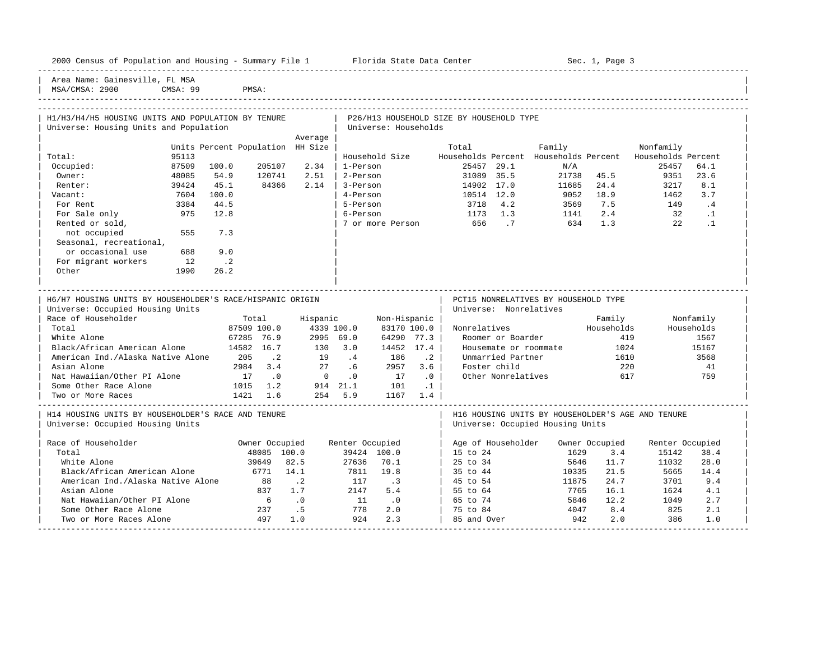|  |  |  | 2000 Census of Population and Housing - Summary File 1 |  |  |  |  |  |  |  |
|--|--|--|--------------------------------------------------------|--|--|--|--|--|--|--|
|--|--|--|--------------------------------------------------------|--|--|--|--|--|--|--|

Plorida State Data Center - Sec. 1, Page 3

-----------------------------------------------------------------------------------------------------------------------------------------------------

Area Name: Gainesville, FL MSA

MSA/CMSA: 2900 CMSA: 99 PMSA: -----------------------------------------------------------------------------------------------------------------------------------------------------

| H1/H3/H4/H5 HOUSING UNITS AND POPULATION BY TENURE        |       |                                  |                |                                     |                 |                      |             | P26/H13 HOUSEHOLD SIZE BY HOUSEHOLD TYPE |                        |                                                          |            |                 |            |  |
|-----------------------------------------------------------|-------|----------------------------------|----------------|-------------------------------------|-----------------|----------------------|-------------|------------------------------------------|------------------------|----------------------------------------------------------|------------|-----------------|------------|--|
| Universe: Housing Units and Population                    |       |                                  |                |                                     |                 | Universe: Households |             |                                          |                        |                                                          |            |                 |            |  |
|                                                           |       |                                  |                | Average                             |                 |                      |             |                                          |                        |                                                          |            |                 |            |  |
|                                                           |       | Units Percent Population HH Size |                |                                     |                 |                      |             | Total                                    |                        | Family                                                   |            | Nonfamily       |            |  |
| Total:                                                    | 95113 |                                  |                |                                     |                 | Household Size       |             |                                          |                        | Households Percent Households Percent Households Percent |            |                 |            |  |
| Occupied:                                                 | 87509 | 100.0                            | 205107         | 2.34                                | 1-Person        |                      |             |                                          | 25457 29.1             | N/A                                                      |            | 25457           | 64.1       |  |
| Owner:                                                    | 48085 | 54.9                             | 120741         | 2.51                                | 2-Person        |                      |             |                                          | 31089 35.5             |                                                          | 21738 45.5 | 9351            | 23.6       |  |
| Renter:                                                   | 39424 | 45.1                             | 84366          | 2.14                                | 3-Person        |                      |             |                                          | 14902 17.0             | 11685                                                    | 24.4       | 3217            | 8.1        |  |
| Vacant:                                                   | 7604  | 100.0                            |                |                                     | 4-Person        |                      |             |                                          | 10514 12.0             | 9052                                                     | 18.9       | 1462            | 3.7        |  |
| For Rent                                                  | 3384  | 44.5                             |                |                                     | 5-Person        |                      |             | 3718                                     | 4.2                    |                                                          | 3569 7.5   | 149             | $\cdot$ 4  |  |
| For Sale only                                             | 975   | 12.8                             |                |                                     | 6-Person        |                      |             |                                          | 1173 1.3               | 1141                                                     | 2.4        | 32              | $\cdot$ 1  |  |
| Rented or sold,                                           |       |                                  |                |                                     |                 |                      |             | 7 or more Person 656 .7                  |                        | 634                                                      | 1.3        | 2.2             | $\cdot$ 1  |  |
| not occupied                                              | 555   | 7.3                              |                |                                     |                 |                      |             |                                          |                        |                                                          |            |                 |            |  |
| Seasonal, recreational,                                   |       |                                  |                |                                     |                 |                      |             |                                          |                        |                                                          |            |                 |            |  |
| or occasional use                                         | 688   | 9.0                              |                |                                     |                 |                      |             |                                          |                        |                                                          |            |                 |            |  |
| For migrant workers                                       | 12    | $\cdot$ 2                        |                |                                     |                 |                      |             |                                          |                        |                                                          |            |                 |            |  |
| Other                                                     | 1990  | 26.2                             |                |                                     |                 |                      |             |                                          |                        |                                                          |            |                 |            |  |
|                                                           |       |                                  |                |                                     |                 |                      |             |                                          |                        |                                                          |            |                 |            |  |
|                                                           |       |                                  |                |                                     |                 |                      |             |                                          |                        |                                                          |            |                 |            |  |
| H6/H7 HOUSING UNITS BY HOUSEHOLDER'S RACE/HISPANIC ORIGIN |       |                                  |                |                                     |                 |                      |             |                                          |                        | PCT15 NONRELATIVES BY HOUSEHOLD TYPE                     |            |                 |            |  |
| Universe: Occupied Housing Units                          |       |                                  |                |                                     |                 |                      |             |                                          | Universe: Nonrelatives |                                                          |            |                 |            |  |
| Race of Householder                                       |       |                                  | Total          |                                     | Hispanic        | Non-Hispanic         |             |                                          |                        |                                                          | Family     |                 | Nonfamily  |  |
| Total                                                     |       |                                  | 87509 100.0    |                                     | 4339 100.0      | 83170 100.0          |             |                                          |                        | Nonrelatives                                             | Households |                 | Households |  |
| White Alone                                               |       | 67285 76.9                       |                |                                     | 2995 69.0       |                      | 64290 77.3  |                                          | Roomer or Boarder      |                                                          | 419        |                 | 1567       |  |
| Black/African American Alone                              |       | 14582 16.7                       |                | 130 3.0                             |                 | 14452 17.4           |             |                                          |                        | Housemate or roommate                                    | 1024       |                 | 15167      |  |
| American Ind./Alaska Native Alone 205 .2                  |       |                                  |                | 19 .4                               |                 | 186                  | $\cdot$ . 2 |                                          | Unmarried Partner      |                                                          | 1610       |                 | 3568       |  |
| Asian Alone                                               |       |                                  | 2984 3.4       | 27                                  | .6              | 2957                 | 3.6         |                                          | Foster child           |                                                          | 220        |                 | 41         |  |
| Nat Hawaiian/Other PI Alone                               |       | 17                               | $\cdot$ 0      | $\overline{0}$                      |                 | $\cdot$ 0 17         | $\cdot$ 0   |                                          | Other Nonrelatives     |                                                          | 617        |                 | 759        |  |
| Some Other Race Alone                                     |       | $1015$ 1.2                       |                | 914 21.1 101 .1<br>254 5.9 1167 1.4 |                 |                      |             |                                          |                        |                                                          |            |                 |            |  |
| Two or More Races                                         |       | 1421 1.6                         |                |                                     |                 |                      |             |                                          |                        |                                                          |            |                 |            |  |
|                                                           |       |                                  |                |                                     |                 |                      |             |                                          |                        |                                                          |            |                 |            |  |
| H14 HOUSING UNITS BY HOUSEHOLDER'S RACE AND TENURE        |       |                                  |                |                                     |                 |                      |             |                                          |                        | H16 HOUSING UNITS BY HOUSEHOLDER'S AGE AND TENURE        |            |                 |            |  |
| Universe: Occupied Housing Units                          |       |                                  |                |                                     |                 |                      |             |                                          |                        | Universe: Occupied Housing Units                         |            |                 |            |  |
|                                                           |       |                                  |                |                                     |                 |                      |             |                                          |                        |                                                          |            |                 |            |  |
| Race of Householder                                       |       |                                  | Owner Occupied |                                     | Renter Occupied |                      |             |                                          |                        | Age of Householder Owner Occupied                        |            | Renter Occupied |            |  |
| Total                                                     |       |                                  | 48085 100.0    |                                     |                 | 39424 100.0          |             | 15 to 24                                 |                        | 1629                                                     | 3.4        | 15142           | 38.4       |  |
| White Alone                                               |       |                                  | 39649          | 82.5                                | 27636           | 70.1                 |             | 25 to 34                                 |                        | 5646                                                     | 11.7       | 11032           | 28.0       |  |
| Black/African American Alone                              |       | 6771 14.1                        |                |                                     | 7811 19.8       |                      |             | 35 to 44                                 |                        | 10335                                                    | 21.5       | 5665            | 14.4       |  |
| American Ind./Alaska Native Alone                         |       | 88                               |                | $\cdot$ . 2                         | 117             | $\cdot$ 3            |             | 45 to 54                                 |                        | 11875                                                    | 24.7       | 3701            | 9.4        |  |
| Asian Alone                                               |       |                                  | 837            | 1.7                                 | 2147            | 5.4                  |             | 55 to 64                                 |                        | 7765                                                     | 16.1       | 1624            | 4.1        |  |

| Nat Hawaiian/Other PI Alone 6 .0 11 .0 | 65 to 74 5846 12.2 1049 2.7 | | Some Other Race Alone 237 .5 778 2.0 | 75 to 84 4047 8.4 825 2.1 | | Two or More Races Alone 497 1.0 924 2.3 | 85 and Over 942 2.0 386 1.0 | -----------------------------------------------------------------------------------------------------------------------------------------------------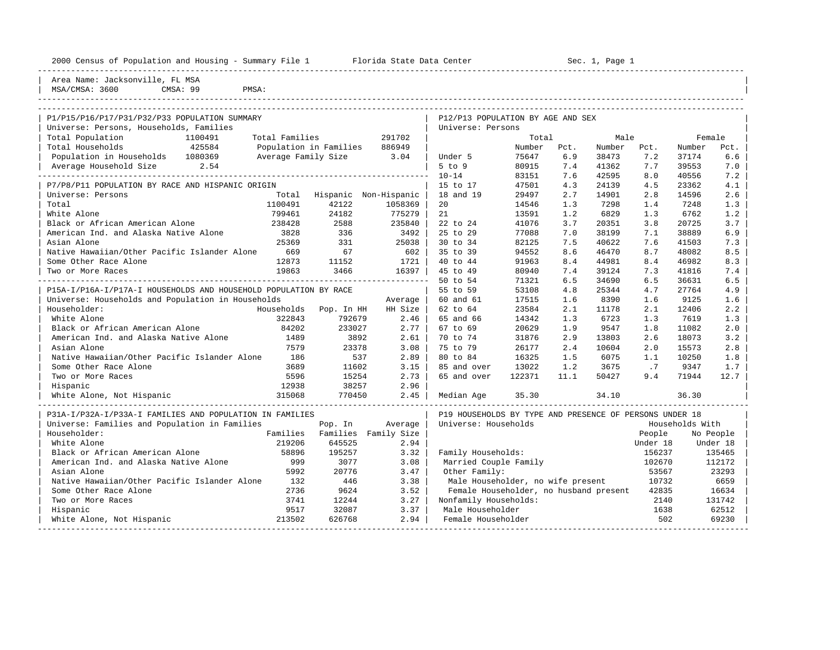| 2000 Census of Population and Housing - Summary File 1 Florida State Data Center |                       |                      |                                                         | Sec. 1, Page 1 |      |        |          |                 |           |
|----------------------------------------------------------------------------------|-----------------------|----------------------|---------------------------------------------------------|----------------|------|--------|----------|-----------------|-----------|
| Area Name: Jacksonville, FL MSA<br>MSA/CMSA: 3600<br>CMSA: 99<br>PMSA:           |                       |                      |                                                         |                |      |        |          |                 |           |
|                                                                                  |                       |                      |                                                         |                |      |        |          |                 |           |
| P1/P15/P16/P17/P31/P32/P33 POPULATION SUMMARY                                    |                       |                      | P12/P13 POPULATION BY AGE AND SEX                       |                |      |        |          |                 |           |
| Universe: Persons, Households, Families                                          |                       |                      | Universe: Persons                                       |                |      |        |          |                 |           |
| Total Population<br>Total Families<br>1100491                                    |                       | 291702               |                                                         | Total          |      | Male   |          | Female          |           |
| Total Households<br>425584<br>Population in Families                             |                       | 886949               |                                                         | Number         | Pct. | Number | Pct.     | Number          | Pct.      |
| Population in Households 1080369<br>Average Family Size                          |                       | 3.04                 | Under 5                                                 | 75647          | 6.9  | 38473  | 7.2      | 37174           | 6.6       |
| 2.54<br>Average Household Size                                                   |                       |                      | $5$ to $9$                                              | 80915          | 7.4  | 41362  | 7.7      | 39553           | 7.0       |
|                                                                                  |                       |                      | $10 - 14$                                               | 83151          | 7.6  | 42595  | 8.0      | 40556           | 7.2       |
| P7/P8/P11 POPULATION BY RACE AND HISPANIC ORIGIN                                 |                       |                      | 15 to 17                                                | 47501          | 4.3  | 24139  | 4.5      | 23362           | 4.1       |
| Universe: Persons<br>Total                                                       | Hispanic Non-Hispanic |                      | 18 and 19                                               | 29497          | 2.7  | 14901  | 2.8      | 14596           | 2.6       |
| Total<br>1100491                                                                 | 42122                 | 1058369              | 20                                                      | 14546          | 1.3  | 7298   | 1.4      | 7248            | 1.3       |
| White Alone<br>799461                                                            | 24182                 | 775279               | 21                                                      | 13591          | 1.2  | 6829   | 1.3      | 6762            | 1.2       |
| Black or African American Alone<br>238428                                        | 2588                  | 235840               | 22 to 24                                                | 41076          | 3.7  | 20351  | 3.8      | 20725           | 3.7       |
| American Ind. and Alaska Native Alone<br>3828                                    | 336                   | 3492                 | 25 to 29                                                | 77088          | 7.0  | 38199  | 7.1      | 38889           | 6.9       |
| Asian Alone<br>25369                                                             | 331                   | 25038                | 30 to 34                                                | 82125          | 7.5  | 40622  | 7.6      | 41503           | 7.3       |
| Native Hawaiian/Other Pacific Islander Alone<br>669                              | 67                    | 602                  | 35 to 39                                                | 94552          | 8.6  | 46470  | 8.7      | 48082           | 8.5       |
| Some Other Race Alone<br>12873                                                   | 11152                 | 1721                 | 40 to 44                                                | 91963          | 8.4  | 44981  | 8.4      | 46982           | 8.3       |
| 19863<br>Two or More Races                                                       | 3466                  | 16397                | 45 to 49                                                | 80940          | 7.4  | 39124  | 7.3      | 41816           | 7.4       |
|                                                                                  |                       |                      | 50 to 54                                                | 71321          | 6.5  | 34690  | 6.5      | 36631           | 6.5       |
| P15A-I/P16A-I/P17A-I HOUSEHOLDS AND HOUSEHOLD POPULATION BY RACE                 |                       |                      | 55 to 59                                                | 53108          | 4.8  | 25344  | 4.7      | 27764           | 4.9       |
| Universe: Households and Population in Households                                |                       | Average              | 60 and 61                                               | 17515          | 1.6  | 8390   | 1.6      | 9125            | 1.6       |
| Householder:<br>Households                                                       | Pop. In HH            | HH Size              | 62 to 64                                                | 23584          | 2.1  | 11178  | 2.1      | 12406           | 2.2       |
| 322843<br>White Alone                                                            | 792679                | 2.46                 | 65 and 66                                               | 14342          | 1.3  | 6723   | 1.3      | 7619            | 1.3       |
| Black or African American Alone<br>84202                                         | 233027                | 2.77                 | 67 to 69                                                | 20629          | 1.9  | 9547   | 1.8      | 11082           | 2.0       |
| American Ind. and Alaska Native Alone<br>1489                                    | 3892                  | 2.61                 | 70 to 74                                                | 31876          | 2.9  | 13803  | 2.6      | 18073           | 3.2       |
| Asian Alone<br>7579                                                              | 23378                 | 3.08                 | 75 to 79                                                | 26177          | 2.4  | 10604  | 2.0      | 15573           | 2.8       |
| Native Hawaiian/Other Pacific Islander Alone<br>186                              | 537                   | 2.89                 | 80 to 84                                                | 16325          | 1.5  | 6075   | 1.1      | 10250           | 1.8       |
| Some Other Race Alone<br>3689                                                    | 11602                 | 3.15                 | 85 and over                                             | 13022          | 1.2  | 3675   | .7       | 9347            | 1.7       |
| Two or More Races<br>5596                                                        | 15254                 | 2.73                 | 65 and over                                             | 122371         | 11.1 | 50427  | 9.4      | 71944           | 12.7      |
| 12938<br>Hispanic                                                                | 38257                 | 2.96                 |                                                         |                |      |        |          |                 |           |
| 315068<br>White Alone, Not Hispanic                                              | 770450                | 2.45                 | Median Age                                              | 35.30          |      | 34.10  |          | 36.30           |           |
| P31A-I/P32A-I/P33A-I FAMILIES AND POPULATION IN FAMILIES                         |                       |                      | P19 HOUSEHOLDS BY TYPE AND PRESENCE OF PERSONS UNDER 18 |                |      |        |          |                 |           |
| Universe: Families and Population in Families                                    | Pop. In               | Average              | Universe: Households                                    |                |      |        |          | Households With |           |
| Householder:<br>Families                                                         |                       | Families Family Size |                                                         |                |      |        | People   |                 | No People |
| White Alone<br>219206                                                            | 645525                | 2.94                 |                                                         |                |      |        | Under 18 |                 | Under 18  |
| Black or African American Alone<br>58896                                         | 195257                | 3.32                 | Family Households:                                      |                |      |        | 156237   |                 | 135465    |
| American Ind. and Alaska Native Alone<br>999                                     | 3077                  | 3.08                 | Married Couple Family                                   |                |      |        | 102670   |                 | 112172    |
| 5992<br>Asian Alone                                                              | 20776                 | 3.47                 | Other Family:                                           |                |      |        | 53567    |                 | 23293     |
| Native Hawaiian/Other Pacific Islander Alone<br>132                              | 446                   | 3.38                 | Male Householder, no wife present                       |                |      |        | 10732    |                 | 6659      |
| Some Other Race Alone<br>2736                                                    | 9624                  | 3.52                 | Female Householder, no husband present                  |                |      |        | 42835    |                 | 16634     |
| 3741<br>Two or More Races                                                        | 12244                 | 3.27                 | Nonfamily Households:                                   |                |      |        | 2140     |                 | 131742    |

| Hispanic 9517 32087 3.37 | Male Householder 1638 62512 | | White Alone, Not Hispanic 213502 626768 2.94 | Female Householder 502 69230 | -----------------------------------------------------------------------------------------------------------------------------------------------------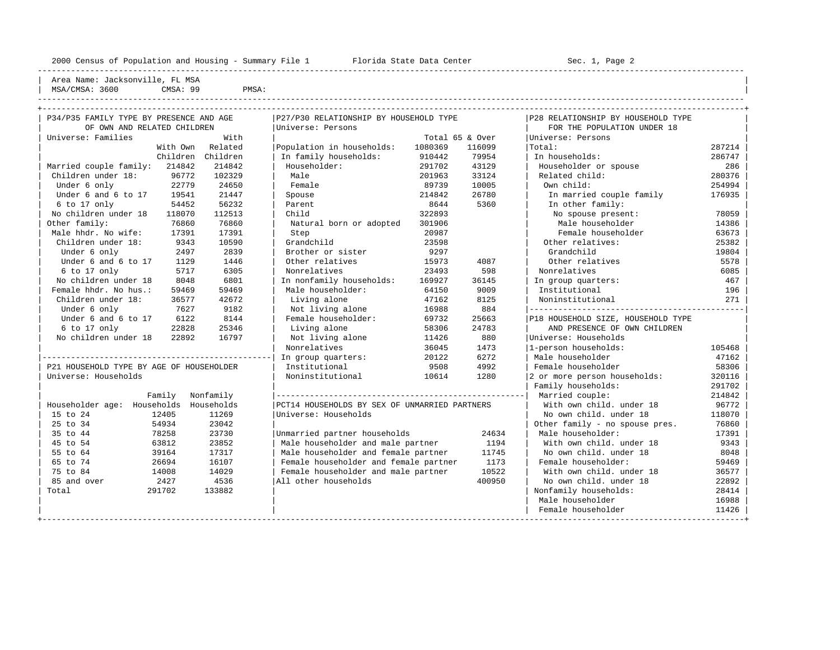----------------------------------------------------------------------------------------------------------------------------------------------------

Area Name: Jacksonville, FL MSA | MSA/CMSA: 3600 CMSA: 99 PMSA: |

|                                          |        | P34/P35 FAMILY TYPE BY PRESENCE AND AGE | P27/P30 RELATIONSHIP BY HOUSEHOLD TYPE        |         |                 | P28 RELATIONSHIP BY HOUSEHOLD TYPE |        |
|------------------------------------------|--------|-----------------------------------------|-----------------------------------------------|---------|-----------------|------------------------------------|--------|
| OF OWN AND RELATED CHILDREN              |        |                                         | Universe: Persons                             |         |                 | FOR THE POPULATION UNDER 18        |        |
| Universe: Families                       |        | With                                    |                                               |         | Total 65 & Over | Universe: Persons                  |        |
|                                          |        | With Own Related                        | Population in households:                     | 1080369 | 116099          | Total:                             | 287214 |
|                                          |        | Children Children                       | In family households:                         | 910442  | 79954           | In households:                     | 286747 |
| Married couple family: 214842            |        | 214842                                  | Householder:                                  | 291702  | 43129           | Householder or spouse              | 286    |
| Children under 18:                       | 96772  | 102329                                  | Male                                          | 201963  | 33124           | Related child:                     | 280376 |
| Under 6 only                             | 22779  | 24650                                   | Female                                        | 89739   | 10005           | Own child:                         | 254994 |
| Under 6 and 6 to 17                      | 19541  | 21447                                   | Spouse                                        | 214842  | 26780           | In married couple family           | 176935 |
| 6 to 17 only                             | 54452  | 56232                                   | Parent                                        | 8644    | 5360            | In other family:                   |        |
| No children under 18                     | 118070 | 112513                                  | Child                                         | 322893  |                 | No spouse present:                 | 78059  |
| Other family:                            | 76860  | 76860                                   | Natural born or adopted                       | 301906  |                 | Male householder                   | 14386  |
| Male hhdr. No wife:                      | 17391  | 17391                                   | Step                                          | 20987   |                 | Female householder                 | 63673  |
| Children under 18:                       | 9343   | 10590                                   | Grandchild                                    | 23598   |                 | Other relatives:                   | 25382  |
| Under 6 only                             | 2497   | 2839                                    | Brother or sister                             | 9297    |                 | Grandchild                         | 19804  |
| Under 6 and 6 to 17                      | 1129   | 1446                                    | Other relatives                               | 15973   | 4087            | Other relatives                    | 5578   |
| 6 to 17 only                             | 5717   | 6305                                    | Nonrelatives                                  | 23493   | 598             | Nonrelatives                       | 6085   |
| No children under 18                     | 8048   | 6801                                    | In nonfamily households:                      | 169927  | 36145           | In group quarters:                 | 467    |
| Female hhdr. No hus.:                    | 59469  | 59469                                   | Male householder:                             | 64150   | 9009            | Institutional                      | 196    |
| Children under 18:                       | 36577  | 42672                                   | Living alone                                  | 47162   | 8125            | Noninstitutional                   | 271    |
| Under 6 only                             | 7627   | 9182                                    | Not living alone                              | 16988   | 884             |                                    |        |
| Under 6 and 6 to 17                      | 6122   | 8144                                    | Female householder:                           | 69732   | 25663           | P18 HOUSEHOLD SIZE, HOUSEHOLD TYPE |        |
| 6 to 17 only                             | 22828  | 25346                                   | Living alone                                  | 58306   | 24783           | AND PRESENCE OF OWN CHILDREN       |        |
| No children under 18                     | 22892  | 16797                                   | Not living alone                              | 11426   | 880             | Universe: Households               |        |
|                                          |        |                                         | Nonrelatives                                  | 36045   | 1473            | 1-person households:               | 105468 |
|                                          |        |                                         | In group quarters:                            | 20122   | 6272            | Male householder                   | 47162  |
| P21 HOUSEHOLD TYPE BY AGE OF HOUSEHOLDER |        |                                         | Institutional                                 | 9508    | 4992            | Female householder                 | 58306  |
| Universe: Households                     |        |                                         | Noninstitutional                              | 10614   | 1280            | 2 or more person households:       | 320116 |
|                                          |        |                                         |                                               |         |                 | Family households:                 | 291702 |
|                                          | Family | Nonfamily                               |                                               |         |                 | Married couple:                    | 214842 |
| Householder age: Households Households   |        |                                         | PCT14 HOUSEHOLDS BY SEX OF UNMARRIED PARTNERS |         |                 | With own child, under 18           | 96772  |
| 15 to 24                                 | 12405  | 11269                                   | Universe: Households                          |         |                 | No own child, under 18             | 118070 |
| 25 to 34                                 | 54934  | 23042                                   |                                               |         |                 | Other family - no spouse pres.     | 76860  |
| 35 to 44                                 | 78258  | 23730                                   | Unmarried partner households                  |         | 24634           | Male householder:                  | 17391  |
| 45 to 54                                 | 63812  | 23852                                   | Male householder and male partner             |         | 1194            | With own child, under 18           | 9343   |
| 55 to 64                                 | 39164  | 17317                                   | Male householder and female partner           |         | 11745           | No own child. under 18             | 8048   |
| 65 to 74                                 | 26694  | 16107                                   | Female householder and female partner         |         | 1173            | Female householder:                | 59469  |
| 75 to 84                                 | 14008  | 14029                                   | Female householder and male partner           |         | 10522           | With own child, under 18           | 36577  |
| 85 and over                              | 2427   | 4536                                    | All other households                          |         | 400950          | No own child. under 18             | 22892  |
| Total                                    | 291702 | 133882                                  |                                               |         |                 | Nonfamily households:              | 28414  |
|                                          |        |                                         |                                               |         |                 | Male householder                   | 16988  |
|                                          |        |                                         |                                               |         |                 | Female householder                 | 11426  |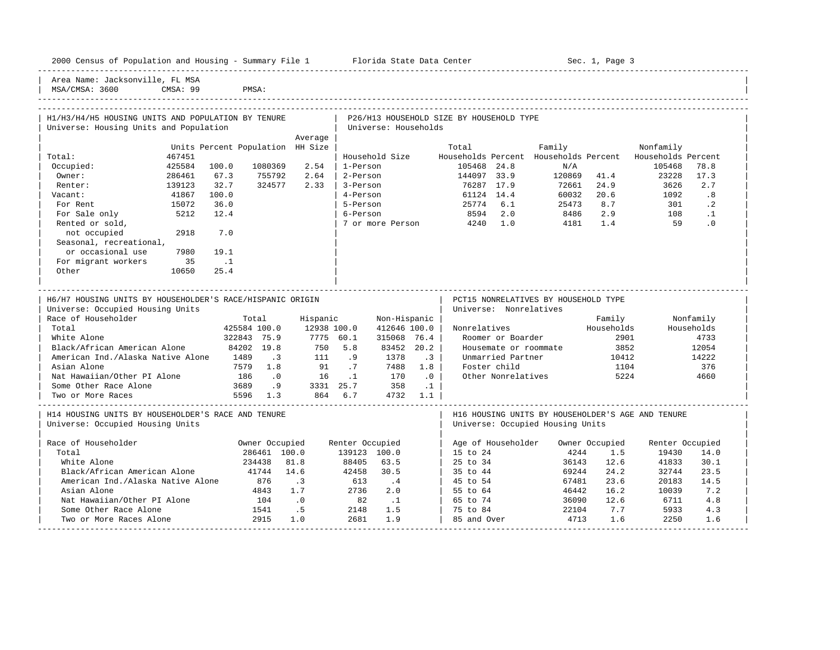| 2000 Census of Population and Housing - Summary File 1 |  |  |  |  |  |  |  |  |  |  |  |  |  |  |  |  |
|--------------------------------------------------------|--|--|--|--|--|--|--|--|--|--|--|--|--|--|--|--|
|--------------------------------------------------------|--|--|--|--|--|--|--|--|--|--|--|--|--|--|--|--|

2000 Florida State Data Center - Sec. 1, Page 3

-----------------------------------------------------------------------------------------------------------------------------------------------------

Area Name: Jacksonville, FL MSA MSA/CMSA: 3600 CMSA: 99 PMSA:

# -----------------------------------------------------------------------------------------------------------------------------------------------------

| H1/H3/H4/H5 HOUSING UNITS AND POPULATION BY TENURE<br>Universe: Housing Units and Population |        |                                  |                                                                    |                                                       |                                                                       | Universe: Households         |           | P26/H13 HOUSEHOLD SIZE BY HOUSEHOLD TYPE |                        |                                                                    |           |                  |            |
|----------------------------------------------------------------------------------------------|--------|----------------------------------|--------------------------------------------------------------------|-------------------------------------------------------|-----------------------------------------------------------------------|------------------------------|-----------|------------------------------------------|------------------------|--------------------------------------------------------------------|-----------|------------------|------------|
|                                                                                              |        |                                  |                                                                    | Average                                               |                                                                       |                              |           |                                          |                        |                                                                    |           |                  |            |
|                                                                                              |        | Units Percent Population HH Size |                                                                    |                                                       |                                                                       |                              |           | Total                                    |                        | Family                                                             |           | Nonfamily        |            |
| Total:                                                                                       | 467451 |                                  |                                                                    |                                                       |                                                                       | Household Size               |           |                                          |                        | Households Percent Households Percent Households Percent           |           |                  |            |
| Occupied:                                                                                    | 425584 | 100.0                            | 1080369                                                            | 2.54                                                  | 1-Person                                                              |                              |           | 105468 24.8                              |                        | N/A                                                                |           | 105468           | 78.8       |
| Owner:                                                                                       | 286461 | 67.3                             | 755792                                                             | 2.64                                                  | 2-Person                                                              |                              |           | 144097 33.9                              |                        | 120869 41.4                                                        |           | 23228            | 17.3       |
| Renter:                                                                                      | 139123 | 32.7                             | 324577                                                             | 2.33                                                  |                                                                       |                              |           |                                          |                        | $3-Person$ $3-Person$ $51124$ $51124$ $14.4$ $60032$ $20.6$ $1092$ |           |                  | 2.7        |
| Vacant:                                                                                      | 41867  | 100.0                            |                                                                    |                                                       |                                                                       |                              |           |                                          |                        |                                                                    |           |                  | .8         |
| For Rent                                                                                     | 15072  | 36.0                             |                                                                    |                                                       |                                                                       |                              |           |                                          |                        | 5-Person 25774 6.1 25473 8.7                                       |           |                  | 301 .2     |
| For Sale only                                                                                | 5212   | 12.4                             |                                                                    |                                                       |                                                                       | 6-Person                     |           |                                          | 8594 2.0               | 8486 2.9 108 .1<br>4181 1.4 59 .0                                  |           |                  |            |
| Rented or sold,                                                                              |        |                                  |                                                                    |                                                       |                                                                       |                              |           | 7 or more Person 4240 1.0                |                        |                                                                    |           |                  |            |
| not occupied                                                                                 | 2918   | 7.0                              |                                                                    |                                                       |                                                                       |                              |           |                                          |                        |                                                                    |           |                  |            |
| Seasonal, recreational,                                                                      |        |                                  |                                                                    |                                                       |                                                                       |                              |           |                                          |                        |                                                                    |           |                  |            |
| or occasional use                                                                            | 7980   | 19.1                             |                                                                    |                                                       |                                                                       |                              |           |                                          |                        |                                                                    |           |                  |            |
| For migrant workers                                                                          | 35     | $\ldots$                         |                                                                    |                                                       |                                                                       |                              |           |                                          |                        |                                                                    |           |                  |            |
| Other                                                                                        | 10650  | 25.4                             |                                                                    |                                                       |                                                                       |                              |           |                                          |                        |                                                                    |           |                  |            |
|                                                                                              |        |                                  |                                                                    |                                                       |                                                                       |                              |           |                                          |                        |                                                                    |           |                  |            |
|                                                                                              |        |                                  |                                                                    | ____________________________                          |                                                                       |                              |           |                                          |                        |                                                                    |           |                  |            |
| H6/H7 HOUSING UNITS BY HOUSEHOLDER'S RACE/HISPANIC ORIGIN                                    |        |                                  |                                                                    |                                                       |                                                                       |                              |           |                                          | Universe: Nonrelatives | PCT15 NONRELATIVES BY HOUSEHOLD TYPE                               |           |                  |            |
| Universe: Occupied Housing Units<br>Race of Householder                                      |        |                                  | Total                                                              | Hispanic                                              |                                                                       |                              |           |                                          |                        |                                                                    |           | Family Nonfamily |            |
| Total                                                                                        |        |                                  |                                                                    | 425584 100.0 12938 100.0                              |                                                                       | Non-Hispanic<br>412646 100.0 |           |                                          |                        |                                                                    |           |                  | Households |
| White Alone                                                                                  |        | 322843 75.9                      |                                                                    | 7775 60.1                                             |                                                                       | 315068 76.4                  |           |                                          | Roomer or Boarder      | Nonrelatives Households                                            |           | 2901             | 4733       |
| Black/African American Alone 84202 19.8                                                      |        |                                  |                                                                    | 750 5.8                                               |                                                                       | 83452 20.2                   |           |                                          |                        | Housemate or roommate 3852                                         |           |                  | 12054      |
| American Ind./Alaska Native Alone 1489 .3                                                    |        |                                  |                                                                    |                                                       |                                                                       | 1378                         | $\cdot$ 3 |                                          | Unmarried Partner      |                                                                    | 10412     |                  | 14222      |
| Asian Alone                                                                                  |        |                                  | 7579 1.8                                                           | $\begin{array}{cc} 111 & .9 \\ 91 & .7 \end{array}$   |                                                                       | 7488 1.8                     |           | Foster child                             |                        |                                                                    | 1104      |                  | 376        |
| Nat Hawaiian/Other PI Alone 186 .0                                                           |        |                                  |                                                                    | 16 .1 170 .0                                          |                                                                       |                              |           |                                          |                        | Other Nonrelatives 5224                                            |           |                  | 4660       |
| Some Other Race Alone                                                                        |        |                                  |                                                                    |                                                       |                                                                       |                              |           |                                          |                        |                                                                    |           |                  |            |
| Two or More Races                                                                            |        |                                  |                                                                    | 3689 .9 3331 25.7 358 .1<br>5596 1.3 864 6.7 4732 1.1 |                                                                       |                              |           |                                          |                        |                                                                    |           |                  |            |
|                                                                                              |        |                                  |                                                                    |                                                       |                                                                       |                              |           |                                          |                        |                                                                    |           |                  |            |
| H14 HOUSING UNITS BY HOUSEHOLDER'S RACE AND TENURE                                           |        |                                  |                                                                    |                                                       |                                                                       |                              |           |                                          |                        | H16 HOUSING UNITS BY HOUSEHOLDER'S AGE AND TENURE                  |           |                  |            |
| Universe: Occupied Housing Units                                                             |        |                                  |                                                                    |                                                       |                                                                       |                              |           |                                          |                        | Universe: Occupied Housing Units                                   |           |                  |            |
|                                                                                              |        |                                  |                                                                    |                                                       |                                                                       |                              |           |                                          |                        |                                                                    |           |                  |            |
| Race of Householder                                                                          |        |                                  | Owner Occupied                                                     |                                                       | Renter Occupied                                                       |                              |           |                                          |                        | Age of Householder Owner Occupied                                  |           | Renter Occupied  |            |
| Total                                                                                        |        |                                  | 286461 100.0                                                       |                                                       | 139123 100.0                                                          |                              |           | 15 to 24                                 |                        | 4244                                                               | 1.5       | 19430            | 14.0       |
| White Alone                                                                                  |        |                                  | 234438                                                             | 81.8                                                  |                                                                       | 88405 63.5                   |           |                                          | 25 to 34               | 36143                                                              | 12.6      | 41833            | 30.1       |
| Black/African American Alone                                                                 |        | 41744 14.6                       |                                                                    |                                                       |                                                                       |                              |           |                                          |                        | 69244                                                              | 24.2      | 32744            | 23.5       |
| American Ind./Alaska Native Alone                                                            |        |                                  | 876 .3                                                             |                                                       | $42458$ $30.5$<br>613 .4                                              |                              |           | 35 to 44<br>45 to 54<br>45 to 54         |                        | 67481                                                              | 23.6      | 20183            | 14.5       |
| Asian Alone                                                                                  |        |                                  | 4843 1.7                                                           |                                                       | 2736 2.0                                                              |                              |           | $55 \text{ to } 64$                      |                        | 46442                                                              | 16.2      | 10039            | 7.2        |
| Nat Hawaiian/Other PI Alone                                                                  |        |                                  |                                                                    |                                                       |                                                                       |                              |           |                                          |                        | 36090                                                              | 12.6      | 6711             | 4.8        |
| Some Other Race Alone                                                                        |        |                                  | $\begin{array}{ccccc} & 104 & & .0 \\ & & 1541 & & .5 \end{array}$ |                                                       |                                                                       |                              |           | 65 to 74<br>75 to 84                     |                        |                                                                    | 22104 7.7 | 5933             | 4.3        |
| Two or More Races Alone                                                                      |        |                                  | 2915                                                               | 1.0                                                   | $\begin{array}{cc} & 82 & .1 \\ 2148 & 1.5 \\ 2681 & 1.9 \end{array}$ |                              |           | 85 and Over                              |                        | 4713                                                               | 1.6       | 2250             | 1.6        |
|                                                                                              |        |                                  |                                                                    |                                                       |                                                                       |                              |           |                                          |                        |                                                                    |           |                  |            |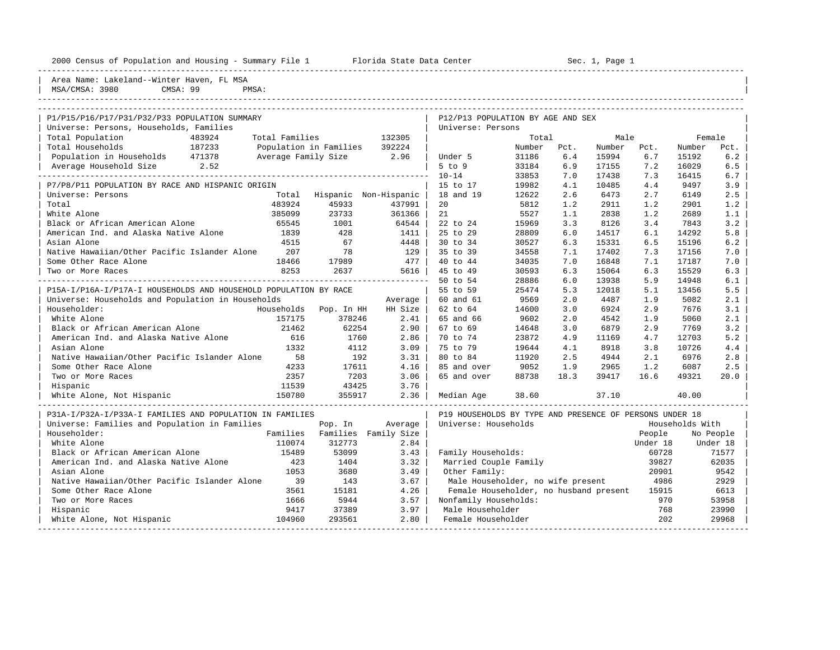|  |  |  | 2000 Census of Population and Housing - Summary File |  |  |  |  |  |  |
|--|--|--|------------------------------------------------------|--|--|--|--|--|--|
|--|--|--|------------------------------------------------------|--|--|--|--|--|--|

2000 - 2000 Census of Population and Housing Sec. 1, Page 1 File 1 and File 1 File 1 File 1

| Area Name: Lakeland--Winter Haven, FL MSA<br>MSA/CMSA: 3980<br>CMSA: 99<br>PMSA:         |                     |                               |         |                                                         |        |      |        |          |                 |           |
|------------------------------------------------------------------------------------------|---------------------|-------------------------------|---------|---------------------------------------------------------|--------|------|--------|----------|-----------------|-----------|
| P1/P15/P16/P17/P31/P32/P33 POPULATION SUMMARY<br>Universe: Persons, Households, Families |                     |                               |         | P12/P13 POPULATION BY AGE AND SEX<br>Universe: Persons  |        |      |        |          |                 |           |
| Total Population<br>483924                                                               | Total Families      |                               | 132305  |                                                         | Total  |      | Male   |          | Female          |           |
| Total Households<br>187233                                                               |                     | Population in Families        | 392224  |                                                         | Number | Pct. | Number | Pct.     | Number          | Pct.      |
| Population in Households 471378                                                          | Average Family Size |                               | 2.96    | Under 5                                                 | 31186  | 6.4  | 15994  | 6.7      | 15192           | 6.2       |
| Average Household Size 2.52                                                              |                     |                               |         | $5$ to $9$                                              | 33184  | 6.9  | 17155  | 7.2      | 16029           | 6.5       |
|                                                                                          |                     |                               |         | $10 - 14$                                               | 33853  | 7.0  | 17438  | 7.3      | 16415           | 6.7       |
| P7/P8/P11 POPULATION BY RACE AND HISPANIC ORIGIN                                         |                     |                               |         | 15 to 17                                                | 19982  | 4.1  | 10485  | 4.4      | 9497            | 3.9       |
| Universe: Persons                                                                        |                     | Total Hispanic Non-Hispanic   |         | 18 and 19                                               | 12622  | 2.6  | 6473   | 2.7      | 6149            | 2.5       |
| Total                                                                                    | 483924              | 45933                         | 437991  | 20                                                      | 5812   | 1.2  | 2911   | 1.2      | 2901            | 1.2       |
| White Alone                                                                              | 385099              | 23733                         | 361366  | 21                                                      | 5527   | 1.1  | 2838   | 1.2      | 2689            | 1.1       |
| Black or African American Alone                                                          | 65545               | 1001                          | 64544   | 22 to 24                                                | 15969  | 3.3  | 8126   | 3.4      | 7843            | 3.2       |
| American Ind. and Alaska Native Alone                                                    | 1839                | 428                           | 1411    | 25 to 29                                                | 28809  | 6.0  | 14517  | 6.1      | 14292           | 5.8       |
| Asian Alone                                                                              | 4515                | 67                            | 4448    | 30 to 34                                                | 30527  | 6.3  | 15331  | 6.5      | 15196           | 6.2       |
| Native Hawaiian/Other Pacific Islander Alone                                             | 207                 | 78                            | 129     | 35 to 39                                                | 34558  | 7.1  | 17402  | 7.3      | 17156           | 7.0       |
| Some Other Race Alone                                                                    | 18466               | 17989                         | 477     | 40 to 44                                                | 34035  | 7.0  | 16848  | 7.1      | 17187           | 7.0       |
| Two or More Races                                                                        | 8253                | 2637                          | 5616    | 45 to 49                                                | 30593  | 6.3  | 15064  | 6.3      | 15529           | 6.3       |
|                                                                                          |                     |                               |         | 50 to 54                                                | 28886  | 6.0  | 13938  | 5.9      | 14948           | 6.1       |
| P15A-I/P16A-I/P17A-I HOUSEHOLDS AND HOUSEHOLD POPULATION BY RACE                         |                     |                               |         | 55 to 59                                                | 25474  | 5.3  | 12018  | 5.1      | 13456           | 5.5       |
| Universe: Households and Population in Households                                        |                     |                               | Average | 60 and 61                                               | 9569   | 2.0  | 4487   | 1.9      | 5082            | 2.1       |
| Householder:                                                                             | Households          | Pop. In HH                    | HH Size | 62 to 64                                                | 14600  | 3.0  | 6924   | 2.9      | 7676            | 3.1       |
| White Alone                                                                              | 157175              | 378246                        | 2.41    | 65 and 66                                               | 9602   | 2.0  | 4542   | 1.9      | 5060            | 2.1       |
| Black or African American Alone                                                          | 21462               | 62254                         | 2.90    | 67 to 69                                                | 14648  | 3.0  | 6879   | 2.9      | 7769            | 3.2       |
| American Ind. and Alaska Native Alone                                                    | 616                 | 1760                          | 2.86    | 70 to 74                                                | 23872  | 4.9  | 11169  | 4.7      | 12703           | 5.2       |
| Asian Alone                                                                              | 1332                | 4112                          | 3.09    | 75 to 79                                                | 19644  | 4.1  | 8918   | 3.8      | 10726           | 4.4       |
| Native Hawaiian/Other Pacific Islander Alone                                             | 58                  | 192                           | 3.31    | 80 to 84                                                | 11920  | 2.5  | 4944   | 2.1      | 6976            | 2.8       |
| Some Other Race Alone                                                                    | 4233                | 17611                         | 4.16    | 85 and over                                             | 9052   | 1.9  | 2965   | 1.2      | 6087            | 2.5       |
| Two or More Races                                                                        | 2357                | 7203                          | 3.06    | 65 and over                                             | 88738  | 18.3 | 39417  | 16.6     | 49321           | 20.0      |
| Hispanic                                                                                 | 11539               | 43425                         | 3.76    |                                                         |        |      |        |          |                 |           |
| White Alone, Not Hispanic                                                                | 150780              | 355917                        | 2.36    | Median Age                                              | 38.60  |      | 37.10  |          | 40.00           |           |
| P31A-I/P32A-I/P33A-I FAMILIES AND POPULATION IN FAMILIES                                 |                     |                               |         | P19 HOUSEHOLDS BY TYPE AND PRESENCE OF PERSONS UNDER 18 |        |      |        |          |                 |           |
| Universe: Families and Population in Families                                            |                     | Pop. In                       | Average | Universe: Households                                    |        |      |        |          | Households With |           |
| Householder:                                                                             |                     | Families Families Family Size |         |                                                         |        |      |        | People   |                 | No People |
| White Alone                                                                              | 110074              | 312773                        | 2.84    |                                                         |        |      |        | Under 18 |                 | Under 18  |
| Black or African American Alone                                                          | 15489               | 53099                         | 3.43    | Family Households:                                      |        |      |        | 60728    |                 | 71577     |
| American Ind. and Alaska Native Alone                                                    | 423                 | 1404                          | 3.32    | Married Couple Family                                   |        |      |        | 39827    |                 | 62035     |
| Asian Alone                                                                              | 1053                | 3680                          | 3.49    | Other Family:                                           |        |      |        | 20901    |                 | 9542      |
| Native Hawaiian/Other Pacific Islander Alone                                             | 39                  | 143                           | 3.67    | Male Householder, no wife present                       |        |      |        | 4986     |                 | 2929      |
| Some Other Race Alone                                                                    | 3561                | 15181                         | 4.26    | Female Householder, no husband present                  |        |      |        | 15915    |                 | 6613      |
| Two or More Races                                                                        | 1666                | 5944                          | 3.57    | Nonfamily Households:                                   |        |      |        | 970      |                 | 53958     |
| Hispanic                                                                                 | 9417                | 37389                         | 3.97    | Male Householder                                        |        |      |        | 768      |                 | 23990     |
| White Alone, Not Hispanic                                                                | 104960              | 293561                        | 2.80    | Female Householder                                      |        |      |        | 202      |                 | 29968     |
| ------------------                                                                       |                     |                               |         |                                                         |        |      |        |          |                 |           |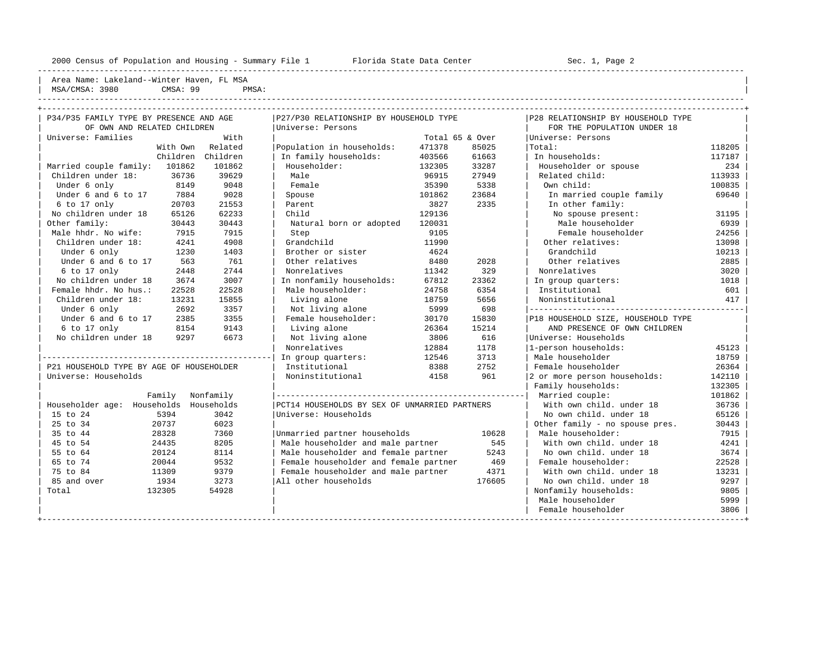----------------------------------------------------------------------------------------------------------------------------------------------------

Area Name: Lakeland--Winter Haven, FL MSA | MSA/CMSA: 3980 CMSA: 99 PMSA:

----------------------------------------------------------------------------------------------------------------------------------------------------

| P34/P35 FAMILY TYPE BY PRESENCE AND AGE  |           | P27/P30 RELATIONSHIP BY HOUSEHOLD TYPE        |                 |        | P28 RELATIONSHIP BY HOUSEHOLD TYPE |        |
|------------------------------------------|-----------|-----------------------------------------------|-----------------|--------|------------------------------------|--------|
| OF OWN AND RELATED CHILDREN              |           | Universe: Persons                             |                 |        | FOR THE POPULATION UNDER 18        |        |
| Universe: Families                       | With      |                                               | Total 65 & Over |        | Universe: Persons                  |        |
| With Own Related                         |           | Population in households:                     | 471378          | 85025  | Total:                             | 118205 |
| Children Children                        |           | In family households:                         | 403566          | 61663  | In households:                     | 117187 |
| Married couple family: 101862            | 101862    | Householder:                                  | 132305          | 33287  | Householder or spouse              | 234    |
| 36736<br>Children under 18:              | 39629     | Male                                          | 96915           | 27949  | Related child:                     | 113933 |
| 8149<br>Under 6 only                     | 9048      | Female                                        | 35390           | 5338   | Own child:                         | 100835 |
| Under 6 and 6 to 17<br>7884              | 9028      | Spouse                                        | 101862          | 23684  | In married couple family           | 69640  |
| 6 to 17 only<br>20703                    | 21553     | Parent                                        | 3827            | 2335   | In other family:                   |        |
| No children under 18<br>65126            | 62233     | Child                                         | 129136          |        | No spouse present:                 | 31195  |
| Other family:<br>30443                   | 30443     | Natural born or adopted                       | 120031          |        | Male householder                   | 6939   |
| Male hhdr. No wife:<br>7915              | 7915      | Step                                          | 9105            |        | Female householder                 | 24256  |
| Children under 18:<br>4241               | 4908      | Grandchild                                    | 11990           |        | Other relatives:                   | 13098  |
| Under 6 only<br>1230                     | 1403      | Brother or sister                             | 4624            |        | Grandchild                         | 10213  |
| Under 6 and 6 to 17<br>563               | 761       | Other relatives                               | 8480            | 2028   | Other relatives                    | 2885   |
| 6 to 17 only<br>2448                     | 2744      | Nonrelatives                                  | 11342           | 329    | Nonrelatives                       | 3020   |
| No children under 18<br>3674             | 3007      | In nonfamily households:                      | 67812           | 23362  | In group quarters:                 | 1018   |
| Female hhdr. No hus.:<br>22528           | 22528     | Male householder:                             | 24758           | 6354   | Institutional                      | 601    |
| Children under 18:<br>13231              | 15855     | Living alone                                  | 18759           | 5656   | Noninstitutional                   | 417    |
| Under 6 only<br>2692                     | 3357      | Not living alone                              | 5999            | 698    |                                    |        |
| Under 6 and 6 to 17<br>2385              | 3355      | Female householder:                           | 30170           | 15830  | P18 HOUSEHOLD SIZE, HOUSEHOLD TYPE |        |
| 6 to 17 only<br>8154                     | 9143      | Living alone                                  | 26364           | 15214  | AND PRESENCE OF OWN CHILDREN       |        |
| No children under 18<br>9297             | 6673      | Not living alone                              | 3806            | 616    | Universe: Households               |        |
|                                          |           | Nonrelatives                                  | 12884           | 1178   | 1-person households:               | 45123  |
|                                          |           | In group quarters:                            | 12546           | 3713   | Male householder                   | 18759  |
| P21 HOUSEHOLD TYPE BY AGE OF HOUSEHOLDER |           | Institutional                                 | 8388            | 2752   | Female householder                 | 26364  |
| Universe: Households                     |           | Noninstitutional                              | 4158            | 961    | 2 or more person households:       | 142110 |
|                                          |           |                                               |                 |        | Family households:                 | 132305 |
| Family                                   | Nonfamily |                                               |                 |        | Married couple:                    | 101862 |
| Householder age: Households Households   |           | PCT14 HOUSEHOLDS BY SEX OF UNMARRIED PARTNERS |                 |        | With own child, under 18           | 36736  |
| 15 to 24<br>5394                         | 3042      | Universe: Households                          |                 |        | No own child. under 18             | 65126  |
| 25 to 34<br>20737                        | 6023      |                                               |                 |        | Other family - no spouse pres.     | 30443  |
| 35 to 44<br>28328                        | 7360      | Unmarried partner households                  |                 | 10628  | Male householder:                  | 7915   |
| 45 to 54<br>24435                        | 8205      | Male householder and male partner             |                 | 545    | With own child, under 18           | 4241   |
| 55 to 64<br>20124                        | 8114      | Male householder and female partner           |                 | 5243   | No own child. under 18             | 3674   |
| 65 to 74<br>20044                        | 9532      | Female householder and female partner         |                 | 469    | Female householder:                | 22528  |
| 75 to 84<br>11309                        | 9379      | Female householder and male partner           |                 | 4371   | With own child, under 18           | 13231  |
| 85 and over<br>1934                      | 3273      | All other households                          |                 | 176605 | No own child. under 18             | 9297   |
| Total<br>132305                          | 54928     |                                               |                 |        | Nonfamily households:              | 9805   |
|                                          |           |                                               |                 |        | Male householder                   | 5999   |
|                                          |           |                                               |                 |        | Female householder                 | 3806   |
|                                          |           |                                               |                 |        |                                    |        |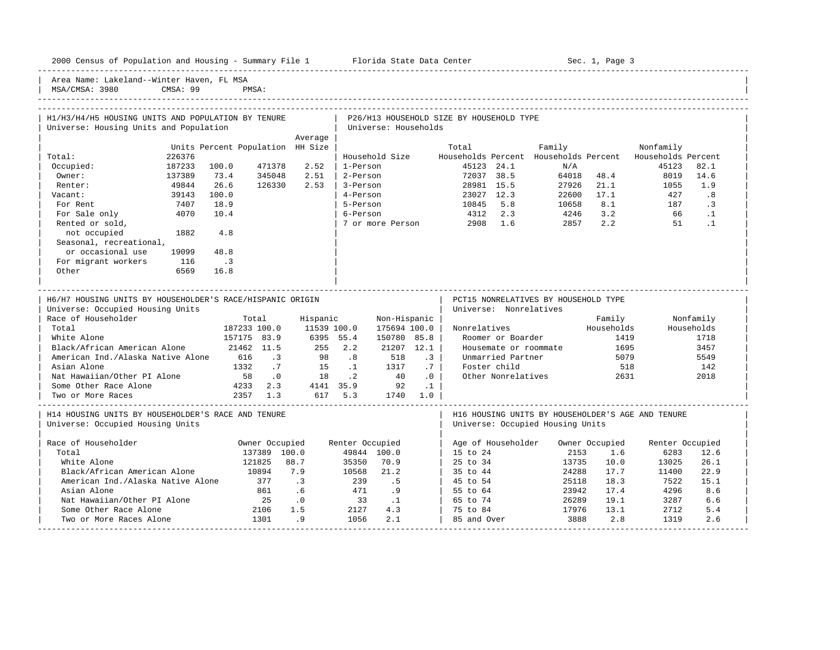----------------------------------------------------------------------------------------------------------------------------------------------------- Area Name: Lakeland--Winter Haven, FL MSA MSA/CMSA: 3980 CMSA: 99 PMSA: ----------------------------------------------------------------------------------------------------------------------------------------------------- | H1/H3/H4/H5 HOUSING UNITS AND POPULATION BY TENURE | P26/H13 HOUSEHOLD SIZE BY HOUSEHOLD TYPE | Universe: Housing Units and Population | Universe: Households | Average | Average | Average | Average | Average | Average | Average | Average | Average | Average | Average | Average | Average | Average | Average | Average | Average | Average | Average | Average | Average | Average | Units Percent Population HH Size | Total Family Nonfamily Nonfamily | Total: 226376 | Household Size Households Percent Households Percent Households Percent | 0ccupied: 187233 100.0 471378 2.52 | 1-Person 45123 24.1 N/A 45123 82.1 | Owner: 137389 73.4 345048 2.51 | 2-Person 72037 38.5 64018 48.4 8019 14.6 | | Renter: 49844 26.6 126330 2.53 | 3-Person 28981 15.5 27926 21.1 1055 1.9 | | Vacant: 39143 100.0 | 4-Person 23027 12.3 22600 17.1 427 .8 | | For Rent 7407 18.9 | 5-Person 10845 5.8 10658 8.1 187 .3 | | For Sale only 4070 10.4 | 6-Person 4312 2.3 4246 3.2 66 .1 | | Rented or sold, | 7 or more Person 2908 1.6 2857 2.2 51 .1 | not occupied 1882 4.8 Seasonal, recreational, or occasional use 19099 48.8 For migrant workers 116 .3  $\vert$  0ther 6569 16.8  $\vert$ | | | ----------------------------------------------------------------------------------------------------------------------------------------------------- | H6/H7 HOUSING UNITS BY HOUSEHOLDER'S RACE/HISPANIC ORIGIN | PCT15 NONRELATIVES BY HOUSEHOLD TYPE | Universe: Occupied Housing Units | Universe: Nonrelatives | Universe: Nonrelatives | Race of Householder Total Hispanic Non-Hispanic | Family Nonfamily | | Total 187233 100.0 11539 100.0 175694 100.0 | Nonrelatives Households Households | | White Alone 157175 83.9 6395 55.4 150780 85.8 | Roomer or Boarder 1419 1718 | | Black/African American Alone 21462 11.5 255 2.2 21207 12.1 | Housemate or roommate 1695 3457 | | American Ind./Alaska Native Alone 616 .3 98 .8 518 .3 | Unmarried Partner 5079 5549 | | Asian Alone 1332 .7 15 .1 1317 .7 | Foster child 518 142 | | Nat Hawaiian/Other PI Alone 58 .0 18 .2 40 .0 | Other Nonrelatives 2631 2018 | | Some Other Race Alone 4233 2.3 4141 35.9 92 .1 | | | Two or More Races 2357 1.3 617 5.3 1740 1.0 | | ----------------------------------------------------------------------------------------------------------------------------------------------------- | H14 HOUSING UNITS BY HOUSEHOLDER'S RACE AND TENURE | H16 HOUSING UNITS BY HOUSEHOLDER'S AGE AND TENURE | | Universe: Occupied Housing Units | Universe: Occupied Housing Units | | | | Pace of Householder Cocupied Wenter Occupied Renter Occupied | Age of Householder Owner Occupied Renter Occupied<br>137389 100.0 19844 100.0 | 15 to 24 2153 1.6 6283 12.6 | Total 137389 100.0 49844 100.0 | 15 to 24 2153 1.6 6283 12.6 | | White Alone 121825 88.7 35350 70.9 | 25 to 34 13735 10.0 13025 26.1 | | Black/African American Alone 10894 7.9 10568 21.2 | 35 to 44 24288 17.7 11400 22.9 | 1 American Ind./Alaska Native Alone 377 .3 239 .5<br>3 Asian Alone 261 .6 471 .9 | Asian Alone 861 .6 471 .9 | 55 to 64 23942 17.4 4296 8.6 | | Nat Hawaiian/Other PI Alone 25 .0 33 .1 | 65 to 74 26289 19.1 3287 6.6<br>
Some Other Race Alone 2106 1.5 2127 4.3 | 75 to 84 17976 13.1 2712 5.4<br>
Two or More Races Alone 1301 .9 1056 2.1 | 85 and Over 3888 2.8 1319 2.6 | Some Other Race Alone 2106 1.5 2127 4.3 | 75 to 84 17976 13.1 2712 5.4 |

| Two or More Races Alone 1301 .9 1056 2.1 | 85 and Over 3888 2.8 1319 2.6 | -----------------------------------------------------------------------------------------------------------------------------------------------------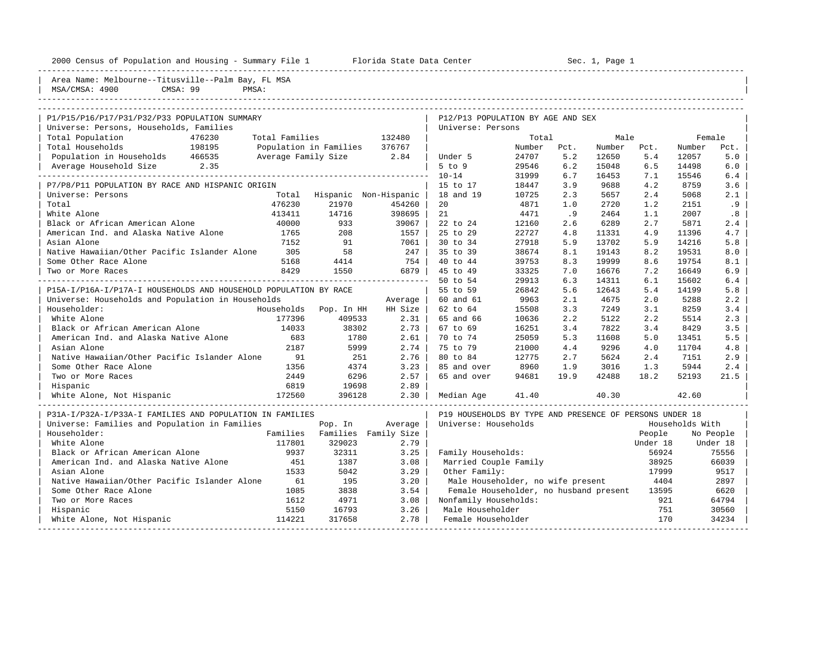| 2000 Census of Population and Housing - Summary File 1<br>Florida State Data Center |  |  | Sec. 1, Page 1 |
|-------------------------------------------------------------------------------------|--|--|----------------|
|-------------------------------------------------------------------------------------|--|--|----------------|

| Area Name: Melbourne--Titusville--Palm Bay, FL MSA<br>MSA/CMSA: 4900<br>CMSA: 99 | PMSA:               |                        |                        |                                                         |                 |             |                |             |                  |             |
|----------------------------------------------------------------------------------|---------------------|------------------------|------------------------|---------------------------------------------------------|-----------------|-------------|----------------|-------------|------------------|-------------|
|                                                                                  |                     |                        |                        |                                                         |                 |             |                |             |                  |             |
|                                                                                  |                     |                        |                        |                                                         |                 |             |                |             |                  |             |
| P1/P15/P16/P17/P31/P32/P33 POPULATION SUMMARY                                    |                     |                        |                        | P12/P13 POPULATION BY AGE AND SEX                       |                 |             |                |             |                  |             |
| Universe: Persons, Households, Families                                          |                     |                        |                        | Universe: Persons                                       |                 |             |                |             |                  |             |
| Total Population<br>476230<br>Total Households<br>198195                         | Total Families      |                        | 132480<br>376767       |                                                         | Total<br>Number |             | Male<br>Number |             | Female<br>Number |             |
| Population in Households 466535                                                  | Average Family Size | Population in Families | 2.84                   | Under 5                                                 | 24707           | Pct.<br>5.2 | 12650          | Pct.<br>5.4 | 12057            | Pct.<br>5.0 |
| Average Household Size<br>2.35                                                   |                     |                        |                        | $5$ to $9$                                              | 29546           | 6.2         | 15048          | 6.5         | 14498            | 6.0         |
|                                                                                  |                     |                        |                        | $10 - 14$                                               | 31999           | 6.7         | 16453          | 7.1         | 15546            | 6.4         |
| P7/P8/P11 POPULATION BY RACE AND HISPANIC ORIGIN                                 |                     |                        |                        | 15 to 17                                                | 18447           | 3.9         | 9688           | 4.2         | 8759             | 3.6         |
| Universe: Persons                                                                | Total               |                        | Hispanic Non-Hispanic  | 18 and 19                                               | 10725           | 2.3         | 5657           | 2.4         | 5068             | 2.1         |
| Total                                                                            | 476230              | 21970                  | 454260                 | 20                                                      | 4871            | 1.0         | 2720           | 1.2         | 2151             | .9          |
| White Alone                                                                      | 413411              | 14716                  | 398695                 | 21                                                      | 4471            | .9          | 2464           | 1.1         | 2007             | .8          |
| Black or African American Alone                                                  | 40000               | 933                    | 39067                  | 22 to 24                                                | 12160           | 2.6         | 6289           | 2.7         | 5871             | 2.4         |
| American Ind. and Alaska Native Alone                                            | 1765                | 208                    | 1557                   | 25 to 29                                                | 22727           | 4.8         | 11331          | 4.9         | 11396            | 4.7         |
| Asian Alone                                                                      | 7152                | 91                     | 7061                   | 30 to 34                                                | 27918           | 5.9         | 13702          | 5.9         | 14216            | 5.8         |
| Native Hawaiian/Other Pacific Islander Alone                                     | 305                 | 58                     | 247                    | 35 to 39                                                | 38674           | 8.1         | 19143          | 8.2         | 19531            | 8.0         |
| Some Other Race Alone                                                            | 5168                | 4414                   | 754                    | 40 to 44                                                | 39753           | 8.3         | 19999          | 8.6         | 19754            | 8.1         |
| Two or More Races                                                                | 8429                | 1550                   | 6879                   | 45 to 49                                                | 33325           | 7.0         | 16676          | 7.2         | 16649            | 6.9         |
|                                                                                  |                     |                        | ---------------------- | 50 to 54                                                | 29913           | 6.3         | 14311          | 6.1         | 15602            | 6.4         |
| P15A-I/P16A-I/P17A-I HOUSEHOLDS AND HOUSEHOLD POPULATION BY RACE                 |                     |                        |                        | 55 to 59                                                | 26842           | 5.6         | 12643          | 5.4         | 14199            | 5.8         |
| Universe: Households and Population in Households                                |                     |                        | Average                | 60 and 61                                               | 9963            | 2.1         | 4675           | 2.0         | 5288             | 2.2         |
| Householder:                                                                     | Households          | Pop. In HH             | HH Size                | 62 to 64                                                | 15508           | 3.3         | 7249           | 3.1         | 8259             | 3.4         |
| White Alone                                                                      | 177396              | 409533                 | 2.31                   | 65 and 66                                               | 10636           | 2.2         | 5122           | 2.2         | 5514             | 2.3         |
| Black or African American Alone                                                  | 14033               | 38302                  | 2.73                   | 67 to 69                                                | 16251           | 3.4         | 7822           | 3.4         | 8429             | 3.5         |
| American Ind. and Alaska Native Alone                                            | 683                 | 1780                   | 2.61                   | 70 to 74                                                | 25059           | 5.3         | 11608          | 5.0         | 13451            | 5.5         |
| Asian Alone                                                                      | 2187                | 5999                   | 2.74                   | 75 to 79                                                | 21000           | 4.4         | 9296           | 4.0         | 11704            | 4.8         |
| Native Hawaiian/Other Pacific Islander Alone                                     | 91                  | 251                    | 2.76                   | 80 to 84                                                | 12775           | 2.7         | 5624           | 2.4         | 7151             | 2.9         |
| Some Other Race Alone                                                            | 1356                | 4374                   | 3.23                   | 85 and over                                             | 8960            | 1.9         | 3016           | 1.3         | 5944             |             |
|                                                                                  | 2449                | 6296                   | 2.57                   | 65 and over                                             | 94681           | 19.9        | 42488          | 18.2        | 52193            | 2.4         |
| Two or More Races                                                                |                     |                        |                        |                                                         |                 |             |                |             |                  | 21.5        |
| Hispanic                                                                         | 6819<br>172560      | 19698<br>396128        | 2.89<br>2.30           |                                                         |                 |             | 40.30          |             |                  |             |
| White Alone, Not Hispanic                                                        |                     |                        |                        | Median Age                                              | 41.40           |             |                |             | 42.60            |             |
| P31A-I/P32A-I/P33A-I FAMILIES AND POPULATION IN FAMILIES                         |                     |                        |                        | P19 HOUSEHOLDS BY TYPE AND PRESENCE OF PERSONS UNDER 18 |                 |             |                |             |                  |             |
| Universe: Families and Population in Families                                    |                     | Pop. In                | Average                | Universe: Households                                    |                 |             |                |             | Households With  |             |
| Householder:                                                                     | Families            |                        | Families Family Size   |                                                         |                 |             |                | People      |                  | No People   |
| White Alone                                                                      | 117801              | 329023                 | 2.79                   |                                                         |                 |             |                | Under 18    |                  | Under 18    |
| Black or African American Alone                                                  | 9937                | 32311                  | 3.25                   | Family Households:                                      |                 |             |                | 56924       |                  | 75556       |
| American Ind. and Alaska Native Alone                                            | 451                 | 1387                   | 3.08                   | Married Couple Family                                   |                 |             |                | 38925       |                  | 66039       |
| Asian Alone                                                                      | 1533                | 5042                   | 3.29                   | Other Family:                                           |                 |             |                | 17999       |                  | 9517        |
| Native Hawaiian/Other Pacific Islander Alone                                     | 61                  | 195                    | 3.20                   | Male Householder, no wife present                       |                 |             |                | 4404        |                  | 2897        |
| Some Other Race Alone                                                            | 1085                | 3838                   | 3.54                   | Female Householder, no husband present                  |                 |             |                | 13595       |                  | 6620        |
| Two or More Races                                                                | 1612                | 4971                   | 3.08                   | Nonfamily Households:                                   |                 |             |                | 921         |                  | 64794       |
| Hispanic                                                                         | 5150                | 16793                  | 3.26                   | Male Householder                                        |                 |             |                | 751         |                  | 30560       |
| White Alone, Not Hispanic                                                        | 114221              | 317658                 | 2.78                   | Female Householder                                      |                 |             |                | 170         |                  | 34234       |
|                                                                                  |                     |                        |                        |                                                         |                 |             |                |             |                  |             |

-----------------------------------------------------------------------------------------------------------------------------------------------------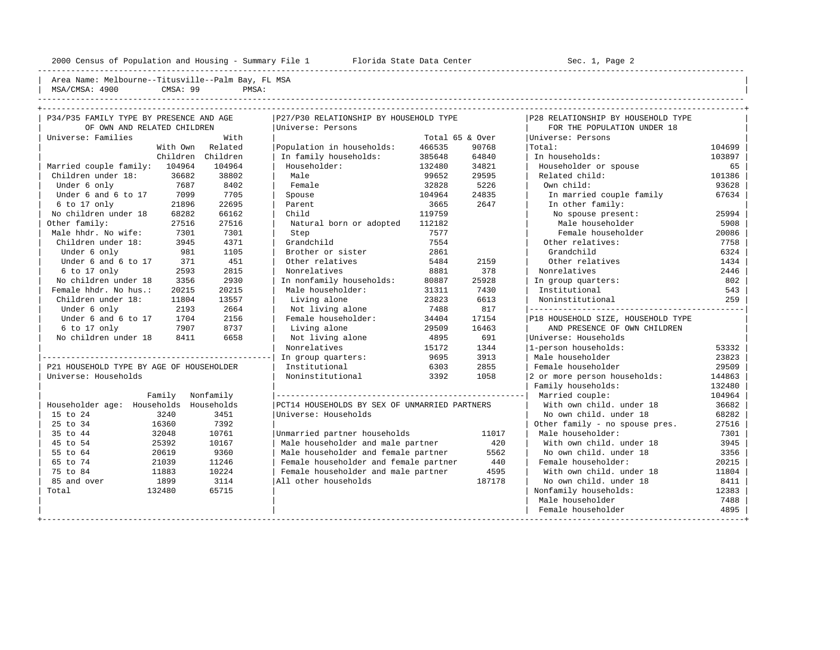---------------------------------------------------------------------------------------------------------------------------------------------------- | Area Name: Melbourne--Titusville--Palm Bay, FL MSA | | MSA/CMSA: 4900 CMSA: 99 PMSA:

| P34/P35 FAMILY TYPE BY PRESENCE AND AGE  |                   | P27/P30 RELATIONSHIP BY HOUSEHOLD TYPE        |                 |        | P28 RELATIONSHIP BY HOUSEHOLD TYPE |        |
|------------------------------------------|-------------------|-----------------------------------------------|-----------------|--------|------------------------------------|--------|
| OF OWN AND RELATED CHILDREN              |                   | Universe: Persons                             |                 |        | FOR THE POPULATION UNDER 18        |        |
| Universe: Families                       | With              |                                               | Total 65 & Over |        | Universe: Persons                  |        |
| With Own                                 | Related           | Population in households:                     | 466535          | 90768  | Total:                             | 104699 |
|                                          | Children Children | In family households:                         | 385648          | 64840  | In households:                     | 103897 |
| Married couple family: 104964            | 104964            | Householder:                                  | 132480          | 34821  | Householder or spouse              | 65     |
| Children under 18:<br>36682              | 38802             | Male                                          | 99652           | 29595  | Related child:                     | 101386 |
| 7687<br>Under 6 only                     | 8402              | Female                                        | 32828           | 5226   | Own child:                         | 93628  |
| Under 6 and 6 to 17<br>7099              | 7705              | Spouse                                        | 104964          | 24835  | In married couple family           | 67634  |
| 6 to 17 only<br>21896                    | 22695             | Parent                                        | 3665            | 2647   | In other family:                   |        |
| No children under 18<br>68282            | 66162             | Child                                         | 119759          |        | No spouse present:                 | 25994  |
| Other family:<br>27516                   | 27516             | Natural born or adopted                       | 112182          |        | Male householder                   | 5908   |
| Male hhdr. No wife:<br>7301              | 7301              | Step                                          | 7577            |        | Female householder                 | 20086  |
| Children under 18:<br>3945               | 4371              | Grandchild                                    | 7554            |        | Other relatives:                   | 7758   |
| 981<br>Under 6 only                      | 1105              | Brother or sister                             | 2861            |        | Grandchild                         | 6324   |
| Under 6 and 6 to 17<br>371               | 451               | Other relatives                               | 5484            | 2159   | Other relatives                    | 1434   |
| 6 to 17 only<br>2593                     | 2815              | Nonrelatives                                  | 8881            | 378    | Nonrelatives                       | 2446   |
| No children under 18<br>3356             | 2930              | In nonfamily households:                      | 80887           | 25928  | In group quarters:                 | 802    |
| Female hhdr. No hus.:<br>20215           | 20215             | Male householder:                             | 31311           | 7430   | Institutional                      | 543    |
| Children under 18:<br>11804              | 13557             | Living alone                                  | 23823           | 6613   | Noninstitutional                   | 259    |
| Under 6 only<br>2193                     | 2664              | Not living alone                              | 7488            | 817    |                                    |        |
| Under 6 and 6 to 17<br>1704              | 2156              | Female householder:                           | 34404           | 17154  | P18 HOUSEHOLD SIZE, HOUSEHOLD TYPE |        |
| 6 to 17 only<br>7907                     | 8737              | Living alone                                  | 29509           | 16463  | AND PRESENCE OF OWN CHILDREN       |        |
| No children under 18<br>8411             | 6658              | Not living alone                              | 4895            | 691    | Universe: Households               |        |
|                                          |                   | Nonrelatives                                  | 15172           | 1344   | 1-person households:               | 53332  |
|                                          |                   | In group quarters:                            | 9695            | 3913   | Male householder                   | 23823  |
| P21 HOUSEHOLD TYPE BY AGE OF HOUSEHOLDER |                   | Institutional                                 | 6303            | 2855   | Female householder                 | 29509  |
| Universe: Households                     |                   | Noninstitutional                              | 3392            | 1058   | 2 or more person households:       | 144863 |
|                                          |                   |                                               |                 |        | Family households:                 | 132480 |
| Family                                   | Nonfamily         |                                               |                 |        | Married couple:                    | 104964 |
| Householder age: Households              | Households        | PCT14 HOUSEHOLDS BY SEX OF UNMARRIED PARTNERS |                 |        | With own child, under 18           | 36682  |
| 15 to 24<br>3240                         | 3451              | Universe: Households                          |                 |        | No own child. under 18             | 68282  |
| 25 to 34<br>16360                        | 7392              |                                               |                 |        | Other family - no spouse pres.     | 27516  |
| 35 to 44<br>32048                        | 10761             | Unmarried partner households                  |                 | 11017  | Male householder:                  | 7301   |
| 45 to 54<br>25392                        | 10167             | Male householder and male partner             |                 | 420    | With own child, under 18           | 3945   |
| 55 to 64<br>20619                        | 9360              | Male householder and female partner           |                 | 5562   | No own child. under 18             | 3356   |
| 65 to 74<br>21039                        | 11246             | Female householder and female partner         |                 | 440    | Female householder:                | 20215  |
| 75 to 84<br>11883                        | 10224             | Female householder and male partner           |                 | 4595   | With own child, under 18           | 11804  |
| 85 and over<br>1899                      | 3114              | All other households                          |                 | 187178 | No own child, under 18             | 8411   |
| Total<br>132480                          | 65715             |                                               |                 |        | Nonfamily households:              | 12383  |
|                                          |                   |                                               |                 |        | Male householder                   | 7488   |
|                                          |                   |                                               |                 |        | Female householder                 | 4895   |
|                                          |                   |                                               |                 |        |                                    |        |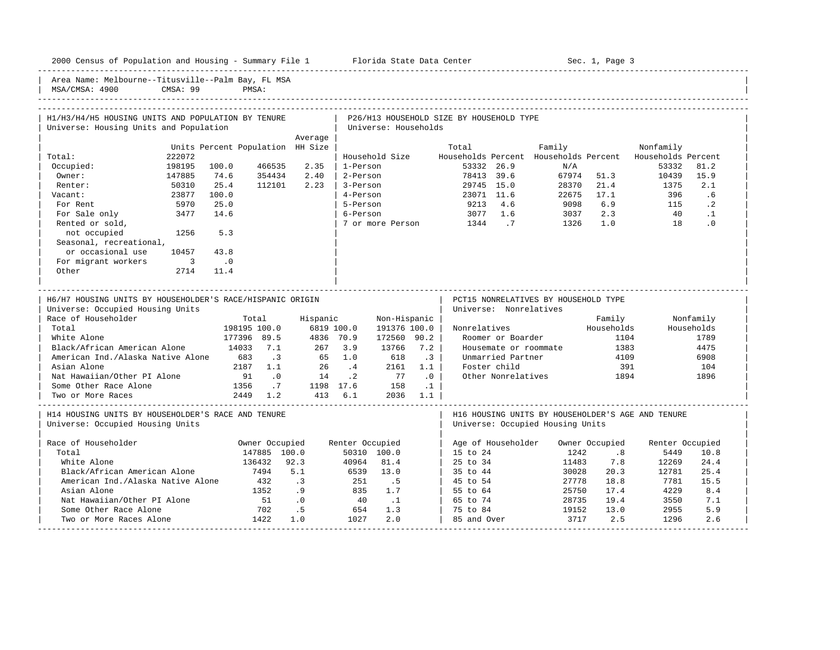| 2000 Census of Population and Housing - Summary File 1 Florida State Data Center |          |                                  |                  |           |                 |                      |            | Sec. 1, Page 3                           |                    |                                                   |                |                    |            |
|----------------------------------------------------------------------------------|----------|----------------------------------|------------------|-----------|-----------------|----------------------|------------|------------------------------------------|--------------------|---------------------------------------------------|----------------|--------------------|------------|
| Area Name: Melbourne--Titusville--Palm Bay, FL MSA<br>MSA/CMSA: 4900             | CMSA: 99 |                                  | PMSA:            |           |                 |                      |            |                                          |                    |                                                   |                |                    |            |
|                                                                                  |          |                                  |                  |           |                 |                      |            |                                          |                    |                                                   |                |                    |            |
| H1/H3/H4/H5 HOUSING UNITS AND POPULATION BY TENURE                               |          |                                  |                  |           |                 |                      |            | P26/H13 HOUSEHOLD SIZE BY HOUSEHOLD TYPE |                    |                                                   |                |                    |            |
| Universe: Housing Units and Population                                           |          |                                  |                  |           |                 | Universe: Households |            |                                          |                    |                                                   |                |                    |            |
|                                                                                  |          |                                  |                  | Average   |                 |                      |            |                                          |                    |                                                   |                |                    |            |
|                                                                                  |          | Units Percent Population HH Size |                  |           |                 |                      |            | Total                                    |                    | Family                                            |                | Nonfamily          |            |
| Total:                                                                           | 222072   |                                  |                  |           |                 | Household Size       |            |                                          |                    | Households Percent Households Percent             |                | Households Percent |            |
| Occupied:                                                                        | 198195   | 100.0                            | 466535           | 2.35      | 1-Person        |                      |            | 53332 26.9                               |                    | N/A                                               |                | 53332              | 81.2       |
| Owner:                                                                           | 147885   | 74.6                             | 354434           | 2.40      | 2-Person        |                      |            | 78413 39.6                               |                    |                                                   | 67974 51.3     | 10439              | 15.9       |
| Renter:                                                                          | 50310    | 25.4                             | 112101           | 2.23      | 3-Person        |                      |            | 29745 15.0                               |                    | 28370                                             | 21.4           | 1375               | 2.1        |
| Vacant:                                                                          | 23877    | 100.0                            |                  |           | 4-Person        |                      |            | 23071 11.6                               |                    | 22675                                             | 17.1           | 396                | .6         |
| For Rent                                                                         | 5970     | 25.0                             |                  |           | 5-Person        |                      |            | 9213                                     | 4.6                | 9098                                              | 6.9            | 115                | $\cdot$ 2  |
| For Sale only                                                                    | 3477     | 14.6                             |                  |           | 6-Person        |                      |            |                                          | 3077 1.6           | 3037                                              | 2.3            | 40                 | $\cdot$ 1  |
| Rented or sold,                                                                  |          |                                  |                  |           |                 | 7 or more Person     |            | 1344                                     | $\cdot$ 7          | 1326                                              | 1.0            | 18                 | $\cdot$ 0  |
| not occupied                                                                     | 1256     | 5.3                              |                  |           |                 |                      |            |                                          |                    |                                                   |                |                    |            |
| Seasonal, recreational,                                                          |          |                                  |                  |           |                 |                      |            |                                          |                    |                                                   |                |                    |            |
| or occasional use                                                                | 10457    | 43.8                             |                  |           |                 |                      |            |                                          |                    |                                                   |                |                    |            |
| For migrant workers                                                              | $\sim$ 3 | $\overline{\phantom{0}}$ .0      |                  |           |                 |                      |            |                                          |                    |                                                   |                |                    |            |
| Other                                                                            | 2714     | 11.4                             |                  |           |                 |                      |            |                                          |                    |                                                   |                |                    |            |
| Universe: Occupied Housing Units<br>Race of Householder                          |          |                                  | Total            |           | Hispanic        | Non-Hispanic         |            |                                          |                    | Universe: Nonrelatives                            | Family         |                    | Nonfamily  |
| Total                                                                            |          |                                  | 198195 100.0     |           | 6819 100.0      | 191376 100.0         |            | Nonrelatives                             |                    |                                                   | Households     |                    | Households |
| White Alone                                                                      |          |                                  | 177396 89.5      |           | 4836 70.9       | 172560 90.2          |            |                                          | Roomer or Boarder  |                                                   | 1104           |                    | 1789       |
| Black/African American Alone                                                     |          | 14033                            | 7.1              | 267       | 3.9             | 13766                | 7.2        |                                          |                    | Housemate or roommate                             | 1383           |                    | 4475       |
| American Ind./Alaska Native Alone                                                |          | 683                              | $\overline{3}$   | 65        | 1.0             | 618                  | $\cdot$ 3  |                                          | Unmarried Partner  |                                                   | 4109           |                    | 6908       |
| Asian Alone                                                                      |          | 2187                             | 1.1              | 26        | $\cdot$ 4       | 2161                 | 1.1        |                                          | Foster child       |                                                   | 391            |                    | 104        |
| Nat Hawaiian/Other PI Alone                                                      |          | 91                               | $\overline{0}$ . | 14        | $\cdot$ . 2     | 77                   | .0         |                                          | Other Nonrelatives |                                                   | 1894           |                    | 1896       |
| Some Other Race Alone                                                            |          | 1356                             | .7               |           | 1198 17.6       | 158                  | $\ldots$ 1 |                                          |                    |                                                   |                |                    |            |
| Two or More Races                                                                |          |                                  | 2449 1.2         |           | 413 6.1         |                      | 2036 1.1   |                                          |                    |                                                   |                |                    |            |
| H14 HOUSING UNITS BY HOUSEHOLDER'S RACE AND TENURE                               |          |                                  |                  |           |                 |                      |            |                                          |                    | H16 HOUSING UNITS BY HOUSEHOLDER'S AGE AND TENURE |                |                    |            |
| Universe: Occupied Housing Units                                                 |          |                                  |                  |           |                 |                      |            |                                          |                    | Universe: Occupied Housing Units                  |                |                    |            |
|                                                                                  |          |                                  |                  |           |                 |                      |            |                                          |                    |                                                   |                |                    |            |
| Race of Householder                                                              |          |                                  | Owner Occupied   |           | Renter Occupied |                      |            | Age of Householder                       |                    |                                                   | Owner Occupied | Renter Occupied    |            |
| Total                                                                            |          |                                  | 147885 100.0     |           |                 | 50310 100.0          |            | 15 to 24                                 |                    | 1242                                              | .8             | 5449               | 10.8       |
| White Alone                                                                      |          |                                  | 136432           | 92.3      | 40964           | 81.4                 |            | 25 to 34                                 |                    | 11483                                             | 7.8            | 12269              | 24.4       |
| Black/African American Alone                                                     |          |                                  | 7494             | 5.1       | 6539            | 13.0                 |            | 35 to 44                                 |                    | 30028                                             | 20.3           | 12781              | 25.4       |
| American Ind./Alaska Native Alone                                                |          |                                  | 432              | $\cdot$ 3 | 251             | .5                   |            | 45 to 54                                 |                    | 27778                                             | 18.8           | 7781               | 15.5       |
| Asian Alone                                                                      |          |                                  | 1352             | .9        | 835             | 1.7                  |            | 55 to 64                                 |                    | 25750                                             | 17.4           | 4229               | 8.4        |
| Nat Hawaiian/Other PI Alone                                                      |          |                                  | 51               | $\cdot$ 0 | 40              | $\cdot$ .1           |            | 65 to 74                                 |                    | 28735                                             | 19.4           | 3550               | 7.1        |
| Some Other Race Alone                                                            |          |                                  | 702              | .5        | 654             | 1.3                  |            | 75 to 84                                 |                    | 19152                                             | 13.0           | 2955               | 5.9        |
| Two or More Races Alone                                                          |          |                                  | 1422             | 1.0       | 1027            | 2.0                  |            | 85 and Over                              |                    | 3717                                              | 2.5            | 1296               | 2.6        |

-----------------------------------------------------------------------------------------------------------------------------------------------------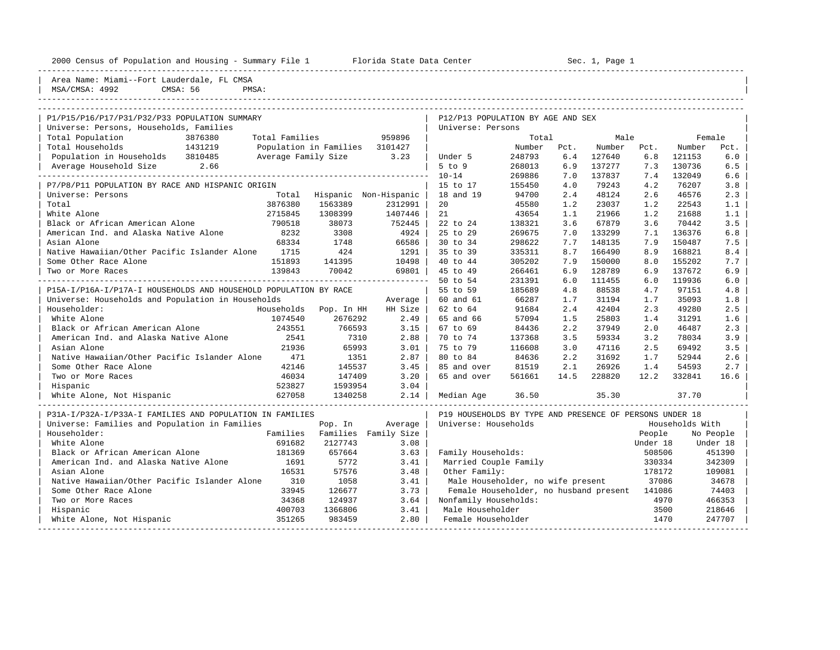|  |  |  | 2000 Census of Population and Housing - Summary File 1 |  |  |  |  |  |  |  |
|--|--|--|--------------------------------------------------------|--|--|--|--|--|--|--|
|--|--|--|--------------------------------------------------------|--|--|--|--|--|--|--|

2000 Florida State Data Center - Sec. 1, Page 1

| Area Name: Miami--Fort Lauderdale, FL CMSA<br>MSA/CMSA: 4992<br>CMSA: 56                 | PMSA:               |                        |                          |                                                         |        |      |        |          |                 |           |
|------------------------------------------------------------------------------------------|---------------------|------------------------|--------------------------|---------------------------------------------------------|--------|------|--------|----------|-----------------|-----------|
| ---------------------------------                                                        |                     |                        |                          |                                                         |        |      |        |          |                 |           |
|                                                                                          |                     |                        |                          |                                                         |        |      |        |          |                 |           |
| P1/P15/P16/P17/P31/P32/P33 POPULATION SUMMARY<br>Universe: Persons, Households, Families |                     |                        |                          | P12/P13 POPULATION BY AGE AND SEX<br>Universe: Persons  |        |      |        |          |                 |           |
| Total Population<br>3876380                                                              | Total Families      |                        | 959896                   |                                                         | Total  |      | Male   |          | Female          |           |
| Total Households<br>1431219                                                              |                     | Population in Families | 3101427                  |                                                         | Number | Pct. | Number | Pct.     | Number          | Pct.      |
| Population in Households 3810485                                                         | Average Family Size |                        | 3.23                     | Under 5                                                 | 248793 | 6.4  | 127640 | 6.8      | 121153          | 6.0       |
| Average Household Size<br>2.66                                                           |                     |                        |                          | $5$ to $9$                                              | 268013 | 6.9  | 137277 | 7.3      | 130736          | 6.5       |
|                                                                                          |                     |                        |                          | $10 - 14$                                               | 269886 | 7.0  | 137837 | 7.4      | 132049          | 6.6       |
| P7/P8/P11 POPULATION BY RACE AND HISPANIC ORIGIN                                         |                     |                        |                          | 15 to 17                                                | 155450 | 4.0  | 79243  | 4.2      | 76207           | 3.8       |
| Universe: Persons                                                                        | Total               |                        | Hispanic Non-Hispanic    | 18 and 19                                               | 94700  | 2.4  | 48124  | 2.6      | 46576           | 2.3       |
| Total                                                                                    | 3876380             | 1563389                | 2312991                  | 20                                                      | 45580  | 1.2  | 23037  | 1.2      | 22543           | 1.1       |
| White Alone                                                                              | 2715845             | 1308399                | 1407446                  | 21                                                      | 43654  | 1.1  | 21966  | 1.2      | 21688           | 1.1       |
| Black or African American Alone                                                          | 790518              | 38073                  | 752445                   | 22 to 24                                                | 138321 | 3.6  | 67879  | 3.6      | 70442           | 3.5       |
| American Ind. and Alaska Native Alone                                                    | 8232                | 3308                   | 4924                     | 25 to 29                                                | 269675 | 7.0  | 133299 | 7.1      | 136376          | 6.8       |
| Asian Alone                                                                              | 68334               | 1748                   | 66586                    | 30 to 34                                                | 298622 | 7.7  | 148135 | 7.9      | 150487          | 7.5       |
| Native Hawaiian/Other Pacific Islander Alone                                             | 1715                | 424                    | 1291                     | 35 to 39                                                | 335311 | 8.7  | 166490 | 8.9      | 168821          | 8.4       |
| Some Other Race Alone                                                                    | 151893              | 141395                 | 10498                    | 40 to 44                                                | 305202 | 7.9  | 150000 | 8.0      | 155202          | 7.7       |
| Two or More Races                                                                        | 139843              | 70042                  | 69801                    | 45 to 49                                                | 266461 | 6.9  | 128789 | 6.9      | 137672          | 6.9       |
|                                                                                          |                     |                        | ________________________ | 50 to 54                                                | 231391 | 6.0  | 111455 | 6.0      | 119936          | 6.0       |
| P15A-I/P16A-I/P17A-I HOUSEHOLDS AND HOUSEHOLD POPULATION BY RACE                         |                     |                        |                          | 55 to 59                                                | 185689 | 4.8  | 88538  | 4.7      | 97151           | 4.8       |
| Universe: Households and Population in Households                                        |                     |                        | Average                  | 60 and 61                                               | 66287  | 1.7  | 31194  | 1.7      | 35093           | 1.8       |
| Householder:                                                                             | Households          | Pop. In HH             | HH Size                  | 62 to 64                                                | 91684  | 2.4  | 42404  | 2.3      | 49280           | 2.5       |
| White Alone                                                                              | 1074540             | 2676292                | 2.49                     | 65 and 66                                               | 57094  | 1.5  | 25803  | 1.4      | 31291           | 1.6       |
| Black or African American Alone                                                          | 243551              | 766593                 | $3.15$                   | 67 to 69                                                | 84436  | 2.2  | 37949  | 2.0      | 46487           | 2.3       |
| American Ind. and Alaska Native Alone                                                    | 2541                | 7310                   | 2.88                     | 70 to 74                                                | 137368 | 3.5  | 59334  | 3.2      | 78034           | 3.9       |
| Asian Alone                                                                              | 21936               | 65993                  | 3.01                     | 75 to 79                                                | 116608 | 3.0  | 47116  | 2.5      | 69492           | 3.5       |
| Native Hawaiian/Other Pacific Islander Alone                                             | 471                 | 1351                   | 2.87                     | 80 to 84                                                | 84636  | 2.2  | 31692  | 1.7      | 52944           | 2.6       |
| Some Other Race Alone                                                                    | 42146               | 145537                 | 3.45                     | 85 and over                                             | 81519  | 2.1  | 26926  | 1.4      | 54593           | 2.7       |
| Two or More Races                                                                        | 46034               | 147409                 | 3.20                     | 65 and over                                             | 561661 | 14.5 | 228820 | 12.2     | 332841          | 16.6      |
| Hispanic                                                                                 | 523827              | 1593954                | 3.04                     |                                                         |        |      |        |          |                 |           |
| White Alone, Not Hispanic                                                                | 627058              | 1340258                | 2.14                     | Median Age                                              | 36.50  |      | 35.30  |          | 37.70           |           |
|                                                                                          |                     |                        |                          |                                                         |        |      |        |          |                 |           |
| P31A-I/P32A-I/P33A-I FAMILIES AND POPULATION IN FAMILIES                                 |                     |                        |                          | P19 HOUSEHOLDS BY TYPE AND PRESENCE OF PERSONS UNDER 18 |        |      |        |          |                 |           |
| Universe: Families and Population in Families                                            |                     | Pop. In                | Average                  | Universe: Households                                    |        |      |        |          | Households With |           |
| Householder:                                                                             | Families            | Families               | Family Size              |                                                         |        |      |        | People   |                 | No People |
| White Alone                                                                              | 691682              | 2127743                | 3.08                     |                                                         |        |      |        | Under 18 |                 | Under 18  |
| Black or African American Alone                                                          | 181369              | 657664                 | 3.63                     | Family Households:                                      |        |      |        | 508506   |                 | 451390    |
| American Ind. and Alaska Native Alone                                                    | 1691                | 5772                   | 3.41                     | Married Couple Family                                   |        |      |        | 330334   |                 | 342309    |
| Asian Alone                                                                              | 16531               | 57576                  | 3.48                     | Other Family:                                           |        |      |        | 178172   |                 | 109081    |
| Native Hawaiian/Other Pacific Islander Alone                                             | 310                 | 1058                   | 3.41                     | Male Householder, no wife present                       |        |      |        | 37086    |                 | 34678     |
| Some Other Race Alone                                                                    | 33945               | 126677                 | 3.73                     | Female Householder, no husband present                  |        |      |        | 141086   |                 | 74403     |
| Two or More Races                                                                        | 34368               | 124937                 | 3.64                     | Nonfamily Households:                                   |        |      |        | 4970     |                 | 466353    |
| Hispanic                                                                                 | 400703              | 1366806                | 3.41                     | Male Householder                                        |        |      |        | 3500     |                 | 218646    |
| White Alone, Not Hispanic                                                                | 351265              | 983459                 | 2.80                     | Female Householder                                      |        |      |        | 1470     |                 | 247707    |

-----------------------------------------------------------------------------------------------------------------------------------------------------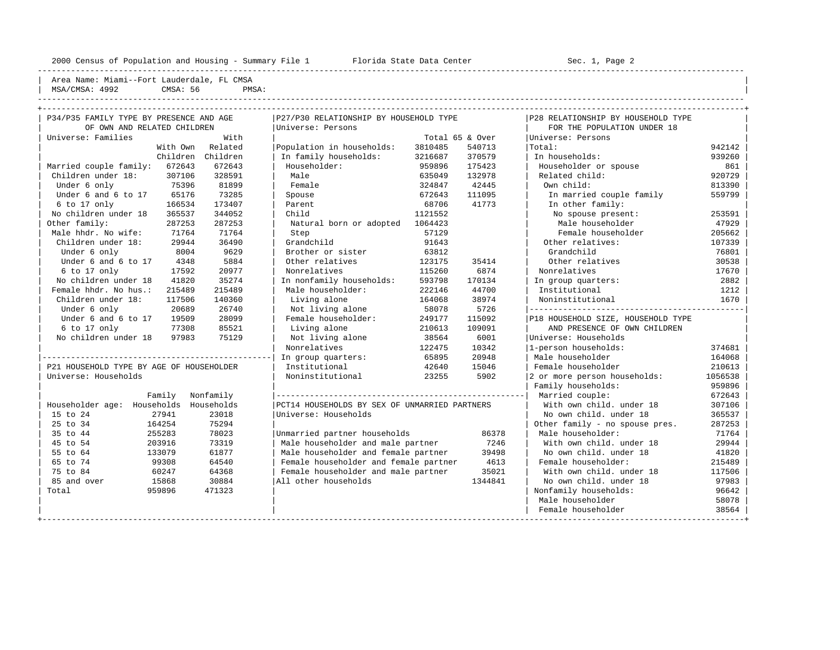---------------------------------------------------------------------------------------------------------------------------------------------------- | Area Name: Miami--Fort Lauderdale, FL CMSA | | MSA/CMSA: 4992 CMSA: 56 PMSA:

----------------------------------------------------------------------------------------------------------------------------------------------------

| P34/P35 FAMILY TYPE BY PRESENCE AND AGE  |           | P27/P30 RELATIONSHIP BY HOUSEHOLD TYPE        |         |                 | P28 RELATIONSHIP BY HOUSEHOLD TYPE |         |
|------------------------------------------|-----------|-----------------------------------------------|---------|-----------------|------------------------------------|---------|
| OF OWN AND RELATED CHILDREN              |           | Universe: Persons                             |         |                 | FOR THE POPULATION UNDER 18        |         |
| Universe: Families                       | With      |                                               |         | Total 65 & Over | Universe: Persons                  |         |
| With Own                                 | Related   | Population in households:                     | 3810485 | 540713          | Total:                             | 942142  |
| Children                                 | Children  | In family households:                         | 3216687 | 370579          | In households:                     | 939260  |
| Married couple family:<br>672643         | 672643    | Householder:                                  | 959896  | 175423          | Householder or spouse              | 861     |
| Children under 18:<br>307106             | 328591    | Male                                          | 635049  | 132978          | Related child:                     | 920729  |
| 75396<br>Under 6 only                    | 81899     | Female                                        | 324847  | 42445           | Own child:                         | 813390  |
| Under 6 and 6 to 17<br>65176             | 73285     | Spouse                                        | 672643  | 111095          | In married couple family           | 559799  |
| 6 to 17 only<br>166534                   | 173407    | Parent                                        | 68706   | 41773           | In other family:                   |         |
| No children under 18<br>365537           | 344052    | Child                                         | 1121552 |                 | No spouse present:                 | 253591  |
| Other family:<br>287253                  | 287253    | Natural born or adopted                       | 1064423 |                 | Male householder                   | 47929   |
| Male hhdr. No wife:<br>71764             | 71764     | Step                                          | 57129   |                 | Female householder                 | 205662  |
| Children under 18:<br>29944              | 36490     | Grandchild                                    | 91643   |                 | Other relatives:                   | 107339  |
| Under 6 only<br>8004                     | 9629      | Brother or sister                             | 63812   |                 | Grandchild                         | 76801   |
| Under 6 and 6 to 17<br>4348              | 5884      | Other relatives                               | 123175  | 35414           | Other relatives                    | 30538   |
| 17592<br>6 to 17 only                    | 20977     | Nonrelatives                                  | 115260  | 6874            | Nonrelatives                       | 17670   |
| No children under 18<br>41820            | 35274     | In nonfamily households:                      | 593798  | 170134          | In group quarters:                 | 2882    |
| Female hhdr. No hus.:<br>215489          | 215489    | Male householder:                             | 222146  | 44700           | Institutional                      | 1212    |
| Children under 18:<br>117506             | 140360    | Living alone                                  | 164068  | 38974           | Noninstitutional                   | 1670    |
| Under 6 only<br>20689                    | 26740     | Not living alone                              | 58078   | 5726            |                                    |         |
| Under 6 and 6 to 17<br>19509             | 28099     | Female householder:                           | 249177  | 115092          | P18 HOUSEHOLD SIZE, HOUSEHOLD TYPE |         |
| $6$ to 17 only<br>77308                  | 85521     | Living alone                                  | 210613  | 109091          | AND PRESENCE OF OWN CHILDREN       |         |
| No children under 18<br>97983            | 75129     | Not living alone                              | 38564   | 6001            | Universe: Households               |         |
|                                          |           | Nonrelatives                                  | 122475  | 10342           | 1-person households:               | 374681  |
|                                          |           | In group quarters:                            | 65895   | 20948           | Male householder                   | 164068  |
| P21 HOUSEHOLD TYPE BY AGE OF HOUSEHOLDER |           | Institutional                                 | 42640   | 15046           | Female householder                 | 210613  |
| Universe: Households                     |           | Noninstitutional                              | 23255   | 5902            | 2 or more person households:       | 1056538 |
|                                          |           |                                               |         |                 | Family households:                 | 959896  |
| Family                                   | Nonfamily |                                               |         |                 | Married couple:                    | 672643  |
| Householder age: Households Households   |           | PCT14 HOUSEHOLDS BY SEX OF UNMARRIED PARTNERS |         |                 | With own child, under 18           | 307106  |
| 15 to 24<br>27941                        | 23018     | Universe: Households                          |         |                 | No own child, under 18             | 365537  |
| 25 to 34<br>164254                       | 75294     |                                               |         |                 | Other family - no spouse pres.     | 287253  |
| 35 to 44<br>255283                       | 78023     | Unmarried partner households                  |         | 86378           | Male householder:                  | 71764   |
| 45 to 54<br>203916                       | 73319     | Male householder and male partner             |         | 7246            | With own child. under 18           | 29944   |
| 55 to 64<br>133079                       | 61877     | Male householder and female partner           |         | 39498           | No own child, under 18             | 41820   |
| 65 to 74<br>99308                        | 64540     | Female householder and female partner         |         | 4613            | Female householder:                | 215489  |
| 75 to 84<br>60247                        | 64368     | Female householder and male partner           |         | 35021           | With own child, under 18           | 117506  |
| 85 and over<br>15868                     | 30884     | All other households                          |         | 1344841         | No own child, under 18             | 97983   |
| Total<br>959896                          | 471323    |                                               |         |                 | Nonfamily households:              | 96642   |
|                                          |           |                                               |         |                 | Male householder                   | 58078   |
|                                          |           |                                               |         |                 | Female householder                 | 38564   |
|                                          |           |                                               |         |                 |                                    |         |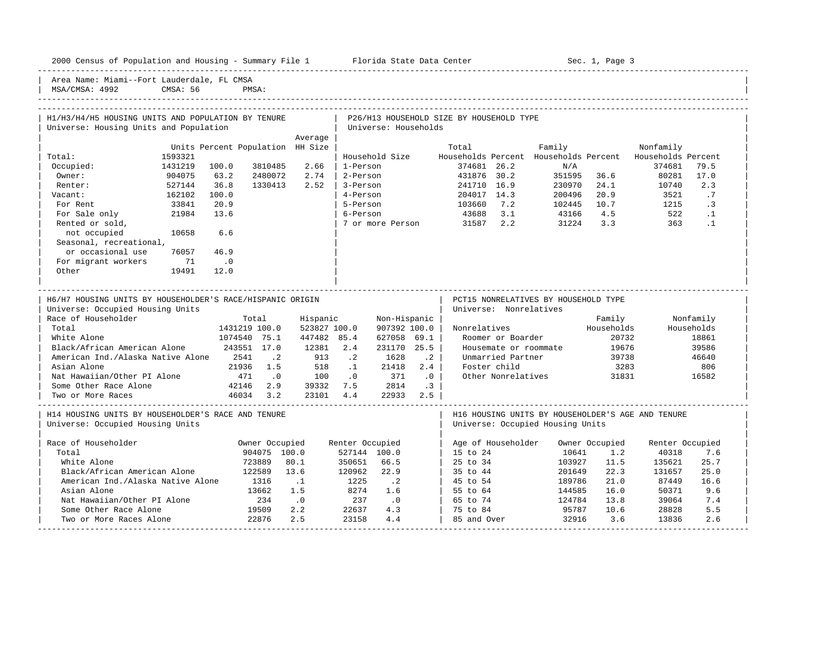| Area Name: Miami--Fort Lauderdale, FL CMSA<br>MSA/CMSA: 4992                           | CMSA: 56 |                                  | PMSA:          |              |                         |                      |                             |                                          |                        |                                                                                       |                |                    |            |
|----------------------------------------------------------------------------------------|----------|----------------------------------|----------------|--------------|-------------------------|----------------------|-----------------------------|------------------------------------------|------------------------|---------------------------------------------------------------------------------------|----------------|--------------------|------------|
| H1/H3/H4/H5 HOUSING UNITS AND POPULATION BY TENURE                                     |          |                                  |                |              |                         |                      |                             | P26/H13 HOUSEHOLD SIZE BY HOUSEHOLD TYPE |                        |                                                                                       |                |                    |            |
| Universe: Housing Units and Population                                                 |          |                                  |                |              |                         | Universe: Households |                             |                                          |                        |                                                                                       |                |                    |            |
|                                                                                        |          |                                  |                | Average      |                         |                      |                             |                                          |                        |                                                                                       |                |                    |            |
|                                                                                        |          | Units Percent Population HH Size |                |              |                         |                      |                             | Total                                    |                        | Family                                                                                |                | Nonfamily          |            |
| Total:                                                                                 | 1593321  |                                  |                |              |                         | Household Size       |                             | Households Percent                       |                        | Households Percent                                                                    |                | Households Percent |            |
| Occupied:                                                                              | 1431219  | 100.0                            | 3810485        | 2.66         | 1-Person                |                      |                             | 374681 26.2                              |                        | N/A                                                                                   |                | 374681             | 79.5       |
| Owner:                                                                                 | 904075   | 63.2                             | 2480072        | 2.74         | 2-Person                |                      |                             | 431876 30.2                              |                        | 351595                                                                                | 36.6           | 80281              | 17.0       |
| Renter:                                                                                | 527144   | 36.8                             | 1330413        | 2.52         | 3-Person                |                      |                             | 241710 16.9                              |                        | 230970                                                                                | 24.1           | 10740              | 2.3        |
| Vacant:                                                                                | 162102   | 100.0                            |                |              | 4-Person                |                      |                             | 204017 14.3                              |                        | 200496                                                                                | 20.9           | 3521               | .7         |
| For Rent                                                                               | 33841    | 20.9                             |                |              | 5-Person                |                      |                             | 103660                                   | 7.2                    | 102445                                                                                | 10.7           | 1215               | $\cdot$ 3  |
| For Sale only                                                                          | 21984    | 13.6                             |                |              | 6-Person                |                      |                             | 43688                                    | 3.1                    | 43166                                                                                 | 4.5            | 522                | $\cdot$ 1  |
| Rented or sold,                                                                        |          |                                  |                |              |                         | 7 or more Person     |                             | 31587 2.2                                |                        | 31224                                                                                 | 3.3            | 363                | $\cdot$ 1  |
| not occupied                                                                           | 10658    | 6.6                              |                |              |                         |                      |                             |                                          |                        |                                                                                       |                |                    |            |
| Seasonal, recreational,                                                                |          |                                  |                |              |                         |                      |                             |                                          |                        |                                                                                       |                |                    |            |
| or occasional use                                                                      | 76057    | 46.9                             |                |              |                         |                      |                             |                                          |                        |                                                                                       |                |                    |            |
| For migrant workers                                                                    | 71       | $\cdot$ 0                        |                |              |                         |                      |                             |                                          |                        |                                                                                       |                |                    |            |
| Other                                                                                  | 19491    | 12.0                             |                |              |                         |                      |                             |                                          |                        |                                                                                       |                |                    |            |
| Universe: Occupied Housing Units<br>Race of Householder                                |          |                                  | Total          | Hispanic     |                         | Non-Hispanic         |                             |                                          | Universe: Nonrelatives |                                                                                       | Family         |                    | Nonfamily  |
| Total                                                                                  |          |                                  | 1431219 100.0  | 523827 100.0 |                         | 907392 100.0         |                             | Nonrelatives                             |                        |                                                                                       | Households     |                    | Households |
| White Alone                                                                            |          |                                  | 1074540 75.1   | 447482 85.4  |                         | 627058 69.1          |                             |                                          | Roomer or Boarder      |                                                                                       | 20732          |                    | 18861      |
| Black/African American Alone                                                           |          |                                  | 243551 17.0    | 12381        | 2.4                     | 231170 25.5          |                             |                                          | Housemate or roommate  |                                                                                       | 19676          |                    | 39586      |
| American Ind./Alaska Native Alone                                                      |          | 2541                             | $\cdot$ . 2    | 913          | $\cdot$ 2               | 1628                 | $\cdot$ 2                   |                                          | Unmarried Partner      |                                                                                       | 39738          |                    | 46640      |
| Asian Alone                                                                            |          | 21936                            | 1.5            | 518          | $\ldots$ 1              | 21418                | 2.4                         |                                          | Foster child           |                                                                                       | 3283           |                    | 806        |
| Nat Hawaiian/Other PI Alone                                                            |          | 471                              | $\cdot$ 0      | 100          | $\overline{0}$          | 371                  | $\overline{\phantom{0}}$ .0 |                                          | Other Nonrelatives     |                                                                                       | 31831          |                    | 16582      |
| Some Other Race Alone                                                                  |          | 42146                            | 2.9            | 39332        | 7.5                     | 2814                 | $\cdot$ 3                   |                                          |                        |                                                                                       |                |                    |            |
| Two or More Races                                                                      |          | 46034                            | 3.2            | 23101        | 4.4                     | 22933                | 2.5                         |                                          |                        |                                                                                       |                |                    |            |
| H14 HOUSING UNITS BY HOUSEHOLDER'S RACE AND TENURE<br>Universe: Occupied Housing Units |          |                                  |                |              | ----------------------- |                      |                             |                                          |                        | H16 HOUSING UNITS BY HOUSEHOLDER'S AGE AND TENURE<br>Universe: Occupied Housing Units |                |                    |            |
| Race of Householder                                                                    |          |                                  | Owner Occupied |              | Renter Occupied         |                      |                             |                                          | Age of Householder     |                                                                                       | Owner Occupied | Renter Occupied    |            |
| Total                                                                                  |          |                                  | 904075 100.0   |              |                         | 527144 100.0         |                             | $15$ to $24$                             |                        | 10641                                                                                 | 1.2            | 40318              | 7.6        |
| White Alone                                                                            |          |                                  | 723889         | 80.1         | 350651                  | 66.5                 |                             | 25 to 34                                 |                        | 103927                                                                                | 11.5           | 135621             | 25.7       |
| Black/African American Alone                                                           |          |                                  | 122589         | 13.6         | 120962                  | 22.9                 |                             | 35 to 44                                 |                        | 201649                                                                                | 22.3           | 131657             | 25.0       |
| American Ind./Alaska Native Alone                                                      |          |                                  | 1316           | $\cdots$     | 1225                    | $\cdot$ . 2          |                             | 45 to 54                                 |                        | 189786                                                                                | 21.0           | 87449              | 16.6       |
| Asian Alone                                                                            |          |                                  | 13662          | 1.5          | 8274                    | 1.6                  |                             | 55 to 64                                 |                        | 144585                                                                                | 16.0           | 50371              | 9.6        |
| Nat Hawaiian/Other PI Alone                                                            |          |                                  | 234            | $\cdot$ 0    | 237                     | $\cdot$ 0            |                             | 65 to 74                                 |                        | 124784                                                                                | 13.8           | 39064              | 7.4        |
| Some Other Race Alone                                                                  |          |                                  | 19509          | 2.2          | 22637                   | 4.3                  |                             | 75 to 84                                 |                        | 95787                                                                                 | 10.6           | 28828              | 5.5        |
| Two or More Races Alone                                                                |          |                                  | 22876          | 2.5          | 23158                   | 4.4                  |                             | 85 and Over                              |                        | 32916                                                                                 | 3.6            | 13836              | 2.6        |

-----------------------------------------------------------------------------------------------------------------------------------------------------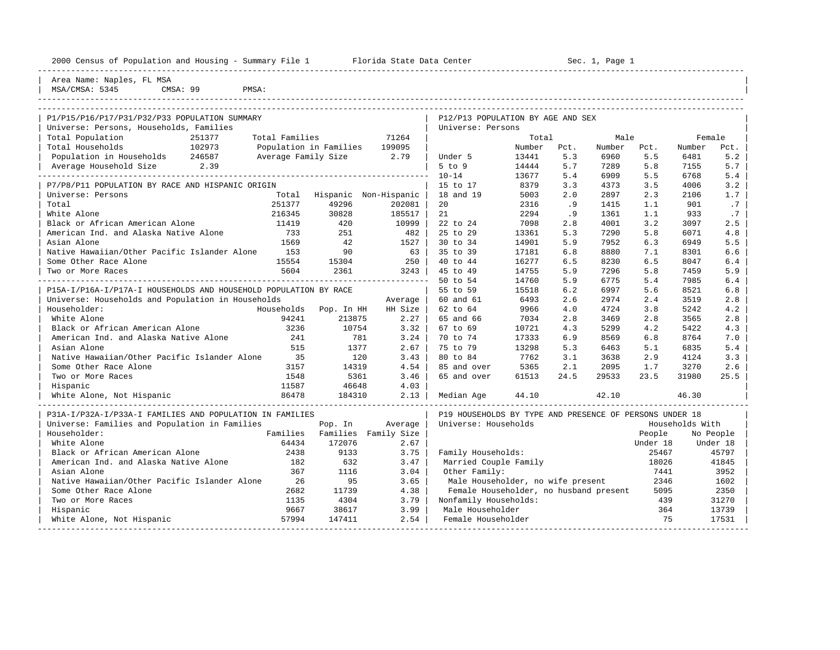| 2000 Census of Population and Housing - Summary File 1                                   |        |                        | Florida State Data Center |                                                        |        |      | Sec. 1, Page 1 |      |        |                  |
|------------------------------------------------------------------------------------------|--------|------------------------|---------------------------|--------------------------------------------------------|--------|------|----------------|------|--------|------------------|
| Area Name: Naples, FL MSA<br>MSA/CMSA: 5345<br>CMSA: 99                                  |        | PMSA:                  |                           |                                                        |        |      |                |      |        |                  |
| P1/P15/P16/P17/P31/P32/P33 POPULATION SUMMARY<br>Universe: Persons, Households, Families |        |                        |                           | P12/P13 POPULATION BY AGE AND SEX<br>Universe: Persons |        |      |                |      |        |                  |
| Total Population                                                                         | 251377 | Total Families         | 71264                     |                                                        | Total  |      | Male           |      | Female |                  |
| Total Households                                                                         | 102973 | Population in Families | 199095                    |                                                        | Number | Pct. | Number         | Pct. | Number | Pct.             |
| Population in Households                                                                 | 246587 | Average Family Size    | 2.79                      | Under 5                                                | 13441  | 5.3  | 6960           | 5.5  | 6481   | 5.2              |
| Average Household Size                                                                   | 2.39   |                        |                           | $5$ to $9$                                             | 14444  | 5.7  | 7289           | 5.8  | 7155   | 5.7 <sub>1</sub> |
|                                                                                          |        |                        |                           | $10 - 14$                                              | 13677  | 5.4  | 6909           | 5.5  | 6768   | 5.4              |
| P7/P8/P11 POPULATION BY RACE AND HISPANIC ORIGIN                                         |        |                        |                           | $15$ to $17$                                           | 8379   | 3.3  | 4373           | 3.5  | 4006   | 3.2              |

| Universe: Persons Total Hispanic Non-Hispanic | 18 and 19 5003 2.0 2897 2.3 2106 1.7 | | Total 251377 49296 202081 | 20 2316 .9 1415 1.1 901 .7 | | White Alone 216345 30828 185517 | 21 2294 .9 1361 1.1 933 .7 | | Black or African American Alone 11419 420 10999 | 22 to 24 7098 2.8 4001 3.2 3097 2.5 | | American Ind. and Alaska Native Alone 733 251 482 | 25 to 29 13361 5.3 7290 5.8 6071 4.8 | | Asian Alone 1569 42 1527 | 30 to 34 14901 5.9 7952 6.3 6949 5.5 | | Native Hawaiian/Other Pacific Islander Alone 153 90 63 | 35 to 39 17181 6.8 8880 7.1 8301 6.6 | | Some Other Race Alone 15554 15304 250 | 40 to 44 16277 6.5 8230 6.5 8047 6.4 | | Two or More Races 5604 2361 3243 | 45 to 49 14755 5.9 7296 5.8 7459 5.9 | ---------------------------------------------------------------------------------- 50 to 54 14760 5.9 6775 5.4 7985 6.4 | | P15A-I/P16A-I/P17A-I HOUSEHOLDS AND HOUSEHOLD POPULATION BY RACE | 55 to 59 15518 6.2 6997 5.6 8521 6.8 | Universe: Households and Population in Households Average | 60 and 61 6493 2.6 2974 2.4 3519 2.8 | Householder: Households Pop. In HH HH Size | 62 to 64 9966 4.0 4724 3.8 5242 4.2 | | White Alone 94241 213875 2.27 | 65 and 66 7034 2.8 3469 2.8 3565 2.8 | | Black or African American Alone 3236 10754 3.32 | 67 to 69 10721 4.3 5299 4.2 5422 4.3 | American Ind. and Alaska Native Alone 241 781 3.24 | 70 to 74 17333 6.9 8569 6.8 8764 7.0 | Asian Alone 515 1377 2.67 | 75 to 79 13298 5.3 6463 5.1 6835 5.4 | | Native Hawaiian/Other Pacific Islander Alone 35 120 3.43 | 80 to 84 7762 3.1 3638 2.9 4124 3.3 | | Some Other Race Alone 3157 14319 4.54 | 85 and over 5365 2.1 2095 1.7 3270 2.6 | | Two or More Races 1548 5361 3.46 | 65 and over 61513 24.5 29533 23.5 31980 25.5 | | Hispanic 11587 46648 4.03 | |

| White Alone, Not Hispanic                                | 86478    | 184310   | 2.13        | Median Age            | 44.10                                                   | 42.10 |          | 46.30           |  |
|----------------------------------------------------------|----------|----------|-------------|-----------------------|---------------------------------------------------------|-------|----------|-----------------|--|
| P31A-I/P32A-I/P33A-I FAMILIES AND POPULATION IN FAMILIES |          |          |             |                       | P19 HOUSEHOLDS BY TYPE AND PRESENCE OF PERSONS UNDER 18 |       |          |                 |  |
| Universe: Families and Population in Families            |          | Pop. In  | Average     | Universe: Households  |                                                         |       |          | Households With |  |
| Householder:                                             | Families | Families | Family Size |                       |                                                         |       | People   | No People       |  |
| White Alone                                              | 64434    | 172076   | 2.67        |                       |                                                         |       | Under 18 | Under 18        |  |
| Black or African American Alone                          | 2438     | 9133     | 3.75        | Family Households:    |                                                         |       | 25467    | 45797           |  |
| American Ind. and Alaska Native Alone                    | 182      | 632      | 3.47        | Married Couple Family |                                                         |       | 18026    | 41845           |  |
| Asian Alone                                              | 367      | 1116     | 3.04        | Other Family:         |                                                         |       | 7441     | 3952            |  |
| Native Hawaiian/Other Pacific Islander Alone             | 26       | 95       | 3.65        |                       | Male Householder, no wife present                       |       | 2346     | 1602            |  |
| Some Other Race Alone                                    | 2682     | 11739    | 4.38        |                       | Female Householder, no husband present                  |       | 5095     | 2350            |  |
| Two or More Races                                        | 1135     | 4304     | 3.79        | Nonfamily Households: |                                                         |       | 439      | 31270           |  |
| Hispanic                                                 | 9667     | 38617    | 3.99        | Male Householder      |                                                         |       | 364      | 13739           |  |
| White Alone, Not Hispanic                                | 57994    | 147411   | 2.54        | Female Householder    |                                                         |       | 75       | 17531           |  |
|                                                          |          |          |             |                       |                                                         |       |          |                 |  |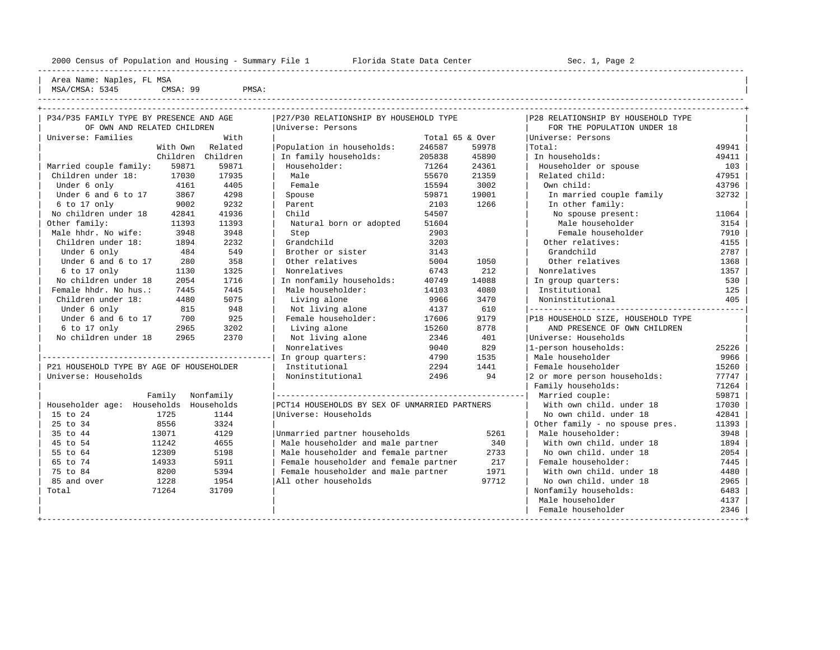----------------------------------------------------------------------------------------------------------------------------------------------------

| Area Name: Naples, FL MSA | MSA/CMSA: 5345 CMSA: 99 PMSA:

----------------------------------------------------------------------------------------------------------------------------------------------------

| P34/P35 FAMILY TYPE BY PRESENCE AND AGE  |                   | P27/P30 RELATIONSHIP BY HOUSEHOLD TYPE        |                 |       | P28 RELATIONSHIP BY HOUSEHOLD TYPE |       |
|------------------------------------------|-------------------|-----------------------------------------------|-----------------|-------|------------------------------------|-------|
| OF OWN AND RELATED CHILDREN              |                   | Universe: Persons                             |                 |       | FOR THE POPULATION UNDER 18        |       |
| Universe: Families                       | With              |                                               | Total 65 & Over |       | Universe: Persons                  |       |
|                                          | With Own Related  | Population in households:                     | 246587          | 59978 | Total:                             | 49941 |
|                                          | Children Children | In family households:                         | 205838          | 45890 | In households:                     | 49411 |
| Married couple family:<br>59871          | 59871             | Householder:                                  | 71264           | 24361 | Householder or spouse              | 103   |
| Children under 18:<br>17030              | 17935             | Male                                          | 55670           | 21359 | Related child:                     | 47951 |
| Under 6 only<br>4161                     | 4405              | Female                                        | 15594           | 3002  | Own child:                         | 43796 |
| Under 6 and 6 to 17<br>3867              | 4298              | Spouse                                        | 59871           | 19001 | In married couple family           | 32732 |
| 6 to 17 only<br>9002                     | 9232              | Parent                                        | 2103            | 1266  | In other family:                   |       |
| No children under 18<br>42841            | 41936             | Child                                         | 54507           |       | No spouse present:                 | 11064 |
| Other family:<br>11393                   | 11393             | Natural born or adopted                       | 51604           |       | Male householder                   | 3154  |
| Male hhdr. No wife:<br>3948              | 3948              | Step                                          | 2903            |       | Female householder                 | 7910  |
| Children under 18:<br>1894               | 2232              | Grandchild                                    | 3203            |       | Other relatives:                   | 4155  |
| Under 6 only<br>484                      | 549               | Brother or sister                             | 3143            |       | Grandchild                         | 2787  |
| Under 6 and 6 to 17<br>280               | 358               | Other relatives                               | 5004            | 1050  | Other relatives                    | 1368  |
| 6 to 17 only<br>1130                     | 1325              | Nonrelatives                                  | 6743            | 212   | Nonrelatives                       | 1357  |
| No children under 18<br>2054             | 1716              | In nonfamily households:                      | 40749           | 14088 | In group quarters:                 | 530   |
| Female hhdr. No hus.:<br>7445            | 7445              | Male householder:                             | 14103           | 4080  | Institutional                      | 125   |
| Children under 18:<br>4480               | 5075              | Living alone                                  | 9966            | 3470  | Noninstitutional                   | 405   |
| Under 6 only<br>815                      | 948               | Not living alone                              | 4137            | 610   |                                    |       |
| Under 6 and 6 to 17<br>700               | 925               | Female householder:                           | 17606           | 9179  | P18 HOUSEHOLD SIZE, HOUSEHOLD TYPE |       |
| $6$ to 17 only<br>2965                   | 3202              | Living alone                                  | 15260           | 8778  | AND PRESENCE OF OWN CHILDREN       |       |
| No children under 18<br>2965             | 2370              | Not living alone                              | 2346            | 401   | Universe: Households               |       |
|                                          |                   | Nonrelatives                                  | 9040            | 829   | 1-person households:               | 25226 |
|                                          |                   | In group quarters:                            | 4790            | 1535  | Male householder                   | 9966  |
| P21 HOUSEHOLD TYPE BY AGE OF HOUSEHOLDER |                   | Institutional                                 | 2294            | 1441  | Female householder                 | 15260 |
| Universe: Households                     |                   | Noninstitutional                              | 2496            | 94    | 2 or more person households:       | 77747 |
|                                          |                   |                                               |                 |       | Family households:                 | 71264 |
| Family                                   | Nonfamily         |                                               |                 |       |                                    | 59871 |
| Householder age: Households Households   |                   | PCT14 HOUSEHOLDS BY SEX OF UNMARRIED PARTNERS |                 |       | With own child, under 18           | 17030 |
| 1725<br>15 to 24                         | 1144              | Universe: Households                          |                 |       | No own child, under 18             | 42841 |
| 25 to 34<br>8556                         | 3324              |                                               |                 |       | Other family - no spouse pres.     | 11393 |
| 35 to 44<br>13071                        | 4129              | Unmarried partner households                  |                 | 5261  | Male householder:                  | 3948  |
| 45 to 54<br>11242                        | 4655              | Male householder and male partner             |                 | 340   | With own child, under 18           | 1894  |
| 12309<br>55 to 64                        | 5198              | Male householder and female partner           |                 | 2733  | No own child. under 18             | 2054  |
| 65 to 74<br>14933                        | 5911              | Female householder and female partner         |                 | 217   | Female householder:                | 7445  |
| 75 to 84<br>8200                         | 5394              | Female householder and male partner           |                 | 1971  | With own child, under 18           | 4480  |
| 85 and over<br>1228                      | 1954              | All other households                          |                 | 97712 | No own child, under 18             | 2965  |
| 71264<br>Total                           | 31709             |                                               |                 |       | Nonfamily households:              | 6483  |
|                                          |                   |                                               |                 |       | Male householder                   | 4137  |
|                                          |                   |                                               |                 |       | Female householder                 | 2346  |
|                                          |                   |                                               |                 |       |                                    |       |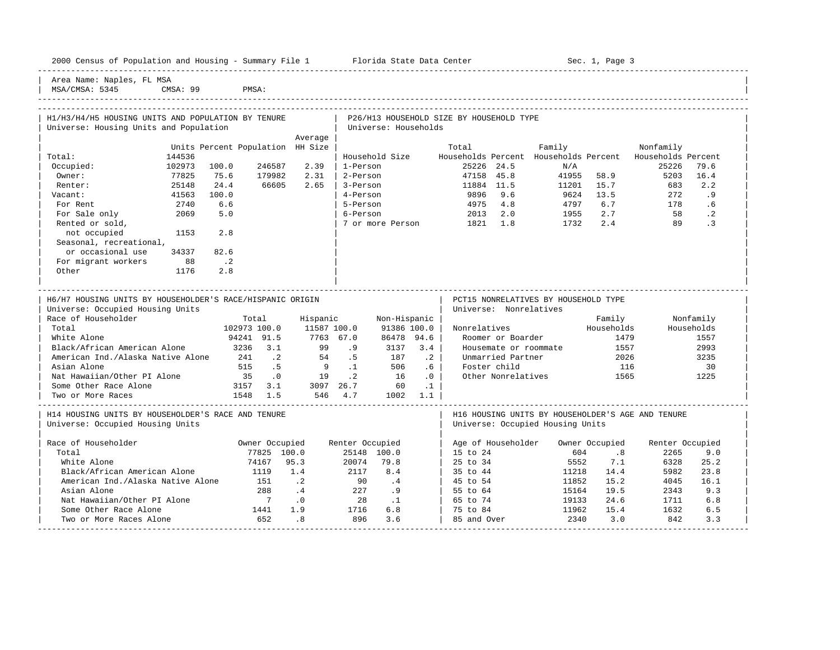| 2000 Census of Population and Housing - Summary File 1 |  | Florida State Data Center | Sec. 1, Page 3 |
|--------------------------------------------------------|--|---------------------------|----------------|

-----------------------------------------------------------------------------------------------------------------------------------------------------

Area Name: Naples, FL MSA

| MSA/CMSA: 5345 CMSA: 99 PMSA: | ----------------------------------------------------------------------------------------------------------------------------------------------------- | H1/H3/H4/H5 HOUSING UNITS AND POPULATION BY TENURE | P26/H13 HOUSEHOLD SIZE BY HOUSEHOLD TYPE | Universe: Housing Units and Population | Universe: Households | Average | Average | Average | Average | Average | Average | Average | Average | Average | Average | Average | Average | Average | Average | Average | Average | Average | Average | Average | Average | Average | Average | Units Percent Population HH Size | Total Family Nonfamily Nonfamily | Total: 144536 | Household Size Households Percent Households Percent Households Percent | | Occupied: 102973 100.0 246587 2.39 | 1-Person 25226 24.5 N/A 25226 79.6 | | Owner: 77825 75.6 179982 2.31 | 2-Person 47158 45.8 41955 58.9 5203 16.4 | | Renter: 25148 24.4 66605 2.65 | 3-Person 11884 11.5 11201 15.7 683 2.2 | | Vacant: 41563 100.0 | 4-Person 9896 9.6 9624 13.5 272 .9 | | For Rent 2740 6.6 | 5-Person 4975 4.8 4797 6.7 178 .6 | | For Sale only 2069 5.0 | 6-Person 2013 2.0 1955 2.7 58 .2 | Pented or sold, <br>
not occupied 1153 2.8 | 7 or more Person 1821 1.8 1732 2.4 89 .3 | not occupied 1153 2.8 | | Seasonal, recreational, or occasional use 34337 82.6 For migrant workers 88 .2 | Other 1176 2.8 | | | | | ----------------------------------------------------------------------------------------------------------------------------------------------------- | H6/H7 HOUSING UNITS BY HOUSEHOLDER'S RACE/HISPANIC ORIGIN | PCT15 NONRELATIVES BY HOUSEHOLD TYPE | Universe: Occupied Housing Units | Universe: Nonrelatives | Universe: Nonrelatives Race of Householder **Family** Total Hispanic Non-Hispanic | Family Nonfamily Nonfamily | Total 102973 100.0 11587 100.0 91386 100.0 | Nonrelatives Households Households | | White Alone 94241 91.5 7763 67.0 86478 94.6 | Roomer or Boarder 1479 1557 | | Black/African American Alone 3236 3.1 99 .9 3137 3.4 | Housemate or roommate 1557 2993 | | American Ind./Alaska Native Alone 241 .2 54 .5 187 .2 | Unmarried Partner 2026 3235 | | Asian Alone 515 .5 9 .1 506 .6 | Foster child 116 30 | Nat Hawaiian/Other PI Alone 35 .0 19 .2 16 .0 | Other Nonrelatives 1565 1225 | Some Other Race Alone 3157 3.1 3097 26.7 60 .1 | | | Two or More Races 1548 1.5 546 4.7 1002 1.1 | | ----------------------------------------------------------------------------------------------------------------------------------------------------- | H14 HOUSING UNITS BY HOUSEHOLDER'S RACE AND TENURE | H16 HOUSING UNITS BY HOUSEHOLDER'S AGE AND TENURE | | Universe: Occupied Housing Units | Universe: Occupied Housing Units | | | | Race of Householder **Southern Commediate Commediate Renter Occupied** Renter Occupied Renter Occupied Renter Occupied | Total 77825 100.0 25148 100.0 | 15 to 24 604 .8 2265 9.0 | | White Alone 74167 95.3 20074 79.8 | 25 to 34 5552 7.1 6328 25.2 | | Black/African American Alone 1119 1.4 2117 8.4 | 35 to 44 11218 14.4 5982 23.8<br>| American Ind./Alaska Native Alone 151 .2 90 .4 | 45 to 54 11852 15.2 4045 16.1 American Ind./Alaska Native Alone 151 .2 90 .4 | 45 to 54 11852 15.2<br>38 .4 227 .9 | 55 to 64 15164 19.5 | Asian Alone 288 .4 227 .9 | 55 to 64 15164 19.5 2343 9.3 |

| Nat Hawaiian/Other PI Alone 7 .0 28 .1 | 65 to 74 19133 24.6 1711 6.8 | | Some Other Race Alone 1441 1.9 1716 6.8 | 75 to 84 11962 15.4 1632 6.5 | | Two or More Races Alone 652 .8 896 3.6 | 85 and Over 2340 3.0 842 3.3 | -----------------------------------------------------------------------------------------------------------------------------------------------------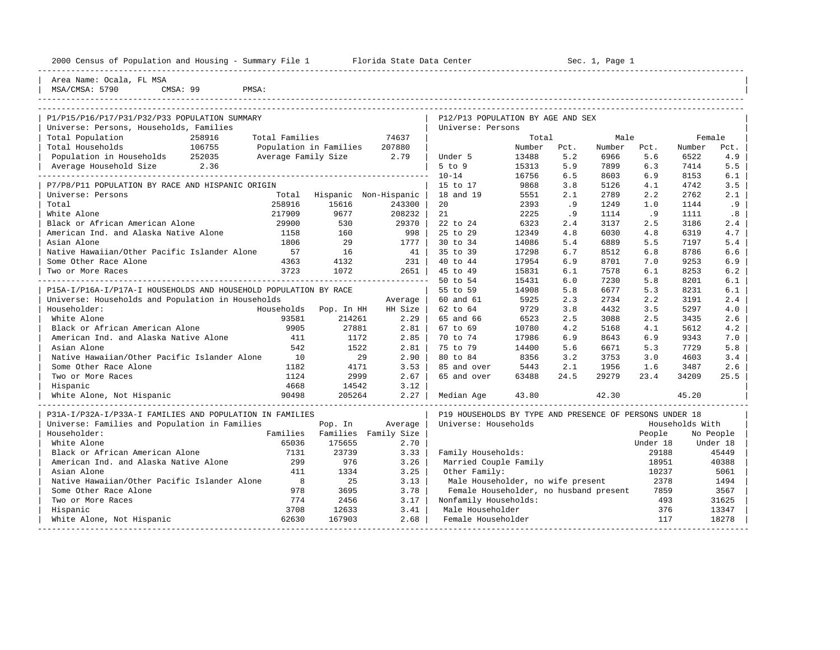| 2000 Census of Population and Housing - Summary File 1 Florida State Data Center |                     | Sec. 1, Page 1         |                        |                                                         |               |            |              |            |                 |            |
|----------------------------------------------------------------------------------|---------------------|------------------------|------------------------|---------------------------------------------------------|---------------|------------|--------------|------------|-----------------|------------|
| Area Name: Ocala, FL MSA<br>MSA/CMSA: 5790<br>CMSA: 99<br>PMSA:                  |                     |                        |                        |                                                         |               |            |              |            |                 |            |
|                                                                                  |                     |                        |                        |                                                         |               |            |              |            |                 |            |
| P1/P15/P16/P17/P31/P32/P33 POPULATION SUMMARY                                    |                     |                        |                        | P12/P13 POPULATION BY AGE AND SEX                       |               |            |              |            |                 |            |
| Universe: Persons, Households, Families                                          |                     |                        |                        | Universe: Persons                                       |               |            |              |            |                 |            |
| Total Population<br>258916                                                       | Total Families      |                        | 74637                  |                                                         | Total         |            | Male         |            | Female          |            |
| Total Households<br>106755                                                       |                     | Population in Families | 207880                 |                                                         | Number        | Pct.       | Number       | Pct.       | Number          | Pct.       |
| Population in Households 252035                                                  | Average Family Size |                        | 2.79                   | Under 5                                                 | 13488         | 5.2        | 6966         | 5.6        | 6522            | 4.9        |
| Average Household Size 2.36                                                      |                     |                        |                        | $5$ to $9$                                              | 15313         | 5.9        | 7899         | 6.3        | 7414            | 5.5        |
|                                                                                  |                     |                        |                        | $10 - 14$                                               | 16756         | 6.5        | 8603         | 6.9        | 8153            | 6.1        |
| P7/P8/P11 POPULATION BY RACE AND HISPANIC ORIGIN                                 |                     |                        |                        | 15 to 17                                                | 9868          | 3.8        | 5126         | 4.1        | 4742            | 3.5        |
| Universe: Persons                                                                | Total               |                        | Hispanic Non-Hispanic  | 18 and 19                                               | 5551          | 2.1        | 2789         | 2.2        | 2762            | 2.1        |
| Total                                                                            | 258916              | 15616                  | 243300                 | 20                                                      | 2393          | .9         | 1249         | 1.0        | 1144            | .9         |
| White Alone                                                                      | 217909<br>29900     | 9677                   | 208232<br>29370        | 21<br>22 to 24                                          | 2225          | .9         | 1114         | .9         | 1111            | .8         |
| Black or African American Alone<br>American Ind. and Alaska Native Alone         | 1158                | 530<br>160             | 998                    | 25 to 29                                                | 6323<br>12349 | 2.4<br>4.8 | 3137<br>6030 | 2.5<br>4.8 | 3186            | 2.4<br>4.7 |
| Asian Alone                                                                      | 1806                | 29                     | 1777                   | 30 to 34                                                | 14086         | 5.4        | 6889         | 5.5        | 6319<br>7197    | 5.4        |
| Native Hawaiian/Other Pacific Islander Alone                                     | 57                  | 16                     | 41                     | 35 to 39                                                | 17298         | 6.7        | 8512         | 6.8        | 8786            | 6.6        |
| Some Other Race Alone                                                            | 4363                | 4132                   | 231                    | 40 to 44                                                | 17954         | 6.9        | 8701         | 7.0        | 9253            | 6.9        |
| Two or More Races                                                                | 3723                | 1072                   | $2651$                 | 45 to 49                                                | 15831         | 6.1        | 7578         | 6.1        | 8253            | 6.2        |
|                                                                                  |                     |                        | ______________________ | 50 to 54                                                | 15431         | 6.0        | 7230         | 5.8        | 8201            | 6.1        |
| P15A-I/P16A-I/P17A-I HOUSEHOLDS AND HOUSEHOLD POPULATION BY RACE                 |                     |                        |                        | 55 to 59                                                | 14908         | 5.8        | 6677         | 5.3        | 8231            | 6.1        |
| Universe: Households and Population in Households                                |                     |                        | Average                | 60 and 61                                               | 5925          | 2.3        | 2734         | 2.2        | 3191            | 2.4        |
| Householder:                                                                     | Households          | Pop. In HH             | HH Size                | 62 to 64                                                | 9729          | 3.8        | 4432         | 3.5        | 5297            | 4.0        |
| White Alone                                                                      | 93581               | 214261                 | 2.29                   | 65 and 66                                               | 6523          | 2.5        | 3088         | 2.5        | 3435            | 2.6        |
| Black or African American Alone                                                  | 9905                | 27881                  | 2.81                   | 67 to 69                                                | 10780         | 4.2        | 5168         | 4.1        | 5612            | 4.2        |
| American Ind. and Alaska Native Alone                                            | 411                 | 1172                   | 2.85                   | 70 to 74                                                | 17986         | 6.9        | 8643         | 6.9        | 9343            | 7.0        |
| Asian Alone                                                                      | 542                 | 1522                   | 2.81                   | 75 to 79                                                | 14400         | 5.6        | 6671         | 5.3        | 7729            | 5.8        |
| Native Hawaiian/Other Pacific Islander Alone                                     | 10                  | 29                     | 2.90                   | 80 to 84                                                | 8356          | 3.2        | 3753         | 3.0        | 4603            | 3.4        |
| Some Other Race Alone                                                            | 1182                | 4171                   | 3.53                   | 85 and over                                             | 5443          | 2.1        | 1956         | 1.6        | 3487            | 2.6        |
| Two or More Races                                                                | 1124                | 2999                   | 2.67                   | 65 and over                                             | 63488         | 24.5       | 29279        | 23.4       | 34209           | 25.5       |
| Hispanic                                                                         | 4668                | 14542                  | 3.12                   |                                                         |               |            |              |            |                 |            |
| White Alone, Not Hispanic                                                        | 90498               | 205264                 | $2.27$                 | Median Age                                              | 43.80         |            | 42.30        |            | 45.20           |            |
| P31A-I/P32A-I/P33A-I FAMILIES AND POPULATION IN FAMILIES                         |                     |                        |                        | P19 HOUSEHOLDS BY TYPE AND PRESENCE OF PERSONS UNDER 18 |               |            |              |            |                 |            |
| Universe: Families and Population in Families                                    |                     | Pop. In                | Average                | Universe: Households                                    |               |            |              |            | Households With |            |
| Householder:                                                                     | Families            |                        | Families Family Size   |                                                         |               |            |              | People     |                 | No People  |
| White Alone                                                                      | 65036               | 175655                 | 2.70                   |                                                         |               |            |              | Under 18   |                 | Under 18   |
| Black or African American Alone                                                  | 7131                | 23739                  | 3.33                   | Family Households:                                      |               |            |              | 29188      |                 | 45449      |
| American Ind. and Alaska Native Alone                                            | 299                 | 976                    | 3.26                   | Married Couple Family                                   |               |            |              | 18951      |                 | 40388      |
| Asian Alone                                                                      | 411                 | 1334                   | 3.25                   | Other Family:                                           |               |            |              | 10237      |                 | 5061       |
| Native Hawaiian/Other Pacific Islander Alone                                     | $_{\rm 8}$          | 25                     | 3.13                   | Male Householder, no wife present                       |               |            |              | 2378       |                 | 1494       |
| Some Other Race Alone                                                            | 978                 | 3695                   | 3.78                   | Female Householder, no husband present                  |               |            |              | 7859       |                 | 3567       |
| Two or More Races                                                                | 774                 | 2456                   | 3.17                   | Nonfamily Households:                                   |               |            |              | 493        |                 | 31625      |
| Hispanic                                                                         | 3708                | 12633                  | 3.41                   | Male Householder                                        |               |            |              | 376        |                 | 13347      |

| White Alone, Not Hispanic 62630 167903 2.68 | Female Householder 117 18278 | -----------------------------------------------------------------------------------------------------------------------------------------------------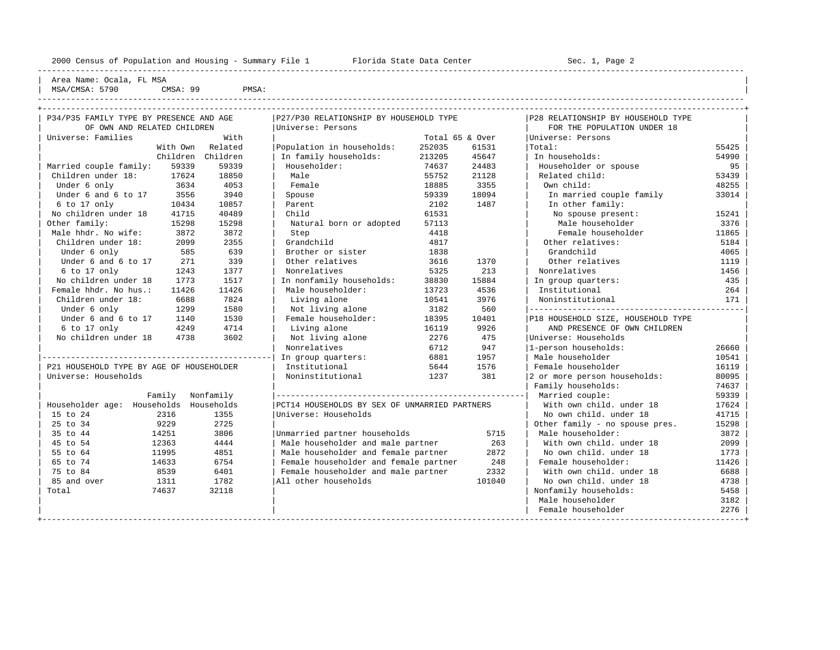| Area Name: Ocala, FL MSA |

 $\begin{array}{ccc} \text{MSA/CMSA:} & 5790 \\ \text{CMSA:} & 99 \end{array}$  PMSA:

----------------------------------------------------------------------------------------------------------------------------------------------------

| P34/P35 FAMILY TYPE BY PRESENCE AND AGE  |                   | P27/P30 RELATIONSHIP BY HOUSEHOLD TYPE        |                 |        | P28 RELATIONSHIP BY HOUSEHOLD TYPE |       |
|------------------------------------------|-------------------|-----------------------------------------------|-----------------|--------|------------------------------------|-------|
| OF OWN AND RELATED CHILDREN              |                   | Universe: Persons                             |                 |        | FOR THE POPULATION UNDER 18        |       |
| Universe: Families                       | With              |                                               | Total 65 & Over |        | Universe: Persons                  |       |
| With Own                                 | Related           | Population in households:                     | 252035          | 61531  | Total:                             | 55425 |
|                                          | Children Children | In family households:                         | 213205          | 45647  | In households:                     | 54990 |
| Married couple family:<br>59339          | 59339             | Householder:                                  | 74637           | 24483  | Householder or spouse              | 95    |
| Children under 18:<br>17624              | 18850             | Male                                          | 55752           | 21128  | Related child:                     | 53439 |
| Under 6 only<br>3634                     | 4053              | Female                                        | 18885           | 3355   | Own child:                         | 48255 |
| Under 6 and 6 to 17<br>3556              | 3940              | Spouse                                        | 59339           | 18094  | In married couple family           | 33014 |
| 6 to 17 only<br>10434                    | 10857             | Parent                                        | 2102            | 1487   | In other family:                   |       |
| No children under 18<br>41715            | 40489             | Child                                         | 61531           |        | No spouse present:                 | 15241 |
| Other family:<br>15298                   | 15298             | Natural born or adopted                       | 57113           |        | Male householder                   | 3376  |
| Male hhdr. No wife:<br>3872              | 3872              | Step                                          | 4418            |        | Female householder                 | 11865 |
| Children under 18:<br>2099               | 2355              | Grandchild                                    | 4817            |        | Other relatives:                   | 5184  |
| Under 6 only<br>585                      | 639               | Brother or sister                             | 1838            |        | Grandchild                         | 4065  |
| Under 6 and 6 to 17<br>271               | 339               | Other relatives                               | 3616            | 1370   | Other relatives                    | 1119  |
| 6 to 17 only<br>1243                     | 1377              | Nonrelatives                                  | 5325            | 213    | Nonrelatives                       | 1456  |
| No children under 18<br>1773             | 1517              | In nonfamily households:                      | 38830           | 15884  | In group quarters:                 | 435   |
| Female hhdr. No hus.:<br>11426           | 11426             | Male householder:                             | 13723           | 4536   | Institutional                      | 264   |
| Children under 18:<br>6688               | 7824              | Living alone                                  | 10541           | 3976   | Noninstitutional                   | 171   |
| Under 6 only<br>1299                     | 1580              | Not living alone                              | 3182            | 560    |                                    |       |
| Under 6 and 6 to 17<br>1140              | 1530              | Female householder:                           | 18395           | 10401  | P18 HOUSEHOLD SIZE, HOUSEHOLD TYPE |       |
| 4249<br>6 to 17 only                     | 4714              | Living alone                                  | 16119           | 9926   | AND PRESENCE OF OWN CHILDREN       |       |
| No children under 18<br>4738             | 3602              | Not living alone                              | 2276            | 475    | Universe: Households               |       |
|                                          |                   | Nonrelatives                                  | 6712            | 947    | 1-person households:               | 26660 |
|                                          |                   | In group quarters:                            | 6881            | 1957   | Male householder                   | 10541 |
| P21 HOUSEHOLD TYPE BY AGE OF HOUSEHOLDER |                   | Institutional                                 | 5644            | 1576   | Female householder                 | 16119 |
| Universe: Households                     |                   | Noninstitutional                              | 1237            | 381    | 2 or more person households:       | 80095 |
|                                          |                   |                                               |                 |        | Family households:                 | 74637 |
| Family                                   | Nonfamily         |                                               |                 |        | Married couple:                    | 59339 |
| Householder age: Households              | Households        | PCT14 HOUSEHOLDS BY SEX OF UNMARRIED PARTNERS |                 |        | With own child, under 18           | 17624 |
| 15 to 24<br>2316                         | 1355              | Universe: Households                          |                 |        | No own child. under 18             | 41715 |
| 25 to 34<br>9229                         | 2725              |                                               |                 |        | Other family - no spouse pres.     | 15298 |
| 35 to 44<br>14251                        | 3806              | Unmarried partner households                  |                 | 5715   | Male householder:                  | 3872  |
| 45 to 54<br>12363                        | 4444              | Male householder and male partner             |                 | 263    | With own child, under 18           | 2099  |
| 55 to 64<br>11995                        | 4851              | Male householder and female partner           |                 | 2872   | No own child. under 18             | 1773  |
| 65 to 74<br>14633                        | 6754              | Female householder and female partner         |                 | 248    | Female householder:                | 11426 |
| 75 to 84<br>8539                         | 6401              | Female householder and male partner           |                 | 2332   | With own child, under 18           | 6688  |
| 85 and over<br>1311                      | 1782              | All other households                          |                 | 101040 | No own child, under 18             | 4738  |
| Total<br>74637                           | 32118             |                                               |                 |        | Nonfamily households:              | 5458  |
|                                          |                   |                                               |                 |        | Male householder                   | 3182  |
|                                          |                   |                                               |                 |        | Female householder                 | 2276  |
|                                          |                   |                                               |                 |        |                                    |       |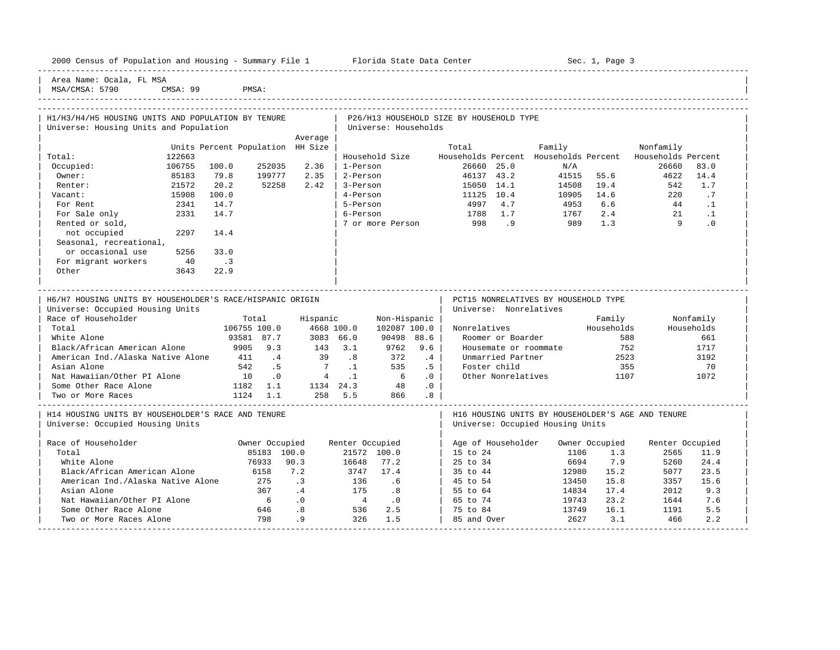|  |  |  | 2000 Census of Population and Housing - Summary File 1 |  |  |  |  |  |  |  |  |
|--|--|--|--------------------------------------------------------|--|--|--|--|--|--|--|--|
|--|--|--|--------------------------------------------------------|--|--|--|--|--|--|--|--|

Plorida State Data Center - Sec. 1, Page 3

-----------------------------------------------------------------------------------------------------------------------------------------------------

Area Name: Ocala, FL MSA MSA/CMSA: 5790 CMSA: 99 PMSA:

----------------------------------------------------------------------------------------------------------------------------------------------------- ----------------------------------------------------------------------------------------------------------------------------------------------------- | H1/H3/H4/H5 HOUSING UNITS AND POPULATION BY TENURE | P26/H13 HOUSEHOLD SIZE BY HOUSEHOLD TYPE

| Universe: Housing Units and Population                    |        |                                  |                 |                                 |                 | Universe: Households        |                             |            |                        |                                      |                |                                                          |            |  |
|-----------------------------------------------------------|--------|----------------------------------|-----------------|---------------------------------|-----------------|-----------------------------|-----------------------------|------------|------------------------|--------------------------------------|----------------|----------------------------------------------------------|------------|--|
|                                                           |        |                                  |                 | Average                         |                 |                             |                             |            |                        |                                      |                |                                                          |            |  |
|                                                           |        | Units Percent Population HH Size |                 |                                 |                 |                             |                             | Total      |                        | Family                               |                | Nonfamily                                                |            |  |
| Total:                                                    | 122663 |                                  |                 |                                 |                 | Household Size              |                             |            |                        |                                      |                | Households Percent Households Percent Households Percent |            |  |
| Occupied:                                                 | 106755 | 100.0                            | 252035          | 2.36                            | 1-Person        |                             |                             |            | 26660 25.0             | N/A                                  |                | 26660                                                    | 83.0       |  |
| Owner:                                                    | 85183  | 79.8                             | 199777          | 2.35                            | 2-Person        |                             |                             | 46137 43.2 |                        |                                      | 41515 55.6     | 4622                                                     | 14.4       |  |
| Renter:                                                   | 21572  | 20.2                             | 52258           | 2.42                            | 3-Person        |                             |                             | 15050 14.1 |                        | 14508                                | 19.4           | 542                                                      | 1.7        |  |
| Vacant:                                                   | 15908  | 100.0                            |                 |                                 | 4-Person        |                             |                             | 11125 10.4 |                        | 10905                                | 14.6           | 220                                                      | .7         |  |
| For Rent                                                  | 2341   | 14.7                             |                 |                                 | 5-Person        |                             |                             | 4997 4.7   |                        | 4953                                 | 6.6            | 44                                                       | $\cdot$ 1  |  |
| For Sale only                                             | 2331   | 14.7                             |                 |                                 | 6-Person        |                             |                             | 1788 1.7   |                        | 1767                                 |                | $2.4$ $21$                                               | $\cdot$ 1  |  |
| Rented or sold,                                           |        |                                  |                 |                                 |                 | 7 or more Person            |                             | 998.9      |                        | 989                                  | 1.3            | $\overline{9}$                                           | $\cdot$ 0  |  |
| 2297<br>not occupied                                      |        | 14.4                             |                 |                                 |                 |                             |                             |            |                        |                                      |                |                                                          |            |  |
| Seasonal, recreational,                                   |        |                                  |                 |                                 |                 |                             |                             |            |                        |                                      |                |                                                          |            |  |
| or occasional use                                         | 5256   | 33.0                             |                 |                                 |                 |                             |                             |            |                        |                                      |                |                                                          |            |  |
| For migrant workers                                       | 40     | $\overline{\phantom{a}}$         |                 |                                 |                 |                             |                             |            |                        |                                      |                |                                                          |            |  |
| Other                                                     | 3643   | 22.9                             |                 |                                 |                 |                             |                             |            |                        |                                      |                |                                                          |            |  |
|                                                           |        |                                  |                 |                                 |                 |                             |                             |            |                        |                                      |                |                                                          |            |  |
|                                                           |        |                                  |                 |                                 |                 |                             |                             |            |                        |                                      |                |                                                          |            |  |
| H6/H7 HOUSING UNITS BY HOUSEHOLDER'S RACE/HISPANIC ORIGIN |        |                                  |                 |                                 |                 |                             |                             |            |                        | PCT15 NONRELATIVES BY HOUSEHOLD TYPE |                |                                                          |            |  |
| Universe: Occupied Housing Units                          |        |                                  |                 |                                 |                 |                             |                             |            | Universe: Nonrelatives |                                      |                |                                                          |            |  |
| Race of Householder                                       |        |                                  | Total           | Hispanic                        |                 | Non-Hispanic                |                             |            |                        |                                      |                | Family <b>Nonfamily</b>                                  |            |  |
| Total                                                     |        | 106755 100.0                     |                 | 4668 100.0                      |                 | 102087 100.0                |                             |            |                        | Nonrelatives Households              |                |                                                          | Households |  |
| White Alone                                               |        | 93581 87.7                       |                 | 3083 66.0                       |                 | 90498 88.6                  |                             |            | Roomer or Boarder      |                                      | 588            |                                                          | 661        |  |
| Black/African American Alone                              |        | 9905 9.3                         |                 | $143$ 3.1                       |                 | 9762                        | 9.6                         |            |                        | Housemate or roommate                | 752            |                                                          | 1717       |  |
| American Ind./Alaska Native Alone 411 4                   |        |                                  |                 | 39 .8                           |                 | 372                         | $\cdot$ 4                   |            | Unmarried Partner      |                                      | 2523           |                                                          | 3192       |  |
| Asian Alone                                               |        | 542 .5                           |                 | $7 \t1$                         |                 | 535 .5                      |                             |            | Foster child           |                                      | 355            |                                                          | 70         |  |
| Nat Hawaiian/Other PI Alone 10 .0                         |        |                                  |                 | $4 \t .1$ 6                     |                 |                             | $\overline{\phantom{0}}$ .0 |            |                        | Other Nonrelatives 1107              |                |                                                          | 1072       |  |
| Some Other Race Alone 1182 1.1                            |        |                                  |                 | $1134 \quad 24.3$ $48 \quad .0$ |                 |                             |                             |            |                        |                                      |                |                                                          |            |  |
| Two or More Races                                         |        | $1124$ 1.1                       |                 |                                 |                 | 258 5.5 866 .8              |                             |            |                        |                                      |                |                                                          |            |  |
| H14 HOUSING UNITS BY HOUSEHOLDER'S RACE AND TENURE        |        |                                  |                 |                                 |                 |                             |                             |            |                        |                                      |                | H16 HOUSING UNITS BY HOUSEHOLDER'S AGE AND TENURE        |            |  |
| Universe: Occupied Housing Units                          |        |                                  |                 |                                 |                 |                             |                             |            |                        | Universe: Occupied Housing Units     |                |                                                          |            |  |
|                                                           |        |                                  |                 |                                 |                 |                             |                             |            |                        |                                      |                |                                                          |            |  |
| Race of Householder                                       |        | Owner Occupied                   |                 |                                 | Renter Occupied |                             |                             |            | Age of Householder     |                                      | Owner Occupied | Renter Occupied                                          |            |  |
| Total                                                     |        |                                  | 85183 100.0     |                                 |                 | 21572 100.0                 |                             | 15 to 24   |                        | 1106                                 | 1.3            | 2565                                                     | 11.9       |  |
| White Alone                                               |        |                                  | 76933 90.3      |                                 | 16648           | 77.2                        |                             | 25 to 34   |                        | 6694                                 | 7.9            | 5260                                                     | 24.4       |  |
| Black/African American Alone                              |        | 6158                             |                 | 7.2                             | 3747            | 17.4                        |                             | 35 to 44   |                        | 12980                                | 15.2           | 5077                                                     | 23.5       |  |
| American Ind./Alaska Native Alone 275                     |        |                                  |                 | $\cdot$ 3                       | 136 .6          |                             |                             | 45 to 54   |                        | 13450                                | 15.8           | 3357                                                     | 15.6       |  |
| Asian Alone                                               |        |                                  | 367             | $\overline{4}$                  | 175 .8          |                             |                             | 55 to 64   |                        | 14834                                | 17.4           | 2012                                                     | 9.3        |  |
| Nat Hawaiian/Other PI Alone                               |        |                                  | $6\overline{6}$ | .0                              | $\overline{4}$  | $\overline{\phantom{0}}$ .0 |                             | 65 to 74   |                        | 19743                                | 23.2           | 1644                                                     | 7.6        |  |
| Some Other Race Alone                                     |        |                                  | 646             | .8                              | 536             | 2.5                         |                             | 75 to 84   |                        | 13749                                | 16.1           | 1191                                                     | 5.5        |  |
|                                                           |        |                                  |                 |                                 |                 |                             |                             |            |                        |                                      |                |                                                          |            |  |

| Some Other Race Alone 646 .8 536 2.5 | 75 to 84 13749 16.1 1191 5.5 | | Two or More Races Alone 798 .9 326 1.5 | 85 and Over 2627 3.1 466 2.2 | -----------------------------------------------------------------------------------------------------------------------------------------------------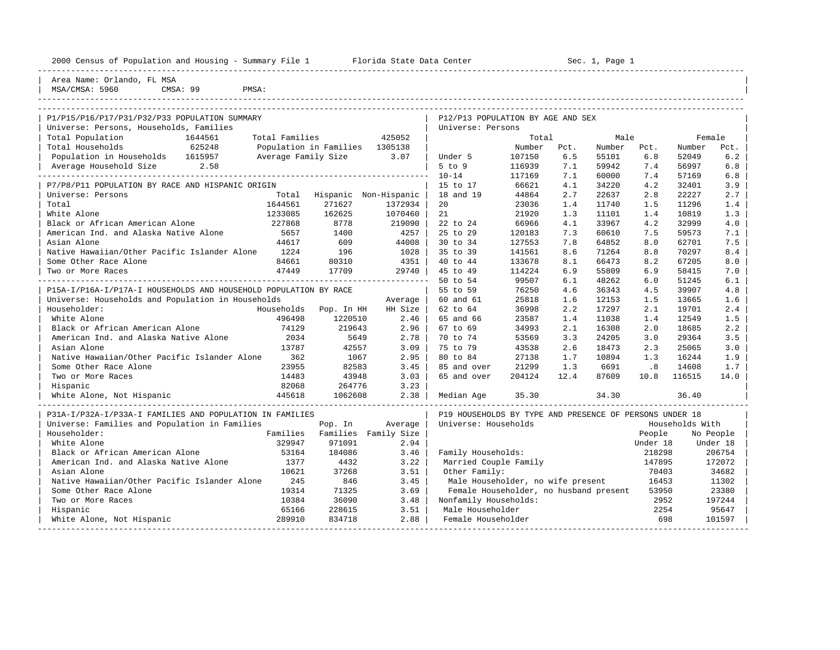| 2000 Census of Population and Housing - Summary File 1 Florida State Data Center |                             |         |                                                         |        |      | Sec. 1, Page 1                     |          |                 |           |
|----------------------------------------------------------------------------------|-----------------------------|---------|---------------------------------------------------------|--------|------|------------------------------------|----------|-----------------|-----------|
| Area Name: Orlando, FL MSA<br>CMSA: 99<br>MSA/CMSA: 5960<br>PMSA:                |                             |         |                                                         |        |      |                                    |          |                 |           |
| P1/P15/P16/P17/P31/P32/P33 POPULATION SUMMARY                                    |                             |         | P12/P13 POPULATION BY AGE AND SEX                       |        |      |                                    |          |                 |           |
| Universe: Persons, Households, Families                                          |                             |         | Universe: Persons                                       |        |      |                                    |          |                 |           |
| Total Population<br>Total Families<br>1644561                                    |                             | 425052  |                                                         | Total  |      | Male                               |          | Female          |           |
| 625248<br>Total Households<br>Population in Families 1305138                     |                             |         |                                                         | Number | Pct. | Number                             | Pct.     | Number          | Pct.      |
| Population in Households 1615957<br>Average Family Size 3.07                     |                             |         | Under 5                                                 | 107150 | 6.5  | 55101                              | 6.8      | 52049           | 6.2       |
| Average Household Size<br>2.58                                                   |                             |         | $5$ to $9$                                              | 116939 | 7.1  | 59942                              | 7.4      | 56997           | 6.8       |
|                                                                                  |                             |         | $10 - 14$                                               | 117169 | 7.1  | 60000                              | 7.4      | 57169           | 6.8       |
| P7/P8/P11 POPULATION BY RACE AND HISPANIC ORIGIN                                 |                             |         | 15 to 17                                                | 66621  | 4.1  | 34220                              | 4.2      | 32401           | 3.9       |
| Universe: Persons                                                                | Total Hispanic Non-Hispanic |         | 18 and 19                                               | 44864  | 2.7  | 22637                              | 2.8      | 22227           | 2.7       |
| Total<br>1644561                                                                 | 271627                      | 1372934 | 20                                                      | 23036  | 1.4  | 11740                              | 1.5      | 11296           | 1.4       |
| White Alone<br>1233085                                                           | 162625                      | 1070460 | 21                                                      | 21920  | 1.3  | 11101                              | 1.4      | 10819           | 1.3       |
| Black or African American Alone<br>227868                                        | 8778                        | 219090  | 22 to 24                                                | 66966  | 4.1  | 33967                              | 4.2      | 32999           | 4.0       |
| American Ind. and Alaska Native Alone<br>5657                                    | 1400                        | 4257    | 25 to 29                                                | 120183 | 7.3  | 60610                              | 7.5      | 59573           | 7.1       |
| Asian Alone<br>44617                                                             | 609                         | 44008   | 30 to 34                                                | 127553 | 7.8  | 64852                              | 8.0      | 62701           | 7.5       |
| Native Hawaiian/Other Pacific Islander Alone<br>1224                             | 196                         | 1028    | 35 to 39                                                | 141561 | 8.6  | 71264                              | 8.8      | 70297           | 8.4       |
| Some Other Race Alone<br>84661                                                   | 80310                       | 4351    | 40 to 44                                                | 133678 | 8.1  | 66473                              | 8.2      | 67205           | 8.0       |
| 47449<br>Two or More Races                                                       | 17709                       | 29740   | 45 to 49                                                | 114224 | 6.9  | 55809                              | 6.9      | 58415           | 7.0       |
|                                                                                  |                             |         | 50 to 54                                                | 99507  | 6.1  | 48262                              | 6.0      | 51245           | 6.1       |
| P15A-I/P16A-I/P17A-I HOUSEHOLDS AND HOUSEHOLD POPULATION BY RACE                 |                             |         | 55 to 59                                                | 76250  | 4.6  | 36343                              | 4.5      | 39907           | 4.8       |
| Universe: Households and Population in Households                                |                             | Average | 60 and 61                                               | 25818  | 1.6  | 12153                              | 1.5      | 13665           | 1.6       |
| Householder:<br>Households                                                       | Pop. In HH                  | HH Size | 62 to 64                                                | 36998  | 2.2  | 17297                              | 2.1      | 19701           | 2.4       |
| 496498<br>White Alone                                                            | 1220510                     | 2.46    | 65 and 66                                               | 23587  | 1.4  | 11038                              | 1.4      | 12549           | 1.5       |
| 74129<br>Black or African American Alone                                         | 219643                      | 2.96    | 67 to 69                                                | 34993  | 2.1  | 16308                              | 2.0      | 18685           | 2.2       |
| American Ind. and Alaska Native Alone<br>2034                                    | 5649                        | 2.78    | 70 to 74                                                | 53569  | 3.3  | 24205                              | 3.0      | 29364           | 3.5       |
| 13787<br>Asian Alone                                                             | 42557                       | 3.09    | 75 to 79                                                | 43538  | 2.6  | 18473                              | 2.3      | 25065           | 3.0       |
| Native Hawaiian/Other Pacific Islander Alone<br>362                              | 1067                        | 2.95    | 80 to 84                                                | 27138  | 1.7  | 10894                              | 1.3      | 16244           | 1.9       |
| Some Other Race Alone<br>23955                                                   | 82583                       | 3.45    | 85 and over                                             | 21299  | 1.3  | 6691                               | .8       | 14608           | 1.7       |
| Two or More Races<br>14483                                                       | 43948                       | 3.03    | 65 and over                                             | 204124 | 12.4 | 87609                              | 10.8     | 116515          | 14.0      |
| 82068<br>Hispanic                                                                | 264776                      | 3.23    |                                                         |        |      |                                    |          |                 |           |
| White Alone, Not Hispanic<br>445618                                              | 1062608                     | 2.38    | Median Age                                              | 35.30  |      | 34.30                              |          | 36.40           |           |
| P31A-I/P32A-I/P33A-I FAMILIES AND POPULATION IN FAMILIES                         |                             |         | P19 HOUSEHOLDS BY TYPE AND PRESENCE OF PERSONS UNDER 18 |        |      |                                    |          |                 |           |
| Universe: Families and Population in Families                                    | Pop. In                     | Average | Universe: Households                                    |        |      |                                    |          | Households With |           |
| Householder:<br>Families                                                         | Families Family Size        |         |                                                         |        |      |                                    | People   |                 | No People |
| White Alone<br>329947                                                            | 971091                      | 2.94    |                                                         |        |      |                                    | Under 18 |                 | Under 18  |
| Black or African American Alone<br>53164                                         | 184086                      | 3.46    | Family Households:                                      |        |      |                                    | 218298   |                 | 206754    |
| American Ind. and Alaska Native Alone<br>1377                                    | 4432                        | 3.22    | Married Couple Family                                   |        |      |                                    | 147895   |                 | 172072    |
| Asian Alone<br>10621                                                             | 37268                       | 3.51    | Other Family:                                           |        |      |                                    | 70403    |                 | 34682     |
| 245<br>Native Hawaiian/Other Pacific Islander Alone                              | 846                         | 3.45    | Male Householder, no wife present                       |        |      |                                    | 16453    |                 | 11302     |
| Some Other Race Alone<br>19314                                                   | 71325                       | 3.69    | Female Householder, no husband present                  |        |      |                                    | 53950    |                 | 23380     |
| Two or More Races<br>10384                                                       | 36090                       | 3.48    | Nonfamily Households:                                   |        |      |                                    | 2952     |                 | 197244    |
| Hispanic<br>65166                                                                | 228615                      | 3.51    | Male Householder                                        |        |      |                                    | 2254     |                 | 95647     |
| 289910<br>White Alone, Not Hispanic                                              | 834718                      | 2.88    | Female Householder                                      |        |      | ---------------------------------- | 698      |                 | 101597    |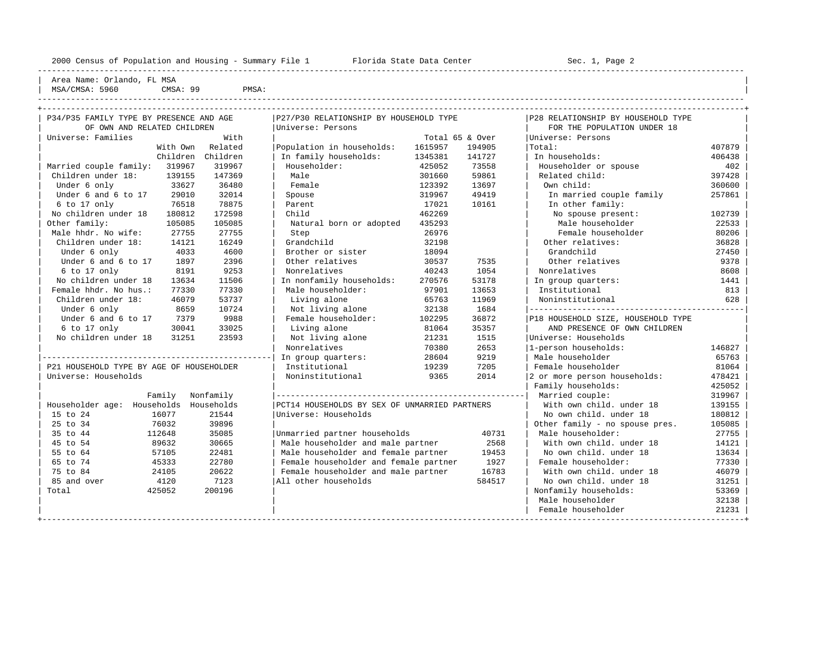----------------------------------------------------------------------------------------------------------------------------------------------------

Area Name: Orlando, FL MSA MSA/CMSA: 5960 CMSA: 99 PMSA:

| P34/P35 FAMILY TYPE BY PRESENCE AND AGE   | P27/P30 RELATIONSHIP BY HOUSEHOLD TYPE        |         |                 | P28 RELATIONSHIP BY HOUSEHOLD TYPE    |        |
|-------------------------------------------|-----------------------------------------------|---------|-----------------|---------------------------------------|--------|
| OF OWN AND RELATED CHILDREN               | Universe: Persons                             |         |                 | FOR THE POPULATION UNDER 18           |        |
| Universe: Families                        | With                                          |         | Total 65 & Over | Universe: Persons                     |        |
| Related<br>With Own                       | Population in households:                     | 1615957 | 194905          | Total:                                | 407879 |
| Children Children                         | In family households:                         | 1345381 | 141727          | In households:                        | 406438 |
| Married couple family: 319967<br>319967   | Householder:                                  | 425052  | 73558           | Householder or spouse                 | 402    |
| Children under 18:<br>139155<br>147369    | Male                                          | 301660  | 59861           | Related child:                        | 397428 |
| 36480<br>Under 6 only<br>33627            | Female                                        | 123392  | 13697           | Own child:                            | 360600 |
| Under 6 and 6 to 17<br>29010<br>32014     | Spouse                                        | 319967  | 49419           | In married couple family              | 257861 |
| 78875<br>$6$ to 17 only<br>76518          | Parent                                        | 17021   | 10161           | In other family:                      |        |
| 172598<br>No children under 18<br>180812  | Child                                         | 462269  |                 | No spouse present:                    | 102739 |
| Other family:<br>105085<br>105085         | Natural born or adopted                       | 435293  |                 | Male householder                      | 22533  |
| Male hhdr. No wife:<br>27755<br>27755     | Step                                          | 26976   |                 | Female householder                    | 80206  |
| Children under 18:<br>14121<br>16249      | Grandchild                                    | 32198   |                 | Other relatives:                      | 36828  |
| Under 6 only<br>4033                      | 4600<br>Brother or sister                     | 18094   |                 | Grandchild                            | 27450  |
| Under 6 and 6 to 17<br>1897               | 2396<br>Other relatives                       | 30537   | 7535            | Other relatives                       | 9378   |
| 6 to 17 only<br>8191                      | 9253<br>Nonrelatives                          | 40243   | 1054            | Nonrelatives                          | 8608   |
| No children under 18<br>13634<br>11506    | In nonfamily households:                      | 270576  | 53178           | In group quarters:                    | 1441   |
| Female hhdr. No hus.:<br>77330<br>77330   | Male householder:                             | 97901   | 13653           | Institutional                         | 813    |
| 53737<br>Children under 18:<br>46079      | Living alone                                  | 65763   | 11969           | Noninstitutional                      | 628    |
| Under 6 only<br>8659<br>10724             | Not living alone                              | 32138   | 1684            | ------------------------------------- |        |
| Under 6 and 6 to 17<br>7379<br>9988       | Female householder:                           | 102295  | 36872           | P18 HOUSEHOLD SIZE, HOUSEHOLD TYPE    |        |
| 33025<br>$6$ to 17 only<br>30041          | Living alone                                  | 81064   | 35357           | AND PRESENCE OF OWN CHILDREN          |        |
| No children under 18<br>31251<br>23593    | Not living alone                              | 21231   | 1515            | Universe: Households                  |        |
|                                           | Nonrelatives                                  | 70380   | 2653            | 1-person households:                  | 146827 |
|                                           | In group quarters:                            | 28604   | 9219            | Male householder                      | 65763  |
| P21 HOUSEHOLD TYPE BY AGE OF HOUSEHOLDER  | Institutional                                 | 19239   | 7205            | Female householder                    | 81064  |
| Universe: Households                      | Noninstitutional                              | 9365    | 2014            | 2 or more person households:          | 478421 |
|                                           |                                               |         |                 | Family households:                    | 425052 |
| Family<br>Nonfamily                       |                                               |         |                 | Married couple:                       | 319967 |
| Householder age: Households<br>Households | PCT14 HOUSEHOLDS BY SEX OF UNMARRIED PARTNERS |         |                 | With own child, under 18              | 139155 |
| 15 to 24<br>16077<br>21544                | Universe: Households                          |         |                 | No own child, under 18                | 180812 |
| 25 to 34<br>76032<br>39896                |                                               |         |                 | Other family - no spouse pres.        | 105085 |
| 35 to 44<br>112648<br>35085               | Unmarried partner households                  |         | 40731           | Male householder:                     | 27755  |
| 45 to 54<br>89632<br>30665                | Male householder and male partner             |         | 2568            | With own child, under 18              | 14121  |
| 55 to 64<br>57105<br>22481                | Male householder and female partner           |         | 19453           | No own child, under 18                | 13634  |
| 22780<br>65 to 74<br>45333                | Female householder and female partner         |         | 1927            | Female householder:                   | 77330  |
| 75 to 84<br>24105<br>20622                | Female householder and male partner           |         | 16783           | With own child, under 18              | 46079  |
| 7123<br>85 and over<br>4120               | All other households                          |         | 584517          | No own child, under 18                | 31251  |
| 200196<br>Total<br>425052                 |                                               |         |                 | Nonfamily households:                 | 53369  |
|                                           |                                               |         |                 | Male householder                      | 32138  |
|                                           |                                               |         |                 | Female householder                    | 21231  |
|                                           |                                               |         |                 |                                       |        |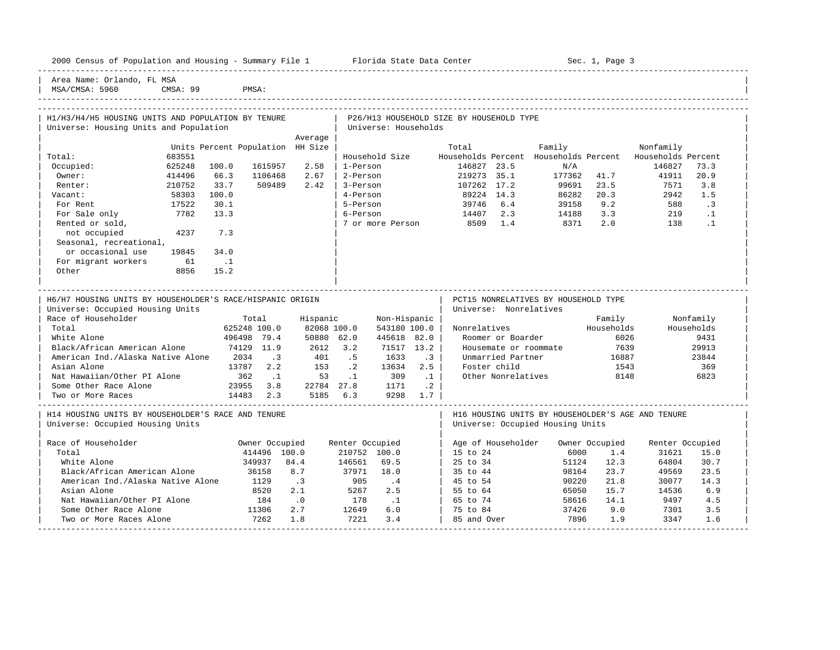|                                        | 2000 Census of Population and Housing - Summary File 1 |        | Florida State Data Center | Sec. 1, Page 3 |  |
|----------------------------------------|--------------------------------------------------------|--------|---------------------------|----------------|--|
| Area Name: Orlando, FL MSA<br>$\cdots$ | $-$                                                    | ------ |                           |                |  |

| MSA/CMSA: 5960 CMSA: 99 PMSA: -----------------------------------------------------------------------------------------------------------------------------------------------------

| Average<br>Units Percent Population HH Size<br>Nonfamily<br>Total<br>Family<br>683551<br>Household Size Households Percent Households Percent Households Percent<br>Total:<br>Occupied:<br>625248<br>100.0<br>1615957<br>2.58<br>1-Person<br>146827 23.5<br>N/A<br>146827<br>73.3<br>177362 41.7<br>20.9<br>Owner:<br>414496<br>66.3<br>1106468<br>2.67<br>2-Person<br>219273 35.1<br>41911<br>210752<br>33.7<br>509489<br>2.42<br>3-Person 107262 17.2 99691 23.5<br>4-Person 89224 14.3 86282 20.3<br>7571<br>3.8<br>Renter:<br>58303<br>Vacant:<br>100.0<br>2942<br>1.5<br>5-Person<br>6-Person<br>5-Person 14407 2.3 14188 3.3<br>7 or more Person<br>8509 1.4 8371 2.0<br>17522<br>30.1<br>9.2<br>$\cdot$ 3<br>For Rent<br>588<br>7782<br>13.3<br>219 .1<br>For Sale only<br>2.0<br>Rented or sold,<br>138<br>$\ldots$<br>not occupied<br>4237<br>7.3<br>Seasonal, recreational,<br>or occasional use<br>19845<br>34.0<br>For migrant workers<br>61<br>$\ldots$<br>Other<br>8856<br>15.2<br>PCT15 NONRELATIVES BY HOUSEHOLD TYPE<br>H6/H7 HOUSING UNITS BY HOUSEHOLDER'S RACE/HISPANIC ORIGIN<br>Universe: Occupied Housing Units<br>Universe: Nonrelatives<br>Race of Householder<br>Hispanic<br>Family Nonfamily<br>Total<br>Non-Hispanic<br>Total<br>625248 100.0         82068 100.0<br>496498     79.4         50880     62.0<br>Nonrelatives Households<br>82068 100.0<br>543180 100.0<br>Households<br>6026<br>9431<br>White Alone<br>445618 82.0<br>Roomer or Boarder<br>Black/African American Alone 74129 11.9<br>2612 3.2<br>71517 13.2<br>Housemate or roommate 7639<br>29913<br>American Ind./Alaska Native Alone 2034 .3<br>401 .5 1633 .3<br>153 .2 13634 2.5<br>Unmarried Partner<br>16887<br>23844<br>13787 2.2<br>Asian Alone<br>Foster child<br>1543<br>369<br>Other Nonrelatives 8148<br>Nat Hawaiian/Other PI Alone 362 1 53 1 309 1<br>6823<br>23955 3.8 22784 27.8 1171 .2<br>14483 2.3 5185 6.3 9298 1.7<br>Some Other Race Alone | H1/H3/H4/H5 HOUSING UNITS AND POPULATION BY TENURE<br>P26/H13 HOUSEHOLD SIZE BY HOUSEHOLD TYPE<br>Universe: Housing Units and Population<br>Universe: Households |  |  |  |  |  |  |  |  |  |  |
|----------------------------------------------------------------------------------------------------------------------------------------------------------------------------------------------------------------------------------------------------------------------------------------------------------------------------------------------------------------------------------------------------------------------------------------------------------------------------------------------------------------------------------------------------------------------------------------------------------------------------------------------------------------------------------------------------------------------------------------------------------------------------------------------------------------------------------------------------------------------------------------------------------------------------------------------------------------------------------------------------------------------------------------------------------------------------------------------------------------------------------------------------------------------------------------------------------------------------------------------------------------------------------------------------------------------------------------------------------------------------------------------------------------------------------------------------------------------------------------------------------------------------------------------------------------------------------------------------------------------------------------------------------------------------------------------------------------------------------------------------------------------------------------------------------------------------------------------------------------------------------------------------------------------------------------------------------------|------------------------------------------------------------------------------------------------------------------------------------------------------------------|--|--|--|--|--|--|--|--|--|--|
|                                                                                                                                                                                                                                                                                                                                                                                                                                                                                                                                                                                                                                                                                                                                                                                                                                                                                                                                                                                                                                                                                                                                                                                                                                                                                                                                                                                                                                                                                                                                                                                                                                                                                                                                                                                                                                                                                                                                                                |                                                                                                                                                                  |  |  |  |  |  |  |  |  |  |  |
|                                                                                                                                                                                                                                                                                                                                                                                                                                                                                                                                                                                                                                                                                                                                                                                                                                                                                                                                                                                                                                                                                                                                                                                                                                                                                                                                                                                                                                                                                                                                                                                                                                                                                                                                                                                                                                                                                                                                                                |                                                                                                                                                                  |  |  |  |  |  |  |  |  |  |  |
|                                                                                                                                                                                                                                                                                                                                                                                                                                                                                                                                                                                                                                                                                                                                                                                                                                                                                                                                                                                                                                                                                                                                                                                                                                                                                                                                                                                                                                                                                                                                                                                                                                                                                                                                                                                                                                                                                                                                                                |                                                                                                                                                                  |  |  |  |  |  |  |  |  |  |  |
|                                                                                                                                                                                                                                                                                                                                                                                                                                                                                                                                                                                                                                                                                                                                                                                                                                                                                                                                                                                                                                                                                                                                                                                                                                                                                                                                                                                                                                                                                                                                                                                                                                                                                                                                                                                                                                                                                                                                                                |                                                                                                                                                                  |  |  |  |  |  |  |  |  |  |  |
|                                                                                                                                                                                                                                                                                                                                                                                                                                                                                                                                                                                                                                                                                                                                                                                                                                                                                                                                                                                                                                                                                                                                                                                                                                                                                                                                                                                                                                                                                                                                                                                                                                                                                                                                                                                                                                                                                                                                                                |                                                                                                                                                                  |  |  |  |  |  |  |  |  |  |  |
|                                                                                                                                                                                                                                                                                                                                                                                                                                                                                                                                                                                                                                                                                                                                                                                                                                                                                                                                                                                                                                                                                                                                                                                                                                                                                                                                                                                                                                                                                                                                                                                                                                                                                                                                                                                                                                                                                                                                                                |                                                                                                                                                                  |  |  |  |  |  |  |  |  |  |  |
|                                                                                                                                                                                                                                                                                                                                                                                                                                                                                                                                                                                                                                                                                                                                                                                                                                                                                                                                                                                                                                                                                                                                                                                                                                                                                                                                                                                                                                                                                                                                                                                                                                                                                                                                                                                                                                                                                                                                                                |                                                                                                                                                                  |  |  |  |  |  |  |  |  |  |  |
|                                                                                                                                                                                                                                                                                                                                                                                                                                                                                                                                                                                                                                                                                                                                                                                                                                                                                                                                                                                                                                                                                                                                                                                                                                                                                                                                                                                                                                                                                                                                                                                                                                                                                                                                                                                                                                                                                                                                                                |                                                                                                                                                                  |  |  |  |  |  |  |  |  |  |  |
|                                                                                                                                                                                                                                                                                                                                                                                                                                                                                                                                                                                                                                                                                                                                                                                                                                                                                                                                                                                                                                                                                                                                                                                                                                                                                                                                                                                                                                                                                                                                                                                                                                                                                                                                                                                                                                                                                                                                                                |                                                                                                                                                                  |  |  |  |  |  |  |  |  |  |  |
|                                                                                                                                                                                                                                                                                                                                                                                                                                                                                                                                                                                                                                                                                                                                                                                                                                                                                                                                                                                                                                                                                                                                                                                                                                                                                                                                                                                                                                                                                                                                                                                                                                                                                                                                                                                                                                                                                                                                                                |                                                                                                                                                                  |  |  |  |  |  |  |  |  |  |  |
|                                                                                                                                                                                                                                                                                                                                                                                                                                                                                                                                                                                                                                                                                                                                                                                                                                                                                                                                                                                                                                                                                                                                                                                                                                                                                                                                                                                                                                                                                                                                                                                                                                                                                                                                                                                                                                                                                                                                                                |                                                                                                                                                                  |  |  |  |  |  |  |  |  |  |  |
|                                                                                                                                                                                                                                                                                                                                                                                                                                                                                                                                                                                                                                                                                                                                                                                                                                                                                                                                                                                                                                                                                                                                                                                                                                                                                                                                                                                                                                                                                                                                                                                                                                                                                                                                                                                                                                                                                                                                                                |                                                                                                                                                                  |  |  |  |  |  |  |  |  |  |  |
|                                                                                                                                                                                                                                                                                                                                                                                                                                                                                                                                                                                                                                                                                                                                                                                                                                                                                                                                                                                                                                                                                                                                                                                                                                                                                                                                                                                                                                                                                                                                                                                                                                                                                                                                                                                                                                                                                                                                                                |                                                                                                                                                                  |  |  |  |  |  |  |  |  |  |  |
|                                                                                                                                                                                                                                                                                                                                                                                                                                                                                                                                                                                                                                                                                                                                                                                                                                                                                                                                                                                                                                                                                                                                                                                                                                                                                                                                                                                                                                                                                                                                                                                                                                                                                                                                                                                                                                                                                                                                                                |                                                                                                                                                                  |  |  |  |  |  |  |  |  |  |  |
|                                                                                                                                                                                                                                                                                                                                                                                                                                                                                                                                                                                                                                                                                                                                                                                                                                                                                                                                                                                                                                                                                                                                                                                                                                                                                                                                                                                                                                                                                                                                                                                                                                                                                                                                                                                                                                                                                                                                                                |                                                                                                                                                                  |  |  |  |  |  |  |  |  |  |  |
|                                                                                                                                                                                                                                                                                                                                                                                                                                                                                                                                                                                                                                                                                                                                                                                                                                                                                                                                                                                                                                                                                                                                                                                                                                                                                                                                                                                                                                                                                                                                                                                                                                                                                                                                                                                                                                                                                                                                                                |                                                                                                                                                                  |  |  |  |  |  |  |  |  |  |  |
|                                                                                                                                                                                                                                                                                                                                                                                                                                                                                                                                                                                                                                                                                                                                                                                                                                                                                                                                                                                                                                                                                                                                                                                                                                                                                                                                                                                                                                                                                                                                                                                                                                                                                                                                                                                                                                                                                                                                                                |                                                                                                                                                                  |  |  |  |  |  |  |  |  |  |  |
|                                                                                                                                                                                                                                                                                                                                                                                                                                                                                                                                                                                                                                                                                                                                                                                                                                                                                                                                                                                                                                                                                                                                                                                                                                                                                                                                                                                                                                                                                                                                                                                                                                                                                                                                                                                                                                                                                                                                                                |                                                                                                                                                                  |  |  |  |  |  |  |  |  |  |  |
|                                                                                                                                                                                                                                                                                                                                                                                                                                                                                                                                                                                                                                                                                                                                                                                                                                                                                                                                                                                                                                                                                                                                                                                                                                                                                                                                                                                                                                                                                                                                                                                                                                                                                                                                                                                                                                                                                                                                                                |                                                                                                                                                                  |  |  |  |  |  |  |  |  |  |  |
|                                                                                                                                                                                                                                                                                                                                                                                                                                                                                                                                                                                                                                                                                                                                                                                                                                                                                                                                                                                                                                                                                                                                                                                                                                                                                                                                                                                                                                                                                                                                                                                                                                                                                                                                                                                                                                                                                                                                                                |                                                                                                                                                                  |  |  |  |  |  |  |  |  |  |  |
|                                                                                                                                                                                                                                                                                                                                                                                                                                                                                                                                                                                                                                                                                                                                                                                                                                                                                                                                                                                                                                                                                                                                                                                                                                                                                                                                                                                                                                                                                                                                                                                                                                                                                                                                                                                                                                                                                                                                                                |                                                                                                                                                                  |  |  |  |  |  |  |  |  |  |  |
|                                                                                                                                                                                                                                                                                                                                                                                                                                                                                                                                                                                                                                                                                                                                                                                                                                                                                                                                                                                                                                                                                                                                                                                                                                                                                                                                                                                                                                                                                                                                                                                                                                                                                                                                                                                                                                                                                                                                                                |                                                                                                                                                                  |  |  |  |  |  |  |  |  |  |  |
|                                                                                                                                                                                                                                                                                                                                                                                                                                                                                                                                                                                                                                                                                                                                                                                                                                                                                                                                                                                                                                                                                                                                                                                                                                                                                                                                                                                                                                                                                                                                                                                                                                                                                                                                                                                                                                                                                                                                                                |                                                                                                                                                                  |  |  |  |  |  |  |  |  |  |  |
|                                                                                                                                                                                                                                                                                                                                                                                                                                                                                                                                                                                                                                                                                                                                                                                                                                                                                                                                                                                                                                                                                                                                                                                                                                                                                                                                                                                                                                                                                                                                                                                                                                                                                                                                                                                                                                                                                                                                                                |                                                                                                                                                                  |  |  |  |  |  |  |  |  |  |  |
|                                                                                                                                                                                                                                                                                                                                                                                                                                                                                                                                                                                                                                                                                                                                                                                                                                                                                                                                                                                                                                                                                                                                                                                                                                                                                                                                                                                                                                                                                                                                                                                                                                                                                                                                                                                                                                                                                                                                                                |                                                                                                                                                                  |  |  |  |  |  |  |  |  |  |  |
|                                                                                                                                                                                                                                                                                                                                                                                                                                                                                                                                                                                                                                                                                                                                                                                                                                                                                                                                                                                                                                                                                                                                                                                                                                                                                                                                                                                                                                                                                                                                                                                                                                                                                                                                                                                                                                                                                                                                                                |                                                                                                                                                                  |  |  |  |  |  |  |  |  |  |  |
|                                                                                                                                                                                                                                                                                                                                                                                                                                                                                                                                                                                                                                                                                                                                                                                                                                                                                                                                                                                                                                                                                                                                                                                                                                                                                                                                                                                                                                                                                                                                                                                                                                                                                                                                                                                                                                                                                                                                                                |                                                                                                                                                                  |  |  |  |  |  |  |  |  |  |  |
|                                                                                                                                                                                                                                                                                                                                                                                                                                                                                                                                                                                                                                                                                                                                                                                                                                                                                                                                                                                                                                                                                                                                                                                                                                                                                                                                                                                                                                                                                                                                                                                                                                                                                                                                                                                                                                                                                                                                                                | Two or More Races                                                                                                                                                |  |  |  |  |  |  |  |  |  |  |
|                                                                                                                                                                                                                                                                                                                                                                                                                                                                                                                                                                                                                                                                                                                                                                                                                                                                                                                                                                                                                                                                                                                                                                                                                                                                                                                                                                                                                                                                                                                                                                                                                                                                                                                                                                                                                                                                                                                                                                |                                                                                                                                                                  |  |  |  |  |  |  |  |  |  |  |
| H14 HOUSING UNITS BY HOUSEHOLDER'S RACE AND TENURE<br>H16 HOUSING UNITS BY HOUSEHOLDER'S AGE AND TENURE                                                                                                                                                                                                                                                                                                                                                                                                                                                                                                                                                                                                                                                                                                                                                                                                                                                                                                                                                                                                                                                                                                                                                                                                                                                                                                                                                                                                                                                                                                                                                                                                                                                                                                                                                                                                                                                        |                                                                                                                                                                  |  |  |  |  |  |  |  |  |  |  |
| Universe: Occupied Housing Units<br>Universe: Occupied Housing Units                                                                                                                                                                                                                                                                                                                                                                                                                                                                                                                                                                                                                                                                                                                                                                                                                                                                                                                                                                                                                                                                                                                                                                                                                                                                                                                                                                                                                                                                                                                                                                                                                                                                                                                                                                                                                                                                                           |                                                                                                                                                                  |  |  |  |  |  |  |  |  |  |  |
|                                                                                                                                                                                                                                                                                                                                                                                                                                                                                                                                                                                                                                                                                                                                                                                                                                                                                                                                                                                                                                                                                                                                                                                                                                                                                                                                                                                                                                                                                                                                                                                                                                                                                                                                                                                                                                                                                                                                                                |                                                                                                                                                                  |  |  |  |  |  |  |  |  |  |  |
| Race of Householder<br>Age of Householder Owner Occupied<br>Owner Occupied<br>Renter Occupied<br>Renter Occupied                                                                                                                                                                                                                                                                                                                                                                                                                                                                                                                                                                                                                                                                                                                                                                                                                                                                                                                                                                                                                                                                                                                                                                                                                                                                                                                                                                                                                                                                                                                                                                                                                                                                                                                                                                                                                                               |                                                                                                                                                                  |  |  |  |  |  |  |  |  |  |  |
| 414496 100.0<br>210752 100.0<br>15 to 24<br>6000<br>Total<br>1.4<br>31621<br>15.0                                                                                                                                                                                                                                                                                                                                                                                                                                                                                                                                                                                                                                                                                                                                                                                                                                                                                                                                                                                                                                                                                                                                                                                                                                                                                                                                                                                                                                                                                                                                                                                                                                                                                                                                                                                                                                                                              |                                                                                                                                                                  |  |  |  |  |  |  |  |  |  |  |
| 146561 69.5<br>25 to 34<br>White Alone<br>84.4<br>12.3<br>30.7<br>349937<br>51124<br>64804                                                                                                                                                                                                                                                                                                                                                                                                                                                                                                                                                                                                                                                                                                                                                                                                                                                                                                                                                                                                                                                                                                                                                                                                                                                                                                                                                                                                                                                                                                                                                                                                                                                                                                                                                                                                                                                                     |                                                                                                                                                                  |  |  |  |  |  |  |  |  |  |  |
| Black/African American Alone<br>36158<br>8.7<br>$37971$ $18.0$<br>905 .4<br>35 to 44 98164<br>45 to 54 90220<br>23.7<br>49569<br>23.5                                                                                                                                                                                                                                                                                                                                                                                                                                                                                                                                                                                                                                                                                                                                                                                                                                                                                                                                                                                                                                                                                                                                                                                                                                                                                                                                                                                                                                                                                                                                                                                                                                                                                                                                                                                                                          |                                                                                                                                                                  |  |  |  |  |  |  |  |  |  |  |
| $\overline{\phantom{a}}$<br>American Ind./Alaska Native Alone<br>1129<br>21.8<br>14.3<br>45 to 54<br>90220<br>30077                                                                                                                                                                                                                                                                                                                                                                                                                                                                                                                                                                                                                                                                                                                                                                                                                                                                                                                                                                                                                                                                                                                                                                                                                                                                                                                                                                                                                                                                                                                                                                                                                                                                                                                                                                                                                                            |                                                                                                                                                                  |  |  |  |  |  |  |  |  |  |  |
| 5267 2.5<br>$\begin{array}{ c c c c c c } \hline \end{array}$ 55 to 64<br>Asian Alone<br>8520<br>2.1<br>65050<br>15.7<br>6.9<br>14536                                                                                                                                                                                                                                                                                                                                                                                                                                                                                                                                                                                                                                                                                                                                                                                                                                                                                                                                                                                                                                                                                                                                                                                                                                                                                                                                                                                                                                                                                                                                                                                                                                                                                                                                                                                                                          |                                                                                                                                                                  |  |  |  |  |  |  |  |  |  |  |
| Nat Hawaiian/Other PI Alone<br>$184$ .0<br>11306 2.7<br>$178$ .1<br>12649 6.0<br>  65 to 74<br>  75 to 84<br>58616<br>14.1<br>9497<br>4.5                                                                                                                                                                                                                                                                                                                                                                                                                                                                                                                                                                                                                                                                                                                                                                                                                                                                                                                                                                                                                                                                                                                                                                                                                                                                                                                                                                                                                                                                                                                                                                                                                                                                                                                                                                                                                      |                                                                                                                                                                  |  |  |  |  |  |  |  |  |  |  |
| Some Other Race Alone<br>2.7<br>37426 9.0<br>7301<br>3.5<br>7262                                                                                                                                                                                                                                                                                                                                                                                                                                                                                                                                                                                                                                                                                                                                                                                                                                                                                                                                                                                                                                                                                                                                                                                                                                                                                                                                                                                                                                                                                                                                                                                                                                                                                                                                                                                                                                                                                               |                                                                                                                                                                  |  |  |  |  |  |  |  |  |  |  |
| 7221<br>1.8<br>3.4<br>1.9<br>85 and Over<br>7896<br>3347<br>1.6<br>Two or More Races Alone                                                                                                                                                                                                                                                                                                                                                                                                                                                                                                                                                                                                                                                                                                                                                                                                                                                                                                                                                                                                                                                                                                                                                                                                                                                                                                                                                                                                                                                                                                                                                                                                                                                                                                                                                                                                                                                                     |                                                                                                                                                                  |  |  |  |  |  |  |  |  |  |  |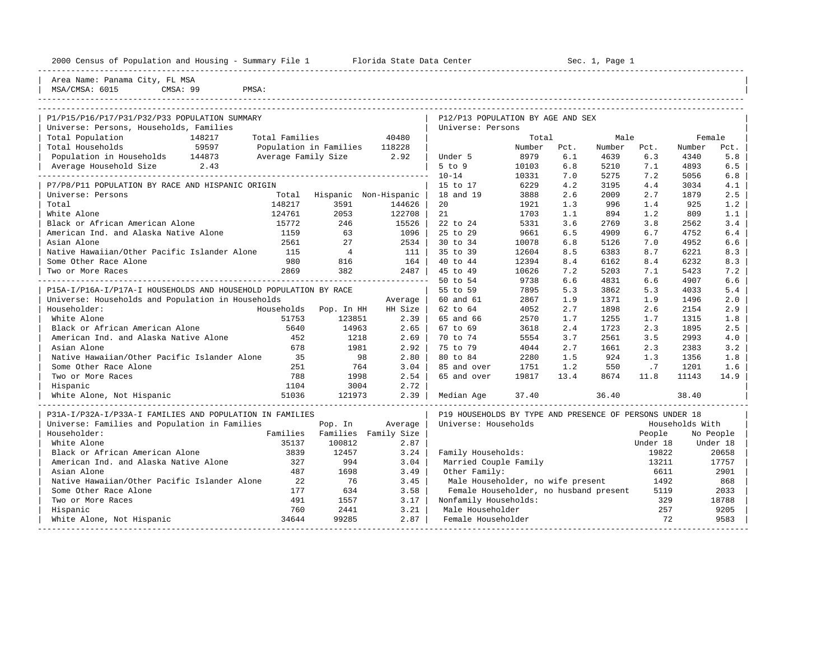| 2000 Census of Population and Housing - Summary File 1 Florida State Data Center |                          |                               |                      |                                                         |        |      | Sec. 1, Page 1<br>________________________ |          |                 |           |  |  |
|----------------------------------------------------------------------------------|--------------------------|-------------------------------|----------------------|---------------------------------------------------------|--------|------|--------------------------------------------|----------|-----------------|-----------|--|--|
| Area Name: Panama City, FL MSA<br>MSA/CMSA: 6015<br>CMSA: 99                     | PMSA:                    |                               |                      |                                                         |        |      |                                            |          |                 |           |  |  |
| P1/P15/P16/P17/P31/P32/P33 POPULATION SUMMARY                                    |                          |                               |                      | P12/P13 POPULATION BY AGE AND SEX                       |        |      |                                            |          |                 |           |  |  |
| Universe: Persons, Households, Families                                          |                          |                               |                      | Universe: Persons                                       |        |      |                                            |          |                 |           |  |  |
| Total Population<br>148217                                                       | Total Families           |                               | 40480                |                                                         | Total  |      | Male                                       |          | Female          |           |  |  |
| 59597<br>Total Households                                                        |                          | Population in Families 118228 |                      |                                                         | Number | Pct. | Number                                     | Pct.     | Number          | Pct.      |  |  |
| Population in Households 144873                                                  | Average Family Size 2.92 |                               |                      | Under 5                                                 | 8979   | 6.1  | 4639                                       | 6.3      | 4340            | 5.8       |  |  |
| Average Household Size 2.43                                                      |                          |                               |                      | $5$ to $9$                                              | 10103  | 6.8  | 5210                                       | 7.1      | 4893            | 6.5       |  |  |
|                                                                                  |                          |                               |                      | $10 - 14$                                               | 10331  | 7.0  | 5275                                       | 7.2      | 5056            | 6.8       |  |  |
| P7/P8/P11 POPULATION BY RACE AND HISPANIC ORIGIN                                 |                          |                               |                      | 15 to 17                                                | 6229   | 4.2  | 3195                                       | 4.4      | 3034            | 4.1       |  |  |
| Universe: Persons                                                                |                          | Total Hispanic Non-Hispanic   |                      | 18 and 19                                               | 3888   | 2.6  | 2009                                       | 2.7      | 1879            | 2.5       |  |  |
| Total                                                                            | 148217                   | 3591                          | 144626               | 20                                                      | 1921   | 1.3  | 996                                        | 1.4      | 925             | 1.2       |  |  |
| White Alone                                                                      | 124761                   | 2053                          | 122708               | 21                                                      | 1703   | 1.1  | 894                                        | 1.2      | 809             | 1.1       |  |  |
| Black or African American Alone                                                  | 15772                    | 246                           | 15526                | 22 to 24                                                | 5331   | 3.6  | 2769                                       | 3.8      | 2562            | 3.4       |  |  |
| American Ind. and Alaska Native Alone                                            | 1159                     | 63                            | 1096                 | 25 to 29                                                | 9661   | 6.5  | 4909                                       | 6.7      | 4752            | 6.4       |  |  |
| Asian Alone                                                                      | 2561                     | 27                            | $2534$               | 30 to 34                                                | 10078  | 6.8  | 5126                                       | 7.0      | 4952            | 6.6       |  |  |
| Native Hawaiian/Other Pacific Islander Alone                                     | 115                      | $\overline{4}$                | 111                  | 35 to 39                                                | 12604  | 8.5  | 6383                                       | 8.7      | 6221            | 8.3       |  |  |
| Some Other Race Alone                                                            | 980                      | 816                           | 164                  | $40 \text{ to } 44$                                     | 12394  | 8.4  | 6162                                       | 8.4      | 6232            | 8.3       |  |  |
| Two or More Races                                                                | 2869                     | 382                           | $2487$               | 45 to 49                                                | 10626  | 7.2  | 5203                                       | 7.1      | 5423            | 7.2       |  |  |
|                                                                                  |                          |                               |                      | 50 to 54                                                | 9738   | 6.6  | 4831                                       | 6.6      | 4907            | 6.6       |  |  |
| P15A-I/P16A-I/P17A-I HOUSEHOLDS AND HOUSEHOLD POPULATION BY RACE                 |                          |                               |                      | 55 to 59                                                | 7895   | 5.3  | 3862                                       | 5.3      | 4033            | 5.4       |  |  |
| Universe: Households and Population in Households                                |                          |                               | Average              | 60 and 61                                               | 2867   | 1.9  | 1371                                       | 1.9      | 1496            | 2.0       |  |  |
| Householder:                                                                     | Households               | Pop. In HH                    | HH Size              | 62 to 64                                                | 4052   | 2.7  | 1898                                       | 2.6      | 2154            | 2.9       |  |  |
| White Alone                                                                      | 51753                    | 123851                        | 2.39                 | 65 and 66                                               | 2570   | 1.7  | 1255                                       | 1.7      | 1315            | 1.8       |  |  |
| Black or African American Alone                                                  | 5640                     | 14963                         | 2.65                 | 67 to 69                                                | 3618   | 2.4  | 1723                                       | 2.3      | 1895            | 2.5       |  |  |
| American Ind. and Alaska Native Alone                                            | 452                      | 1218                          | 2.69                 | 70 to 74                                                | 5554   | 3.7  | 2561                                       | 3.5      | 2993            | 4.0       |  |  |
| Asian Alone                                                                      | 678                      | 1981                          | 2.92                 | 75 to 79                                                | 4044   | 2.7  | 1661                                       | 2.3      | 2383            | 3.2       |  |  |
| Native Hawaiian/Other Pacific Islander Alone                                     | 35                       | 98                            | 2.80                 | 80 to 84                                                | 2280   | 1.5  | 924                                        | 1.3      | 1356            | 1.8       |  |  |
| Some Other Race Alone                                                            | 251                      | 764                           | 3.04                 | 85 and over                                             | 1751   | 1.2  | 550                                        | .7       | 1201            | 1.6       |  |  |
| Two or More Races                                                                | 788                      | 1998                          | 2.54                 | 65 and over                                             | 19817  | 13.4 | 8674                                       | 11.8     | 11143           | 14.9      |  |  |
| Hispanic                                                                         | 1104                     | 3004                          | 2.72                 |                                                         |        |      |                                            |          |                 |           |  |  |
| White Alone, Not Hispanic                                                        | 51036                    | 121973                        | 2.39                 | Median Age                                              | 37.40  |      | 36.40                                      |          | 38.40           |           |  |  |
| P31A-I/P32A-I/P33A-I FAMILIES AND POPULATION IN FAMILIES                         |                          |                               |                      | P19 HOUSEHOLDS BY TYPE AND PRESENCE OF PERSONS UNDER 18 |        |      |                                            |          |                 |           |  |  |
| Universe: Families and Population in Families                                    |                          | Pop. In                       | Average              | Universe: Households                                    |        |      |                                            |          | Households With |           |  |  |
| Householder:                                                                     | Families                 |                               | Families Family Size |                                                         |        |      |                                            | People   |                 | No People |  |  |
| White Alone                                                                      | 35137                    | 100812                        | 2.87                 |                                                         |        |      |                                            | Under 18 |                 | Under 18  |  |  |
| Black or African American Alone                                                  | 3839                     | 12457                         | 3.24                 | Family Households:                                      |        |      |                                            | 19822    |                 | 20658     |  |  |
| American Ind. and Alaska Native Alone                                            | 327                      | 994                           | 3.04                 | Married Couple Family                                   |        |      |                                            | 13211    |                 | 17757     |  |  |
| Asian Alone                                                                      | 487                      | 1698                          | 3.49                 | Other Family:                                           |        |      |                                            | 6611     |                 | 2901      |  |  |
| Native Hawaiian/Other Pacific Islander Alone                                     | 22                       | 76                            | 3.45                 | Male Householder, no wife present                       |        |      |                                            | 1492     |                 | 868       |  |  |
| Some Other Race Alone                                                            | 177                      | 634                           | 3.58                 | Female Householder, no husband present                  |        |      |                                            | 5119     |                 | 2033      |  |  |
| Two or More Races                                                                | 491                      | 1557                          | 3.17                 | Nonfamily Households:                                   |        |      |                                            | 329      |                 | 18788     |  |  |
| Hispanic                                                                         | 760                      | 2441                          | 3.21                 | Male Householder                                        |        |      |                                            | 257      |                 | 9205      |  |  |
| White Alone, Not Hispanic                                                        | 34644                    | 99285                         | 2.87                 | Female Householder                                      |        |      |                                            | 72       |                 | 9583      |  |  |

-----------------------------------------------------------------------------------------------------------------------------------------------------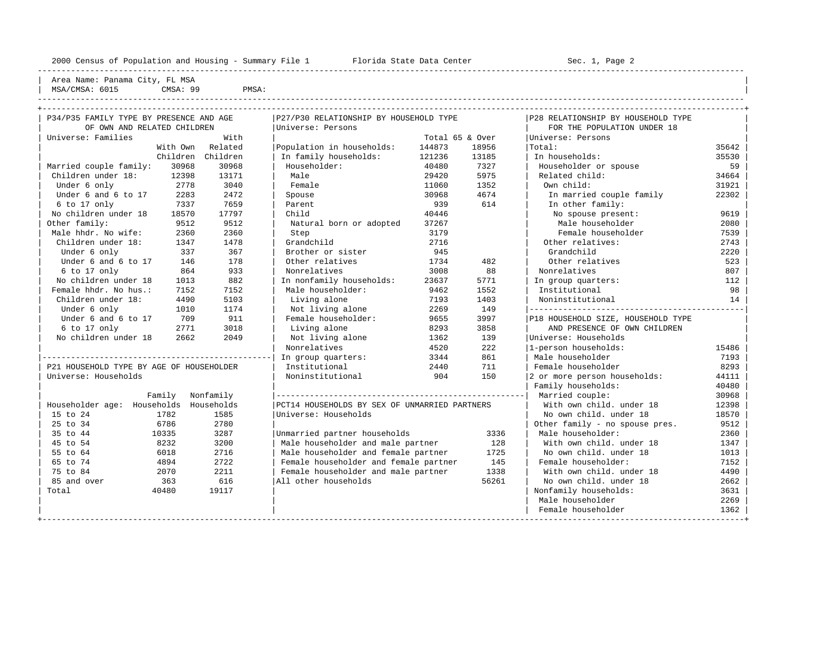----------------------------------------------------------------------------------------------------------------------------------------------------

| Area Name: Panama City, FL MSA | MSA/CMSA: 6015 CMSA: 99 PMSA: |

| the contract of the contract of the contract of the contract of the contract of the contract of the contract of |  | ------ |
|-----------------------------------------------------------------------------------------------------------------|--|--------|
|                                                                                                                 |  |        |
|                                                                                                                 |  |        |
|                                                                                                                 |  |        |
|                                                                                                                 |  |        |

| OF OWN AND RELATED CHILDREN<br>Universe: Persons<br>With<br>Universe: Families<br>With Own Related<br>Population in households:<br>Children Children<br>30968<br>30968<br>Householder:<br>Married couple family:<br>Children under 18:<br>13171<br>Male<br>12398 | 144873<br>121236<br>40480                     | Total 65 & Over<br>18956<br>13185 | FOR THE POPULATION UNDER 18<br>Universe: Persons<br>Total: | 35642 |  |
|------------------------------------------------------------------------------------------------------------------------------------------------------------------------------------------------------------------------------------------------------------------|-----------------------------------------------|-----------------------------------|------------------------------------------------------------|-------|--|
|                                                                                                                                                                                                                                                                  |                                               |                                   |                                                            |       |  |
|                                                                                                                                                                                                                                                                  |                                               |                                   |                                                            |       |  |
|                                                                                                                                                                                                                                                                  |                                               | In family households:             |                                                            |       |  |
|                                                                                                                                                                                                                                                                  |                                               |                                   | In households:                                             | 35530 |  |
|                                                                                                                                                                                                                                                                  |                                               | 7327                              | Householder or spouse                                      | 59    |  |
|                                                                                                                                                                                                                                                                  | 29420                                         | 5975                              | Related child:                                             | 34664 |  |
| 2778<br>3040<br>Female<br>Under 6 only                                                                                                                                                                                                                           | 11060                                         | 1352                              | Own child:                                                 | 31921 |  |
| Under 6 and 6 to 17<br>2472<br>2283<br>Spouse                                                                                                                                                                                                                    | 30968                                         | 4674                              | In married couple family                                   | 22302 |  |
| 7659<br>6 to 17 only<br>7337<br>Parent                                                                                                                                                                                                                           | 939                                           | 614                               | In other family:                                           |       |  |
| No children under 18<br>17797<br>Child<br>18570                                                                                                                                                                                                                  | 40446                                         |                                   | No spouse present:                                         | 9619  |  |
| Other family:<br>9512<br>9512<br>Natural born or adopted                                                                                                                                                                                                         | 37267                                         |                                   | Male householder                                           | 2080  |  |
| Male hhdr. No wife:<br>2360<br>2360<br>Step                                                                                                                                                                                                                      | 3179                                          |                                   | Female householder                                         | 7539  |  |
| Children under 18:<br>1478<br>1347<br>Grandchild                                                                                                                                                                                                                 | 2716                                          |                                   | Other relatives:                                           | 2743  |  |
| 367<br>Brother or sister<br>Under 6 only<br>337                                                                                                                                                                                                                  | 945                                           |                                   | Grandchild                                                 | 2220  |  |
| Under 6 and 6 to 17<br>146<br>178<br>Other relatives                                                                                                                                                                                                             | 1734                                          | 482                               | Other relatives                                            | 523   |  |
| 933<br>6 to 17 only<br>864<br>Nonrelatives                                                                                                                                                                                                                       | 3008                                          | 88                                | Nonrelatives                                               | 807   |  |
| 882<br>No children under 18<br>In nonfamily households:<br>1013                                                                                                                                                                                                  | 23637                                         | 5771                              | In group quarters:                                         | 112   |  |
| Female hhdr. No hus.:<br>7152<br>Male householder:<br>7152                                                                                                                                                                                                       | 9462                                          | 1552                              | Institutional                                              | 98    |  |
| Children under 18:<br>4490<br>5103<br>Living alone                                                                                                                                                                                                               | 7193                                          | 1403                              | Noninstitutional                                           | 14    |  |
| 1174<br>Under 6 only<br>1010<br>Not living alone                                                                                                                                                                                                                 | 2269                                          | 149                               |                                                            |       |  |
| Under 6 and 6 to 17<br>911<br>Female householder:<br>709                                                                                                                                                                                                         | 9655                                          | 3997                              | P18 HOUSEHOLD SIZE, HOUSEHOLD TYPE                         |       |  |
| 6 to 17 only<br>2771<br>3018<br>Living alone                                                                                                                                                                                                                     | 8293                                          | 3858                              | AND PRESENCE OF OWN CHILDREN                               |       |  |
| No children under 18<br>2049<br>Not living alone<br>2662                                                                                                                                                                                                         | 1362                                          | 139                               | Universe: Households                                       |       |  |
| Nonrelatives                                                                                                                                                                                                                                                     | 4520                                          | 222                               | 1-person households:                                       | 15486 |  |
| In group quarters:                                                                                                                                                                                                                                               | 3344                                          | 861                               | Male householder                                           | 7193  |  |
| P21 HOUSEHOLD TYPE BY AGE OF HOUSEHOLDER<br>Institutional                                                                                                                                                                                                        | 2440                                          | 711                               | Female householder                                         | 8293  |  |
| Universe: Households<br>Noninstitutional                                                                                                                                                                                                                         | 904                                           | 150                               | 2 or more person households:                               | 44111 |  |
|                                                                                                                                                                                                                                                                  |                                               |                                   | Family households:                                         | 40480 |  |
| Family Nonfamily                                                                                                                                                                                                                                                 |                                               |                                   | Married couple:                                            | 30968 |  |
| Householder age: Households Households                                                                                                                                                                                                                           | PCT14 HOUSEHOLDS BY SEX OF UNMARRIED PARTNERS |                                   | With own child, under 18                                   | 12398 |  |
| 15 to 24<br>Universe: Households<br>1782<br>1585                                                                                                                                                                                                                 |                                               |                                   | No own child, under 18                                     | 18570 |  |
| 25 to 34<br>6786<br>2780                                                                                                                                                                                                                                         |                                               |                                   | Other family - no spouse pres.                             | 9512  |  |
| 35 to 44<br>10335<br>3287<br>Unmarried partner households                                                                                                                                                                                                        |                                               | 3336                              | Male householder:                                          | 2360  |  |
| 45 to 54<br>8232<br>3200                                                                                                                                                                                                                                         | Male householder and male partner             | 128                               | With own child, under 18                                   | 1347  |  |
| 55 to 64<br>2716<br>6018                                                                                                                                                                                                                                         | Male householder and female partner           | 1725                              | No own child, under 18                                     | 1013  |  |
| 65 to 74<br>4894<br>2722                                                                                                                                                                                                                                         | Female householder and female partner         | 145                               | Female householder:                                        | 7152  |  |
| 75 to 84<br>2211<br>2070                                                                                                                                                                                                                                         | Female householder and male partner           | 1338                              | With own child, under 18                                   | 4490  |  |
| 616<br>All other households<br>85 and over<br>363                                                                                                                                                                                                                |                                               | 56261                             | No own child, under 18                                     | 2662  |  |
| 40480<br>19117<br>Total                                                                                                                                                                                                                                          |                                               |                                   | Nonfamily households:                                      | 3631  |  |
|                                                                                                                                                                                                                                                                  |                                               |                                   | Male householder                                           | 2269  |  |
|                                                                                                                                                                                                                                                                  |                                               |                                   | Female householder                                         | 1362  |  |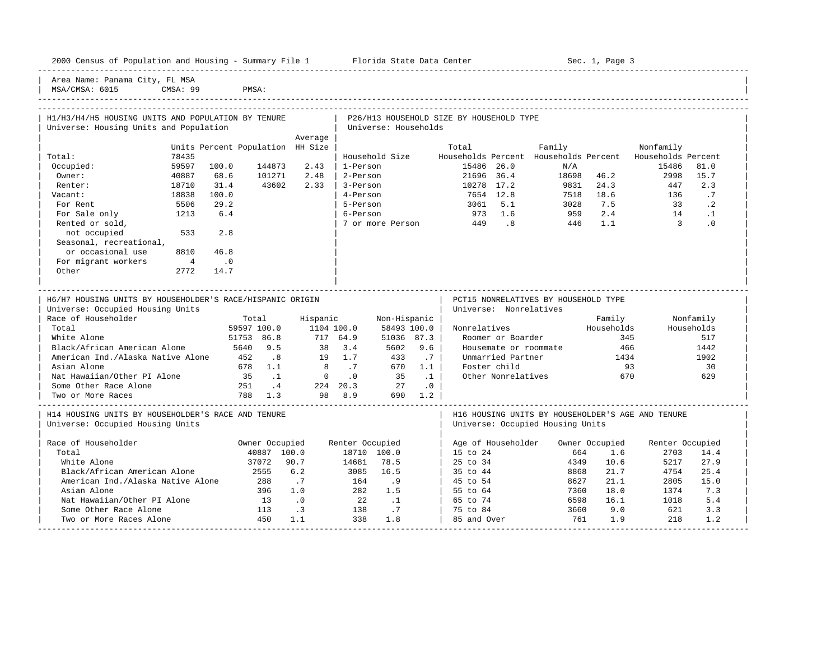|  |  |  | 2000 Census of Population and Housing - Summary File 1 |  |  |  |  |  |  |  |
|--|--|--|--------------------------------------------------------|--|--|--|--|--|--|--|
|--|--|--|--------------------------------------------------------|--|--|--|--|--|--|--|

Plorida State Data Center - Sec. 1, Page 3

Area Name: Panama City, FL MSA

| MSA/CMSA: 6015 CMSA: 99 PMSA: |

|      |                                                   |                                                         |                                                                                                          | 5-Person                                                            |                                                                | 5.1                                   |                                                                                    |                                                                   |                                                                                          |                                                |                                                              |
|------|---------------------------------------------------|---------------------------------------------------------|----------------------------------------------------------------------------------------------------------|---------------------------------------------------------------------|----------------------------------------------------------------|---------------------------------------|------------------------------------------------------------------------------------|-------------------------------------------------------------------|------------------------------------------------------------------------------------------|------------------------------------------------|--------------------------------------------------------------|
| 1213 | 6.4                                               |                                                         |                                                                                                          | 6-Person                                                            | 973                                                            | 1.6                                   |                                                                                    | 2.4                                                               | 14                                                                                       | $\cdot$ 1                                      |                                                              |
|      |                                                   |                                                         |                                                                                                          | 7 or more Person                                                    | 449                                                            | .8                                    |                                                                                    | 1.1                                                               |                                                                                          | $\cdot$ 0                                      |                                                              |
| 533  | 2.8                                               |                                                         |                                                                                                          |                                                                     |                                                                |                                       |                                                                                    |                                                                   |                                                                                          |                                                |                                                              |
|      |                                                   |                                                         |                                                                                                          |                                                                     |                                                                |                                       |                                                                                    |                                                                   |                                                                                          |                                                |                                                              |
| 8810 | 46.8                                              |                                                         |                                                                                                          |                                                                     |                                                                |                                       |                                                                                    |                                                                   |                                                                                          |                                                |                                                              |
| 4    | $\cdot$ 0                                         |                                                         |                                                                                                          |                                                                     |                                                                |                                       |                                                                                    |                                                                   |                                                                                          |                                                |                                                              |
| 2772 | 14.7                                              |                                                         |                                                                                                          |                                                                     |                                                                |                                       |                                                                                    |                                                                   |                                                                                          |                                                |                                                              |
|      |                                                   |                                                         |                                                                                                          |                                                                     |                                                                |                                       |                                                                                    |                                                                   |                                                                                          |                                                |                                                              |
|      | 78435<br>59597<br>40887<br>18710<br>18838<br>5506 | Universe: Housing Units and Population<br>31.4<br>100.0 | H1/H3/H4/H5 HOUSING UNITS AND POPULATION BY TENURE<br>144873<br>100.0<br>101271<br>68.6<br>43602<br>29.2 | Average<br>Units Percent Population HH Size<br>2.43<br>2.48<br>2.33 | Household Size<br>1-Person<br>2-Person<br>3-Person<br>4-Person | Universe: Households<br>Total<br>3061 | Households Percent<br>15486 26.0<br>21696<br>36.4<br>10278<br>17.2<br>7654<br>12.8 | P26/H13 HOUSEHOLD SIZE BY HOUSEHOLD TYPE<br>Family<br>N/A<br>9831 | Households Percent<br>18698<br>46.2<br>24.3<br>18.6<br>7518<br>7.5<br>3028<br>959<br>446 | Nonfamily<br>15486<br>2998<br>447<br>136<br>33 | Households Percent<br>81.0<br>15.7<br>2.3<br>.7<br>$\cdot$ 2 |

-----------------------------------------------------------------------------------------------------------------------------------------------------

| H6/H7 HOUSING UNITS BY HOUSEHOLDER'S RACE/HISPANIC ORIGIN                                                                                                                                                                                                                                                            |             |                             |                     |                       |                 |             | PCT15 NONRELATIVES BY HOUSEHOLD TYPE              |                |            |                 |                           |  |
|----------------------------------------------------------------------------------------------------------------------------------------------------------------------------------------------------------------------------------------------------------------------------------------------------------------------|-------------|-----------------------------|---------------------|-----------------------|-----------------|-------------|---------------------------------------------------|----------------|------------|-----------------|---------------------------|--|
| Universe: Occupied Housing Units                                                                                                                                                                                                                                                                                     |             |                             |                     |                       |                 |             | Universe: Nonrelatives                            |                |            |                 |                           |  |
| Race of Householder                                                                                                                                                                                                                                                                                                  | Total       |                             | Hispanic            |                       | Non-Hispanic    |             |                                                   |                | Family     |                 | Nonfamily                 |  |
| Total                                                                                                                                                                                                                                                                                                                | 59597 100.0 |                             |                     | 1104 100.0            |                 | 58493 100.0 | Nonrelatives                                      |                | Households |                 | Households                |  |
| White Alone                                                                                                                                                                                                                                                                                                          | 51753 86.8  |                             |                     | 717 64.9              | 51036           | 87.3        | Roomer or Boarder                                 |                | 345        |                 | 517                       |  |
| Black/African American Alone                                                                                                                                                                                                                                                                                         | 5640        | 9.5                         |                     | 3.4<br>38             | 5602            | 9.6         | Housemate or roommate                             |                | 466        |                 | 1442                      |  |
| American Ind./Alaska Native Alone                                                                                                                                                                                                                                                                                    | 452         | $\overline{\phantom{a}}$ .8 |                     | 1.7<br>19             | 433             | .7          | Unmarried Partner                                 |                | 1434       |                 | 1902                      |  |
| Asian Alone                                                                                                                                                                                                                                                                                                          | 678         | 1.1                         |                     | 8<br>.7               | 670             | 1.1         | Foster child                                      |                | 93         |                 | 30                        |  |
| Nat Hawaiian/Other PI Alone                                                                                                                                                                                                                                                                                          | 35          |                             |                     | $\Omega$<br>$\cdot$ 0 | 35              |             | Other Nonrelatives                                |                | 670        |                 | 629                       |  |
| Some Other Race Alone                                                                                                                                                                                                                                                                                                | 251         | $4 \cdot$                   | 224                 | 20.3                  | 27              | $\cdot$ 0   |                                                   |                |            |                 |                           |  |
| Two or More Races                                                                                                                                                                                                                                                                                                    | 788         | 1.3                         |                     | 98<br>8.9             | 690             | 1.2         |                                                   |                |            |                 |                           |  |
| H14 HOUSING UNITS BY HOUSEHOLDER'S RACE AND TENURE                                                                                                                                                                                                                                                                   |             |                             |                     |                       |                 |             | H16 HOUSING UNITS BY HOUSEHOLDER'S AGE AND TENURE |                |            |                 |                           |  |
| Universe: Occupied Housing Units                                                                                                                                                                                                                                                                                     |             |                             |                     |                       |                 |             | Universe: Occupied Housing Units                  |                |            |                 |                           |  |
| Race of Householder                                                                                                                                                                                                                                                                                                  |             | Owner Occupied              |                     |                       | Renter Occupied |             | Age of Householder                                | Owner Occupied |            | Renter Occupied |                           |  |
| Total                                                                                                                                                                                                                                                                                                                |             | 40887                       | 100.0               | 18710                 | 100.0           |             | 15 to 24                                          | 664            | 1.6        | 2703            | 14.4                      |  |
| White Alone                                                                                                                                                                                                                                                                                                          |             | 37072                       | 90.7                | 14681                 | 78.5            |             | 25 to 34                                          | 4349           | 10.6       | 5217            | 27.9                      |  |
| $D \cdot \text{a}$ $\text{b}$ $\text{b}$ $\text{c}$ $\text{c}$ $\text{d}$ $\text{c}$ $\text{d}$ $\text{d}$ $\text{d}$ $\text{d}$ $\text{c}$ $\text{d}$ $\text{d}$ $\text{d}$ $\text{d}$ $\text{d}$ $\text{d}$ $\text{d}$ $\text{d}$ $\text{d}$ $\text{d}$ $\text{d}$ $\text{d}$ $\text{d}$ $\text{d}$ $\text{d}$ $\$ |             | OFFE.                       | $\epsilon$ $\Omega$ | 200E                  | $\tau$ $\tau$   |             | $2E + 2A$                                         | 0000           | 21         | $A \sqcap E$    | $\cap$ $\Gamma$ $\Lambda$ |  |

| White Alone 37072 90.7 14681 78.5 | 25 to 34 4349 10.6 5217 27.9 | | Black/African American Alone 2555 6.2 3085 16.5 | 35 to 44 8868 21.7 4754 25.4 |

| Asian Alone 396 1.0 282 1.5 | 55 to 64 7360 18.0 1374 7.3 | | Nat Hawaiian/Other PI Alone | 13 .0 22 .1 | 65 to 74 6598 16.1 1018 5.4<br>
Some Other Race Alone | 113 .3 138 .7 | 75 to 84 3660 9.0 621 3.3 | Some Other Race Alone 113 .3 138 .7 | 75 to 84 3660 9.0 621 3.3 | | Two or More Races Alone 450 1.1 338 1.8 | 85 and Over 761 1.9 218 1.2 | -----------------------------------------------------------------------------------------------------------------------------------------------------

American Ind./Alaska Native Alone 288 .7 164 .9 | 45 to 54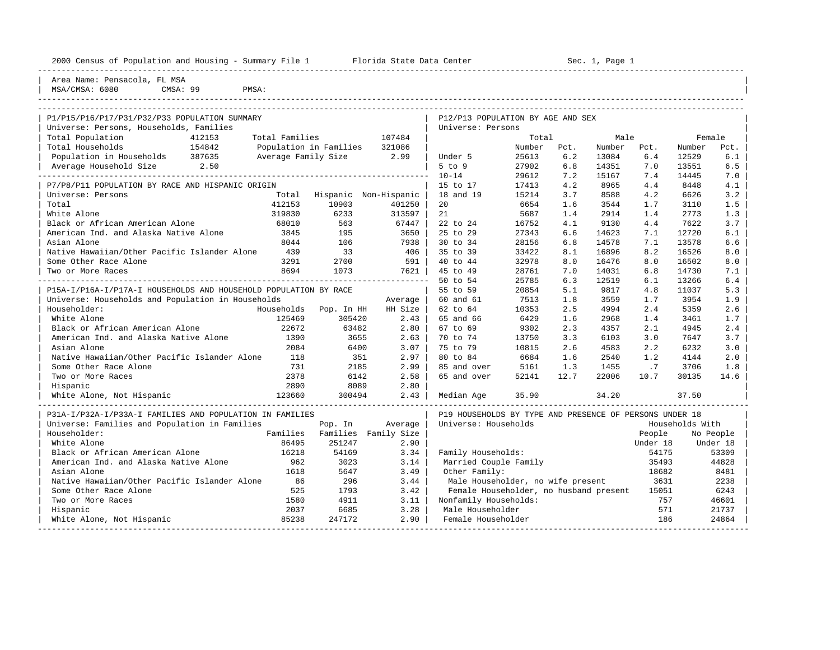| 2000 Census of Population and Housing - Summary File 1 Florida State Data Center |                     |                        |                       |                                                         |                |            | Sec. 1, Page 1 |            |                 |            |
|----------------------------------------------------------------------------------|---------------------|------------------------|-----------------------|---------------------------------------------------------|----------------|------------|----------------|------------|-----------------|------------|
| Area Name: Pensacola, FL MSA<br>MSA/CMSA: 6080<br>CMSA: 99<br>PMSA:              |                     |                        |                       |                                                         |                |            |                |            |                 |            |
|                                                                                  |                     |                        |                       |                                                         |                |            |                |            |                 |            |
| P1/P15/P16/P17/P31/P32/P33 POPULATION SUMMARY                                    |                     |                        |                       | P12/P13 POPULATION BY AGE AND SEX                       |                |            |                |            |                 |            |
| Universe: Persons, Households, Families                                          |                     |                        |                       | Universe: Persons                                       |                |            |                |            |                 |            |
| Total Population<br>412153                                                       | Total Families      |                        | 107484                |                                                         | Total          |            | Male           |            |                 | Female     |
| Total Households<br>154842                                                       |                     | Population in Families | 321086                |                                                         | Number         | Pct.       | Number         | Pct.       | Number          | Pct.       |
| Population in Households 387635                                                  | Average Family Size |                        | 2.99                  | Under 5                                                 | 25613          | 6.2        | 13084          | 6.4        | 12529           | 6.1        |
| Average Household Size 2.50                                                      |                     |                        |                       | 5 to 9                                                  | 27902          | 6.8        | 14351          | 7.0        | 13551           | 6.5        |
|                                                                                  |                     |                        |                       | $10 - 14$                                               | 29612          | 7.2        | 15167          | 7.4        | 14445           | 7.0        |
| P7/P8/P11 POPULATION BY RACE AND HISPANIC ORIGIN                                 |                     |                        |                       | 15 to 17                                                | 17413          | 4.2        | 8965           | 4.4        | 8448            | 4.1        |
| Universe: Persons                                                                | Total               |                        | Hispanic Non-Hispanic | 18 and 19                                               | 15214          | 3.7        | 8588           | 4.2        | 6626            | 3.2        |
| Total                                                                            | 412153              | 10903                  | 401250                | 20                                                      | 6654           | 1.6        | 3544           | 1.7        | 3110            | 1.5        |
| White Alone                                                                      | 319830              | 6233                   | 313597                | 21                                                      | 5687           | 1.4        | 2914           | 1.4        | 2773            | 1.3        |
| Black or African American Alone                                                  | 68010               | 563                    | 67447                 | 22 to 24                                                | 16752          | 4.1        | 9130           | 4.4        | 7622            | 3.7        |
| American Ind. and Alaska Native Alone<br>Asian Alone                             | 3845                | 195                    | 3650                  | 25 to 29                                                | 27343<br>28156 | 6.6        | 14623<br>14578 | 7.1        | 12720           | 6.1        |
| Native Hawaiian/Other Pacific Islander Alone                                     | 8044<br>439         | 106<br>33              | 7938<br>406           | 30 to 34<br>35 to 39                                    | 33422          | 6.8<br>8.1 | 16896          | 7.1<br>8.2 | 13578<br>16526  | 6.6<br>8.0 |
| Some Other Race Alone                                                            | 3291                | 2700                   | 591                   | 40 to 44                                                | 32978          | 8.0        | 16476          | 8.0        | 16502           | 8.0        |
| Two or More Races                                                                | 8694                | 1073                   | 7621                  | 45 to 49                                                | 28761          | 7.0        | 14031          | 6.8        | 14730           | 7.1        |
|                                                                                  |                     |                        |                       | 50 to 54                                                | 25785          | 6.3        | 12519          | 6.1        | 13266           | 6.4        |
| P15A-I/P16A-I/P17A-I HOUSEHOLDS AND HOUSEHOLD POPULATION BY RACE                 |                     |                        |                       | 55 to 59                                                | 20854          | 5.1        | 9817           | 4.8        | 11037           | 5.3        |
| Universe: Households and Population in Households                                |                     |                        | Average               | 60 and 61                                               | 7513           | 1.8        | 3559           | 1.7        | 3954            | 1.9        |
| Householder:                                                                     | Households          | Pop. In HH             | HH Size               | 62 to 64                                                | 10353          | 2.5        | 4994           | 2.4        | 5359            | 2.6        |
| White Alone                                                                      | 125469              | 305420                 | 2.43                  | 65 and 66                                               | 6429           | 1.6        | 2968           | 1.4        | 3461            | 1.7        |
| Black or African American Alone                                                  | 22672               | 63482                  | 2.80                  | 67 to 69                                                | 9302           | 2.3        | 4357           | 2.1        | 4945            | 2.4        |
| American Ind. and Alaska Native Alone                                            | 1390                | 3655                   | 2.63                  | 70 to 74                                                | 13750          | 3.3        | 6103           | 3.0        | 7647            | 3.7        |
| Asian Alone                                                                      | 2084                | 6400                   | 3.07                  | 75 to 79                                                | 10815          | 2.6        | 4583           | 2.2        | 6232            | 3.0        |
| Native Hawaiian/Other Pacific Islander Alone                                     | 118                 | 351                    | 2.97                  | 80 to 84                                                | 6684           | 1.6        | 2540           | 1.2        | 4144            | 2.0        |
| Some Other Race Alone                                                            | 731                 | 2185                   | 2.99                  | 85 and over                                             | 5161           | 1.3        | 1455           | .7         | 3706            | 1.8        |
| Two or More Races                                                                | 2378                | 6142                   | 2.58                  | 65 and over                                             | 52141          | 12.7       | 22006          | 10.7       | 30135           | 14.6       |
| Hispanic                                                                         | 2890                | 8089                   | 2.80                  |                                                         |                |            |                |            |                 |            |
| White Alone, Not Hispanic                                                        | 123660              | 300494                 | 2.43                  | Median Age                                              | 35.90          |            | 34.20          |            | 37.50           |            |
| P31A-I/P32A-I/P33A-I FAMILIES AND POPULATION IN FAMILIES                         |                     |                        |                       | P19 HOUSEHOLDS BY TYPE AND PRESENCE OF PERSONS UNDER 18 |                |            |                |            |                 |            |
| Universe: Families and Population in Families                                    |                     | Pop. In                | Average               | Universe: Households                                    |                |            |                |            | Households With |            |
| Householder:                                                                     | Families            |                        | Families Family Size  |                                                         |                |            |                | People     |                 | No People  |
| White Alone                                                                      | 86495               | 251247                 | 2.90                  |                                                         |                |            |                | Under 18   |                 | Under 18   |
| Black or African American Alone                                                  | 16218               | 54169                  | 3.34                  | Family Households:                                      |                |            |                | 54175      |                 | 53309      |
| American Ind. and Alaska Native Alone                                            | 962                 | 3023                   | 3.14                  | Married Couple Family                                   |                |            |                | 35493      |                 | 44828      |
| Asian Alone                                                                      | 1618                | 5647                   | 3.49                  | Other Family:                                           |                |            |                | 18682      |                 | 8481       |
| Native Hawaiian/Other Pacific Islander Alone                                     | 86                  | 296                    | 3.44                  | Male Householder, no wife present                       |                |            |                | 3631       |                 | 2238       |
| Some Other Race Alone                                                            | 525                 | 1793                   | 3.42                  | Female Householder, no husband present                  |                |            |                | 15051      |                 | 6243       |
| Two or More Races                                                                | 1580                | 4911                   | 3.11                  | Nonfamily Households:                                   |                |            |                | 757        |                 | 46601      |
| Hispanic                                                                         | 2037                | 6685                   | 3.28                  | Male Householder                                        |                |            |                | 571        |                 | 21737      |

White Alone, Not Hispanic  $85238$   $247172$   $2.90$  Female Householder  $186$   $24864$ -----------------------------------------------------------------------------------------------------------------------------------------------------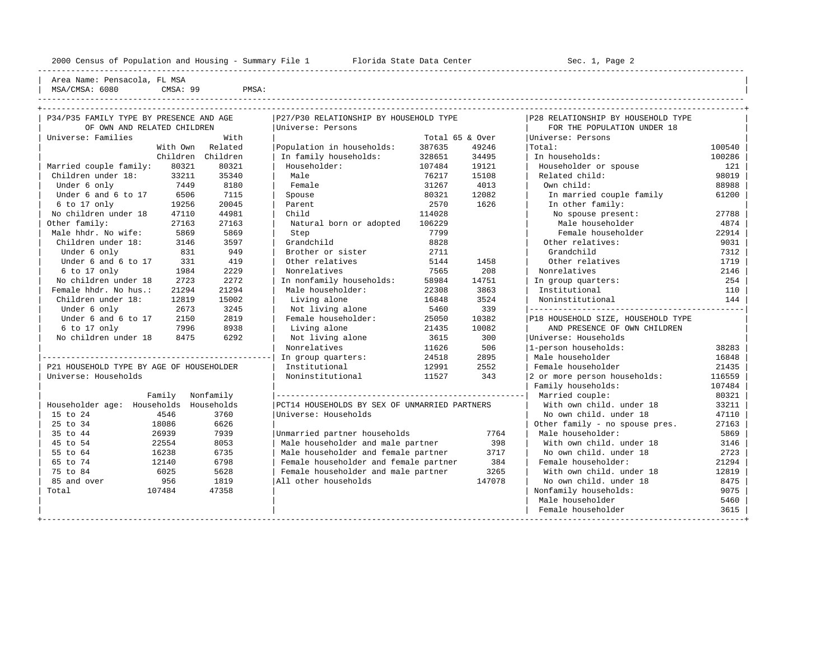----------------------------------------------------------------------------------------------------------------------------------------------------

Area Name: Pensacola, FL MSA | MSA/CMSA: 6080 CMSA: 99 PMSA:

| OF OWN AND RELATED CHILDREN              | P34/P35 FAMILY TYPE BY PRESENCE AND AGE |                  | P27/P30 RELATIONSHIP BY HOUSEHOLD TYPE        |        | P28 RELATIONSHIP BY HOUSEHOLD TYPE |                                    |        |  |
|------------------------------------------|-----------------------------------------|------------------|-----------------------------------------------|--------|------------------------------------|------------------------------------|--------|--|
|                                          |                                         |                  | Universe: Persons                             |        |                                    | FOR THE POPULATION UNDER 18        |        |  |
| Universe: Families                       |                                         | With             |                                               |        | Total 65 & Over                    | Universe: Persons                  |        |  |
|                                          |                                         | With Own Related | Population in households:                     | 387635 | 49246                              | Total:                             | 100540 |  |
|                                          | Children                                | Children         | In family households:                         | 328651 | 34495                              | In households:                     | 100286 |  |
| Married couple family:                   | 80321                                   | 80321            | Householder:                                  | 107484 | 19121                              | Householder or spouse              | 121    |  |
| Children under 18:                       | 33211                                   | 35340            | Male                                          | 76217  | 15108                              | Related child:                     | 98019  |  |
| Under 6 only                             | 7449                                    | 8180             | Female                                        | 31267  | 4013                               | Own child:                         | 88988  |  |
| Under 6 and 6 to 17                      | 6506                                    | 7115             | Spouse                                        | 80321  | 12082                              | In married couple family           | 61200  |  |
| $6$ to $17$ only                         | 19256                                   | 20045            | Parent                                        | 2570   | 1626                               | In other family:                   |        |  |
| No children under 18                     | 47110                                   | 44981            | Child                                         | 114028 |                                    | No spouse present:                 | 27788  |  |
| Other family:                            | 27163                                   | 27163            | Natural born or adopted                       | 106229 |                                    | Male householder                   | 4874   |  |
| Male hhdr. No wife:                      | 5869                                    | 5869             | Step                                          | 7799   |                                    | Female householder                 | 22914  |  |
| Children under 18:                       | 3146                                    | 3597             | Grandchild                                    | 8828   |                                    | Other relatives:                   | 9031   |  |
| Under 6 only                             | 831                                     | 949              | Brother or sister                             | 2711   |                                    | Grandchild                         | 7312   |  |
| Under 6 and 6 to 17                      | 331                                     | 419              | Other relatives                               | 5144   | 1458                               | Other relatives                    | 1719   |  |
| 6 to 17 only                             | 1984                                    | 2229             | Nonrelatives                                  | 7565   | 208                                | Nonrelatives                       | 2146   |  |
| No children under 18                     | 2723                                    | 2272             | In nonfamily households:                      | 58984  | 14751                              | In group quarters:                 | 254    |  |
| Female hhdr. No hus.:                    | 21294                                   | 21294            | Male householder:                             | 22308  | 3863                               | Institutional                      | 110    |  |
| Children under 18:                       | 12819                                   | 15002            | Living alone                                  | 16848  | Noninstitutional                   | 144                                |        |  |
| Under 6 only                             | 2673                                    | 3245             | Not living alone                              | 5460   |                                    |                                    |        |  |
| Under 6 and 6 to 17                      | 2150                                    | 2819             | Female householder:                           | 25050  | 10382                              | P18 HOUSEHOLD SIZE, HOUSEHOLD TYPE |        |  |
| 6 to 17 only                             | 7996                                    | 8938             | Living alone                                  | 21435  | 10082                              | AND PRESENCE OF OWN CHILDREN       |        |  |
| No children under 18                     | 8475                                    | 6292             | Not living alone                              | 3615   | 300                                | Universe: Households               |        |  |
|                                          |                                         |                  | Nonrelatives                                  | 11626  | 506                                | 1-person households:               | 38283  |  |
|                                          |                                         |                  | In group quarters:                            | 24518  | 2895                               | Male householder                   | 16848  |  |
| P21 HOUSEHOLD TYPE BY AGE OF HOUSEHOLDER |                                         |                  | Institutional                                 | 12991  | 2552                               | Female householder                 | 21435  |  |
| Universe: Households                     |                                         |                  | Noninstitutional                              | 11527  | 343                                | 2 or more person households:       | 116559 |  |
|                                          |                                         |                  |                                               |        |                                    | Family households:                 | 107484 |  |
| Family                                   |                                         | Nonfamily        |                                               |        |                                    | Married couple:                    | 80321  |  |
| Householder age: Households Households   |                                         |                  | PCT14 HOUSEHOLDS BY SEX OF UNMARRIED PARTNERS |        |                                    | With own child, under 18           | 33211  |  |
| 15 to 24<br>4546                         |                                         | 3760             | Universe: Households                          |        |                                    | No own child, under 18             | 47110  |  |
| 25 to 34<br>18086                        |                                         | 6626             |                                               |        |                                    | Other family - no spouse pres.     | 27163  |  |
| 35 to 44<br>26939                        |                                         | 7939             | Unmarried partner households                  |        | 7764                               | Male householder:                  | 5869   |  |
| 45 to 54<br>22554                        |                                         | 8053             | Male householder and male partner             |        | 398                                | With own child, under 18           | 3146   |  |
| 55 to 64<br>16238                        |                                         | 6735             | Male householder and female partner           |        | 3717                               | No own child. under 18             | 2723   |  |
| 65 to 74<br>12140                        |                                         | 6798             | Female householder and female partner         |        | 384                                | Female householder:                | 21294  |  |
| 75 to 84<br>6025                         |                                         | 5628             | Female householder and male partner           |        | 3265<br>147078                     | With own child, under 18           | 12819  |  |
| 956<br>85 and over                       |                                         | 1819             | All other households                          |        | No own child. under 18             |                                    |        |  |
| Total<br>107484                          |                                         | 47358            |                                               |        | Nonfamily households:<br>9075      |                                    |        |  |
|                                          |                                         |                  |                                               |        |                                    | Male householder                   | 5460   |  |
|                                          |                                         |                  |                                               |        |                                    | Female householder                 | 3615   |  |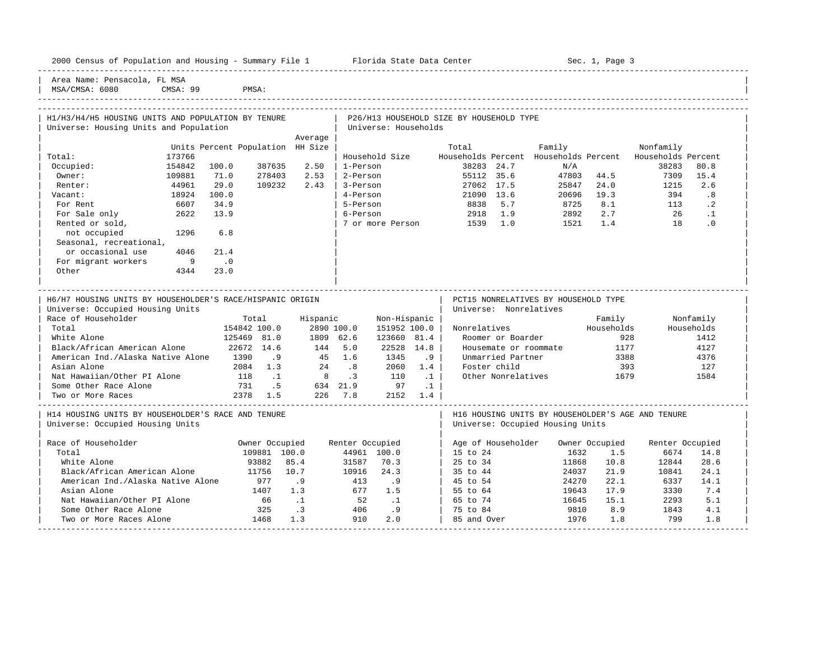|  |  | 2000 Census of Population and Housing - Summary File 1 | Florida State Data Center | Sec. 1, Page 3 |
|--|--|--------------------------------------------------------|---------------------------|----------------|
|  |  |                                                        |                           |                |

-----------------------------------------------------------------------------------------------------------------------------------------------------

Area Name: Pensacola, FL MSA

MSA/CMSA: 6080 CMSA: 99 PMSA: ----------------------------------------------------------------------------------------------------------------------------------------------------- ----------------------------------------------------------------------------------------------------------------------------------------------------- | H1/H3/H4/H5 HOUSING UNITS AND POPULATION BY TENURE | P26/H13 HOUSEHOLD SIZE BY HOUSEHOLD TYPE | Universe: Housing Units and Population | Universe: Households | Average | Average | Average | Average | Average | Average | Average | Average | Average | Average | Average | Average | Average | Average | Average | Average | Average | Average | Average | Average | Average | Average | Units Percent Population HH Size | Total Family Ronfamily Nonfamily | Total: 173766 | Household Size Households Percent Households Percent Households Percent | | Occupied: 154842 100.0 387635 2.50 | 1-Person 38283 24.7 N/A 38283 80.8 | | Owner: 109881 71.0 278403 2.53 | 2-Person 55112 35.6 47803 44.5 7309 15.4 | | Renter: 44961 29.0 109232 2.43 | 3-Person 27062 17.5 25847 24.0 1215 2.6 | | Vacant: 18924 100.0 | 4-Person 21090 13.6 20696 19.3 394 .8 | | For Rent 6607 34.9 | 5-Person 8838 5.7 8725 8.1 113 .2 | | For Sale only 2622 13.9 | 6-Person 2918 1.9 2892 2.7 26 .1 | | Rented or sold, | 7 or more Person 1539 1.0 1521 1.4 18 .0 | not occupied 1296 6.8 Seasonal, recreational, or occasional use  $4046$  21.4 For migrant workers 9 .0 | Other 4344 23.0 | | | | | ----------------------------------------------------------------------------------------------------------------------------------------------------- | H6/H7 HOUSING UNITS BY HOUSEHOLDER'S RACE/HISPANIC ORIGIN | PCT15 NONRELATIVES BY HOUSEHOLD TYPE | Universe: Occupied Housing Units | Universe: Nonrelatives | Universe: Nonrelatives | Race of Householder Total Hispanic Non-Hispanic | Family Nonfamily | | Total 154842 100.0 2890 100.0 151952 100.0 | Nonrelatives<br>
125469 81.0 1809 62.6 123660 81.4 | Roomer or Bounds House | White Alone 125469 81.0 1809 62.6 123660 81.4 | Roomer or Boarder 928 1412 | | Black/African American Alone 22672 14.6 144 5.0 22528 14.8 | Housemate or roommate 1177 4127 |

| Nat Hawaiian/Other PI Alone                        | 118            |              | 8   | $\cdot$ 3       | 110         | $\cdot$ 1 | Other Nonrelatives                                |                | 1679 |                 | 1584 |  |
|----------------------------------------------------|----------------|--------------|-----|-----------------|-------------|-----------|---------------------------------------------------|----------------|------|-----------------|------|--|
| Some Other Race Alone                              | 731            | .5           | 634 | 21.9            | 97          | $\cdot$ 1 |                                                   |                |      |                 |      |  |
| Two or More Races                                  | 2378<br>1.5    |              | 226 | 7.8             | 2152        | 1.4       |                                                   |                |      |                 |      |  |
| H14 HOUSING UNITS BY HOUSEHOLDER'S RACE AND TENURE |                |              |     |                 |             |           | H16 HOUSING UNITS BY HOUSEHOLDER'S AGE AND TENURE |                |      |                 |      |  |
| Universe: Occupied Housing Units                   |                |              |     |                 |             |           | Universe: Occupied Housing Units                  |                |      |                 |      |  |
| Race of Householder                                | Owner Occupied |              |     | Renter Occupied |             |           | Age of Householder                                | Owner Occupied |      | Renter Occupied |      |  |
| Total                                              |                | 109881 100.0 |     |                 | 44961 100.0 |           | 15 to 24                                          | 1632           | 1.5  | 6674            | 14.8 |  |
| White Alone                                        | 93882          | 85.4         |     | 31587           | 70.3        |           | 25 to 34                                          | 11868          | 10.8 | 12844           | 28.6 |  |
| Black/African American Alone                       | 11756          | 10.7         |     | 10916           | 24.3        |           | 35 to 44                                          | 24037          | 21.9 | 10841           | 24.1 |  |
| American Ind./Alaska Native Alone                  | 977            | .9           |     | 413             | .9          |           | 45 to 54                                          | 24270          | 22.1 | 6337            | 14.1 |  |
| Asian Alone                                        | 1407           | 1.3          |     | 677             | 1.5         |           | 55 to 64                                          | 19643          | 17.9 | 3330            | 7.4  |  |
| Nat Hawaiian/Other PI Alone                        | 66             |              |     | 52              | $\cdot$ 1   |           | 65 to 74                                          | 16645          | 15.1 | 2293            | 5.1  |  |
| Some Other Race Alone                              | 325            | $\cdot$ 3    |     | 406             | .9          |           | 75 to 84                                          | 9810           | 8.9  | 1843            | 4.1  |  |
| Two or More Races Alone                            | 1468           | 1.3          |     | 910             | 2.0         |           | 85 and Over                                       | 1976           | 1.8  | 799             | 1.8  |  |
|                                                    |                |              |     |                 |             |           |                                                   |                |      |                 |      |  |

| American Ind./Alaska Native Alone 1390 .9 45 1.6 1345 .9 | Unmarried Partner 3388 4376 | Asian Alone 2084 1.3 24 .8 2060 1.4 | Foster child 393 127<br>
Nat Hawaiian/Other PI Alone 118 .1 8 .3 110 .1 | Other Nonrelatives 1679 1584<br>
Some Other Race Alone 731 .5 634 21.9 97 .1 |<br>
The month of the Some of the Rose of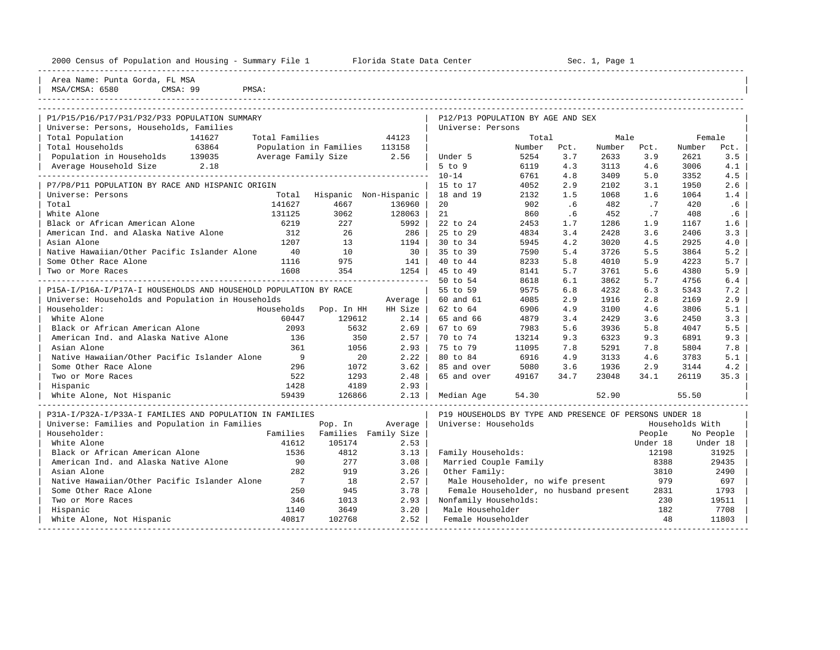| 2000 Census of Population and Housing - Summary File 1 Florida State Data Center 6 1 Sec. 1, Page 1 |                |                          |                       |                                   |        |      |        |      |        |        |
|-----------------------------------------------------------------------------------------------------|----------------|--------------------------|-----------------------|-----------------------------------|--------|------|--------|------|--------|--------|
| Area Name: Punta Gorda, FL MSA<br>CMSA: 99<br>MSA/CMSA: 6580<br>PMSA:                               |                |                          |                       |                                   |        |      |        |      |        |        |
|                                                                                                     |                |                          |                       |                                   |        |      |        |      |        |        |
| P1/P15/P16/P17/P31/P32/P33 POPULATION SUMMARY                                                       |                |                          |                       | P12/P13 POPULATION BY AGE AND SEX |        |      |        |      |        |        |
| Universe: Persons, Households, Families                                                             |                |                          |                       | Universe: Persons                 |        |      |        |      |        |        |
| Total Population<br>141627                                                                          |                | Total Families 644123    |                       |                                   | Total  |      | Male   |      |        | Female |
| 63864<br>Total Households                                                                           |                | Population in Families   | 113158                |                                   | Number | Pct. | Number | Pct. | Number | Pct.   |
| Population in Households 139035                                                                     |                | Average Family Size 2.56 |                       | Under 5                           | 5254   | 3.7  | 2633   | 3.9  | 2621   | 3.5    |
| Average Household Size 2.18                                                                         |                |                          |                       | $5$ to $9$                        | 6119   | 4.3  | 3113   | 4.6  | 3006   | 4.1    |
|                                                                                                     |                |                          |                       | $10 - 14$                         | 6761   | 4.8  | 3409   | 5.0  | 3352   | 4.5    |
| P7/P8/P11 POPULATION BY RACE AND HISPANIC ORIGIN                                                    |                |                          |                       | 15 to 17                          | 4052   | 2.9  | 2102   | 3.1  | 1950   | 2.6    |
| Universe: Persons                                                                                   | Total          |                          | Hispanic Non-Hispanic | 18 and 19                         | 2132   | 1.5  | 1068   | 1.6  | 1064   | 1.4    |
| Total                                                                                               | 141627         | 4667                     | 136960                | 20                                | 902    | .6   | 482    | .7   | 420    | .6     |
| White Alone                                                                                         | 131125         | 3062                     | 128063                | 21                                | 860    | .6   | 452    | .7   | 408    | .6     |
| Black or African American Alone                                                                     | 6219           | 227                      | 5992                  | 22 to 24                          | 2453   | 1.7  | 1286   | 1.9  | 1167   | 1.6    |
| American Ind. and Alaska Native Alone                                                               | 312            | 26                       | 286                   | 25 to 29                          | 4834   | 3.4  | 2428   | 3.6  | 2406   | 3.3    |
| Asian Alone                                                                                         | 1207           | 13                       | 1194                  | 30 to 34                          | 5945   | 4.2  | 3020   | 4.5  | 2925   | 4.0    |
| Native Hawaiian/Other Pacific Islander Alone                                                        | 40             | 10                       | 30                    | 35 to 39                          | 7590   | 5.4  | 3726   | 5.5  | 3864   | 5.2    |
| Some Other Race Alone                                                                               | 1116           | 975                      | 141                   | 40 to 44                          | 8233   | 5.8  | 4010   | 5.9  | 4223   | 5.7    |
| Two or More Races                                                                                   | 1608           | 354                      | 1254                  | 45 to 49                          | 8141   | 5.7  | 3761   | 5.6  | 4380   | 5.9    |
|                                                                                                     |                |                          |                       | 50 to 54                          | 8618   | 6.1  | 3862   | 5.7  | 4756   | 6.4    |
| P15A-I/P16A-I/P17A-I HOUSEHOLDS AND HOUSEHOLD POPULATION BY RACE                                    |                |                          |                       | 55 to 59                          | 9575   | 6.8  | 4232   | 6.3  | 5343   | 7.2    |
| Universe: Households and Population in Households                                                   |                |                          | Average               | 60 and 61                         | 4085   | 2.9  | 1916   | 2.8  | 2169   | 2.9    |
| Householder:                                                                                        | Households     | Pop. In HH               | HH Size               | 62 to 64                          | 6906   | 4.9  | 3100   | 4.6  | 3806   | 5.1    |
| White Alone                                                                                         | 60447          | 129612                   | 2.14                  | 65 and 66                         | 4879   | 3.4  | 2429   | 3.6  | 2450   | 3.3    |
| Black or African American Alone                                                                     | 2093           | 5632                     | 2.69                  | 67 to 69                          | 7983   | 5.6  | 3936   | 5.8  | 4047   | 5.5    |
| American Ind. and Alaska Native Alone                                                               | 136            | 350                      | 2.57                  | 70 to 74                          | 13214  | 9.3  | 6323   | 9.3  | 6891   | 9.3    |
| Asian Alone                                                                                         | 361            | 1056                     | 2.93                  | 75 to 79                          | 11095  | 7.8  | 5291   | 7.8  | 5804   | 7.8    |
| Native Hawaiian/Other Pacific Islander Alone                                                        | $\overline{9}$ | 20                       | 2.22                  | 80 to 84                          | 6916   | 4.9  | 3133   | 4.6  | 3783   | 5.1    |
| Some Other Race Alone                                                                               | 296            | 1072                     | 3.62                  | 85 and over                       | 5080   | 3.6  | 1936   | 2.9  | 3144   | 4.2    |
| Two or More Races                                                                                   | 522            | 1293                     | 2.48                  | 65 and over                       | 49167  | 34.7 | 23048  | 34.1 | 26119  | 35.3   |

| White Alone, Not Hispanic                                | 59439    | 126866   | 2.13        | Median Age            | 54.30                                                   | 52.90 |          | 55.50           |  |
|----------------------------------------------------------|----------|----------|-------------|-----------------------|---------------------------------------------------------|-------|----------|-----------------|--|
| P31A-I/P32A-I/P33A-I FAMILIES AND POPULATION IN FAMILIES |          |          |             |                       | P19 HOUSEHOLDS BY TYPE AND PRESENCE OF PERSONS UNDER 18 |       |          |                 |  |
| Universe: Families and Population in Families            |          | Pop. In  | Average     | Universe: Households  |                                                         |       |          | Households With |  |
| Householder:                                             | Families | Families | Family Size |                       |                                                         |       | People   | No People       |  |
| White Alone                                              | 41612    | 105174   | 2.53        |                       |                                                         |       | Under 18 | Under 18        |  |
| Black or African American Alone                          | 1536     | 4812     | 3.13        | Family Households:    |                                                         |       | 12198    | 31925           |  |
| American Ind. and Alaska Native Alone                    | 90       | 277      | 3.08        | Married Couple Family |                                                         |       | 8388     | 29435           |  |
| Asian Alone                                              | 282      | 919      | 3.26        | Other Family:         |                                                         |       | 3810     | 2490            |  |
| Native Hawaiian/Other Pacific Islander Alone             |          | 18       | 2.57        |                       | Male Householder, no wife present                       |       | 979      | 697             |  |
| Some Other Race Alone                                    | 250      | 945      | 3.78        |                       | Female Householder, no husband present                  |       | 2831     | 1793            |  |
| Two or More Races                                        | 346      | 1013     | 2.93        | Nonfamily Households: |                                                         |       | 230      | 19511           |  |
| Hispanic                                                 | 1140     | 3649     | 3.20        | Male Householder      |                                                         |       | 182      | 7708            |  |
| White Alone, Not Hispanic                                | 40817    | 102768   | 2.52        | Female Householder    |                                                         |       | 48       | 11803           |  |
|                                                          |          |          |             |                       |                                                         |       |          |                 |  |

| Hispanic 1428 4189 2.93 | |

 $\begin{array}{ccccccccc} \text{Two or More Races} & \text{S22} & \text{S23} & \text{S139} & \text{S248} & \text{S348} \\ \text{Hispanic} & & & & & & 1428 & \text{S258} \\ \end{array}$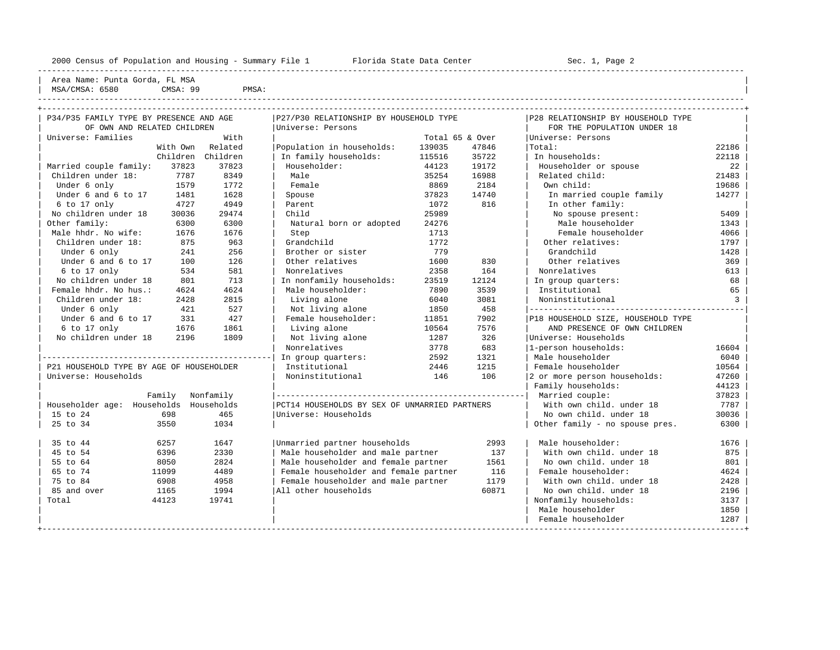----------------------------------------------------------------------------------------------------------------------------------------------------

| Area Name: Punta Gorda, FL MSA |

| MSA.<br>0500<br>$\sim$ $\sim$ | $\Omega$<br>CMSA:<br>. | PMSA |  |
|-------------------------------|------------------------|------|--|
|                               |                        |      |  |

| P34/P35 FAMILY TYPE BY PRESENCE AND AGE  | P27/P30 RELATIONSHIP BY HOUSEHOLD TYPE |                                               |        | P28 RELATIONSHIP BY HOUSEHOLD TYPE |                                    |                |  |
|------------------------------------------|----------------------------------------|-----------------------------------------------|--------|------------------------------------|------------------------------------|----------------|--|
| OF OWN AND RELATED CHILDREN              |                                        | Universe: Persons                             |        |                                    | FOR THE POPULATION UNDER 18        |                |  |
| Universe: Families                       | With                                   |                                               |        | Total 65 & Over                    | Universe: Persons                  |                |  |
|                                          | With Own Related                       | Population in households:                     | 139035 | 47846                              | Total:                             | 22186          |  |
|                                          | Children Children                      | In family households:                         | 115516 | 35722                              | In households:                     | 22118          |  |
| Married couple family:<br>37823          | 37823                                  | Householder:                                  | 44123  | 19172                              | Householder or spouse              | 22             |  |
| Children under 18:<br>7787               | 8349                                   | Male                                          | 35254  | 16988                              | Related child:                     | 21483          |  |
| Under 6 only<br>1579                     | 1772                                   | Female                                        | 8869   | 2184                               | Own child:                         | 19686          |  |
| Under 6 and 6 to 17<br>1481              | 1628                                   | Spouse                                        | 37823  | 14740                              | In married couple family           | 14277          |  |
| $6$ to 17 only<br>4727                   | 4949                                   | Parent                                        | 1072   | 816                                | In other family:                   |                |  |
| No children under 18<br>30036            | 29474                                  | Child                                         | 25989  |                                    | No spouse present:                 | 5409           |  |
| Other family:<br>6300                    | 6300                                   | Natural born or adopted                       | 24276  |                                    | Male householder                   | 1343           |  |
| Male hhdr. No wife:<br>1676              | 1676                                   | Step                                          | 1713   |                                    | Female householder                 | 4066           |  |
| Children under 18:<br>875                | 963                                    | Grandchild                                    | 1772   |                                    | Other relatives:                   | 1797           |  |
| Under 6 only<br>241                      | 256                                    | Brother or sister                             | 779    |                                    | Grandchild                         | 1428           |  |
| Under 6 and 6 to 17<br>100               | 126                                    | Other relatives                               | 1600   | 830                                | Other relatives                    | 369            |  |
| 6 to 17 only<br>534                      | 581                                    | Nonrelatives                                  | 2358   | 164                                | Nonrelatives                       | 613            |  |
| No children under 18<br>801              | 713                                    | In nonfamily households:                      | 23519  | 12124                              | In group quarters:                 | 68             |  |
| Female hhdr. No hus.:<br>4624            | 4624                                   | Male householder:                             | 7890   | 3539                               | Institutional                      | 65             |  |
| Children under 18:<br>2428               | 2815                                   | Living alone                                  | 6040   | 3081                               | Noninstitutional                   | $\overline{3}$ |  |
| Under 6 only<br>421                      | 527                                    | Not living alone                              | 1850   | 458                                |                                    |                |  |
| Under 6 and 6 to 17<br>331               | 427                                    | Female householder:                           | 11851  | 7902                               | P18 HOUSEHOLD SIZE, HOUSEHOLD TYPE |                |  |
| $6$ to 17 only<br>1676                   | 1861                                   | Living alone                                  | 10564  | 7576                               | AND PRESENCE OF OWN CHILDREN       |                |  |
| No children under 18<br>2196             | 1809                                   | Not living alone                              | 1287   | 326                                | Universe: Households               |                |  |
|                                          |                                        | Nonrelatives                                  | 3778   | 683                                | 1-person households:               | 16604          |  |
|                                          |                                        | In group quarters:                            | 2592   | 1321                               | Male householder                   | 6040           |  |
| P21 HOUSEHOLD TYPE BY AGE OF HOUSEHOLDER |                                        | Institutional                                 | 2446   | 1215                               | Female householder                 | 10564          |  |
| Universe: Households                     |                                        | Noninstitutional                              | 146    | 106                                | 2 or more person households:       | 47260          |  |
|                                          |                                        |                                               |        |                                    | Family households:                 | 44123          |  |
|                                          | Family Nonfamily                       |                                               |        |                                    |                                    | 37823          |  |
| Householder age: Households Households   |                                        | PCT14 HOUSEHOLDS BY SEX OF UNMARRIED PARTNERS |        |                                    | With own child, under 18           | 7787           |  |
| 698<br>15 to 24                          | 465                                    | Universe: Households                          |        |                                    | No own child, under 18             | 30036          |  |
| 25 to 34<br>3550                         | 1034                                   |                                               |        |                                    | Other family - no spouse pres.     | 6300           |  |
|                                          |                                        |                                               |        |                                    |                                    |                |  |
| 35 to 44<br>6257                         | 1647                                   | Unmarried partner households                  |        | 2993                               | Male householder:                  | 1676           |  |
| 45 to 54<br>6396                         | 2330                                   | Male householder and male partner             |        | 137                                | With own child, under 18           | 875            |  |
| 55 to 64<br>8050                         | 2824                                   | Male householder and female partner           |        | 1561                               | No own child, under 18             | 801            |  |
| 65 to 74<br>11099                        | 4489                                   | Female householder and female partner         |        | Female householder:                | 4624                               |                |  |
| 75 to 84<br>6908                         | 4958                                   | Female householder and male partner           |        | With own child, under 18           | 2428                               |                |  |
| 85 and over<br>1165                      | 1994                                   | All other households                          |        | No own child. under 18             | 2196                               |                |  |
| Total<br>44123                           | 19741                                  |                                               |        | Nonfamily households:              | 3137                               |                |  |
|                                          |                                        |                                               |        |                                    | Male householder                   | 1850           |  |
|                                          |                                        |                                               |        |                                    | Female householder                 | 1287           |  |
|                                          |                                        |                                               |        |                                    |                                    |                |  |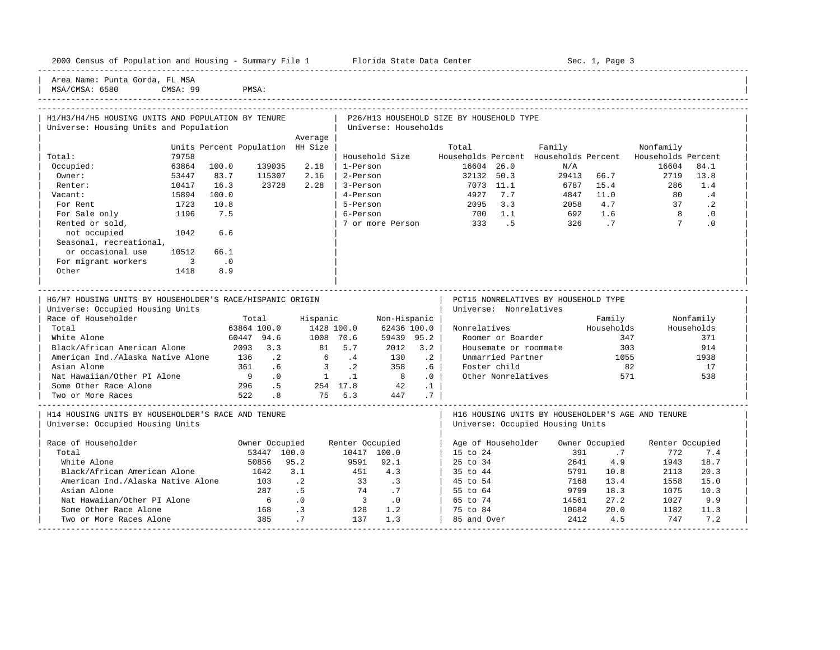|  |  |  |  |  |  |  | 2000 Census of Population and Housing - Summary File 1 |  |  |  |  |  |  |
|--|--|--|--|--|--|--|--------------------------------------------------------|--|--|--|--|--|--|
|--|--|--|--|--|--|--|--------------------------------------------------------|--|--|--|--|--|--|

Plorida State Data Center - Sec. 1, Page 3

-----------------------------------------------------------------------------------------------------------------------------------------------------

Area Name: Punta Gorda, FL MSA MSA/CMSA: 6580 CMSA: 99 PMSA:

| H1/H3/H4/H5 HOUSING UNITS AND POPULATION BY TENURE        |                            |                                  |                             |                            |                       |                           |           | P26/H13 HOUSEHOLD SIZE BY HOUSEHOLD TYPE   |                                      |            |                        |                                                   |            |
|-----------------------------------------------------------|----------------------------|----------------------------------|-----------------------------|----------------------------|-----------------------|---------------------------|-----------|--------------------------------------------|--------------------------------------|------------|------------------------|---------------------------------------------------|------------|
| Universe: Housing Units and Population                    |                            |                                  |                             |                            |                       | Universe: Households      |           |                                            |                                      |            |                        |                                                   |            |
|                                                           |                            |                                  |                             | Average                    |                       |                           |           |                                            |                                      |            |                        |                                                   |            |
|                                                           |                            | Units Percent Population HH Size |                             |                            |                       |                           |           | Total                                      |                                      | Family     |                        | Nonfamily                                         |            |
| Total:                                                    | 79758                      |                                  |                             |                            |                       | Household Size            |           | Households Percent Households Percent      |                                      |            |                        | Households Percent                                |            |
| Occupied:                                                 | 63864                      | 100.0                            | 139035                      | 2.18                       | 1-Person              |                           |           | 16604 26.0                                 |                                      | N/A        |                        | 16604                                             | 84.1       |
| Owner:                                                    | 53447                      | 83.7                             | 115307                      | 2.16                       | 2-Person              |                           |           | 32132 50.3                                 |                                      | 29413 66.7 |                        | 2719                                              | 13.8       |
| Renter:                                                   | 10417                      | 16.3                             | 23728                       | 2.28                       | 3-Person              |                           |           | 7073 11.1                                  |                                      | 6787       | 15.4                   | 286                                               | 1.4        |
| Vacant:                                                   | 15894                      | 100.0                            |                             |                            | 4-Person              |                           |           | 4927                                       | 7.7                                  |            | 4847 11.0              | 80                                                | .4         |
| For Rent                                                  | 1723                       | 10.8                             |                             |                            | 5-Person              |                           |           | 2095 3.3                                   |                                      | 2058       | 4.7                    | 37                                                | $\cdot$ 2  |
| For Sale only                                             | 1196                       | 7.5                              |                             |                            | 6-Person              |                           |           | 700 1.1                                    |                                      | 692        | 1.6                    | $\overline{8}$                                    | $\cdot$ 0  |
| Rented or sold,                                           |                            |                                  |                             |                            |                       |                           |           | 7 or more Person 333 .5                    |                                      | 326        | .7                     | $\overline{7}$                                    | .0         |
| not occupied                                              | 1042                       | 6.6                              |                             |                            |                       |                           |           |                                            |                                      |            |                        |                                                   |            |
| Seasonal, recreational,                                   |                            |                                  |                             |                            |                       |                           |           |                                            |                                      |            |                        |                                                   |            |
| or occasional use                                         | 10512                      | 66.1                             |                             |                            |                       |                           |           |                                            |                                      |            |                        |                                                   |            |
| For migrant workers                                       | $\overline{\phantom{a}}$ 3 | $\cdot$ 0                        |                             |                            |                       |                           |           |                                            |                                      |            |                        |                                                   |            |
| Other                                                     | 1418                       | 8.9                              |                             |                            |                       |                           |           |                                            |                                      |            |                        |                                                   |            |
|                                                           |                            |                                  |                             |                            |                       |                           |           |                                            |                                      |            |                        |                                                   |            |
|                                                           |                            |                                  |                             |                            |                       |                           |           |                                            |                                      |            |                        |                                                   |            |
| H6/H7 HOUSING UNITS BY HOUSEHOLDER'S RACE/HISPANIC ORIGIN |                            |                                  |                             |                            |                       |                           |           |                                            | PCT15 NONRELATIVES BY HOUSEHOLD TYPE |            |                        |                                                   |            |
| Universe: Occupied Housing Units                          |                            |                                  |                             |                            |                       |                           |           |                                            | Universe: Nonrelatives               |            |                        |                                                   |            |
| Race of Householder                                       |                            |                                  | Total                       |                            | Hispanic              | Non-Hispanic              |           |                                            |                                      |            | Family                 |                                                   | Nonfamily  |
| Total                                                     |                            |                                  | 63864 100.0                 |                            | 1428 100.0            | 62436 100.0               |           |                                            | Nonrelatives                         |            | Households             |                                                   | Households |
| White Alone                                               |                            | 60447 94.6                       |                             | 1008 70.6                  |                       | 59439 95.2                |           |                                            | Roomer or Boarder                    |            | 347                    |                                                   | 371        |
| Black/African American Alone                              |                            | 2093 3.3                         |                             | 81                         | 5.7                   | 2012                      | 3.2       |                                            | Housemate or roommate                |            | 303                    |                                                   | 914        |
| American Ind./Alaska Native Alone                         |                            | 136                              | $\cdot$ . 2                 |                            | 6.4                   | 130                       | $\cdot$ 2 |                                            | Unmarried Partner                    |            | 1055                   |                                                   | 1938       |
| Asian Alone                                               |                            | 361                              | .6                          | $\overline{\phantom{a}}$ 3 | $\cdot$ . 2           | 358                       | .6        | Foster child                               |                                      |            | 82                     |                                                   | 17         |
| Nat Hawaiian/Other PI Alone                               |                            | - 9                              | $\overline{0}$              | $1 \qquad 1 \qquad 8$      |                       |                           | .0        |                                            | Other Nonrelatives                   |            | 571                    |                                                   | 538        |
| Some Other Race Alone                                     |                            | 296<br>522                       | .5                          | 75 5.3                     |                       | 254 17.8 42<br>75 5.3 447 | $\cdot$ 1 |                                            |                                      |            |                        |                                                   |            |
| Two or More Races                                         |                            |                                  | $\overline{\phantom{0}}$ .8 |                            |                       | 447                       | .7        |                                            |                                      |            |                        |                                                   |            |
| H14 HOUSING UNITS BY HOUSEHOLDER'S RACE AND TENURE        |                            |                                  |                             |                            |                       |                           |           |                                            |                                      |            |                        | H16 HOUSING UNITS BY HOUSEHOLDER'S AGE AND TENURE |            |
| Universe: Occupied Housing Units                          |                            |                                  |                             |                            |                       |                           |           |                                            | Universe: Occupied Housing Units     |            |                        |                                                   |            |
|                                                           |                            |                                  |                             |                            |                       |                           |           |                                            |                                      |            |                        |                                                   |            |
|                                                           |                            |                                  |                             |                            |                       |                           |           |                                            |                                      |            |                        |                                                   |            |
| Total                                                     |                            |                                  | 53447 100.0                 |                            |                       | 10417 100.0               |           | 15 to 24                                   |                                      | 391        | .7                     | 772                                               | 7.4        |
| White Alone                                               |                            |                                  | 50856                       | 95.2                       |                       | 9591 92.1                 |           | 25 to 34                                   |                                      | 2641       | 4.9                    | 1943                                              | 18.7       |
| Black/African American Alone                              |                            |                                  | 1642                        | 3.1                        | 451                   | 4.3                       |           |                                            |                                      | 5791       | 10.8                   | 2113                                              | 20.3       |
| American Ind./Alaska Native Alone                         |                            |                                  | 103                         |                            |                       |                           |           | 45 to 54                                   |                                      | 7168       | 13.4                   | 1558                                              | 15.0       |
| Asian Alone                                               |                            |                                  | 287                         |                            |                       |                           |           |                                            |                                      | 9799       |                        | 1075                                              | 10.3       |
| Nat Hawaiian/Other PI Alone                               |                            |                                  | 6                           | $\cdot$ 0                  | $\overline{3}$        | $\cdot$ 0                 |           | 65 to 74                                   |                                      |            | 27.2                   | 1027                                              | 9.9        |
| Race of Householder                                       |                            |                                  | Owner Occupied              | $\cdot$ . 2<br>.5          | Renter Occupied<br>74 | 33 .3<br>.7               |           | Age of Householder<br>35 to 44<br>55 to 64 |                                      |            | Owner Occupied<br>18.3 | Renter Occupied                                   |            |
|                                                           |                            |                                  |                             |                            |                       |                           |           |                                            |                                      | 14561      |                        |                                                   |            |

| Some Other Race Alone 168 .3 128 1.2 | 75 to 84 10684 20.0 1182 11.3 | | Two or More Races Alone 385 .7 137 1.3 | 85 and Over 2412 4.5 747 7.2 | -----------------------------------------------------------------------------------------------------------------------------------------------------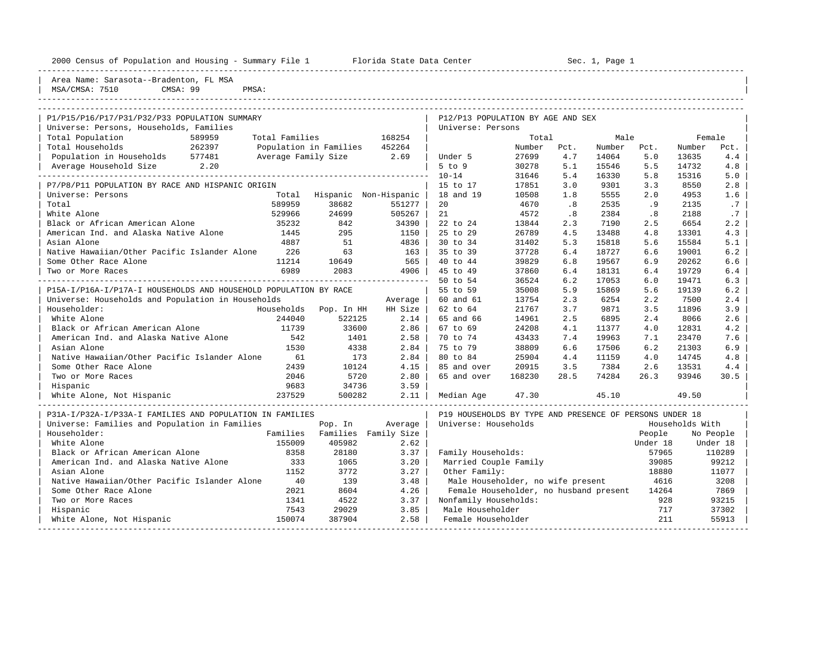|  |  |  | 2000 Census of Population and Housing - Summary File |  |  |  |  |  |  |
|--|--|--|------------------------------------------------------|--|--|--|--|--|--|
|--|--|--|------------------------------------------------------|--|--|--|--|--|--|

2000 2000 Florida State Data Center - Sec. 1, Page 1

| Area Name: Sarasota--Bradenton, FL MSA<br>MSA/CMSA: 7510<br>CMSA: 99<br>PMSA:            |                                                                         |
|------------------------------------------------------------------------------------------|-------------------------------------------------------------------------|
| P1/P15/P16/P17/P31/P32/P33 POPULATION SUMMARY<br>Universe: Persons, Households, Families | P12/P13 POPULATION BY AGE AND SEX<br>Universe: Persons                  |
| Total Population<br>Total Families<br>168254<br>589959                                   | Total<br>Male<br>Female                                                 |
| Total Households<br>262397<br>Population in Families<br>452264                           | Number<br>Number<br>Number<br>Pct.<br>Pct.<br>Pct.                      |
| Population in Households 577481<br>Average Family Size<br>2.69                           | 27699<br>5.0<br>Under 5<br>4.7<br>14064<br>13635<br>4.4                 |
| Average Household Size 2.20                                                              | $5$ to $9$<br>30278<br>5.1<br>15546<br>5.5<br>14732<br>4.8              |
|                                                                                          | 5.0<br>$10 - 14$<br>31646<br>5.4<br>5.8<br>15316<br>16330               |
| P7/P8/P11 POPULATION BY RACE AND HISPANIC ORIGIN                                         | 15 to 17<br>17851<br>3.0<br>9301<br>3.3<br>8550<br>2.8                  |
| Universe: Persons<br>Total Hispanic Non-Hispanic                                         | 18 and 19<br>10508<br>1.8<br>5555<br>2.0<br>4953<br>1.6                 |
| Total<br>589959<br>38682<br>551277                                                       | 20<br>4670<br>.8<br>2535<br>.7<br>.9<br>2135                            |
| 24699<br>White Alone<br>529966<br>505267                                                 | 21<br>4572<br>.8<br>2384<br>.8<br>2188<br>.7                            |
| Black or African American Alone<br>35232<br>842<br>34390                                 | 2.2<br>22 to 24<br>13844<br>2.3<br>7190<br>2.5<br>6654                  |
| American Ind. and Alaska Native Alone<br>1445<br>295<br>1150                             | 25 to 29<br>4.3<br>26789<br>4.5<br>13488<br>4.8<br>13301                |
| Asian Alone<br>4887<br>51                                                                | 4836<br>30 to 34<br>5.3<br>5.6<br>5.1<br>31402<br>15818<br>15584        |
| Native Hawaiian/Other Pacific Islander Alone<br>63<br>226                                | 163<br>35 to 39<br>37728<br>6.4<br>18727<br>6.6<br>19001<br>6.2         |
| 11214<br>Some Other Race Alone<br>10649                                                  | 565<br>39829<br>6.8<br>6.9<br>6.6<br>40 to 44<br>19567<br>20262         |
| 6989<br>2083<br>Two or More Races                                                        | 37860<br>6.4<br>19729<br>6.4<br>4906<br>45 to 49<br>6.4<br>18131        |
|                                                                                          | 50 to 54<br>36524<br>6.2<br>6.0<br>6.3<br>17053<br>19471                |
| P15A-I/P16A-I/P17A-I HOUSEHOLDS AND HOUSEHOLD POPULATION BY RACE                         | 55 to 59<br>35008<br>5.9<br>15869<br>5.6<br>19139<br>6.2                |
| Universe: Households and Population in Households<br>Average                             | 60 and 61<br>13754<br>2.3<br>6254<br>2.2<br>7500<br>2.4                 |
| Householder:<br>Households<br>Pop. In HH<br>HH Size                                      | 62 to 64<br>21767<br>9871<br>11896<br>3.9<br>3.7<br>3.5                 |
| White Alone<br>244040<br>522125                                                          | 2.14<br>65 and 66<br>14961<br>2.5<br>6895<br>2.4<br>8066<br>2.6         |
| Black or African American Alone<br>11739<br>33600                                        | 2.86<br>67 to 69<br>24208<br>4.1<br>11377<br>4.0<br>4.2<br>12831        |
| American Ind. and Alaska Native Alone<br>542<br>1401                                     | 2.58<br>7.6<br>70 to 74<br>43433<br>7.4<br>19963<br>7.1<br>23470        |
| Asian Alone<br>1530<br>4338                                                              | 2.84<br>75 to 79<br>38809<br>6.6<br>6.2<br>6.9<br>17506<br>21303        |
| Native Hawaiian/Other Pacific Islander Alone<br>61<br>173                                | 2.84<br>80 to 84<br>25904<br>4.4<br>11159<br>4.0<br>14745<br>4.8        |
| 2439<br>10124<br>Some Other Race Alone                                                   | 4.15<br>20915<br>3.5<br>7384<br>2.6<br>85 and over<br>13531<br>4.4      |
| 2046<br>5720<br>Two or More Races                                                        | 2.80<br>65 and over<br>168230<br>28.5<br>74284<br>26.3<br>30.5<br>93946 |
| Hispanic<br>9683<br>34736<br>3.59                                                        |                                                                         |
| White Alone, Not Hispanic<br>237529<br>500282                                            | 2.11<br>47.30<br>45.10<br>49.50<br>Median Age                           |
| P31A-I/P32A-I/P33A-I FAMILIES AND POPULATION IN FAMILIES                                 | P19 HOUSEHOLDS BY TYPE AND PRESENCE OF PERSONS UNDER 18                 |
| Universe: Families and Population in Families<br>Pop. In<br>Average                      | Universe: Households<br>Households With                                 |
| Families Family Size<br>Householder:<br>Families                                         | People<br>No People                                                     |
| White Alone<br>155009<br>405982                                                          | 2.62<br>Under 18<br>Under 18                                            |
| Black or African American Alone<br>8358<br>28180<br>3.37                                 | Family Households:<br>57965<br>110289                                   |
| American Ind. and Alaska Native Alone<br>333<br>1065<br>3.20                             | Married Couple Family<br>39085<br>99212                                 |
| 1152<br>3772<br>Asian Alone                                                              | 3.27<br>Other Family:<br>18880<br>11077                                 |
| Native Hawaiian/Other Pacific Islander Alone<br>40<br>3.48<br>139                        | Male Householder, no wife present<br>4616<br>3208                       |
| Some Other Race Alone<br>2021<br>4.26<br>8604                                            | Female Householder, no husband present<br>14264<br>7869                 |
| Two or More Races<br>1341<br>4522<br>3.37                                                | Nonfamily Households:<br>928<br>93215                                   |
| 3.85<br>Hispanic<br>7543<br>29029                                                        | 37302<br>Male Householder<br>717                                        |
| 150074<br>387904<br>White Alone, Not Hispanic                                            | 2.58<br>211<br>55913<br>Female Householder                              |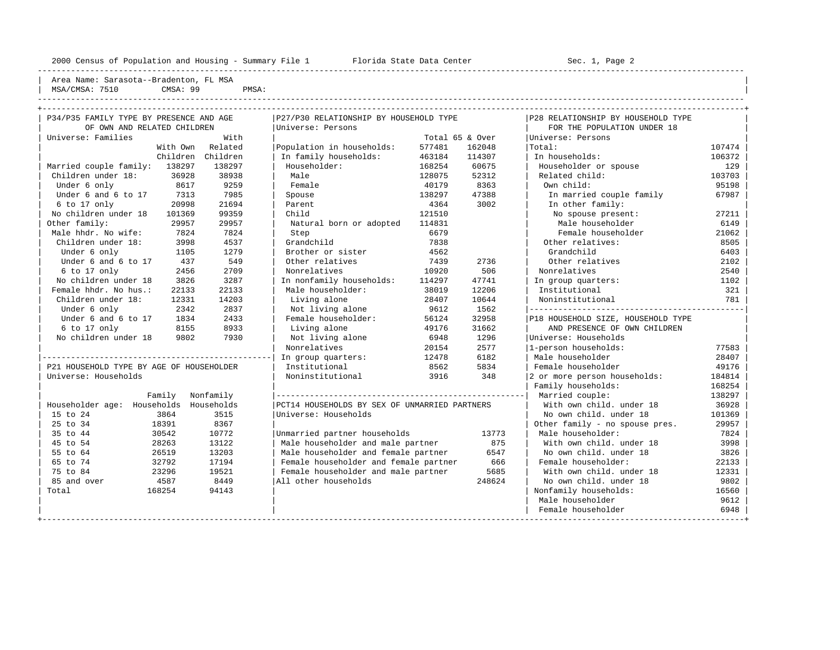----------------------------------------------------------------------------------------------------------------------------------------------------

----------------------------------------------------------------------------------------------------------------------------------------------------

Area Name: Sarasota--Bradenton, FL MSA | MSA/CMSA: 7510 CMSA: 99 PMSA:

| P34/P35 FAMILY TYPE BY PRESENCE AND AGE  |        |                   | P27/P30 RELATIONSHIP BY HOUSEHOLD TYPE        |        |                 | P28 RELATIONSHIP BY HOUSEHOLD TYPE |        |
|------------------------------------------|--------|-------------------|-----------------------------------------------|--------|-----------------|------------------------------------|--------|
| OF OWN AND RELATED CHILDREN              |        |                   | Universe: Persons                             |        |                 | FOR THE POPULATION UNDER 18        |        |
| Universe: Families                       |        | With              |                                               |        | Total 65 & Over | Universe: Persons                  |        |
|                                          |        | With Own Related  | Population in households:                     | 577481 | 162048          | Total:                             | 107474 |
|                                          |        | Children Children | In family households:                         | 463184 | 114307          | In households:                     | 106372 |
| Married couple family: 138297            |        | 138297            | Householder:                                  | 168254 | 60675           | Householder or spouse              | 129    |
| Children under 18:                       | 36928  | 38938             | Male                                          | 128075 | 52312           | Related child:                     | 103703 |
| Under 6 only                             | 8617   | 9259              | Female                                        | 40179  | 8363            | Own child:                         | 95198  |
| Under 6 and 6 to 17                      | 7313   | 7985              | Spouse                                        | 138297 | 47388           | In married couple family           | 67987  |
| 6 to 17 only                             | 20998  | 21694             | Parent                                        | 4364   | 3002            | In other family:                   |        |
| No children under 18                     | 101369 | 99359             | Child                                         | 121510 |                 | No spouse present:                 | 27211  |
| Other family:                            | 29957  | 29957             | Natural born or adopted                       | 114831 |                 | Male householder                   | 6149   |
| Male hhdr. No wife:                      | 7824   | 7824              | Step                                          | 6679   |                 | Female householder                 | 21062  |
| Children under 18:                       | 3998   | 4537              | Grandchild                                    | 7838   |                 | Other relatives:                   | 8505   |
| Under 6 only                             | 1105   | 1279              | Brother or sister                             | 4562   |                 | Grandchild                         | 6403   |
| Under 6 and 6 to 17                      | 437    | 549               | Other relatives                               | 7439   | 2736            | Other relatives                    | 2102   |
| 6 to 17 only                             | 2456   | 2709              | Nonrelatives                                  | 10920  | 506             | Nonrelatives                       | 2540   |
| No children under 18                     | 3826   | 3287              | In nonfamily households:                      | 114297 | 47741           | In group quarters:                 | 1102   |
| Female hhdr. No hus.:                    | 22133  | 22133             | Male householder:                             | 38019  | 12206           | Institutional                      | 321    |
| Children under 18:                       | 12331  | 14203             | Living alone                                  | 28407  | 10644           | Noninstitutional                   | 781    |
| Under 6 only                             | 2342   | 2837              | Not living alone                              | 9612   | 1562            |                                    |        |
| Under 6 and 6 to 17                      | 1834   | 2433              | Female householder:                           | 56124  | 32958           | P18 HOUSEHOLD SIZE, HOUSEHOLD TYPE |        |
| 6 to 17 only                             | 8155   | 8933              | Living alone                                  | 49176  | 31662           | AND PRESENCE OF OWN CHILDREN       |        |
| No children under 18                     | 9802   | 7930              | Not living alone                              | 6948   | 1296            | Universe: Households               |        |
|                                          |        |                   | Nonrelatives                                  | 20154  | 2577            | 1-person households:               | 77583  |
|                                          |        |                   | In group quarters:                            | 12478  | 6182            | Male householder                   | 28407  |
| P21 HOUSEHOLD TYPE BY AGE OF HOUSEHOLDER |        |                   | Institutional                                 | 8562   | 5834            | Female householder                 | 49176  |
| Universe: Households                     |        |                   | Noninstitutional                              | 3916   | 348             | 2 or more person households:       | 184814 |
|                                          |        |                   |                                               |        |                 | Family households:                 | 168254 |
|                                          | Family | Nonfamily         |                                               |        |                 |                                    | 138297 |
| Householder age: Households              |        | Households        | PCT14 HOUSEHOLDS BY SEX OF UNMARRIED PARTNERS |        |                 | With own child, under 18           | 36928  |
| 15 to 24                                 | 3864   | 3515              | Universe: Households                          |        |                 | No own child, under 18             | 101369 |
| 25 to 34                                 | 18391  | 8367              |                                               |        |                 | Other family - no spouse pres.     | 29957  |
| 35 to 44                                 | 30542  | 10772             | Unmarried partner households                  |        | 13773           | Male householder:                  | 7824   |
| 45 to 54                                 | 28263  | 13122             | Male householder and male partner             |        | 875             | With own child, under 18           | 3998   |
| 55 to 64                                 | 26519  | 13203             | Male householder and female partner           |        | 6547            | No own child, under 18             | 3826   |
| 65 to 74                                 | 32792  | 17194             | Female householder and female partner         |        | 666             | Female householder:                | 22133  |
| 75 to 84                                 | 23296  | 19521             | Female householder and male partner           |        | 5685            | With own child, under 18           | 12331  |
| 85 and over                              | 4587   | 8449              | All other households                          |        | 248624          | No own child, under 18             | 9802   |
| Total                                    | 168254 | 94143             |                                               |        |                 | Nonfamily households:              | 16560  |
|                                          |        |                   |                                               |        |                 | Male householder                   | 9612   |
|                                          |        |                   |                                               |        |                 | Female householder                 | 6948   |
|                                          |        |                   |                                               |        |                 |                                    |        |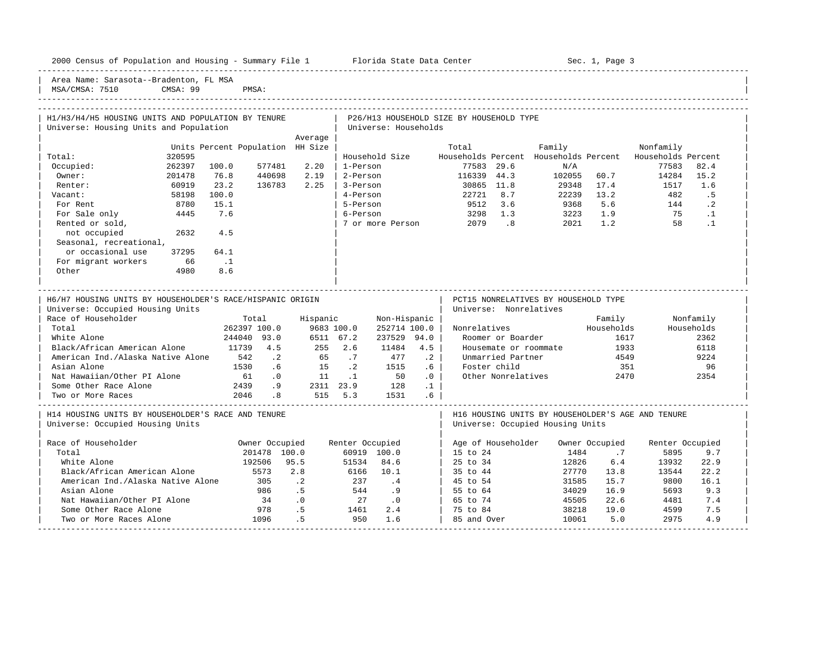| Area Name: Sarasota--Bradenton, FL MSA                    |                                  |                             |                                  |                             |                   |                                          |                                                          |                |                 |            |  |
|-----------------------------------------------------------|----------------------------------|-----------------------------|----------------------------------|-----------------------------|-------------------|------------------------------------------|----------------------------------------------------------|----------------|-----------------|------------|--|
| MSA/CMSA: 7510<br>CMSA: 99                                | PMSA:                            |                             |                                  |                             |                   |                                          |                                                          |                |                 |            |  |
|                                                           |                                  |                             |                                  |                             |                   |                                          |                                                          |                |                 |            |  |
|                                                           |                                  |                             |                                  |                             |                   |                                          |                                                          |                |                 |            |  |
| H1/H3/H4/H5 HOUSING UNITS AND POPULATION BY TENURE        |                                  |                             |                                  |                             |                   | P26/H13 HOUSEHOLD SIZE BY HOUSEHOLD TYPE |                                                          |                |                 |            |  |
| Universe: Housing Units and Population                    |                                  |                             | Universe: Households             |                             |                   |                                          |                                                          |                |                 |            |  |
|                                                           |                                  | Average                     |                                  |                             |                   |                                          |                                                          |                |                 |            |  |
|                                                           | Units Percent Population HH Size |                             |                                  |                             |                   | Total                                    | Family                                                   |                | Nonfamily       |            |  |
| 320595<br>Total:                                          |                                  |                             |                                  | Household Size              |                   |                                          | Households Percent Households Percent Households Percent |                |                 |            |  |
| 262397<br>Occupied:                                       | 100.0<br>577481                  | 2.20                        | 1-Person                         |                             |                   | 77583 29.6                               | N/A                                                      |                | 77583           | 82.4       |  |
| Owner:<br>201478                                          | 76.8<br>440698                   | 2.19                        | 2-Person                         |                             |                   |                                          | 116339 44.3 102055 60.7                                  |                | 14284 15.2      |            |  |
| 60919<br>Renter:                                          | 23.2<br>136783                   | 2.25                        |                                  | 3-Person                    |                   | 30865 11.8                               | 29348 17.4                                               |                | 1517            | 1.6        |  |
| 58198<br>Vacant:                                          | 100.0                            |                             | 4-Person                         |                             |                   | 22721 8.7                                | 22239 13.2<br>$9368$ 5.6 144 .2                          |                | 482             | .5         |  |
| 8780<br>For Rent                                          | 15.1                             |                             | 5-Person                         |                             |                   | 9512 3.6                                 |                                                          |                |                 |            |  |
| For Sale only<br>4445                                     | 7.6                              |                             | 6-Person                         |                             |                   | 3298 1.3                                 | $3223$ 1.9<br>2021 1.2                                   |                | 75              | $\ldots$ 1 |  |
| Rented or sold,<br>2632                                   |                                  |                             |                                  | 7 or more Person            |                   | 2079 .8                                  |                                                          |                |                 | 58 .1      |  |
| not occupied<br>Seasonal, recreational,                   | 4.5                              |                             |                                  |                             |                   |                                          |                                                          |                |                 |            |  |
| or occasional use<br>37295                                | 64.1                             |                             |                                  |                             |                   |                                          |                                                          |                |                 |            |  |
| 66<br>For migrant workers                                 | $\ldots$                         |                             |                                  |                             |                   |                                          |                                                          |                |                 |            |  |
| Other<br>4980                                             | 8.6                              |                             |                                  |                             |                   |                                          |                                                          |                |                 |            |  |
|                                                           |                                  |                             |                                  |                             |                   |                                          |                                                          |                |                 |            |  |
|                                                           |                                  |                             | -------------------------------- |                             |                   |                                          |                                                          |                |                 |            |  |
| H6/H7 HOUSING UNITS BY HOUSEHOLDER'S RACE/HISPANIC ORIGIN |                                  |                             |                                  |                             |                   |                                          | PCT15 NONRELATIVES BY HOUSEHOLD TYPE                     |                |                 |            |  |
| Universe: Occupied Housing Units                          |                                  |                             |                                  |                             |                   |                                          | Universe: Nonrelatives                                   |                |                 |            |  |
| Race of Householder                                       | Total                            |                             | Hispanic                         | Non-Hispanic                |                   |                                          |                                                          | Family         |                 | Nonfamily  |  |
| Total                                                     | 262397 100.0                     |                             | 9683 100.0                       | 252714 100.0                |                   | Nonrelatives                             |                                                          | Households     |                 | Households |  |
| White Alone                                               | 244040 93.0                      | 6511 67.2                   |                                  | 237529 94.0                 |                   |                                          | Roomer or Boarder                                        | 1617           |                 | 2362       |  |
| Black/African American Alone                              | 11739 4.5                        | 255 2.6                     |                                  | 11484                       | 4.5               |                                          | Housemate or roommate 1933                               |                |                 | 6118       |  |
| American Ind./Alaska Native Alone 542 .2                  |                                  |                             | 65.7                             | 477                         | $\cdot$ 2         | Unmarried Partner                        |                                                          | 4549           |                 | 9224       |  |
| Asian Alone                                               | 1530 .6                          | $15 \qquad .2$              |                                  | 1515                        | .6 <sub>1</sub>   | Foster child                             |                                                          | 351            |                 | 96         |  |
| Nat Hawaiian/Other PI Alone                               |                                  |                             |                                  |                             | $\cdot$ 0 $\cdot$ |                                          | Other Nonrelatives                                       | 2470           |                 | 2354       |  |
| Some Other Race Alone                                     |                                  |                             |                                  |                             | $\cdot$ 1         |                                          |                                                          |                |                 |            |  |
| Two or More Races                                         |                                  |                             |                                  |                             |                   |                                          |                                                          |                |                 |            |  |
|                                                           |                                  |                             |                                  |                             |                   |                                          |                                                          |                |                 |            |  |
| H14 HOUSING UNITS BY HOUSEHOLDER'S RACE AND TENURE        |                                  |                             |                                  |                             |                   |                                          | H16 HOUSING UNITS BY HOUSEHOLDER'S AGE AND TENURE        |                |                 |            |  |
| Universe: Occupied Housing Units                          |                                  |                             |                                  |                             |                   |                                          | Universe: Occupied Housing Units                         |                |                 |            |  |
| Race of Householder                                       | Owner Occupied                   |                             | Renter Occupied                  |                             |                   | Age of Householder                       |                                                          | Owner Occupied | Renter Occupied |            |  |
| Total                                                     | 201478 100.0                     |                             |                                  | 60919 100.0                 |                   | 15 to 24                                 | 1484                                                     | .7             | 5895            | 9.7        |  |
| White Alone                                               | 192506 95.5                      |                             | 51534                            | 84.6                        |                   | 25 to 34                                 | 12826                                                    | 6.4            | 13932           | 22.9       |  |
|                                                           |                                  |                             | 6166 10.1                        |                             |                   |                                          |                                                          | 27770 13.8     | 13544           | 22.2       |  |
| Black/African American Alone                              | 5573                             | 2.8                         |                                  |                             |                   |                                          |                                                          |                |                 |            |  |
|                                                           | 305                              |                             | 237                              | $\cdot$ 4                   |                   | $35 \text{ to } 44$<br>$\vert$ 45 to 54  | 31585                                                    | 15.7           | 9800            | 16.1       |  |
| American Ind./Alaska Native Alone<br>Asian Alone          | 986                              | $\cdot$ . 2<br>.5           | 544                              | .9                          |                   | $\vert$ 55 to 64                         | 34029                                                    | 16.9           | 5693            | 9.3        |  |
| Nat Hawaiian/Other PI Alone                               | 34                               | $\overline{\phantom{0}}$ .0 | 27                               | $\overline{\phantom{0}}$ .0 |                   | 65 to 74                                 | 45505                                                    | 22.6           | 4481            | 7.4        |  |

| Two or More Races Alone 1096 .5 950 1.6 | 85 and Over 10061 5.0 2975 4.9 | -----------------------------------------------------------------------------------------------------------------------------------------------------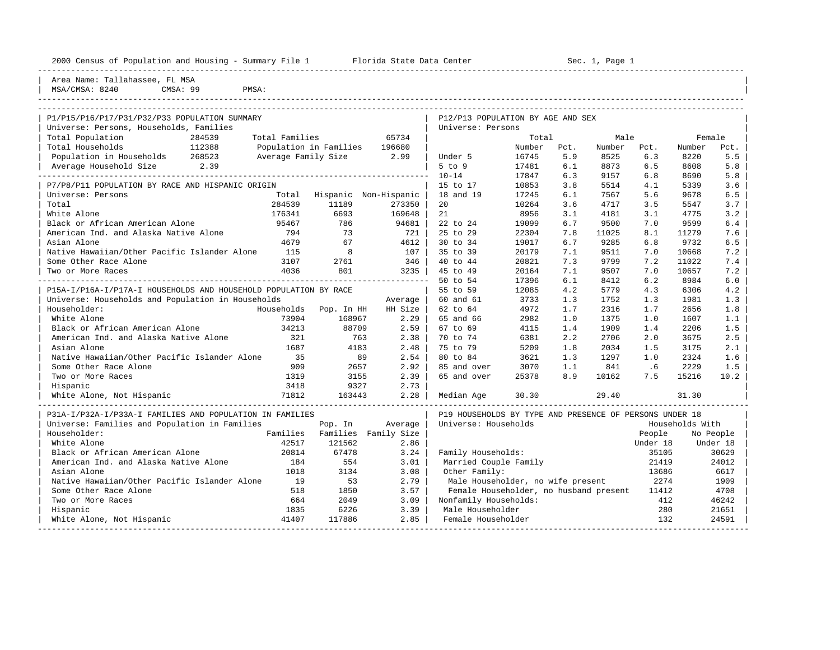|                                |        | 2000 Census of Population and Housing - Summary File 1 | Florida State Data Center | Sec. 1, Page 1 |  |
|--------------------------------|--------|--------------------------------------------------------|---------------------------|----------------|--|
| Area Name: Tallahassee, FL MSA |        |                                                        |                           |                |  |
| $1627 / 21627 + 0040$          | $\sim$ | maxC1                                                  |                           |                |  |

| MSA/CMSA: 8240 CMSA: 99 PMSA: ----------------------------------------------------------------------------------------------------------------------------------------------------

| P1/P15/P16/P17/P31/P32/P33 POPULATION SUMMARY                    |                     |                               |                               | P12/P13 POPULATION BY AGE AND SEX                       |        |      |        |          |                 |           |
|------------------------------------------------------------------|---------------------|-------------------------------|-------------------------------|---------------------------------------------------------|--------|------|--------|----------|-----------------|-----------|
| Universe: Persons, Households, Families                          |                     |                               |                               | Universe: Persons                                       |        |      |        |          |                 |           |
| Total Population<br>284539                                       | Total Families      |                               | 65734                         |                                                         | Total  |      | Male   |          | Female          |           |
| 112388<br>Total Households                                       |                     | Population in Families 196680 |                               |                                                         | Number | Pct. | Number | Pct.     | Number          | Pct.      |
| Population in Households 268523                                  | Average Family Size |                               | 2.99                          | Under 5                                                 | 16745  | 5.9  | 8525   | 6.3      | 8220            | 5.5       |
| Average Household Size 2.39                                      |                     |                               |                               | $5$ to $9$                                              | 17481  | 6.1  | 8873   | 6.5      | 8608            | 5.8       |
|                                                                  |                     |                               |                               | $10 - 14$                                               | 17847  | 6.3  | 9157   | 6.8      | 8690            | 5.8       |
| P7/P8/P11 POPULATION BY RACE AND HISPANIC ORIGIN                 |                     |                               |                               | 15 to 17                                                | 10853  | 3.8  | 5514   | 4.1      | 5339            | 3.6       |
| Universe: Persons                                                |                     |                               | Total Hispanic Non-Hispanic   | 18 and 19                                               | 17245  | 6.1  | 7567   | 5.6      | 9678            | 6.5       |
| Total                                                            | 284539              | 11189                         | 273350                        | 20                                                      | 10264  | 3.6  | 4717   | 3.5      | 5547            | 3.7       |
| White Alone                                                      | 176341              | 6693                          | 169648                        | 21                                                      | 8956   | 3.1  | 4181   | 3.1      | 4775            | 3.2       |
| Black or African American Alone                                  | 95467               | 786                           | 94681                         | 22 to 24                                                | 19099  | 6.7  | 9500   | 7.0      | 9599            | 6.4       |
| American Ind. and Alaska Native Alone                            | 794                 | 73                            | 721                           | 25 to 29                                                | 22304  | 7.8  | 11025  | 8.1      | 11279           | 7.6       |
| Asian Alone                                                      | 4679                | 67                            | 4612                          | 30 to 34                                                | 19017  | 6.7  | 9285   | 6.8      | 9732            | 6.5       |
| Native Hawaiian/Other Pacific Islander Alone                     | 115                 | 8                             | 107                           | 35 to 39                                                | 20179  | 7.1  | 9511   | 7.0      | 10668           | 7.2       |
| Some Other Race Alone                                            | 3107                | 2761                          | 346                           | 40 to 44                                                | 20821  | 7.3  | 9799   | 7.2      | 11022           | 7.4       |
| Two or More Races                                                | 4036                | 801                           | 3235                          | 45 to 49                                                | 20164  | 7.1  | 9507   | 7.0      | 10657           | 7.2       |
|                                                                  |                     |                               |                               | 50 to 54                                                | 17396  | 6.1  | 8412   | 6.2      | 8984            | 6.0       |
| P15A-I/P16A-I/P17A-I HOUSEHOLDS AND HOUSEHOLD POPULATION BY RACE |                     |                               |                               | 55 to 59                                                | 12085  | 4.2  | 5779   | 4.3      | 6306            | 4.2       |
| Universe: Households and Population in Households                |                     |                               | Average                       | 60 and 61                                               | 3733   | 1.3  | 1752   | 1.3      | 1981            | 1.3       |
| Householder:                                                     |                     |                               | Households Pop. In HH HH Size | 62 to 64                                                | 4972   | 1.7  | 2316   | 1.7      | 2656            | 1.8       |
| White Alone                                                      | 73904               | 168967                        | 2.29                          | 65 and 66                                               | 2982   | 1.0  | 1375   | 1.0      | 1607            | 1.1       |
| Black or African American Alone                                  | 34213               | 88709                         | 2.59                          | 67 to 69                                                | 4115   | 1.4  | 1909   | 1.4      | 2206            | 1.5       |
| American Ind. and Alaska Native Alone                            | 321                 | 763                           | 2.38                          | 70 to 74                                                | 6381   | 2.2  | 2706   | 2.0      | 3675            | 2.5       |
| Asian Alone                                                      | 1687                | 4183                          | 2.48                          | 75 to 79                                                | 5209   | 1.8  | 2034   | 1.5      | 3175            | 2.1       |
| Native Hawaiian/Other Pacific Islander Alone                     | 35                  | 89                            | 2.54                          | 80 to 84                                                | 3621   | 1.3  | 1297   | 1.0      | 2324            | 1.6       |
| Some Other Race Alone                                            | 909                 | 2657                          | 2.92                          | 85 and over                                             | 3070   | 1.1  | 841    | .6       | 2229            | 1.5       |
| Two or More Races                                                | 1319                | 3155                          | 2.39                          | 65 and over                                             | 25378  | 8.9  | 10162  | 7.5      | 15216           | 10.2      |
| Hispanic                                                         | 3418                | 9327                          | 2.73                          |                                                         |        |      |        |          |                 |           |
| White Alone, Not Hispanic                                        | 71812               | 163443                        | 2.28                          | Median Age                                              | 30.30  |      | 29.40  |          | 31.30           |           |
| P31A-I/P32A-I/P33A-I FAMILIES AND POPULATION IN FAMILIES         |                     |                               |                               | P19 HOUSEHOLDS BY TYPE AND PRESENCE OF PERSONS UNDER 18 |        |      |        |          |                 |           |
| Universe: Families and Population in Families                    |                     | Pop. In                       | Average                       | Universe: Households                                    |        |      |        |          | Households With |           |
| Householder:                                                     | Families            |                               | Families Family Size          |                                                         |        |      |        | People   |                 | No People |
| White Alone                                                      | 42517               | 121562                        | 2.86                          |                                                         |        |      |        | Under 18 |                 | Under 18  |
| Black or African American Alone                                  | 20814               | 67478                         | 3.24                          | Family Households:                                      |        |      |        | 35105    |                 | 30629     |
| American Ind. and Alaska Native Alone                            | 184                 | 554                           | 3.01                          | Married Couple Family                                   |        |      |        | 21419    |                 | 24012     |
| Asian Alone                                                      | 1018                | 3134                          | 3.08                          | Other Family:                                           |        |      |        | 13686    |                 | 6617      |
| Native Hawaiian/Other Pacific Islander Alone                     | 19                  | 53                            | 2.79                          | Male Householder, no wife present                       |        |      |        | 2274     |                 | 1909      |
| Some Other Race Alone                                            | 518                 | 1850                          | 3.57                          | Female Householder, no husband present                  |        |      |        | 11412    |                 | 4708      |
| Two or More Races                                                | 664                 | 2049                          | 3.09                          | Nonfamily Households:                                   |        |      |        | 412      |                 | 46242     |
| Hispanic                                                         | 1835                | 6226                          | 3.39                          | Male Householder                                        |        |      |        | 280      |                 | 21651     |
| White Alone, Not Hispanic                                        | 41407               | 117886                        | 2.85                          | Female Householder                                      |        |      |        | 132      |                 | 24591     |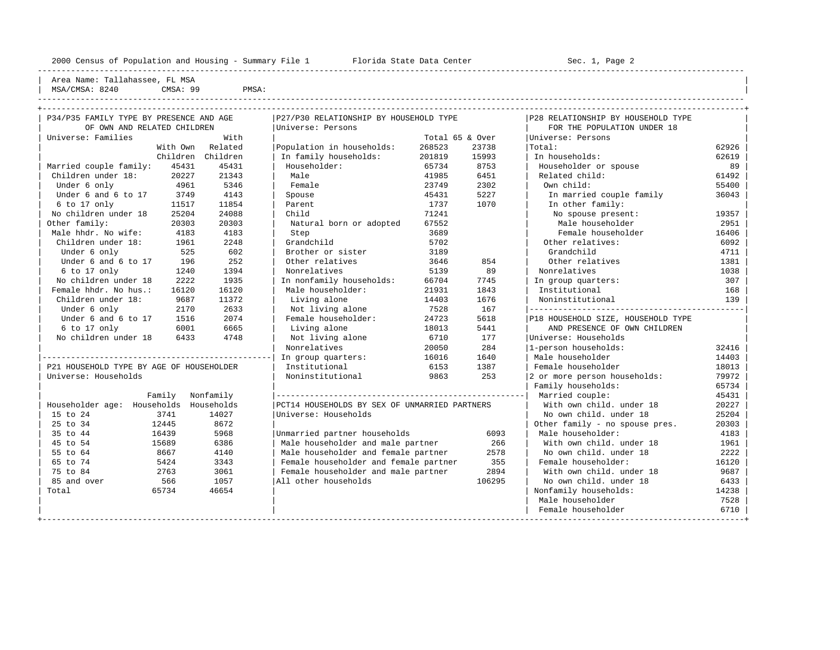----------------------------------------------------------------------------------------------------------------------------------------------------

Area Name: Tallahassee, FL MSA | MSA/CMSA: 8240 CMSA: 99 PMSA: |

| P34/P35 FAMILY TYPE BY PRESENCE AND AGE  |          |                   | P27/P30 RELATIONSHIP BY HOUSEHOLD TYPE        |                 |        | P28 RELATIONSHIP BY HOUSEHOLD TYPE |       |
|------------------------------------------|----------|-------------------|-----------------------------------------------|-----------------|--------|------------------------------------|-------|
| OF OWN AND RELATED CHILDREN              |          |                   | Universe: Persons                             |                 |        | FOR THE POPULATION UNDER 18        |       |
| Universe: Families                       |          | With              |                                               | Total 65 & Over |        | Universe: Persons                  |       |
|                                          | With Own | Related           | Population in households:                     | 268523          | 23738  | Total:                             | 62926 |
|                                          |          | Children Children | In family households:                         | 201819          | 15993  | In households:                     | 62619 |
| Married couple family:                   | 45431    | 45431             | Householder:                                  | 65734           | 8753   | Householder or spouse              | 89    |
| Children under 18:                       | 20227    | 21343             | Male                                          | 41985           | 6451   | Related child:                     | 61492 |
| Under 6 only                             | 4961     | 5346              | Female                                        | 23749           | 2302   | Own child:                         | 55400 |
| Under 6 and 6 to 17                      | 3749     | 4143              | Spouse                                        | 45431           | 5227   | In married couple family           | 36043 |
| 6 to 17 only                             | 11517    | 11854             | Parent                                        | 1737            | 1070   | In other family:                   |       |
| No children under 18                     | 25204    | 24088             | Child                                         | 71241           |        | No spouse present:                 | 19357 |
| Other family:                            | 20303    | 20303             | Natural born or adopted                       | 67552           |        | Male householder                   | 2951  |
| Male hhdr. No wife:                      | 4183     | 4183              | Step                                          | 3689            |        | Female householder                 | 16406 |
| Children under 18:                       | 1961     | 2248              | Grandchild                                    | 5702            |        | Other relatives:                   | 6092  |
| Under 6 only                             | 525      | 602               | Brother or sister                             | 3189            |        | Grandchild                         | 4711  |
| Under 6 and 6 to 17                      | 196      | 252               | Other relatives                               | 3646            | 854    | Other relatives                    | 1381  |
| 6 to 17 only                             | 1240     | 1394              | Nonrelatives                                  | 5139            | 89     | Nonrelatives                       | 1038  |
| No children under 18                     | 2222     | 1935              | In nonfamily households:                      | 66704           | 7745   | In group quarters:                 | 307   |
| Female hhdr. No hus.:                    | 16120    | 16120             | Male householder:                             | 21931           | 1843   | Institutional                      | 168   |
| Children under 18:                       | 9687     | 11372             | Living alone                                  | 14403           | 1676   | Noninstitutional                   | 139   |
| Under 6 only                             | 2170     | 2633              | Not living alone                              | 7528            | 167    |                                    |       |
| Under 6 and 6 to 17                      | 1516     | 2074              | Female householder:                           | 24723           | 5618   | P18 HOUSEHOLD SIZE, HOUSEHOLD TYPE |       |
| 6 to 17 only                             | 6001     | 6665              | Living alone                                  | 18013           | 5441   | AND PRESENCE OF OWN CHILDREN       |       |
| No children under 18                     | 6433     | 4748              | Not living alone                              | 6710            | 177    | Universe: Households               |       |
|                                          |          |                   | Nonrelatives                                  | 20050           | 284    | 1-person households:               | 32416 |
|                                          |          |                   | In group quarters:                            | 16016           | 1640   | Male householder                   | 14403 |
| P21 HOUSEHOLD TYPE BY AGE OF HOUSEHOLDER |          |                   | Institutional                                 | 6153            | 1387   | Female householder                 | 18013 |
| Universe: Households                     |          |                   | Noninstitutional                              | 9863            | 253    | 2 or more person households:       | 79972 |
|                                          |          |                   |                                               |                 |        | Family households:                 | 65734 |
| Family                                   |          | Nonfamily         |                                               |                 |        | Married couple:                    | 45431 |
| Householder age: Households              |          | Households        | PCT14 HOUSEHOLDS BY SEX OF UNMARRIED PARTNERS |                 |        | With own child, under 18           | 20227 |
| 15 to 24<br>3741                         |          | 14027             | Universe: Households                          |                 |        | No own child. under 18             | 25204 |
| 25 to 34<br>12445                        |          | 8672              |                                               |                 |        | Other family - no spouse pres.     | 20303 |
| 35 to 44<br>16439                        |          | 5968              | Unmarried partner households                  |                 | 6093   | Male householder:                  | 4183  |
| 45 to 54<br>15689                        |          | 6386              | Male householder and male partner             |                 | 266    | With own child, under 18           | 1961  |
| 55 to 64<br>8667                         |          | 4140              | Male householder and female partner           |                 | 2578   | No own child. under 18             | 2222  |
| 65 to 74<br>5424                         |          | 3343              | Female householder and female partner         |                 | 355    | Female householder:                | 16120 |
| 75 to 84<br>2763                         |          | 3061              | Female householder and male partner           |                 | 2894   | With own child, under 18           | 9687  |
| 85 and over<br>566                       |          | 1057              | All other households                          |                 | 106295 | No own child, under 18             | 6433  |
| Total<br>65734                           |          | 46654             |                                               |                 |        | Nonfamily households:              | 14238 |
|                                          |          |                   |                                               |                 |        | Male householder                   | 7528  |
|                                          |          |                   |                                               |                 |        | Female householder                 | 6710  |
|                                          |          |                   |                                               |                 |        |                                    |       |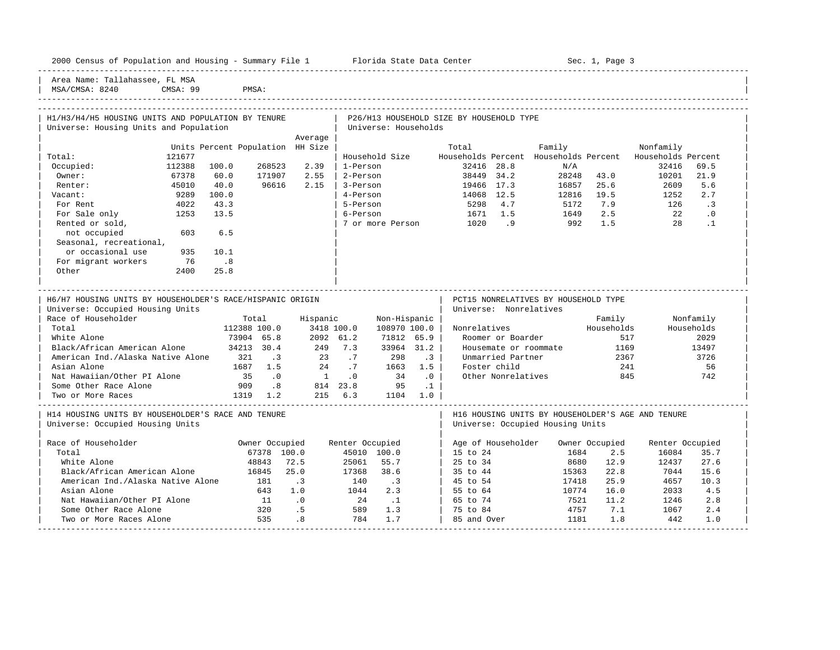2000 Florida State Data Center - Sec. 1, Page 3

-----------------------------------------------------------------------------------------------------------------------------------------------------

Area Name: Tallahassee, FL MSA MSA/CMSA: 8240 CMSA: 99 PMSA:

## -----------------------------------------------------------------------------------------------------------------------------------------------------

| H1/H3/H4/H5 HOUSING UNITS AND POPULATION BY TENURE        |        |                                  |                             |                                                                      |                 |                      |          | P26/H13 HOUSEHOLD SIZE BY HOUSEHOLD TYPE |                        |                                       |                |                                                   |                              |
|-----------------------------------------------------------|--------|----------------------------------|-----------------------------|----------------------------------------------------------------------|-----------------|----------------------|----------|------------------------------------------|------------------------|---------------------------------------|----------------|---------------------------------------------------|------------------------------|
| Universe: Housing Units and Population                    |        |                                  |                             |                                                                      |                 | Universe: Households |          |                                          |                        |                                       |                |                                                   |                              |
|                                                           |        |                                  |                             | Average                                                              |                 |                      |          |                                          |                        |                                       |                |                                                   |                              |
|                                                           |        | Units Percent Population HH Size |                             |                                                                      |                 |                      |          | Total                                    |                        | Family                                |                | Nonfamily                                         |                              |
| Total:                                                    | 121677 |                                  |                             |                                                                      |                 | Household Size       |          |                                          |                        | Households Percent Households Percent |                | Households Percent                                |                              |
| Occupied:                                                 | 112388 | 100.0                            | 268523                      | 2.39                                                                 | 1-Person        |                      |          |                                          | 32416 28.8             | N/A                                   |                | 32416                                             | 69.5                         |
| Owner:                                                    | 67378  | 60.0                             | 171907                      | 2.55                                                                 | 2-Person        |                      |          |                                          | 38449 34.2             | 28248                                 | 43.0           | 10201                                             | 21.9                         |
| Renter:                                                   | 45010  | 40.0                             | 96616                       | 2.15                                                                 | 3-Person        |                      |          |                                          | 19466 17.3             | 16857                                 | 25.6           | 2609                                              | 5.6                          |
| Vacant:                                                   | 9289   | 100.0                            |                             |                                                                      | 4-Person        |                      |          |                                          | 14068 12.5             |                                       | 12816 19.5     | 1252                                              | 2.7                          |
| For Rent                                                  | 4022   | 43.3                             |                             |                                                                      | 5-Person        |                      |          |                                          | 5298 4.7               |                                       | 5172 7.9       | 126                                               | $\overline{\phantom{a}}$ . 3 |
| For Sale only                                             | 1253   | 13.5                             |                             |                                                                      | 6-Person        |                      |          |                                          | 1671 1.5               | 1649                                  | 2.5            | 22                                                | $\overline{\phantom{0}}$ .0  |
| Rented or sold,                                           |        |                                  |                             |                                                                      |                 |                      |          | 7 or more Person 1020 .9                 |                        | $992$ 1.5                             |                | 28                                                | $\cdot$ 1                    |
| not occupied                                              | 603    | 6.5                              |                             |                                                                      |                 |                      |          |                                          |                        |                                       |                |                                                   |                              |
| Seasonal, recreational,                                   |        |                                  |                             |                                                                      |                 |                      |          |                                          |                        |                                       |                |                                                   |                              |
| or occasional use                                         | 935    | 10.1                             |                             |                                                                      |                 |                      |          |                                          |                        |                                       |                |                                                   |                              |
| For migrant workers                                       | 76     | $\overline{\phantom{0}}$ .8      |                             |                                                                      |                 |                      |          |                                          |                        |                                       |                |                                                   |                              |
| Other                                                     | 2400   | 25.8                             |                             |                                                                      |                 |                      |          |                                          |                        |                                       |                |                                                   |                              |
|                                                           |        |                                  |                             |                                                                      |                 |                      |          |                                          |                        |                                       |                |                                                   |                              |
|                                                           |        |                                  |                             |                                                                      |                 |                      |          |                                          |                        |                                       |                |                                                   |                              |
| H6/H7 HOUSING UNITS BY HOUSEHOLDER'S RACE/HISPANIC ORIGIN |        |                                  |                             |                                                                      |                 |                      |          |                                          |                        | PCT15 NONRELATIVES BY HOUSEHOLD TYPE  |                |                                                   |                              |
| Universe: Occupied Housing Units                          |        |                                  |                             |                                                                      |                 |                      |          |                                          | Universe: Nonrelatives |                                       |                |                                                   |                              |
| Race of Householder                                       |        | Total                            |                             | Hispanic                                                             |                 | Non-Hispanic         |          |                                          |                        |                                       | Family         |                                                   | Nonfamily                    |
| Total                                                     |        | 112388 100.0                     |                             |                                                                      | 3418 100.0      | 108970 100.0         |          |                                          | Nonrelatives           |                                       | Households     |                                                   | Households                   |
| White Alone                                               |        | 73904 65.8                       |                             | 2092 61.2                                                            |                 | 71812 65.9           |          |                                          | Roomer or Boarder      |                                       |                | 517                                               | 2029                         |
| Black/African American Alone                              |        | 34213 30.4                       |                             | 249 7.3                                                              |                 | 33964 31.2           |          |                                          | Housemate or roommate  |                                       | 1169           |                                                   | 13497                        |
| American Ind./Alaska Native Alone                         |        | 321                              | $\overline{\phantom{a}}$ .3 | 23 .7 298 .3<br>24 .7 1663 1.5                                       |                 |                      |          |                                          | Unmarried Partner      |                                       | 2367           |                                                   | 3726                         |
| Asian Alone                                               |        | 1687 1.5                         |                             |                                                                      |                 |                      |          |                                          | Foster child           |                                       | 241            |                                                   | 56                           |
| Nat Hawaiian/Other PI Alone                               |        | 35                               | $\overline{0}$              | $\begin{array}{ccccccccc}\n1 & & . & 0 & & & 34 & & .0\n\end{array}$ |                 |                      |          |                                          | Other Nonrelatives     |                                       | 845            |                                                   | 742                          |
| Some Other Race Alone                                     |        | 909 .8                           |                             |                                                                      |                 | 814 23.8 95          | $\ldots$ |                                          |                        |                                       |                |                                                   |                              |
| Two or More Races                                         |        | 1319 1.2                         |                             | 215 6.3 1104 1.0                                                     |                 |                      |          |                                          |                        |                                       |                |                                                   |                              |
|                                                           |        |                                  |                             |                                                                      |                 |                      |          |                                          |                        |                                       |                |                                                   |                              |
| H14 HOUSING UNITS BY HOUSEHOLDER'S RACE AND TENURE        |        |                                  |                             |                                                                      |                 |                      |          |                                          |                        |                                       |                | H16 HOUSING UNITS BY HOUSEHOLDER'S AGE AND TENURE |                              |
| Universe: Occupied Housing Units                          |        |                                  |                             |                                                                      |                 |                      |          |                                          |                        | Universe: Occupied Housing Units      |                |                                                   |                              |
|                                                           |        |                                  |                             |                                                                      |                 |                      |          |                                          |                        |                                       |                |                                                   |                              |
| Race of Householder                                       |        | Owner Occupied                   |                             |                                                                      | Renter Occupied |                      |          |                                          | Age of Householder     |                                       | Owner Occupied | Renter Occupied                                   |                              |
| Total                                                     |        |                                  | 67378 100.0                 |                                                                      |                 | 45010 100.0          |          | 15 to 24                                 |                        | 1684                                  | 2.5            | 16084                                             | 35.7                         |
| White Alone                                               |        |                                  | 48843                       | 72.5                                                                 |                 | 25061 55.7           |          | 25 to 34                                 |                        | 8680                                  | 12.9           | 12437                                             | 27.6                         |
| Black/African American Alone                              |        |                                  | 16845                       | 25.0                                                                 | 17368           | 38.6                 |          |                                          | 35 to 44               | 15363                                 | 22.8           | 7044                                              | 15.6                         |
| American Ind./Alaska Native Alone                         |        |                                  | 181                         | $\cdot$ 3                                                            | 140             | $\cdot$ 3            |          |                                          | 45 to 54               | 17418                                 | 25.9           | 4657                                              | 10.3                         |
| Asian Alone                                               |        |                                  | 643                         | 1.0                                                                  | 1044            | 2.3                  |          | 55 to 64                                 |                        | 10774                                 | 16.0           | 2033                                              | 4.5                          |
| Nat Hawaiian/Other PI Alone                               |        |                                  | 11                          | $\overline{\phantom{0}}$ .0                                          | 24              | $\ldots$             |          | 65 to 74                                 |                        | 7521                                  | 11.2           | 1246                                              | 2.8                          |
| Some Other Race Alone                                     |        |                                  | 320                         | .5                                                                   | 589             | 1.3                  |          | 75 to 84                                 |                        | 4757                                  | 7.1            | 1067                                              | 2.4                          |
| Two or More Races Alone                                   |        |                                  | 535                         | .8                                                                   | 784             | 1.7                  |          | 85 and Over                              |                        | 1181                                  | 1.8            | 442                                               | 1.0                          |

-----------------------------------------------------------------------------------------------------------------------------------------------------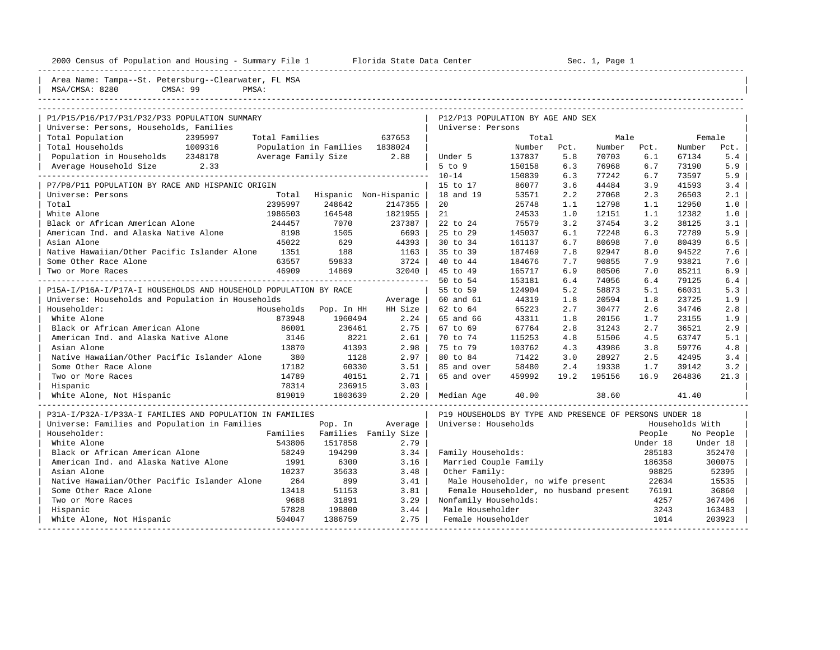|  |  |  |  | 2000 Census of Population and Housing - Summary File |  |  |  |  |  |
|--|--|--|--|------------------------------------------------------|--|--|--|--|--|
|--|--|--|--|------------------------------------------------------|--|--|--|--|--|

2000 - 2000 Center - Sec. 1, Page 1 Florida State Data Center Sec. 1, Page 1

|                                                                  | — wuuu∡ y           |                                |                       |                                                         |        |      |        |          |                 |           |
|------------------------------------------------------------------|---------------------|--------------------------------|-----------------------|---------------------------------------------------------|--------|------|--------|----------|-----------------|-----------|
| Area Name: Tampa--St. Petersburg--Clearwater, FL MSA             |                     |                                |                       |                                                         |        |      |        |          |                 |           |
| MSA/CMSA: 8280<br>CMSA: 99<br>PMSA:                              |                     |                                |                       |                                                         |        |      |        |          |                 |           |
|                                                                  |                     |                                |                       |                                                         |        |      |        |          |                 |           |
|                                                                  |                     |                                |                       |                                                         |        |      |        |          |                 |           |
| P1/P15/P16/P17/P31/P32/P33 POPULATION SUMMARY                    |                     |                                |                       | P12/P13 POPULATION BY AGE AND SEX                       |        |      |        |          |                 |           |
| Universe: Persons, Households, Families                          |                     |                                |                       | Universe: Persons                                       |        |      |        |          |                 |           |
| Total Population<br>2395997                                      | Total Families      |                                | 637653                |                                                         | Total  |      | Male   |          |                 | Female    |
| 1009316<br>Total Households                                      |                     | Population in Families 1838024 |                       |                                                         | Number | Pct. | Number | Pct.     | Number          | Pct.      |
| Population in Households 2348178                                 | Average Family Size |                                | 2.88                  | Under 5                                                 | 137837 | 5.8  | 70703  | 6.1      | 67134           | 5.4       |
| Average Household Size<br>2.33                                   |                     |                                |                       | 5 to 9                                                  | 150158 | 6.3  | 76968  | 6.7      | 73190           | 5.9       |
|                                                                  |                     |                                |                       | $10 - 14$                                               | 150839 | 6.3  | 77242  | 6.7      | 73597           | 5.9       |
| P7/P8/P11 POPULATION BY RACE AND HISPANIC ORIGIN                 |                     |                                |                       | 15 to 17                                                | 86077  | 3.6  | 44484  | 3.9      | 41593           | 3.4       |
| Universe: Persons                                                | Total               |                                | Hispanic Non-Hispanic | 18 and 19                                               | 53571  | 2.2  | 27068  | 2.3      | 26503           | 2.1       |
| Total                                                            | 2395997             | 248642                         | 2147355               | 20                                                      | 25748  | 1.1  | 12798  | 1.1      | 12950           | 1.0       |
| White Alone                                                      | 1986503             | 164548                         | 1821955               | 21                                                      | 24533  | 1.0  | 12151  | 1.1      | 12382           | 1.0       |
| Black or African American Alone                                  | 244457              | 7070                           | 237387                | 22 to 24                                                | 75579  | 3.2  | 37454  | 3.2      | 38125           | 3.1       |
| American Ind. and Alaska Native Alone                            | 8198                | 1505                           | 6693                  | 25 to 29                                                | 145037 | 6.1  | 72248  | 6.3      | 72789           | 5.9       |
| Asian Alone                                                      | 45022               | 629                            | 44393                 | 30 to 34                                                | 161137 | 6.7  | 80698  | 7.0      | 80439           | 6.5       |
| Native Hawaiian/Other Pacific Islander Alone                     | 1351                | 188                            | 1163                  | 35 to 39                                                | 187469 | 7.8  | 92947  | 8.0      | 94522           | 7.6       |
| Some Other Race Alone                                            | 63557               | 59833                          | 3724                  | 40 to 44                                                | 184676 | 7.7  | 90855  | 7.9      | 93821           | 7.6       |
| Two or More Races                                                | 46909               | 14869                          | 32040                 | 45 to 49                                                | 165717 | 6.9  | 80506  | 7.0      | 85211           | 6.9       |
|                                                                  |                     |                                |                       | 50 to 54                                                | 153181 | 6.4  | 74056  | 6.4      | 79125           | 6.4       |
| P15A-I/P16A-I/P17A-I HOUSEHOLDS AND HOUSEHOLD POPULATION BY RACE |                     |                                |                       | 55 to 59                                                | 124904 | 5.2  | 58873  | 5.1      | 66031           | 5.3       |
| Universe: Households and Population in Households                |                     |                                | Average               | 60 and 61                                               | 44319  | 1.8  | 20594  | 1.8      | 23725           | 1.9       |
| Householder:                                                     | Households          | Pop. In HH                     | HH Size               | 62 to 64                                                | 65223  | 2.7  | 30477  | 2.6      | 34746           | 2.8       |
| White Alone                                                      | 873948              | 1960494                        | 2.24                  | 65 and 66                                               | 43311  | 1.8  | 20156  | 1.7      | 23155           | 1.9       |
| Black or African American Alone                                  | 86001               | 236461                         | 2.75                  | 67 to 69                                                | 67764  | 2.8  | 31243  | 2.7      | 36521           | 2.9       |
| American Ind. and Alaska Native Alone                            | 3146                | 8221                           | 2.61                  | 70 to 74                                                | 115253 | 4.8  | 51506  | 4.5      | 63747           | 5.1       |
| Asian Alone                                                      | 13870               | 41393                          | 2.98                  | 75 to 79                                                | 103762 | 4.3  | 43986  | 3.8      | 59776           | 4.8       |
| Native Hawaiian/Other Pacific Islander Alone                     | 380                 | 1128                           | 2.97                  | 80 to 84                                                | 71422  | 3.0  | 28927  | 2.5      | 42495           | 3.4       |
| Some Other Race Alone                                            | 17182               | 60330                          | 3.51                  | 85 and over                                             | 58480  | 2.4  | 19338  | 1.7      | 39142           | 3.2       |
| Two or More Races                                                | 14789               | 40151                          | 2.71                  | 65 and over                                             | 459992 | 19.2 | 195156 | 16.9     | 264836          | 21.3      |
| Hispanic                                                         | 78314               | 236915                         | 3.03                  |                                                         |        |      |        |          |                 |           |
| White Alone, Not Hispanic                                        | 819019              | 1803639                        | 2, 20                 | Median Age                                              | 40.00  |      | 38.60  |          | 41.40           |           |
|                                                                  |                     |                                |                       |                                                         |        |      |        |          |                 |           |
| P31A-I/P32A-I/P33A-I FAMILIES AND POPULATION IN FAMILIES         |                     |                                |                       | P19 HOUSEHOLDS BY TYPE AND PRESENCE OF PERSONS UNDER 18 |        |      |        |          |                 |           |
| Universe: Families and Population in Families                    |                     | Pop. In                        | Average               | Universe: Households                                    |        |      |        |          | Households With |           |
| Householder:                                                     | Families            |                                | Families Family Size  |                                                         |        |      |        | People   |                 | No People |
| White Alone                                                      | 543806              | 1517858                        | 2.79                  |                                                         |        |      |        |          |                 |           |
|                                                                  |                     |                                |                       |                                                         |        |      |        | Under 18 |                 | Under 18  |
| Black or African American Alone                                  | 58249               | 194290                         | 3.34                  | Family Households:                                      |        |      |        | 285183   |                 | 352470    |
| American Ind. and Alaska Native Alone                            | 1991                | 6300                           | 3.16                  | Married Couple Family                                   |        |      |        | 186358   |                 | 300075    |
| Asian Alone                                                      | 10237               | 35633                          | 3.48                  | Other Family:                                           |        |      |        | 98825    |                 | 52395     |
| Native Hawaiian/Other Pacific Islander Alone                     | 264                 | 899                            | 3.41                  | Male Householder, no wife present                       |        |      |        | 22634    |                 | 15535     |
| Some Other Race Alone                                            | 13418               | 51153                          | 3.81                  | Female Householder, no husband present                  |        |      |        | 76191    |                 | 36860     |
| Two or More Races                                                | 9688                | 31891                          | 3.29                  | Nonfamily Households:                                   |        |      |        | 4257     |                 | 367406    |
| Hispanic                                                         | 57828               | 198800                         | 3.44                  | Male Householder                                        |        |      |        | 3243     |                 | 163483    |
| White Alone, Not Hispanic                                        | 504047              | 1386759                        | 2.75                  | Female Householder                                      |        |      |        | 1014     |                 | 203923    |

-----------------------------------------------------------------------------------------------------------------------------------------------------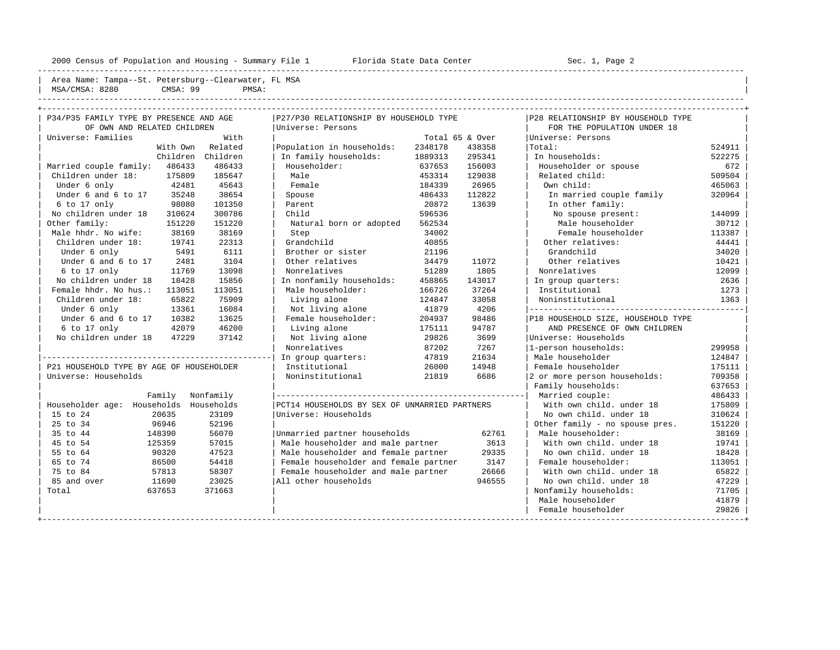|                |          | Area Name: Tampa--St. Petersburg--Clearwater, FL MSA |  |  |  |
|----------------|----------|------------------------------------------------------|--|--|--|
|                |          |                                                      |  |  |  |
| MSA/CMSA: 8280 | CMSA: 99 | PMSA:                                                |  |  |  |
|                |          |                                                      |  |  |  |

|  |  | ------ |
|--|--|--------|
|  |  |        |
|  |  |        |
|  |  |        |
|  |  |        |

| P34/P35 FAMILY TYPE BY PRESENCE AND AGE  |           | P27/P30 RELATIONSHIP BY HOUSEHOLD TYPE        |         |                 | P28 RELATIONSHIP BY HOUSEHOLD TYPE |        |
|------------------------------------------|-----------|-----------------------------------------------|---------|-----------------|------------------------------------|--------|
| OF OWN AND RELATED CHILDREN              |           | Universe: Persons                             |         |                 | FOR THE POPULATION UNDER 18        |        |
| Universe: Families                       | With      |                                               |         | Total 65 & Over | Universe: Persons                  |        |
| With Own                                 | Related   | Population in households:                     | 2348178 | 438358          | Total:                             | 524911 |
| Children                                 | Children  | In family households:                         | 1889313 | 295341          | In households:                     | 522275 |
| Married couple family: 486433            | 486433    | Householder:                                  | 637653  | 156003          | Householder or spouse              | 672    |
| Children under 18:<br>175809             | 185647    | Male                                          | 453314  | 129038          | Related child:                     | 509504 |
| Under 6 only<br>42481                    | 45643     | Female                                        | 184339  | 26965           | Own child:                         | 465063 |
| Under 6 and 6 to 17<br>35248             | 38654     | Spouse                                        | 486433  | 112822          | In married couple family           | 320964 |
| $6$ to 17 only<br>98080                  | 101350    | Parent                                        | 20872   | 13639           | In other family:                   |        |
| No children under 18<br>310624           | 300786    | Child                                         | 596536  |                 | No spouse present:                 | 144099 |
| Other family:<br>151220                  | 151220    | Natural born or adopted                       | 562534  |                 | Male householder                   | 30712  |
| Male hhdr. No wife:<br>38169             | 38169     | Step                                          | 34002   |                 | Female householder                 | 113387 |
| Children under 18:<br>19741              | 22313     | Grandchild                                    | 40855   |                 | Other relatives:                   | 44441  |
| Under 6 only<br>5491                     | 6111      | Brother or sister                             | 21196   |                 | Grandchild                         | 34020  |
| Under 6 and 6 to 17<br>2481              | 3104      | Other relatives                               | 34479   | 11072           | Other relatives                    | 10421  |
| 6 to 17 only<br>11769                    | 13098     | Nonrelatives                                  | 51289   | 1805            | Nonrelatives                       | 12099  |
| No children under 18<br>18428            | 15856     | In nonfamily households:                      | 458865  | 143017          | In group quarters:                 | 2636   |
| Female hhdr. No hus.:<br>113051          | 113051    | Male householder:                             | 166726  | 37264           | Institutional                      | 1273   |
| Children under 18:<br>65822              | 75909     | Living alone                                  | 124847  | 33058           | Noninstitutional                   | 1363   |
| Under 6 only<br>13361                    | 16084     | Not living alone                              | 41879   | 4206            |                                    |        |
| Under 6 and 6 to 17<br>10382             | 13625     | Female householder:                           | 204937  | 98486           | P18 HOUSEHOLD SIZE, HOUSEHOLD TYPE |        |
| 6 to 17 only<br>42079                    | 46200     | Living alone                                  | 175111  | 94787           | AND PRESENCE OF OWN CHILDREN       |        |
| No children under 18<br>47229            | 37142     | Not living alone                              | 29826   | 3699            | Universe: Households               |        |
|                                          |           | Nonrelatives                                  | 87202   | 7267            | 1-person households:               | 299958 |
|                                          |           | In group quarters:                            | 47819   | 21634           | Male householder                   | 124847 |
| P21 HOUSEHOLD TYPE BY AGE OF HOUSEHOLDER |           | Institutional                                 | 26000   | 14948           | Female householder                 | 175111 |
| Universe: Households                     |           | Noninstitutional                              | 21819   | 6686            | 2 or more person households:       | 709358 |
|                                          |           |                                               |         |                 | Family households:                 | 637653 |
| Family                                   | Nonfamily |                                               |         |                 | Married couple:                    | 486433 |
| Householder age: Households Households   |           | PCT14 HOUSEHOLDS BY SEX OF UNMARRIED PARTNERS |         |                 | With own child, under 18           | 175809 |
| 15 to 24<br>20635                        | 23109     | Universe: Households                          |         |                 | No own child. under 18             | 310624 |
| 25 to 34<br>96946                        | 52196     |                                               |         |                 | Other family - no spouse pres.     | 151220 |
| 35 to 44<br>148390                       | 56070     | Unmarried partner households                  |         | 62761           | Male householder:                  | 38169  |
| 45 to 54<br>125359                       | 57015     | Male householder and male partner             |         | 3613            | With own child, under 18           | 19741  |
| 55 to 64<br>90320                        | 47523     | Male householder and female partner           |         | 29335           | No own child, under 18             | 18428  |
| 65 to 74<br>86500                        | 54418     | Female householder and female partner         |         | 3147            | Female householder:                | 113051 |
| 75 to 84<br>57813                        | 58307     | Female householder and male partner           |         | 26666           | With own child, under 18           | 65822  |
| 85 and over<br>11690                     | 23025     | All other households                          |         | 946555          | No own child, under 18             | 47229  |
| Total<br>637653                          | 371663    |                                               |         |                 | Nonfamily households:              | 71705  |
|                                          |           |                                               |         |                 | Male householder                   | 41879  |
|                                          |           |                                               |         |                 | Female householder                 | 29826  |
|                                          |           |                                               |         |                 |                                    |        |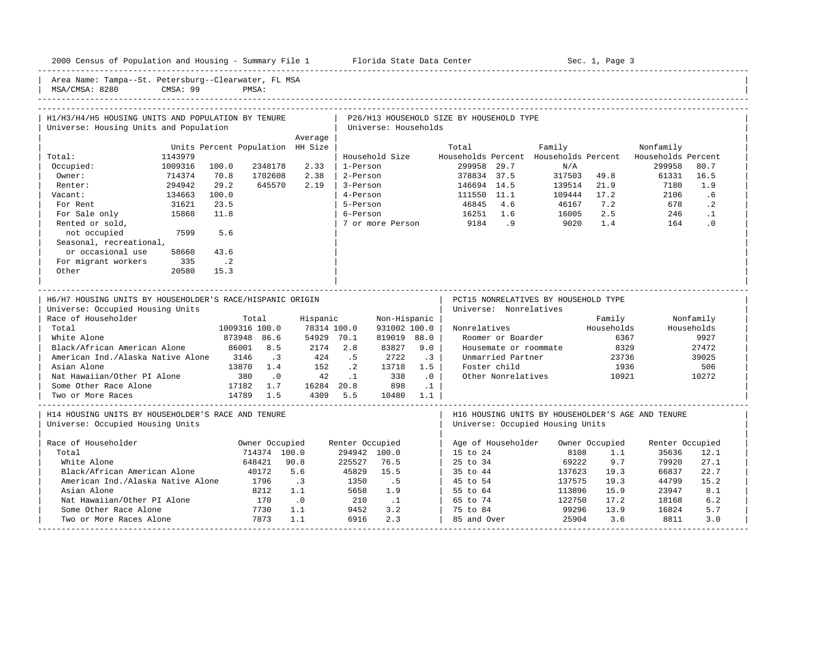| 2000 Census of Population and Housing - Summary File 1 Florida State Data Center              |         |               |                             |                                      |                 |                      |                            |                                          | Sec. 1, Page 3         |                                                                                       |              |                    |            |  |
|-----------------------------------------------------------------------------------------------|---------|---------------|-----------------------------|--------------------------------------|-----------------|----------------------|----------------------------|------------------------------------------|------------------------|---------------------------------------------------------------------------------------|--------------|--------------------|------------|--|
| Area Name: Tampa--St. Petersburg--Clearwater, FL MSA<br>CMSA: 99<br>MSA/CMSA: 8280            |         |               |                             |                                      |                 |                      |                            |                                          |                        |                                                                                       |              |                    |            |  |
| H1/H3/H4/H5 HOUSING UNITS AND POPULATION BY TENURE                                            |         |               |                             |                                      |                 |                      |                            | P26/H13 HOUSEHOLD SIZE BY HOUSEHOLD TYPE |                        |                                                                                       |              |                    |            |  |
| Universe: Housing Units and Population                                                        |         |               |                             |                                      |                 | Universe: Households |                            |                                          |                        |                                                                                       |              |                    |            |  |
|                                                                                               |         |               |                             | Average                              |                 |                      |                            |                                          |                        |                                                                                       |              |                    |            |  |
|                                                                                               |         |               |                             | Units Percent Population HH Size     |                 |                      |                            | Total                                    |                        | Family                                                                                |              | Nonfamily          |            |  |
| Total:                                                                                        | 1143979 |               |                             |                                      |                 | Household Size       |                            |                                          |                        | Households Percent Households Percent                                                 |              | Households Percent |            |  |
| Occupied:                                                                                     | 1009316 | 100.0         | 2348178                     | 2.33                                 | l 1-Person      |                      |                            | 299958 29.7                              |                        | N/A                                                                                   |              | 299958             | 80.7       |  |
| Owner:                                                                                        | 714374  | 70.8          | 1702608                     | 2.38                                 |                 | 2-Person             |                            | 378834 37.5                              |                        |                                                                                       | 317503 49.8  | 61331              | 16.5       |  |
| Renter:                                                                                       | 294942  | 29.2          | 645570                      | 2.19                                 |                 | 3-Person             |                            | 146694 14.5                              |                        |                                                                                       | 139514 21.9  | 7180               | 1.9        |  |
| Vacant:                                                                                       | 134663  | 100.0         |                             |                                      |                 | 4-Person             |                            | 111550 11.1                              |                        |                                                                                       | 109444 17.2  | 2106               | .6         |  |
| For Rent                                                                                      | 31621   | 23.5          |                             |                                      | 5-Person        |                      |                            | 46845 4.6                                |                        | 46167 7.2                                                                             |              | 678                | $\cdot$ 2  |  |
| For Sale only                                                                                 | 15868   | 11.8          |                             |                                      | 6-Person        |                      |                            | 16251 1.6                                |                        | 16005                                                                                 | $7.2$<br>2.5 | 246                | $\cdot$ 1  |  |
| Rented or sold,                                                                               |         |               |                             |                                      |                 |                      |                            | 7 or more Person 9184 .9                 |                        | 9020 1.4                                                                              |              | 164                | $\cdot$ 0  |  |
| not occupied                                                                                  | 7599    | 5.6           |                             |                                      |                 |                      |                            |                                          |                        |                                                                                       |              |                    |            |  |
| Seasonal, recreational,                                                                       |         |               |                             |                                      |                 |                      |                            |                                          |                        |                                                                                       |              |                    |            |  |
| or occasional use                                                                             | 58660   | 43.6          |                             |                                      |                 |                      |                            |                                          |                        |                                                                                       |              |                    |            |  |
| For migrant workers                                                                           | 335     | $\cdot$ . 2   |                             |                                      |                 |                      |                            |                                          |                        |                                                                                       |              |                    |            |  |
| Other                                                                                         | 20580   | 15.3          |                             |                                      |                 |                      |                            |                                          |                        |                                                                                       |              |                    |            |  |
| H6/H7 HOUSING UNITS BY HOUSEHOLDER'S RACE/HISPANIC ORIGIN<br>Universe: Occupied Housing Units |         |               |                             |                                      |                 |                      |                            |                                          | Universe: Nonrelatives | PCT15 NONRELATIVES BY HOUSEHOLD TYPE                                                  |              |                    |            |  |
| Race of Householder                                                                           |         |               | Total                       | Hispanic                             |                 | Non-Hispanic         |                            |                                          |                        |                                                                                       | Family       |                    | Nonfamily  |  |
| Total                                                                                         |         | 1009316 100.0 |                             | 78314 100.0                          |                 | 931002 100.0         |                            |                                          |                        | Nonrelatives                                                                          | Households   |                    | Households |  |
| White Alone                                                                                   |         |               | 873948 86.6                 | 54929 70.1                           |                 | 819019 88.0          |                            |                                          | Roomer or Boarder      |                                                                                       | 6367         |                    | 9927       |  |
| Black/African American Alone                                                                  |         | 86001 8.5     |                             | 2174 2.8                             |                 | 83827                | 9.0                        |                                          |                        | Housemate or roommate                                                                 | 8329         |                    | 27472      |  |
| American Ind./Alaska Native Alone 3146                                                        |         |               | $\overline{\phantom{a}}$ .3 | 424<br>152                           | .5              | 2722                 | $\cdot$ 3                  |                                          | Unmarried Partner      |                                                                                       | 23736        |                    | 39025      |  |
| Asian Alone                                                                                   |         |               | 13870 1.4                   |                                      | $\cdot$ 2       | 13718                | 1.5                        |                                          | Foster child           |                                                                                       | 1936         |                    | 506        |  |
| Nat Hawaiian/Other PI Alone 380                                                               |         |               | $\overline{\phantom{0}}$    | 42                                   |                 | $.1$ 338             | $\overline{\phantom{0}}$ . |                                          |                        | Other Nonrelatives                                                                    | 10921        |                    | 10272      |  |
| Some Other Race Alone<br>Two or More Races                                                    |         | 14789 1.5     |                             | 17182 1.7 16284 20.8 898<br>4309 5.5 |                 | 10480 1.1            | $\ldots$                   |                                          |                        |                                                                                       |              |                    |            |  |
|                                                                                               |         |               |                             |                                      |                 |                      |                            |                                          |                        |                                                                                       |              |                    |            |  |
| H14 HOUSING UNITS BY HOUSEHOLDER'S RACE AND TENURE<br>Universe: Occupied Housing Units        |         |               |                             |                                      |                 |                      |                            |                                          |                        | H16 HOUSING UNITS BY HOUSEHOLDER'S AGE AND TENURE<br>Universe: Occupied Housing Units |              |                    |            |  |
|                                                                                               |         |               |                             |                                      |                 |                      |                            |                                          |                        |                                                                                       |              |                    |            |  |
| Race of Householder                                                                           |         |               | Owner Occupied              |                                      | Renter Occupied |                      |                            |                                          |                        | Age of Householder Owner Occupied                                                     |              | Renter Occupied    |            |  |
| Total                                                                                         |         |               | 714374 100.0                |                                      |                 | 294942 100.0         |                            | 15 to 24                                 |                        | 8108                                                                                  | 1.1          | 35636              | 12.1       |  |
| White Alone                                                                                   |         |               | 648421                      | 90.8                                 | 225527          | 76.5                 |                            |                                          | 25 to 34               | 69222                                                                                 | 9.7          | 79920              | 27.1       |  |
| Black/African American Alone                                                                  |         |               | 40172                       | 5.6                                  | 45829           | 15.5                 |                            | 35 to 44                                 |                        | 137623                                                                                | 19.3         | 66837              | 22.7       |  |
| American Ind./Alaska Native Alone 1796                                                        |         |               |                             | $\overline{\phantom{a}}$ .3          | 1350            | .5                   |                            | 45 to 54                                 |                        | 137575                                                                                | 19.3         | 44799              | 15.2       |  |
| Asian Alone                                                                                   |         |               | 8212                        | 1.1                                  | 5658            | 1.9                  |                            | 55 to 64                                 |                        | 113896                                                                                | 15.9         | 23947              | 8.1        |  |
| Nat Hawaiian/Other PI Alone                                                                   |         |               | 170                         | $\overline{\phantom{0}}$ .0          | 210             | $\ldots$             |                            | 65 to 74                                 |                        | 122750                                                                                | 17.2         | 18168              | 6.2        |  |
| Some Other Race Alone                                                                         |         |               | 7730                        | 1.1                                  | 9452            | 3.2                  |                            | 75 to 84                                 |                        | 99296                                                                                 | 13.9         | 16824              | 5.7        |  |

| Two or More Races Alone 7873 1.1 6916 2.3 | 85 and Over 25904 3.6 8811 3.0 | -----------------------------------------------------------------------------------------------------------------------------------------------------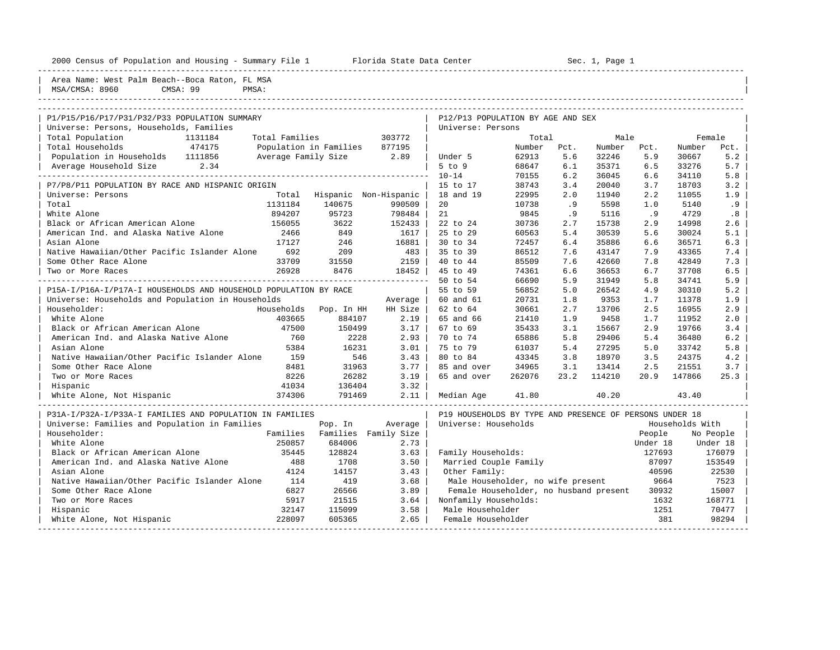| Housing<br>2000<br>Census<br>and<br>pulation<br>וומח<br>$\cdots$<br>r – ummu | ┑┷╷<br>`∽ +<br>$\sim$<br>$\sim$<br>101 Iua<br>Dal G<br>CEILLE.<br>31.71.7 | Sec<br>∍aα |
|------------------------------------------------------------------------------|---------------------------------------------------------------------------|------------|
|                                                                              |                                                                           |            |

2000 1 Center - Summary File 1 Florida State Data Center Sec. 1, Page 1

| Area Name: West Palm Beach--Boca Raton, FL MSA<br>MSA/CMSA: 8960<br>CMSA: 99<br>PMSA: |                |                                                           |                       |                                                         |        |      |        |          |        |           |
|---------------------------------------------------------------------------------------|----------------|-----------------------------------------------------------|-----------------------|---------------------------------------------------------|--------|------|--------|----------|--------|-----------|
|                                                                                       |                |                                                           |                       |                                                         |        |      |        |          |        |           |
| P1/P15/P16/P17/P31/P32/P33 POPULATION SUMMARY                                         |                |                                                           |                       | P12/P13 POPULATION BY AGE AND SEX                       |        |      |        |          |        |           |
| Universe: Persons, Households, Families                                               |                |                                                           |                       | Universe: Persons                                       |        |      |        |          |        |           |
| Total Population<br>1131184                                                           | Total Families |                                                           | 303772                |                                                         | Total  |      | Male   |          | Female |           |
| 474175<br>Total Households                                                            |                | Population in Families 877195<br>Average Family Size 2.89 |                       |                                                         | Number | Pct. | Number | Pct.     | Number | Pct.      |
| Population in Households 1111856                                                      |                |                                                           | $\Box$                | Under 5                                                 | 62913  | 5.6  | 32246  | 5.9      | 30667  | 5.2       |
| Average Household Size<br>2.34<br><u>u de de de de de de de de d</u>                  |                |                                                           |                       | $5$ to $9$                                              | 68647  | 6.1  | 35371  | 6.5      | 33276  | 5.7       |
|                                                                                       |                |                                                           |                       | $10 - 14$                                               | 70155  | 6.2  | 36045  | 6.6      | 34110  | 5.8       |
| P7/P8/P11 POPULATION BY RACE AND HISPANIC ORIGIN                                      |                |                                                           |                       | 15 to 17                                                | 38743  | 3.4  | 20040  | 3.7      | 18703  | 3.2       |
| Universe: Persons                                                                     | Total          |                                                           | Hispanic Non-Hispanic | 18 and 19                                               | 22995  | 2.0  | 11940  | 2.2      | 11055  | 1.9       |
| Total                                                                                 | 1131184        | 140675                                                    | 990509                | 20                                                      | 10738  | .9   | 5598   | 1.0      | 5140   | .9        |
| White Alone                                                                           | 894207         | 95723                                                     | 798484                | 21                                                      | 9845   | .9   | 5116   | .9       | 4729   | .8        |
| Black or African American Alone                                                       | 156055         | 3622                                                      | 152433                | 22 to 24                                                | 30736  | 2.7  | 15738  | 2.9      | 14998  | 2.6       |
| American Ind. and Alaska Native Alone                                                 | 2466           | 849                                                       | 1617                  | 25 to 29                                                | 60563  | 5.4  | 30539  | 5.6      | 30024  | 5.1       |
| Asian Alone                                                                           | 17127          | 246                                                       | 16881                 | 30 to 34                                                | 72457  | 6.4  | 35886  | 6.6      | 36571  | 6.3       |
| Native Hawaiian/Other Pacific Islander Alone                                          | 692            | 209                                                       | 483                   | 35 to 39                                                | 86512  | 7.6  | 43147  | 7.9      | 43365  | 7.4       |
| Some Other Race Alone                                                                 | 33709          | 31550                                                     | 2159                  | 40 to 44                                                | 85509  | 7.6  | 42660  | 7.8      | 42849  | 7.3       |
| Two or More Races                                                                     | 26928          | 8476                                                      | 18452                 | 45 to 49                                                | 74361  | 6.6  | 36653  | 6.7      | 37708  | 6.5       |
|                                                                                       |                |                                                           |                       | 50 to 54                                                | 66690  | 5.9  | 31949  | 5.8      | 34741  | 5.9       |
| P15A-I/P16A-I/P17A-I HOUSEHOLDS AND HOUSEHOLD POPULATION BY RACE                      |                |                                                           |                       | 55 to 59                                                | 56852  | 5.0  | 26542  | 4.9      | 30310  | 5.2       |
| Universe: Households and Population in Households                                     |                |                                                           | Average               | 60 and 61                                               | 20731  | 1.8  | 9353   | 1.7      | 11378  | 1.9       |
| Householder:                                                                          | Households     | Pop. In HH                                                | HH Size               | 62 to 64                                                | 30661  | 2.7  | 13706  | 2.5      | 16955  | 2.9       |
| White Alone                                                                           | 403665         | 884107                                                    | 2.19                  | 65 and 66                                               | 21410  | 1.9  | 9458   | 1.7      | 11952  | 2.0       |
| Black or African American Alone                                                       | 47500          | 150499                                                    | 3.17                  | 67 to 69                                                | 35433  | 3.1  | 15667  | 2.9      | 19766  | 3.4       |
| American Ind. and Alaska Native Alone                                                 | 760            | 2228                                                      | 2.93                  | 70 to 74                                                | 65886  | 5.8  | 29406  | 5.4      | 36480  | 6.2       |
| Asian Alone                                                                           | 5384           | 16231                                                     | 3.01                  | 75 to 79                                                | 61037  | 5.4  | 27295  | 5.0      | 33742  | 5.8       |
| Native Hawaiian/Other Pacific Islander Alone                                          | 159            | 546                                                       | 3.43                  | 80 to 84                                                | 43345  | 3.8  | 18970  | 3.5      | 24375  | 4.2       |
| Some Other Race Alone                                                                 | 8481           | 31963                                                     | 3.77                  | 85 and over                                             | 34965  | 3.1  | 13414  | 2.5      | 21551  | 3.7       |
| Two or More Races                                                                     | 8226           | 26282                                                     | 3.19                  | 65 and over                                             | 262076 | 23.2 | 114210 | 20.9     | 147866 | 25.3      |
| Hispanic                                                                              | 41034          | 136404                                                    | 3.32                  |                                                         |        |      |        |          |        |           |
| White Alone, Not Hispanic                                                             | 374306         | 791469                                                    | 2.11                  | Median Age                                              | 41.80  |      | 40.20  |          | 43.40  |           |
| P31A-I/P32A-I/P33A-I FAMILIES AND POPULATION IN FAMILIES                              |                |                                                           |                       | P19 HOUSEHOLDS BY TYPE AND PRESENCE OF PERSONS UNDER 18 |        |      |        |          |        |           |
| Universe: Families and Population in Families                                         |                | Pop. In                                                   | Average               | Universe: Households<br>Households With                 |        |      |        |          |        |           |
| Householder:                                                                          | Families       |                                                           | Families Family Size  |                                                         |        |      |        | People   |        | No People |
| White Alone                                                                           | 250857         | 684006                                                    | 2.73                  |                                                         |        |      |        | Under 18 |        | Under 18  |
| Black or African American Alone                                                       | 35445          | 128824                                                    | 3.63                  | Family Households:                                      |        |      |        | 127693   |        | 176079    |
| American Ind. and Alaska Native Alone                                                 | 488            | 1708                                                      | 3.50                  | Married Couple Family                                   |        |      |        | 87097    |        | 153549    |
| Asian Alone                                                                           | 4124           | 14157                                                     | 3.43                  | Other Family:                                           |        |      |        | 40596    |        | 22530     |
| Native Hawaiian/Other Pacific Islander Alone                                          | 114            | 419                                                       | 3.68                  | Male Householder, no wife present                       |        |      |        | 9664     |        | 7523      |
| Some Other Race Alone                                                                 | 6827           | 26566                                                     | 3.89                  | Female Householder, no husband present                  |        |      |        | 30932    |        | 15007     |
| Two or More Races                                                                     | 5917           | 21515                                                     | 3.64                  | Nonfamily Households:                                   |        |      |        | 1632     |        | 168771    |
| Hispanic                                                                              | 32147          | 115099                                                    | 3.58                  | Male Householder                                        |        |      |        | 1251     |        | 70477     |
| White Alone, Not Hispanic                                                             | 228097         | 605365                                                    | 2.65                  | Female Householder                                      |        |      |        | 381      |        | 98294     |

-----------------------------------------------------------------------------------------------------------------------------------------------------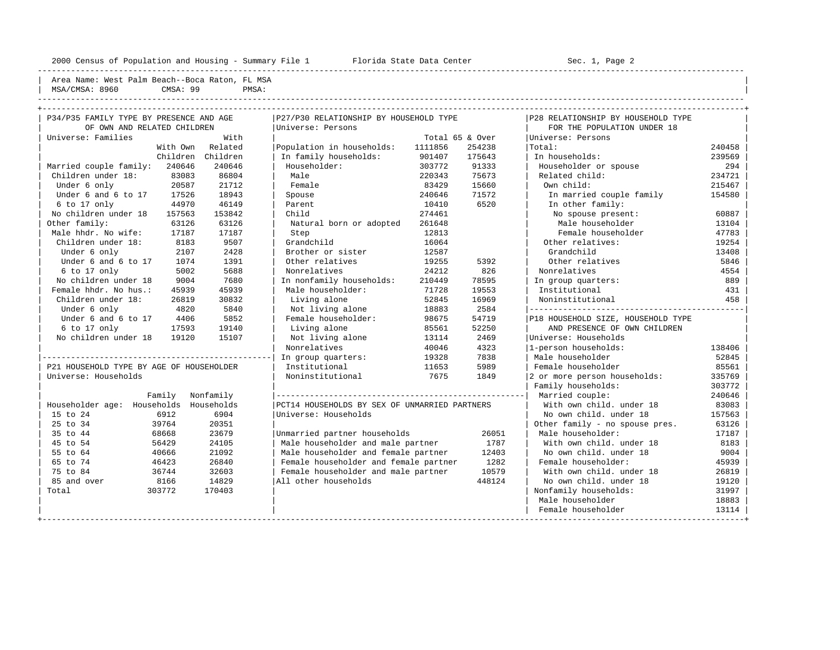---------------------------------------------------------------------------------------------------------------------------------------------------- Area Name: West Palm Beach--Boca Raton, FL MSA | MSA/CMSA: 8960 CMSA: 99 PMSA: ----------------------------------------------------------------------------------------------------------------------------------------------------

| P34/P35 FAMILY TYPE BY PRESENCE AND AGE  |          |                   | P27/P30 RELATIONSHIP BY HOUSEHOLD TYPE        |         |                 | P28 RELATIONSHIP BY HOUSEHOLD TYPE |        |
|------------------------------------------|----------|-------------------|-----------------------------------------------|---------|-----------------|------------------------------------|--------|
| OF OWN AND RELATED CHILDREN              |          |                   | Universe: Persons                             |         |                 | FOR THE POPULATION UNDER 18        |        |
| Universe: Families                       |          | With              |                                               |         | Total 65 & Over | Universe: Persons                  |        |
|                                          | With Own | Related           | Population in households:                     | 1111856 | 254238          | Total:                             | 240458 |
|                                          |          | Children Children | In family households:                         | 901407  | 175643          | In households:                     | 239569 |
| Married couple family:                   | 240646   | 240646            | Householder:                                  | 303772  | 91333           | Householder or spouse              | 294    |
| Children under 18:                       | 83083    | 86804             | Male                                          | 220343  | 75673           | Related child:                     | 234721 |
| Under 6 only                             | 20587    | 21712             | Female                                        | 83429   | 15660           | Own child:                         | 215467 |
| Under 6 and 6 to 17                      | 17526    | 18943             | Spouse                                        | 240646  | 71572           | In married couple family           | 154580 |
| 6 to 17 only                             | 44970    | 46149             | Parent                                        | 10410   | 6520            | In other family:                   |        |
| No children under 18                     | 157563   | 153842            | Child                                         | 274461  |                 | No spouse present:                 | 60887  |
| Other family:                            | 63126    | 63126             | Natural born or adopted                       | 261648  |                 | Male householder                   | 13104  |
| Male hhdr. No wife:                      | 17187    | 17187             | Step                                          | 12813   |                 | Female householder                 | 47783  |
| Children under 18:                       | 8183     | 9507              | Grandchild                                    | 16064   |                 | Other relatives:                   | 19254  |
| Under 6 only                             | 2107     | 2428              | Brother or sister                             | 12587   |                 | Grandchild                         | 13408  |
| Under 6 and 6 to 17                      | 1074     | 1391              | Other relatives                               | 19255   | 5392            | Other relatives                    | 5846   |
| 6 to 17 only                             | 5002     | 5688              | Nonrelatives                                  | 24212   | 826             | Nonrelatives                       | 4554   |
| No children under 18                     | 9004     | 7680              | In nonfamily households:                      | 210449  | 78595           | In group quarters:                 | 889    |
| Female hhdr. No hus.:                    | 45939    | 45939             | Male householder:                             | 71728   | 19553           | Institutional                      | 431    |
| Children under 18:                       | 26819    | 30832             | Living alone                                  | 52845   | 16969           | Noninstitutional                   | 458    |
| Under 6 only                             | 4820     | 5840              | Not living alone                              | 18883   | 2584            |                                    |        |
| Under 6 and 6 to 17                      | 4406     | 5852              | Female householder:                           | 98675   | 54719           | P18 HOUSEHOLD SIZE, HOUSEHOLD TYPE |        |
| 6 to 17 only                             | 17593    | 19140             | Living alone                                  | 85561   | 52250           | AND PRESENCE OF OWN CHILDREN       |        |
| No children under 18                     | 19120    | 15107             | Not living alone                              | 13114   | 2469            | Universe: Households               |        |
|                                          |          |                   | Nonrelatives                                  | 40046   | 4323            | 1-person households:               | 138406 |
|                                          |          |                   | In group quarters:                            | 19328   | 7838            | Male householder                   | 52845  |
| P21 HOUSEHOLD TYPE BY AGE OF HOUSEHOLDER |          |                   | Institutional                                 | 11653   | 5989            | Female householder                 | 85561  |
| Universe: Households                     |          |                   | Noninstitutional                              | 7675    | 1849            | 2 or more person households:       | 335769 |
|                                          |          |                   |                                               |         |                 | Family households:                 | 303772 |
|                                          | Family   | Nonfamily         |                                               |         |                 | Married couple:                    | 240646 |
| Householder age: Households Households   |          |                   | PCT14 HOUSEHOLDS BY SEX OF UNMARRIED PARTNERS |         |                 | With own child, under 18           | 83083  |
| 15 to 24                                 | 6912     | 6904              | Universe: Households                          |         |                 | No own child, under 18             | 157563 |
| 25 to 34                                 | 39764    | 20351             |                                               |         |                 | Other family - no spouse pres.     | 63126  |
| 35 to 44                                 | 68668    | 23679             | Unmarried partner households                  |         | 26051           | Male householder:                  | 17187  |
| 45 to 54                                 | 56429    | 24105             | Male householder and male partner             |         | 1787            | With own child, under 18           | 8183   |
| 55 to 64                                 | 40666    | 21092             | Male householder and female partner           |         | 12403           | No own child. under 18             | 9004   |
| 65 to 74                                 | 46423    | 26840             | Female householder and female partner         |         | 1282            | Female householder:                | 45939  |
| 75 to 84                                 | 36744    | 32603             | Female householder and male partner           |         | 10579           | With own child, under 18           | 26819  |
| 85 and over                              | 8166     | 14829             | All other households                          |         | 448124          | No own child, under 18             | 19120  |
| Total                                    | 303772   | 170403            |                                               |         |                 | Nonfamily households:              | 31997  |
|                                          |          |                   |                                               |         |                 | Male householder                   | 18883  |
|                                          |          |                   |                                               |         |                 |                                    | 13114  |